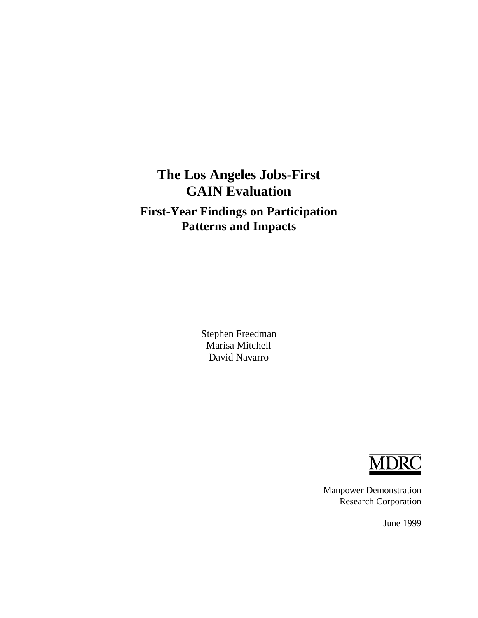# **The Los Angeles Jobs-First GAIN Evaluation**

# **First-Year Findings on Participation Patterns and Impacts**

Stephen Freedman Marisa Mitchell David Navarro



Manpower Demonstration Research Corporation

June 1999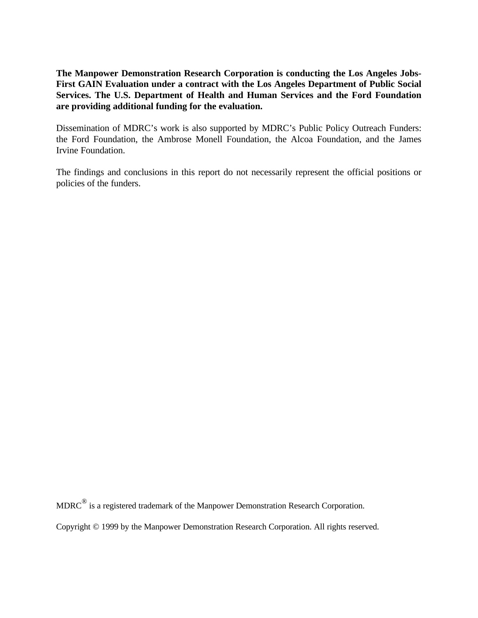**The Manpower Demonstration Research Corporation is conducting the Los Angeles Jobs-First GAIN Evaluation under a contract with the Los Angeles Department of Public Social Services. The U.S. Department of Health and Human Services and the Ford Foundation are providing additional funding for the evaluation.**

Dissemination of MDRC's work is also supported by MDRC's Public Policy Outreach Funders: the Ford Foundation, the Ambrose Monell Foundation, the Alcoa Foundation, and the James Irvine Foundation.

The findings and conclusions in this report do not necessarily represent the official positions or policies of the funders.

 $MDRC^{\circledR}$  is a registered trademark of the Manpower Demonstration Research Corporation.

Copyright © 1999 by the Manpower Demonstration Research Corporation. All rights reserved.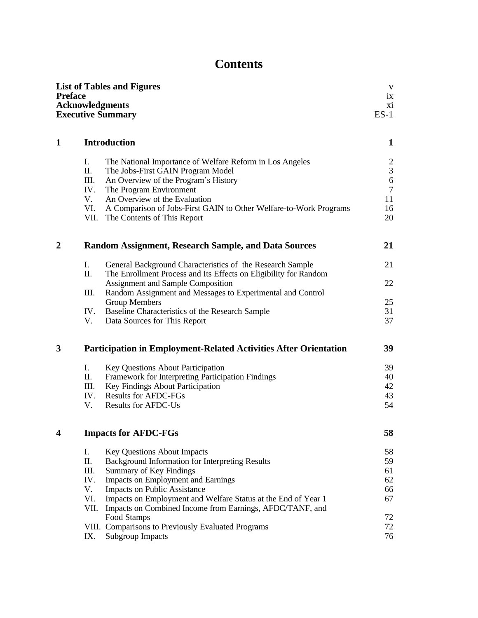# **Contents**

| <b>Preface</b> | <b>Acknowledgments</b> | <b>List of Tables and Figures</b><br><b>Executive Summary</b>               | $\ensuremath{\mathbf{V}}$<br>ix<br>xi<br>$ES-1$ |
|----------------|------------------------|-----------------------------------------------------------------------------|-------------------------------------------------|
| $\mathbf{1}$   |                        | <b>Introduction</b>                                                         | $\mathbf{1}$                                    |
|                | I.                     | The National Importance of Welfare Reform in Los Angeles                    | $\overline{2}$                                  |
|                | П.                     | The Jobs-First GAIN Program Model                                           | 3                                               |
|                | III.                   | An Overview of the Program's History                                        | 6                                               |
|                | IV.<br>V.              | The Program Environment<br>An Overview of the Evaluation                    | $\overline{7}$<br>11                            |
|                | VI.                    | A Comparison of Jobs-First GAIN to Other Welfare-to-Work Programs           | 16                                              |
|                | VII.                   | The Contents of This Report                                                 | 20                                              |
| $\overline{2}$ |                        | <b>Random Assignment, Research Sample, and Data Sources</b>                 | 21                                              |
|                | I.                     | General Background Characteristics of the Research Sample                   | 21                                              |
|                | П.                     | The Enrollment Process and Its Effects on Eligibility for Random            |                                                 |
|                |                        | Assignment and Sample Composition                                           | 22                                              |
|                | III.                   | Random Assignment and Messages to Experimental and Control<br>Group Members | 25                                              |
|                | IV.                    | Baseline Characteristics of the Research Sample                             | 31                                              |
|                | V.                     | Data Sources for This Report                                                | 37                                              |
| 3              |                        | <b>Participation in Employment-Related Activities After Orientation</b>     | 39                                              |
|                | I.                     | <b>Key Questions About Participation</b>                                    | 39                                              |
|                | П.                     | Framework for Interpreting Participation Findings                           | 40                                              |
|                | III.                   | Key Findings About Participation                                            | 42                                              |
|                | IV.<br>V.              | <b>Results for AFDC-FGs</b><br><b>Results for AFDC-Us</b>                   | 43<br>54                                        |
|                |                        |                                                                             |                                                 |
|                |                        | <b>Impacts for AFDC-FGs</b>                                                 | 58                                              |
|                | I.                     | <b>Key Questions About Impacts</b>                                          | 58                                              |
|                | П.                     | Background Information for Interpreting Results                             | 59                                              |
|                | III.<br>IV.            | Summary of Key Findings                                                     | 61<br>62                                        |
|                | V.                     | Impacts on Employment and Earnings<br>Impacts on Public Assistance          | 66                                              |
|                | VI.                    | Impacts on Employment and Welfare Status at the End of Year 1               | 67                                              |
|                | VII.                   | Impacts on Combined Income from Earnings, AFDC/TANF, and                    |                                                 |
|                |                        | Food Stamps                                                                 | 72                                              |
|                |                        | VIII. Comparisons to Previously Evaluated Programs                          | 72                                              |
|                | IX.                    | <b>Subgroup Impacts</b>                                                     | 76                                              |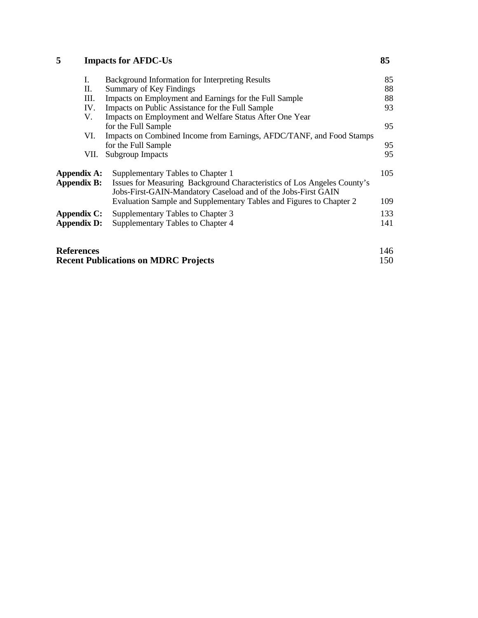# **5 [Impacts for AFDC-Us](#page-137-0) 85**

| I.                | Background Information for Interpreting Results                                                                                          | 85  |
|-------------------|------------------------------------------------------------------------------------------------------------------------------------------|-----|
| П.                | Summary of Key Findings                                                                                                                  | 88  |
| III.              | Impacts on Employment and Earnings for the Full Sample                                                                                   | 88  |
| IV.               | Impacts on Public Assistance for the Full Sample                                                                                         | 93  |
| V.                | Impacts on Employment and Welfare Status After One Year                                                                                  |     |
|                   | for the Full Sample                                                                                                                      | 95  |
| VI.               | Impacts on Combined Income from Earnings, AFDC/TANF, and Food Stamps                                                                     |     |
|                   | for the Full Sample                                                                                                                      | 95  |
| VII.              | Subgroup Impacts                                                                                                                         | 95  |
| Appendix A:       | Supplementary Tables to Chapter 1                                                                                                        | 105 |
| Appendix B:       | Issues for Measuring Background Characteristics of Los Angeles County's<br>Jobs-First-GAIN-Mandatory Caseload and of the Jobs-First GAIN |     |
|                   | Evaluation Sample and Supplementary Tables and Figures to Chapter 2                                                                      | 109 |
| Appendix C:       | Supplementary Tables to Chapter 3                                                                                                        | 133 |
| Appendix D:       | Supplementary Tables to Chapter 4                                                                                                        | 141 |
| <b>References</b> |                                                                                                                                          | 146 |

| <b>Recent Publications on MDRC Projects</b> | 150 |
|---------------------------------------------|-----|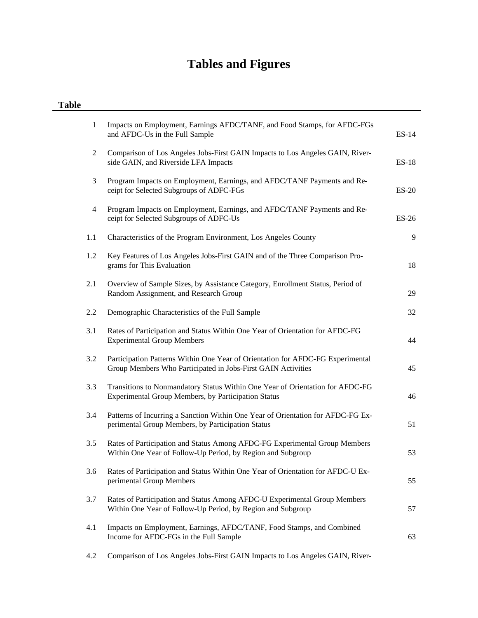# **Tables and Figures**

| <b>Table</b> |                                                                                                                                                |              |
|--------------|------------------------------------------------------------------------------------------------------------------------------------------------|--------------|
| $\mathbf{1}$ | Impacts on Employment, Earnings AFDC/TANF, and Food Stamps, for AFDC-FGs<br>and AFDC-Us in the Full Sample                                     | $ES-14$      |
| 2            | Comparison of Los Angeles Jobs-First GAIN Impacts to Los Angeles GAIN, River-<br>side GAIN, and Riverside LFA Impacts                          | <b>ES-18</b> |
| 3            | Program Impacts on Employment, Earnings, and AFDC/TANF Payments and Re-<br>ceipt for Selected Subgroups of ADFC-FGs                            | <b>ES-20</b> |
| 4            | Program Impacts on Employment, Earnings, and AFDC/TANF Payments and Re-<br>ceipt for Selected Subgroups of ADFC-Us                             | <b>ES-26</b> |
| 1.1          | Characteristics of the Program Environment, Los Angeles County                                                                                 | 9            |
| 1.2          | Key Features of Los Angeles Jobs-First GAIN and of the Three Comparison Pro-<br>grams for This Evaluation                                      | 18           |
| 2.1          | Overview of Sample Sizes, by Assistance Category, Enrollment Status, Period of<br>Random Assignment, and Research Group                        | 29           |
| 2.2          | Demographic Characteristics of the Full Sample                                                                                                 | 32           |
| 3.1          | Rates of Participation and Status Within One Year of Orientation for AFDC-FG<br><b>Experimental Group Members</b>                              | 44           |
| 3.2          | Participation Patterns Within One Year of Orientation for AFDC-FG Experimental<br>Group Members Who Participated in Jobs-First GAIN Activities | 45           |
| 3.3          | Transitions to Nonmandatory Status Within One Year of Orientation for AFDC-FG<br>Experimental Group Members, by Participation Status           | 46           |
| 3.4          | Patterns of Incurring a Sanction Within One Year of Orientation for AFDC-FG Ex-<br>perimental Group Members, by Participation Status           | 51           |
| 3.5          | Rates of Participation and Status Among AFDC-FG Experimental Group Members<br>Within One Year of Follow-Up Period, by Region and Subgroup      | 53           |
| 3.6          | Rates of Participation and Status Within One Year of Orientation for AFDC-U Ex-<br>perimental Group Members                                    | 55           |
| 3.7          | Rates of Participation and Status Among AFDC-U Experimental Group Members<br>Within One Year of Follow-Up Period, by Region and Subgroup       | 57           |
| 4.1          | Impacts on Employment, Earnings, AFDC/TANF, Food Stamps, and Combined<br>Income for AFDC-FGs in the Full Sample                                | 63           |
| 4.2          | Comparison of Los Angeles Jobs-First GAIN Impacts to Los Angeles GAIN, River-                                                                  |              |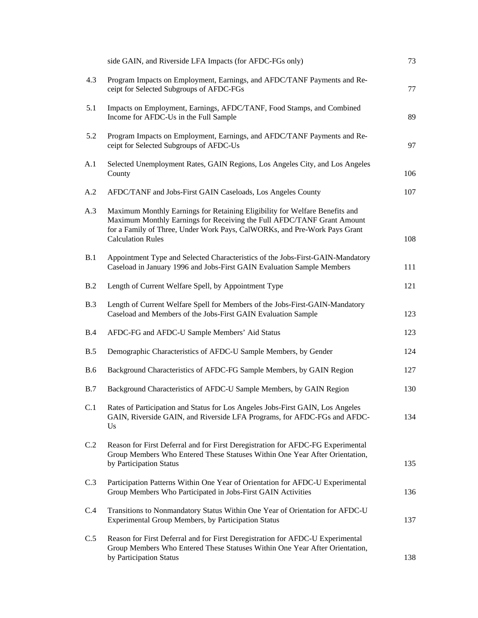|            | side GAIN, and Riverside LFA Impacts (for AFDC-FGs only)                                                                                                                                                                                                       | 73  |
|------------|----------------------------------------------------------------------------------------------------------------------------------------------------------------------------------------------------------------------------------------------------------------|-----|
| 4.3        | Program Impacts on Employment, Earnings, and AFDC/TANF Payments and Re-<br>ceipt for Selected Subgroups of AFDC-FGs                                                                                                                                            | 77  |
| 5.1        | Impacts on Employment, Earnings, AFDC/TANF, Food Stamps, and Combined<br>Income for AFDC-Us in the Full Sample                                                                                                                                                 | 89  |
| 5.2        | Program Impacts on Employment, Earnings, and AFDC/TANF Payments and Re-<br>ceipt for Selected Subgroups of AFDC-Us                                                                                                                                             | 97  |
| A.1        | Selected Unemployment Rates, GAIN Regions, Los Angeles City, and Los Angeles<br>County                                                                                                                                                                         | 106 |
| A.2        | AFDC/TANF and Jobs-First GAIN Caseloads, Los Angeles County                                                                                                                                                                                                    | 107 |
| A.3        | Maximum Monthly Earnings for Retaining Eligibility for Welfare Benefits and<br>Maximum Monthly Earnings for Receiving the Full AFDC/TANF Grant Amount<br>for a Family of Three, Under Work Pays, CalWORKs, and Pre-Work Pays Grant<br><b>Calculation Rules</b> | 108 |
| B.1        | Appointment Type and Selected Characteristics of the Jobs-First-GAIN-Mandatory<br>Caseload in January 1996 and Jobs-First GAIN Evaluation Sample Members                                                                                                       | 111 |
| B.2        | Length of Current Welfare Spell, by Appointment Type                                                                                                                                                                                                           | 121 |
| B.3        | Length of Current Welfare Spell for Members of the Jobs-First-GAIN-Mandatory<br>Caseload and Members of the Jobs-First GAIN Evaluation Sample                                                                                                                  | 123 |
| B.4        | AFDC-FG and AFDC-U Sample Members' Aid Status                                                                                                                                                                                                                  | 123 |
| B.5        | Demographic Characteristics of AFDC-U Sample Members, by Gender                                                                                                                                                                                                | 124 |
| <b>B.6</b> | Background Characteristics of AFDC-FG Sample Members, by GAIN Region                                                                                                                                                                                           | 127 |
| B.7        | Background Characteristics of AFDC-U Sample Members, by GAIN Region                                                                                                                                                                                            | 130 |
| C.1        | Rates of Participation and Status for Los Angeles Jobs-First GAIN, Los Angeles<br>GAIN, Riverside GAIN, and Riverside LFA Programs, for AFDC-FGs and AFDC-<br>Us                                                                                               | 134 |
| C.2        | Reason for First Deferral and for First Deregistration for AFDC-FG Experimental<br>Group Members Who Entered These Statuses Within One Year After Orientation,<br>by Participation Status                                                                      | 135 |
| C.3        | Participation Patterns Within One Year of Orientation for AFDC-U Experimental<br>Group Members Who Participated in Jobs-First GAIN Activities                                                                                                                  | 136 |
| C.4        | Transitions to Nonmandatory Status Within One Year of Orientation for AFDC-U<br>Experimental Group Members, by Participation Status                                                                                                                            | 137 |
| C.5        | Reason for First Deferral and for First Deregistration for AFDC-U Experimental<br>Group Members Who Entered These Statuses Within One Year After Orientation,<br>by Participation Status                                                                       | 138 |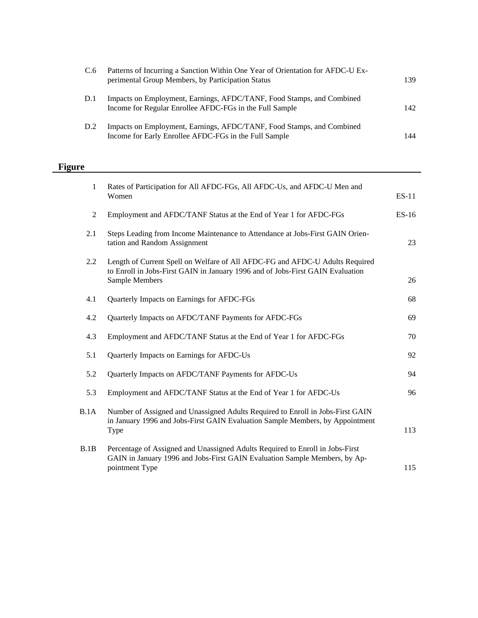| C.6 | Patterns of Incurring a Sanction Within One Year of Orientation for AFDC-U Ex-<br>perimental Group Members, by Participation Status | 139 |
|-----|-------------------------------------------------------------------------------------------------------------------------------------|-----|
| D.1 | Impacts on Employment, Earnings, AFDC/TANF, Food Stamps, and Combined<br>Income for Regular Enrollee AFDC-FGs in the Full Sample    | 142 |
| D.2 | Impacts on Employment, Earnings, AFDC/TANF, Food Stamps, and Combined<br>Income for Early Enrollee AFDC-FGs in the Full Sample      | 144 |

# **Figure**

| $\mathbf{1}$ | Rates of Participation for All AFDC-FGs, All AFDC-Us, and AFDC-U Men and<br>Women                                                                                                | $ES-11$ |
|--------------|----------------------------------------------------------------------------------------------------------------------------------------------------------------------------------|---------|
| 2            | Employment and AFDC/TANF Status at the End of Year 1 for AFDC-FGs                                                                                                                | $ES-16$ |
| 2.1          | Steps Leading from Income Maintenance to Attendance at Jobs-First GAIN Orien-<br>tation and Random Assignment                                                                    | 23      |
| 2.2          | Length of Current Spell on Welfare of All AFDC-FG and AFDC-U Adults Required<br>to Enroll in Jobs-First GAIN in January 1996 and of Jobs-First GAIN Evaluation<br>Sample Members | 26      |
| 4.1          | Quarterly Impacts on Earnings for AFDC-FGs                                                                                                                                       | 68      |
| 4.2          | Quarterly Impacts on AFDC/TANF Payments for AFDC-FGs                                                                                                                             | 69      |
| 4.3          | Employment and AFDC/TANF Status at the End of Year 1 for AFDC-FGs                                                                                                                | 70      |
| 5.1          | Quarterly Impacts on Earnings for AFDC-Us                                                                                                                                        | 92      |
| 5.2          | Quarterly Impacts on AFDC/TANF Payments for AFDC-Us                                                                                                                              | 94      |
| 5.3          | Employment and AFDC/TANF Status at the End of Year 1 for AFDC-Us                                                                                                                 | 96      |
| B.1A         | Number of Assigned and Unassigned Adults Required to Enroll in Jobs-First GAIN<br>in January 1996 and Jobs-First GAIN Evaluation Sample Members, by Appointment<br>Type          | 113     |
| B.1B         | Percentage of Assigned and Unassigned Adults Required to Enroll in Jobs-First<br>GAIN in January 1996 and Jobs-First GAIN Evaluation Sample Members, by Ap-<br>pointment Type    | 115     |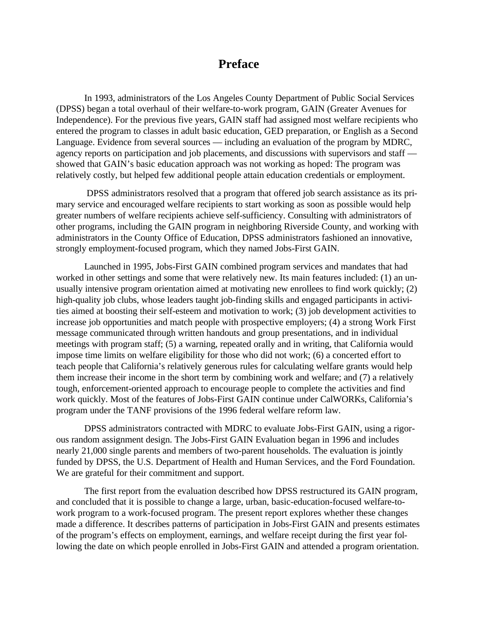# **Preface**

In 1993, administrators of the Los Angeles County Department of Public Social Services (DPSS) began a total overhaul of their welfare-to-work program, GAIN (Greater Avenues for Independence). For the previous five years, GAIN staff had assigned most welfare recipients who entered the program to classes in adult basic education, GED preparation, or English as a Second Language. Evidence from several sources — including an evaluation of the program by MDRC, agency reports on participation and job placements, and discussions with supervisors and staff showed that GAIN's basic education approach was not working as hoped: The program was relatively costly, but helped few additional people attain education credentials or employment.

 DPSS administrators resolved that a program that offered job search assistance as its primary service and encouraged welfare recipients to start working as soon as possible would help greater numbers of welfare recipients achieve self-sufficiency. Consulting with administrators of other programs, including the GAIN program in neighboring Riverside County, and working with administrators in the County Office of Education, DPSS administrators fashioned an innovative, strongly employment-focused program, which they named Jobs-First GAIN.

Launched in 1995, Jobs-First GAIN combined program services and mandates that had worked in other settings and some that were relatively new. Its main features included: (1) an unusually intensive program orientation aimed at motivating new enrollees to find work quickly; (2) high-quality job clubs, whose leaders taught job-finding skills and engaged participants in activities aimed at boosting their self-esteem and motivation to work; (3) job development activities to increase job opportunities and match people with prospective employers; (4) a strong Work First message communicated through written handouts and group presentations, and in individual meetings with program staff; (5) a warning, repeated orally and in writing, that California would impose time limits on welfare eligibility for those who did not work; (6) a concerted effort to teach people that California's relatively generous rules for calculating welfare grants would help them increase their income in the short term by combining work and welfare; and (7) a relatively tough, enforcement-oriented approach to encourage people to complete the activities and find work quickly. Most of the features of Jobs-First GAIN continue under CalWORKs, California's program under the TANF provisions of the 1996 federal welfare reform law.

DPSS administrators contracted with MDRC to evaluate Jobs-First GAIN, using a rigorous random assignment design. The Jobs-First GAIN Evaluation began in 1996 and includes nearly 21,000 single parents and members of two-parent households. The evaluation is jointly funded by DPSS, the U.S. Department of Health and Human Services, and the Ford Foundation. We are grateful for their commitment and support.

The first report from the evaluation described how DPSS restructured its GAIN program, and concluded that it is possible to change a large, urban, basic-education-focused welfare-towork program to a work-focused program. The present report explores whether these changes made a difference. It describes patterns of participation in Jobs-First GAIN and presents estimates of the program's effects on employment, earnings, and welfare receipt during the first year following the date on which people enrolled in Jobs-First GAIN and attended a program orientation.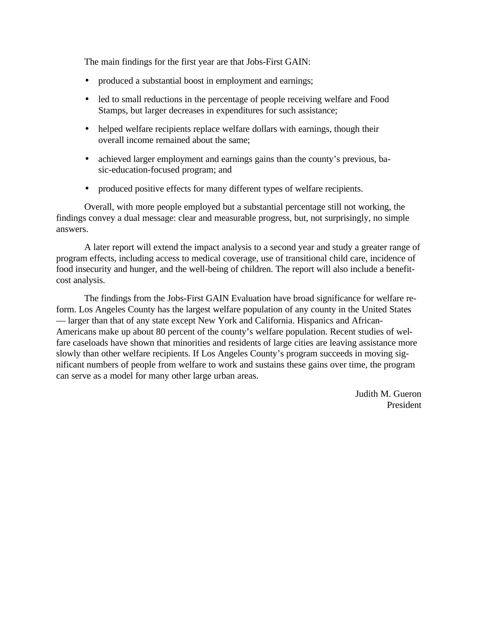The main findings for the first year are that Jobs-First GAIN:

- produced a substantial boost in employment and earnings;
- led to small reductions in the percentage of people receiving welfare and Food Stamps, but larger decreases in expenditures for such assistance;
- helped welfare recipients replace welfare dollars with earnings, though their overall income remained about the same;
- achieved larger employment and earnings gains than the county's previous, basic-education-focused program; and
- produced positive effects for many different types of welfare recipients.

Overall, with more people employed but a substantial percentage still not working, the findings convey a dual message: clear and measurable progress, but, not surprisingly, no simple answers.

A later report will extend the impact analysis to a second year and study a greater range of program effects, including access to medical coverage, use of transitional child care, incidence of food insecurity and hunger, and the well-being of children. The report will also include a benefitcost analysis.

The findings from the Jobs-First GAIN Evaluation have broad significance for welfare reform. Los Angeles County has the largest welfare population of any county in the United States — larger than that of any state except New York and California. Hispanics and African-Americans make up about 80 percent of the county's welfare population. Recent studies of welfare caseloads have shown that minorities and residents of large cities are leaving assistance more slowly than other welfare recipients. If Los Angeles County's program succeeds in moving significant numbers of people from welfare to work and sustains these gains over time, the program can serve as a model for many other large urban areas.

> Judith M. Gueron President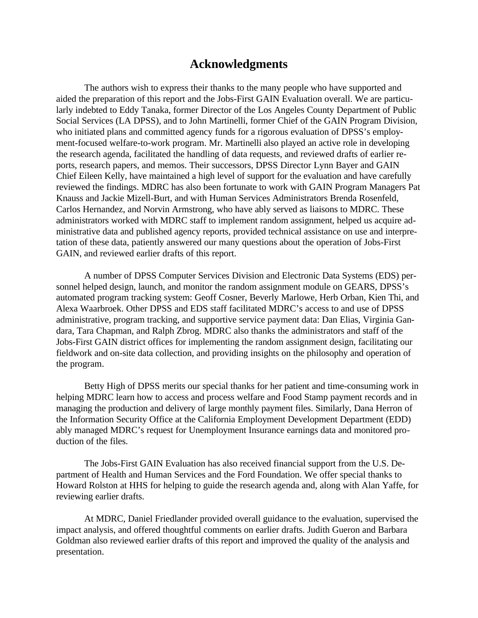# **Acknowledgments**

The authors wish to express their thanks to the many people who have supported and aided the preparation of this report and the Jobs-First GAIN Evaluation overall. We are particularly indebted to Eddy Tanaka, former Director of the Los Angeles County Department of Public Social Services (LA DPSS), and to John Martinelli, former Chief of the GAIN Program Division, who initiated plans and committed agency funds for a rigorous evaluation of DPSS's employment-focused welfare-to-work program. Mr. Martinelli also played an active role in developing the research agenda, facilitated the handling of data requests, and reviewed drafts of earlier reports, research papers, and memos. Their successors, DPSS Director Lynn Bayer and GAIN Chief Eileen Kelly, have maintained a high level of support for the evaluation and have carefully reviewed the findings. MDRC has also been fortunate to work with GAIN Program Managers Pat Knauss and Jackie Mizell-Burt, and with Human Services Administrators Brenda Rosenfeld, Carlos Hernandez, and Norvin Armstrong, who have ably served as liaisons to MDRC. These administrators worked with MDRC staff to implement random assignment, helped us acquire administrative data and published agency reports, provided technical assistance on use and interpretation of these data, patiently answered our many questions about the operation of Jobs-First GAIN, and reviewed earlier drafts of this report.

A number of DPSS Computer Services Division and Electronic Data Systems (EDS) personnel helped design, launch, and monitor the random assignment module on GEARS, DPSS's automated program tracking system: Geoff Cosner, Beverly Marlowe, Herb Orban, Kien Thi, and Alexa Waarbroek. Other DPSS and EDS staff facilitated MDRC's access to and use of DPSS administrative, program tracking, and supportive service payment data: Dan Elias, Virginia Gandara, Tara Chapman, and Ralph Zbrog. MDRC also thanks the administrators and staff of the Jobs-First GAIN district offices for implementing the random assignment design, facilitating our fieldwork and on-site data collection, and providing insights on the philosophy and operation of the program.

Betty High of DPSS merits our special thanks for her patient and time-consuming work in helping MDRC learn how to access and process welfare and Food Stamp payment records and in managing the production and delivery of large monthly payment files. Similarly, Dana Herron of the Information Security Office at the California Employment Development Department (EDD) ably managed MDRC's request for Unemployment Insurance earnings data and monitored production of the files.

The Jobs-First GAIN Evaluation has also received financial support from the U.S. Department of Health and Human Services and the Ford Foundation. We offer special thanks to Howard Rolston at HHS for helping to guide the research agenda and, along with Alan Yaffe, for reviewing earlier drafts.

At MDRC, Daniel Friedlander provided overall guidance to the evaluation, supervised the impact analysis, and offered thoughtful comments on earlier drafts. Judith Gueron and Barbara Goldman also reviewed earlier drafts of this report and improved the quality of the analysis and presentation.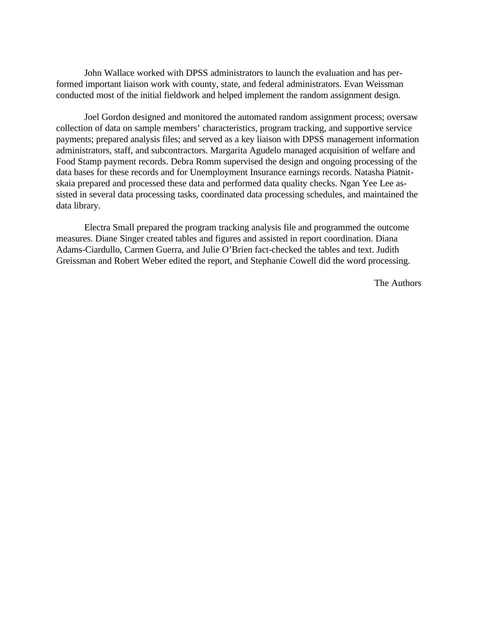John Wallace worked with DPSS administrators to launch the evaluation and has performed important liaison work with county, state, and federal administrators. Evan Weissman conducted most of the initial fieldwork and helped implement the random assignment design.

Joel Gordon designed and monitored the automated random assignment process; oversaw collection of data on sample members' characteristics, program tracking, and supportive service payments; prepared analysis files; and served as a key liaison with DPSS management information administrators, staff, and subcontractors. Margarita Agudelo managed acquisition of welfare and Food Stamp payment records. Debra Romm supervised the design and ongoing processing of the data bases for these records and for Unemployment Insurance earnings records. Natasha Piatnitskaia prepared and processed these data and performed data quality checks. Ngan Yee Lee assisted in several data processing tasks, coordinated data processing schedules, and maintained the data library.

Electra Small prepared the program tracking analysis file and programmed the outcome measures. Diane Singer created tables and figures and assisted in report coordination. Diana Adams-Ciardullo, Carmen Guerra, and Julie O'Brien fact-checked the tables and text. Judith Greissman and Robert Weber edited the report, and Stephanie Cowell did the word processing.

The Authors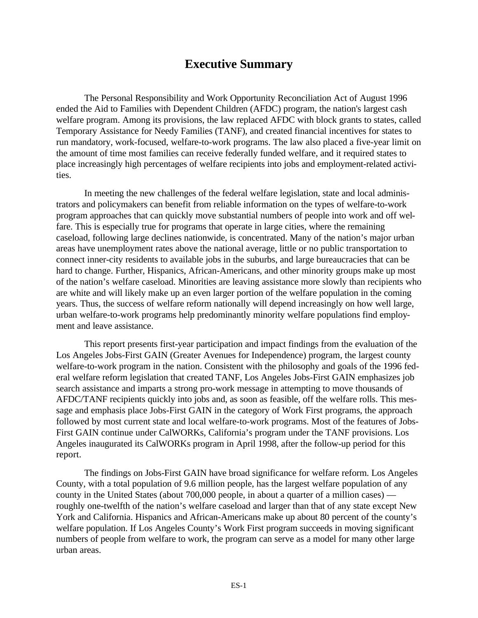# **Executive Summary**

<span id="page-11-0"></span>The Personal Responsibility and Work Opportunity Reconciliation Act of August 1996 ended the Aid to Families with Dependent Children (AFDC) program, the nation's largest cash welfare program. Among its provisions, the law replaced AFDC with block grants to states, called Temporary Assistance for Needy Families (TANF), and created financial incentives for states to run mandatory, work-focused, welfare-to-work programs. The law also placed a five-year limit on the amount of time most families can receive federally funded welfare, and it required states to place increasingly high percentages of welfare recipients into jobs and employment-related activities.

In meeting the new challenges of the federal welfare legislation, state and local administrators and policymakers can benefit from reliable information on the types of welfare-to-work program approaches that can quickly move substantial numbers of people into work and off welfare. This is especially true for programs that operate in large cities, where the remaining caseload, following large declines nationwide, is concentrated. Many of the nation's major urban areas have unemployment rates above the national average, little or no public transportation to connect inner-city residents to available jobs in the suburbs, and large bureaucracies that can be hard to change. Further, Hispanics, African-Americans, and other minority groups make up most of the nation's welfare caseload. Minorities are leaving assistance more slowly than recipients who are white and will likely make up an even larger portion of the welfare population in the coming years. Thus, the success of welfare reform nationally will depend increasingly on how well large, urban welfare-to-work programs help predominantly minority welfare populations find employment and leave assistance.

This report presents first-year participation and impact findings from the evaluation of the Los Angeles Jobs-First GAIN (Greater Avenues for Independence) program, the largest county welfare-to-work program in the nation. Consistent with the philosophy and goals of the 1996 federal welfare reform legislation that created TANF, Los Angeles Jobs-First GAIN emphasizes job search assistance and imparts a strong pro-work message in attempting to move thousands of AFDC/TANF recipients quickly into jobs and, as soon as feasible, off the welfare rolls. This message and emphasis place Jobs-First GAIN in the category of Work First programs, the approach followed by most current state and local welfare-to-work programs. Most of the features of Jobs-First GAIN continue under CalWORKs, California's program under the TANF provisions. Los Angeles inaugurated its CalWORKs program in April 1998, after the follow-up period for this report.

The findings on Jobs-First GAIN have broad significance for welfare reform. Los Angeles County, with a total population of 9.6 million people, has the largest welfare population of any county in the United States (about 700,000 people, in about a quarter of a million cases) roughly one-twelfth of the nation's welfare caseload and larger than that of any state except New York and California. Hispanics and African-Americans make up about 80 percent of the county's welfare population. If Los Angeles County's Work First program succeeds in moving significant numbers of people from welfare to work, the program can serve as a model for many other large urban areas.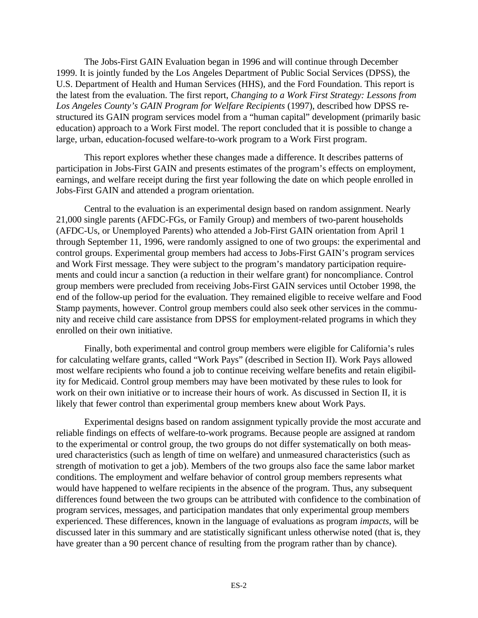The Jobs-First GAIN Evaluation began in 1996 and will continue through December 1999. It is jointly funded by the Los Angeles Department of Public Social Services (DPSS), the U.S. Department of Health and Human Services (HHS), and the Ford Foundation. This report is the latest from the evaluation. The first report, *Changing to a Work First Strategy: Lessons from Los Angeles County's GAIN Program for Welfare Recipients* (1997), described how DPSS restructured its GAIN program services model from a "human capital" development (primarily basic education) approach to a Work First model. The report concluded that it is possible to change a large, urban, education-focused welfare-to-work program to a Work First program.

This report explores whether these changes made a difference. It describes patterns of participation in Jobs-First GAIN and presents estimates of the program's effects on employment, earnings, and welfare receipt during the first year following the date on which people enrolled in Jobs-First GAIN and attended a program orientation.

Central to the evaluation is an experimental design based on random assignment. Nearly 21,000 single parents (AFDC-FGs, or Family Group) and members of two-parent households (AFDC-Us, or Unemployed Parents) who attended a Job-First GAIN orientation from April 1 through September 11, 1996, were randomly assigned to one of two groups: the experimental and control groups. Experimental group members had access to Jobs-First GAIN's program services and Work First message. They were subject to the program's mandatory participation requirements and could incur a sanction (a reduction in their welfare grant) for noncompliance. Control group members were precluded from receiving Jobs-First GAIN services until October 1998, the end of the follow-up period for the evaluation. They remained eligible to receive welfare and Food Stamp payments, however. Control group members could also seek other services in the community and receive child care assistance from DPSS for employment-related programs in which they enrolled on their own initiative.

Finally, both experimental and control group members were eligible for California's rules for calculating welfare grants, called "Work Pays" (described in Section II). Work Pays allowed most welfare recipients who found a job to continue receiving welfare benefits and retain eligibility for Medicaid. Control group members may have been motivated by these rules to look for work on their own initiative or to increase their hours of work. As discussed in Section II, it is likely that fewer control than experimental group members knew about Work Pays.

Experimental designs based on random assignment typically provide the most accurate and reliable findings on effects of welfare-to-work programs. Because people are assigned at random to the experimental or control group, the two groups do not differ systematically on both measured characteristics (such as length of time on welfare) and unmeasured characteristics (such as strength of motivation to get a job). Members of the two groups also face the same labor market conditions. The employment and welfare behavior of control group members represents what would have happened to welfare recipients in the absence of the program. Thus, any subsequent differences found between the two groups can be attributed with confidence to the combination of program services, messages, and participation mandates that only experimental group members experienced. These differences, known in the language of evaluations as program *impacts*, will be discussed later in this summary and are statistically significant unless otherwise noted (that is, they have greater than a 90 percent chance of resulting from the program rather than by chance).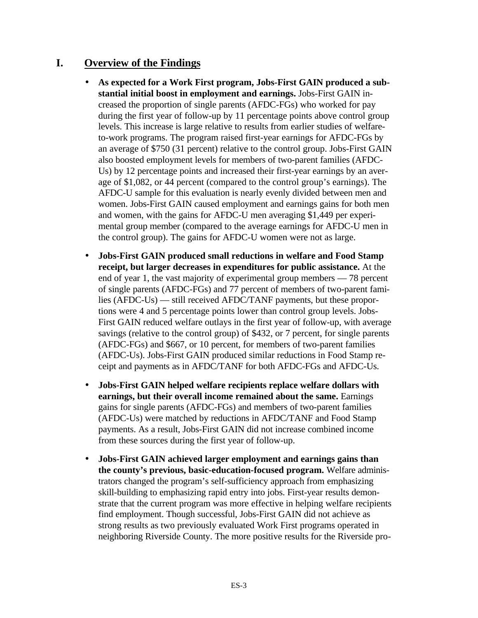# **I. Overview of the Findings**

- **As expected for a Work First program, Jobs-First GAIN produced a substantial initial boost in employment and earnings.** Jobs-First GAIN increased the proportion of single parents (AFDC-FGs) who worked for pay during the first year of follow-up by 11 percentage points above control group levels. This increase is large relative to results from earlier studies of welfareto-work programs. The program raised first-year earnings for AFDC-FGs by an average of \$750 (31 percent) relative to the control group. Jobs-First GAIN also boosted employment levels for members of two-parent families (AFDC-Us) by 12 percentage points and increased their first-year earnings by an average of \$1,082, or 44 percent (compared to the control group's earnings). The AFDC-U sample for this evaluation is nearly evenly divided between men and women. Jobs-First GAIN caused employment and earnings gains for both men and women, with the gains for AFDC-U men averaging \$1,449 per experimental group member (compared to the average earnings for AFDC-U men in the control group). The gains for AFDC-U women were not as large.
- **Jobs-First GAIN produced small reductions in welfare and Food Stamp receipt, but larger decreases in expenditures for public assistance.** At the end of year 1, the vast majority of experimental group members — 78 percent of single parents (AFDC-FGs) and 77 percent of members of two-parent families (AFDC-Us) — still received AFDC/TANF payments, but these proportions were 4 and 5 percentage points lower than control group levels. Jobs-First GAIN reduced welfare outlays in the first year of follow-up, with average savings (relative to the control group) of \$432, or 7 percent, for single parents (AFDC-FGs) and \$667, or 10 percent, for members of two-parent families (AFDC-Us). Jobs-First GAIN produced similar reductions in Food Stamp receipt and payments as in AFDC/TANF for both AFDC-FGs and AFDC-Us.
- **Jobs-First GAIN helped welfare recipients replace welfare dollars with earnings, but their overall income remained about the same.** Earnings gains for single parents (AFDC-FGs) and members of two-parent families (AFDC-Us) were matched by reductions in AFDC/TANF and Food Stamp payments. As a result, Jobs-First GAIN did not increase combined income from these sources during the first year of follow-up.
- **Jobs-First GAIN achieved larger employment and earnings gains than the county's previous, basic-education-focused program.** Welfare administrators changed the program's self-sufficiency approach from emphasizing skill-building to emphasizing rapid entry into jobs. First-year results demonstrate that the current program was more effective in helping welfare recipients find employment. Though successful, Jobs-First GAIN did not achieve as strong results as two previously evaluated Work First programs operated in neighboring Riverside County. The more positive results for the Riverside pro-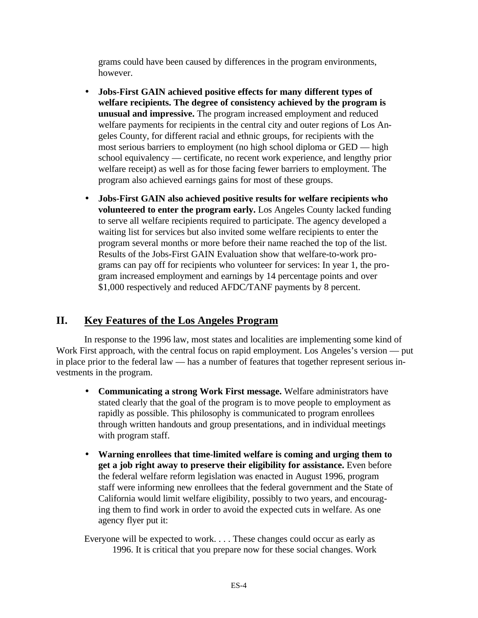grams could have been caused by differences in the program environments, however.

- **Jobs-First GAIN achieved positive effects for many different types of welfare recipients. The degree of consistency achieved by the program is unusual and impressive.** The program increased employment and reduced welfare payments for recipients in the central city and outer regions of Los Angeles County, for different racial and ethnic groups, for recipients with the most serious barriers to employment (no high school diploma or GED — high school equivalency — certificate, no recent work experience, and lengthy prior welfare receipt) as well as for those facing fewer barriers to employment. The program also achieved earnings gains for most of these groups.
- **Jobs-First GAIN also achieved positive results for welfare recipients who volunteered to enter the program early.** Los Angeles County lacked funding to serve all welfare recipients required to participate. The agency developed a waiting list for services but also invited some welfare recipients to enter the program several months or more before their name reached the top of the list. Results of the Jobs-First GAIN Evaluation show that welfare-to-work programs can pay off for recipients who volunteer for services: In year 1, the program increased employment and earnings by 14 percentage points and over \$1,000 respectively and reduced AFDC/TANF payments by 8 percent.

# **II. Key Features of the Los Angeles Program**

In response to the 1996 law, most states and localities are implementing some kind of Work First approach, with the central focus on rapid employment. Los Angeles's version — put in place prior to the federal law — has a number of features that together represent serious investments in the program.

- **Communicating a strong Work First message.** Welfare administrators have stated clearly that the goal of the program is to move people to employment as rapidly as possible. This philosophy is communicated to program enrollees through written handouts and group presentations, and in individual meetings with program staff.
- **Warning enrollees that time-limited welfare is coming and urging them to get a job right away to preserve their eligibility for assistance.** Even before the federal welfare reform legislation was enacted in August 1996, program staff were informing new enrollees that the federal government and the State of California would limit welfare eligibility, possibly to two years, and encouraging them to find work in order to avoid the expected cuts in welfare. As one agency flyer put it:

Everyone will be expected to work. . . . These changes could occur as early as 1996. It is critical that you prepare now for these social changes. Work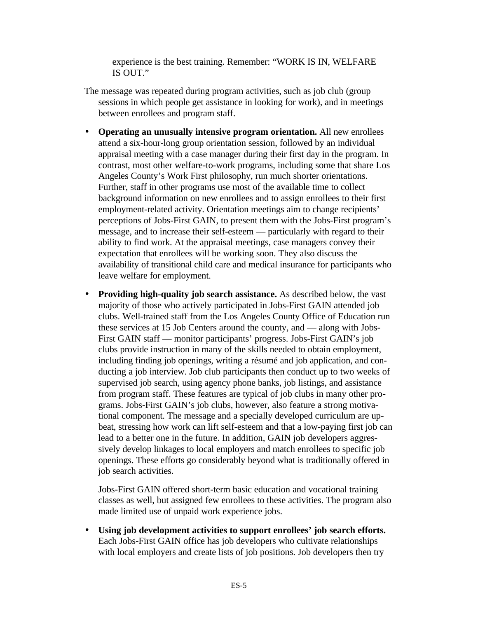experience is the best training. Remember: "WORK IS IN, WELFARE IS OUT."

- The message was repeated during program activities, such as job club (group sessions in which people get assistance in looking for work), and in meetings between enrollees and program staff.
- **Operating an unusually intensive program orientation.** All new enrollees attend a six-hour-long group orientation session, followed by an individual appraisal meeting with a case manager during their first day in the program. In contrast, most other welfare-to-work programs, including some that share Los Angeles County's Work First philosophy, run much shorter orientations. Further, staff in other programs use most of the available time to collect background information on new enrollees and to assign enrollees to their first employment-related activity. Orientation meetings aim to change recipients' perceptions of Jobs-First GAIN, to present them with the Jobs-First program's message, and to increase their self-esteem — particularly with regard to their ability to find work. At the appraisal meetings, case managers convey their expectation that enrollees will be working soon. They also discuss the availability of transitional child care and medical insurance for participants who leave welfare for employment.
- **Providing high-quality job search assistance.** As described below, the vast majority of those who actively participated in Jobs-First GAIN attended job clubs. Well-trained staff from the Los Angeles County Office of Education run these services at 15 Job Centers around the county, and — along with Jobs-First GAIN staff — monitor participants' progress. Jobs-First GAIN's job clubs provide instruction in many of the skills needed to obtain employment, including finding job openings, writing a résumé and job application, and conducting a job interview. Job club participants then conduct up to two weeks of supervised job search, using agency phone banks, job listings, and assistance from program staff. These features are typical of job clubs in many other programs. Jobs-First GAIN's job clubs, however, also feature a strong motivational component. The message and a specially developed curriculum are upbeat, stressing how work can lift self-esteem and that a low-paying first job can lead to a better one in the future. In addition, GAIN job developers aggressively develop linkages to local employers and match enrollees to specific job openings. These efforts go considerably beyond what is traditionally offered in job search activities.

Jobs-First GAIN offered short-term basic education and vocational training classes as well, but assigned few enrollees to these activities. The program also made limited use of unpaid work experience jobs.

• **Using job development activities to support enrollees' job search efforts.** Each Jobs-First GAIN office has job developers who cultivate relationships with local employers and create lists of job positions. Job developers then try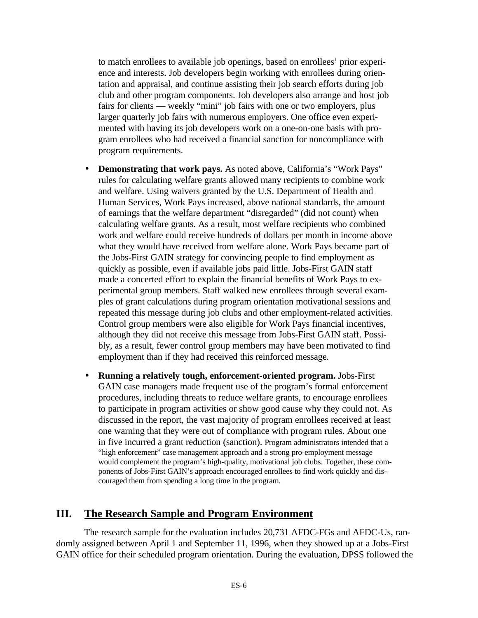to match enrollees to available job openings, based on enrollees' prior experience and interests. Job developers begin working with enrollees during orientation and appraisal, and continue assisting their job search efforts during job club and other program components. Job developers also arrange and host job fairs for clients — weekly "mini" job fairs with one or two employers, plus larger quarterly job fairs with numerous employers. One office even experimented with having its job developers work on a one-on-one basis with program enrollees who had received a financial sanction for noncompliance with program requirements.

- **Demonstrating that work pays.** As noted above, California's "Work Pays" rules for calculating welfare grants allowed many recipients to combine work and welfare. Using waivers granted by the U.S. Department of Health and Human Services, Work Pays increased, above national standards, the amount of earnings that the welfare department "disregarded" (did not count) when calculating welfare grants. As a result, most welfare recipients who combined work and welfare could receive hundreds of dollars per month in income above what they would have received from welfare alone. Work Pays became part of the Jobs-First GAIN strategy for convincing people to find employment as quickly as possible, even if available jobs paid little. Jobs-First GAIN staff made a concerted effort to explain the financial benefits of Work Pays to experimental group members. Staff walked new enrollees through several examples of grant calculations during program orientation motivational sessions and repeated this message during job clubs and other employment-related activities. Control group members were also eligible for Work Pays financial incentives, although they did not receive this message from Jobs-First GAIN staff. Possibly, as a result, fewer control group members may have been motivated to find employment than if they had received this reinforced message.
- **Running a relatively tough, enforcement-oriented program.** Jobs-First GAIN case managers made frequent use of the program's formal enforcement procedures, including threats to reduce welfare grants, to encourage enrollees to participate in program activities or show good cause why they could not. As discussed in the report, the vast majority of program enrollees received at least one warning that they were out of compliance with program rules. About one in five incurred a grant reduction (sanction). Program administrators intended that a "high enforcement" case management approach and a strong pro-employment message would complement the program's high-quality, motivational job clubs. Together, these components of Jobs-First GAIN's approach encouraged enrollees to find work quickly and discouraged them from spending a long time in the program.

### **III. The Research Sample and Program Environment**

The research sample for the evaluation includes 20,731 AFDC-FGs and AFDC-Us, randomly assigned between April 1 and September 11, 1996, when they showed up at a Jobs-First GAIN office for their scheduled program orientation. During the evaluation, DPSS followed the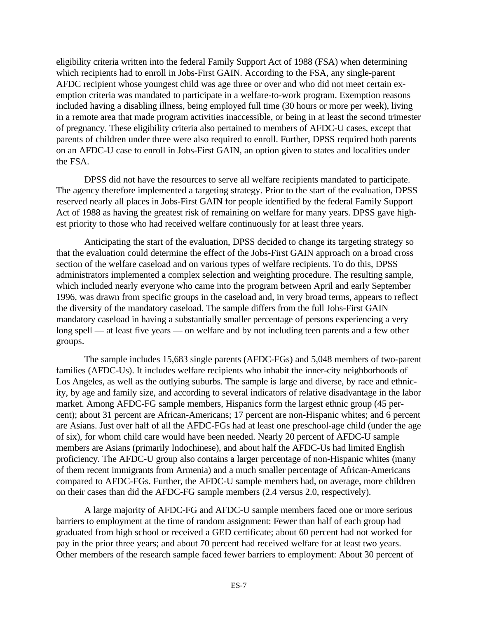eligibility criteria written into the federal Family Support Act of 1988 (FSA) when determining which recipients had to enroll in Jobs-First GAIN. According to the FSA, any single-parent AFDC recipient whose youngest child was age three or over and who did not meet certain exemption criteria was mandated to participate in a welfare-to-work program. Exemption reasons included having a disabling illness, being employed full time (30 hours or more per week), living in a remote area that made program activities inaccessible, or being in at least the second trimester of pregnancy. These eligibility criteria also pertained to members of AFDC-U cases, except that parents of children under three were also required to enroll. Further, DPSS required both parents on an AFDC-U case to enroll in Jobs-First GAIN, an option given to states and localities under the FSA.

DPSS did not have the resources to serve all welfare recipients mandated to participate. The agency therefore implemented a targeting strategy. Prior to the start of the evaluation, DPSS reserved nearly all places in Jobs-First GAIN for people identified by the federal Family Support Act of 1988 as having the greatest risk of remaining on welfare for many years. DPSS gave highest priority to those who had received welfare continuously for at least three years.

Anticipating the start of the evaluation, DPSS decided to change its targeting strategy so that the evaluation could determine the effect of the Jobs-First GAIN approach on a broad cross section of the welfare caseload and on various types of welfare recipients. To do this, DPSS administrators implemented a complex selection and weighting procedure. The resulting sample, which included nearly everyone who came into the program between April and early September 1996, was drawn from specific groups in the caseload and, in very broad terms, appears to reflect the diversity of the mandatory caseload. The sample differs from the full Jobs-First GAIN mandatory caseload in having a substantially smaller percentage of persons experiencing a very long spell — at least five years — on welfare and by not including teen parents and a few other groups.

The sample includes 15,683 single parents (AFDC-FGs) and 5,048 members of two-parent families (AFDC-Us). It includes welfare recipients who inhabit the inner-city neighborhoods of Los Angeles, as well as the outlying suburbs. The sample is large and diverse, by race and ethnicity, by age and family size, and according to several indicators of relative disadvantage in the labor market. Among AFDC-FG sample members, Hispanics form the largest ethnic group (45 percent); about 31 percent are African-Americans; 17 percent are non-Hispanic whites; and 6 percent are Asians. Just over half of all the AFDC-FGs had at least one preschool-age child (under the age of six), for whom child care would have been needed. Nearly 20 percent of AFDC-U sample members are Asians (primarily Indochinese), and about half the AFDC-Us had limited English proficiency. The AFDC-U group also contains a larger percentage of non-Hispanic whites (many of them recent immigrants from Armenia) and a much smaller percentage of African-Americans compared to AFDC-FGs. Further, the AFDC-U sample members had, on average, more children on their cases than did the AFDC-FG sample members (2.4 versus 2.0, respectively).

A large majority of AFDC-FG and AFDC-U sample members faced one or more serious barriers to employment at the time of random assignment: Fewer than half of each group had graduated from high school or received a GED certificate; about 60 percent had not worked for pay in the prior three years; and about 70 percent had received welfare for at least two years. Other members of the research sample faced fewer barriers to employment: About 30 percent of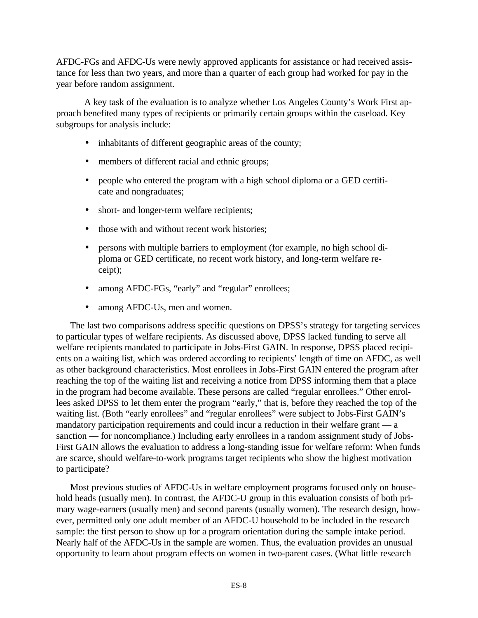AFDC-FGs and AFDC-Us were newly approved applicants for assistance or had received assistance for less than two years, and more than a quarter of each group had worked for pay in the year before random assignment.

A key task of the evaluation is to analyze whether Los Angeles County's Work First approach benefited many types of recipients or primarily certain groups within the caseload. Key subgroups for analysis include:

- inhabitants of different geographic areas of the county;
- members of different racial and ethnic groups;
- people who entered the program with a high school diploma or a GED certificate and nongraduates;
- short- and longer-term welfare recipients;
- those with and without recent work histories:
- persons with multiple barriers to employment (for example, no high school diploma or GED certificate, no recent work history, and long-term welfare receipt);
- among AFDC-FGs, "early" and "regular" enrollees;
- among AFDC-Us, men and women.

The last two comparisons address specific questions on DPSS's strategy for targeting services to particular types of welfare recipients. As discussed above, DPSS lacked funding to serve all welfare recipients mandated to participate in Jobs-First GAIN. In response, DPSS placed recipients on a waiting list, which was ordered according to recipients' length of time on AFDC, as well as other background characteristics. Most enrollees in Jobs-First GAIN entered the program after reaching the top of the waiting list and receiving a notice from DPSS informing them that a place in the program had become available. These persons are called "regular enrollees." Other enrollees asked DPSS to let them enter the program "early," that is, before they reached the top of the waiting list. (Both "early enrollees" and "regular enrollees" were subject to Jobs-First GAIN's mandatory participation requirements and could incur a reduction in their welfare grant — a sanction — for noncompliance.) Including early enrollees in a random assignment study of Jobs-First GAIN allows the evaluation to address a long-standing issue for welfare reform: When funds are scarce, should welfare-to-work programs target recipients who show the highest motivation to participate?

Most previous studies of AFDC-Us in welfare employment programs focused only on household heads (usually men). In contrast, the AFDC-U group in this evaluation consists of both primary wage-earners (usually men) and second parents (usually women). The research design, however, permitted only one adult member of an AFDC-U household to be included in the research sample: the first person to show up for a program orientation during the sample intake period. Nearly half of the AFDC-Us in the sample are women. Thus, the evaluation provides an unusual opportunity to learn about program effects on women in two-parent cases. (What little research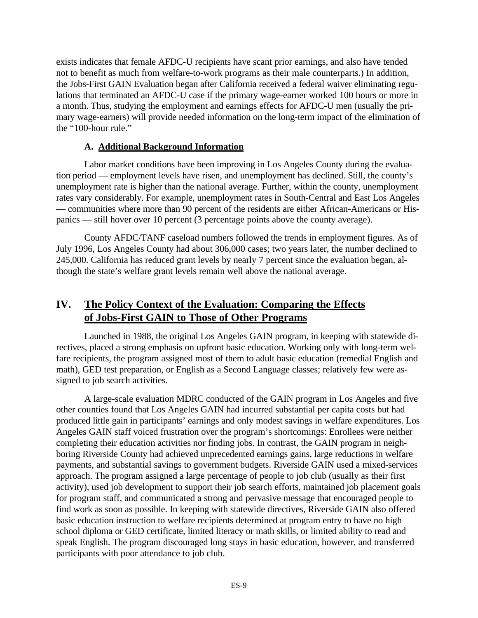exists indicates that female AFDC-U recipients have scant prior earnings, and also have tended not to benefit as much from welfare-to-work programs as their male counterparts.) In addition, the Jobs-First GAIN Evaluation began after California received a federal waiver eliminating regulations that terminated an AFDC-U case if the primary wage-earner worked 100 hours or more in a month. Thus, studying the employment and earnings effects for AFDC-U men (usually the primary wage-earners) will provide needed information on the long-term impact of the elimination of the "100-hour rule."

### **A. Additional Background Information**

Labor market conditions have been improving in Los Angeles County during the evaluation period — employment levels have risen, and unemployment has declined. Still, the county's unemployment rate is higher than the national average. Further, within the county, unemployment rates vary considerably. For example, unemployment rates in South-Central and East Los Angeles — communities where more than 90 percent of the residents are either African-Americans or Hispanics — still hover over 10 percent (3 percentage points above the county average).

County AFDC/TANF caseload numbers followed the trends in employment figures. As of July 1996, Los Angeles County had about 306,000 cases; two years later, the number declined to 245,000. California has reduced grant levels by nearly 7 percent since the evaluation began, although the state's welfare grant levels remain well above the national average.

# **IV. The Policy Context of the Evaluation: Comparing the Effects of Jobs-First GAIN to Those of Other Programs**

Launched in 1988, the original Los Angeles GAIN program, in keeping with statewide directives, placed a strong emphasis on upfront basic education. Working only with long-term welfare recipients, the program assigned most of them to adult basic education (remedial English and math), GED test preparation, or English as a Second Language classes; relatively few were assigned to job search activities.

A large-scale evaluation MDRC conducted of the GAIN program in Los Angeles and five other counties found that Los Angeles GAIN had incurred substantial per capita costs but had produced little gain in participants' earnings and only modest savings in welfare expenditures. Los Angeles GAIN staff voiced frustration over the program's shortcomings: Enrollees were neither completing their education activities nor finding jobs. In contrast, the GAIN program in neighboring Riverside County had achieved unprecedented earnings gains, large reductions in welfare payments, and substantial savings to government budgets. Riverside GAIN used a mixed-services approach. The program assigned a large percentage of people to job club (usually as their first activity), used job development to support their job search efforts, maintained job placement goals for program staff, and communicated a strong and pervasive message that encouraged people to find work as soon as possible. In keeping with statewide directives, Riverside GAIN also offered basic education instruction to welfare recipients determined at program entry to have no high school diploma or GED certificate, limited literacy or math skills, or limited ability to read and speak English. The program discouraged long stays in basic education, however, and transferred participants with poor attendance to job club.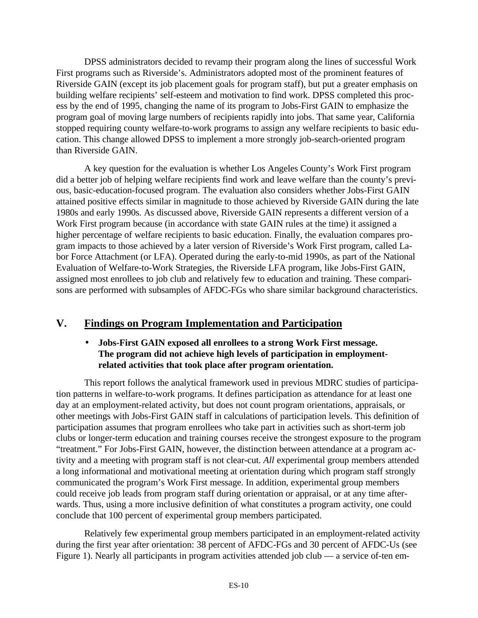DPSS administrators decided to revamp their program along the lines of successful Work First programs such as Riverside's. Administrators adopted most of the prominent features of Riverside GAIN (except its job placement goals for program staff), but put a greater emphasis on building welfare recipients' self-esteem and motivation to find work. DPSS completed this process by the end of 1995, changing the name of its program to Jobs-First GAIN to emphasize the program goal of moving large numbers of recipients rapidly into jobs. That same year, California stopped requiring county welfare-to-work programs to assign any welfare recipients to basic education. This change allowed DPSS to implement a more strongly job-search-oriented program than Riverside GAIN.

A key question for the evaluation is whether Los Angeles County's Work First program did a better job of helping welfare recipients find work and leave welfare than the county's previous, basic-education-focused program. The evaluation also considers whether Jobs-First GAIN attained positive effects similar in magnitude to those achieved by Riverside GAIN during the late 1980s and early 1990s. As discussed above, Riverside GAIN represents a different version of a Work First program because (in accordance with state GAIN rules at the time) it assigned a higher percentage of welfare recipients to basic education. Finally, the evaluation compares program impacts to those achieved by a later version of Riverside's Work First program, called Labor Force Attachment (or LFA). Operated during the early-to-mid 1990s, as part of the National Evaluation of Welfare-to-Work Strategies, the Riverside LFA program, like Jobs-First GAIN, assigned most enrollees to job club and relatively few to education and training. These comparisons are performed with subsamples of AFDC-FGs who share similar background characteristics.

# **V. Findings on Program Implementation and Participation**

### • **Jobs-First GAIN exposed all enrollees to a strong Work First message. The program did not achieve high levels of participation in employmentrelated activities that took place after program orientation.**

This report follows the analytical framework used in previous MDRC studies of participation patterns in welfare-to-work programs. It defines participation as attendance for at least one day at an employment-related activity, but does not count program orientations, appraisals, or other meetings with Jobs-First GAIN staff in calculations of participation levels. This definition of participation assumes that program enrollees who take part in activities such as short-term job clubs or longer-term education and training courses receive the strongest exposure to the program "treatment." For Jobs-First GAIN, however, the distinction between attendance at a program activity and a meeting with program staff is not clear-cut. *All* experimental group members attended a long informational and motivational meeting at orientation during which program staff strongly communicated the program's Work First message. In addition, experimental group members could receive job leads from program staff during orientation or appraisal, or at any time afterwards. Thus, using a more inclusive definition of what constitutes a program activity, one could conclude that 100 percent of experimental group members participated.

Relatively few experimental group members participated in an employment-related activity during the first year after orientation: 38 percent of AFDC-FGs and 30 percent of AFDC-Us (see Figure 1). Nearly all participants in program activities attended job club — a service of-ten em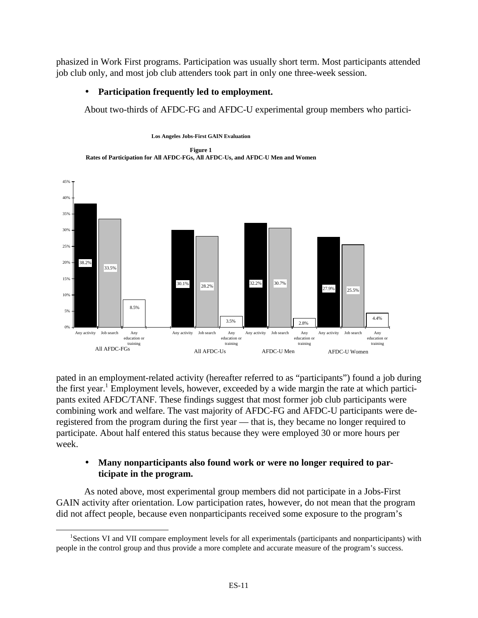phasized in Work First programs. Participation was usually short term. Most participants attended job club only, and most job club attenders took part in only one three-week session.

# • **Participation frequently led to employment.**

About two-thirds of AFDC-FG and AFDC-U experimental group members who partici-





pated in an employment-related activity (hereafter referred to as "participants") found a job during the first year.<sup>1</sup> Employment levels, however, exceeded by a wide margin the rate at which participants exited AFDC/TANF. These findings suggest that most former job club participants were combining work and welfare. The vast majority of AFDC-FG and AFDC-U participants were deregistered from the program during the first year — that is, they became no longer required to participate. About half entered this status because they were employed 30 or more hours per week.

# • **Many nonparticipants also found work or were no longer required to participate in the program.**

As noted above, most experimental group members did not participate in a Jobs-First GAIN activity after orientation. Low participation rates, however, do not mean that the program did not affect people, because even nonparticipants received some exposure to the program's

 $\overline{a}$ <sup>1</sup>Sections VI and VII compare employment levels for all experimentals (participants and nonparticipants) with people in the control group and thus provide a more complete and accurate measure of the program's success.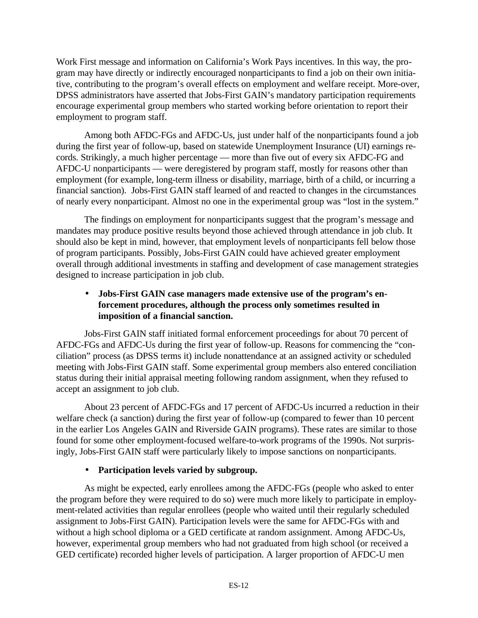Work First message and information on California's Work Pays incentives. In this way, the program may have directly or indirectly encouraged nonparticipants to find a job on their own initiative, contributing to the program's overall effects on employment and welfare receipt. More-over, DPSS administrators have asserted that Jobs-First GAIN's mandatory participation requirements encourage experimental group members who started working before orientation to report their employment to program staff.

Among both AFDC-FGs and AFDC-Us, just under half of the nonparticipants found a job during the first year of follow-up, based on statewide Unemployment Insurance (UI) earnings records. Strikingly, a much higher percentage — more than five out of every six AFDC-FG and AFDC-U nonparticipants — were deregistered by program staff, mostly for reasons other than employment (for example, long-term illness or disability, marriage, birth of a child, or incurring a financial sanction). Jobs-First GAIN staff learned of and reacted to changes in the circumstances of nearly every nonparticipant. Almost no one in the experimental group was "lost in the system."

The findings on employment for nonparticipants suggest that the program's message and mandates may produce positive results beyond those achieved through attendance in job club. It should also be kept in mind, however, that employment levels of nonparticipants fell below those of program participants. Possibly, Jobs-First GAIN could have achieved greater employment overall through additional investments in staffing and development of case management strategies designed to increase participation in job club.

# • **Jobs-First GAIN case managers made extensive use of the program's enforcement procedures, although the process only sometimes resulted in imposition of a financial sanction.**

Jobs-First GAIN staff initiated formal enforcement proceedings for about 70 percent of AFDC-FGs and AFDC-Us during the first year of follow-up. Reasons for commencing the "conciliation" process (as DPSS terms it) include nonattendance at an assigned activity or scheduled meeting with Jobs-First GAIN staff. Some experimental group members also entered conciliation status during their initial appraisal meeting following random assignment, when they refused to accept an assignment to job club.

About 23 percent of AFDC-FGs and 17 percent of AFDC-Us incurred a reduction in their welfare check (a sanction) during the first year of follow-up (compared to fewer than 10 percent in the earlier Los Angeles GAIN and Riverside GAIN programs). These rates are similar to those found for some other employment-focused welfare-to-work programs of the 1990s. Not surprisingly, Jobs-First GAIN staff were particularly likely to impose sanctions on nonparticipants.

### • **Participation levels varied by subgroup.**

As might be expected, early enrollees among the AFDC-FGs (people who asked to enter the program before they were required to do so) were much more likely to participate in employment-related activities than regular enrollees (people who waited until their regularly scheduled assignment to Jobs-First GAIN). Participation levels were the same for AFDC-FGs with and without a high school diploma or a GED certificate at random assignment. Among AFDC-Us, however, experimental group members who had not graduated from high school (or received a GED certificate) recorded higher levels of participation. A larger proportion of AFDC-U men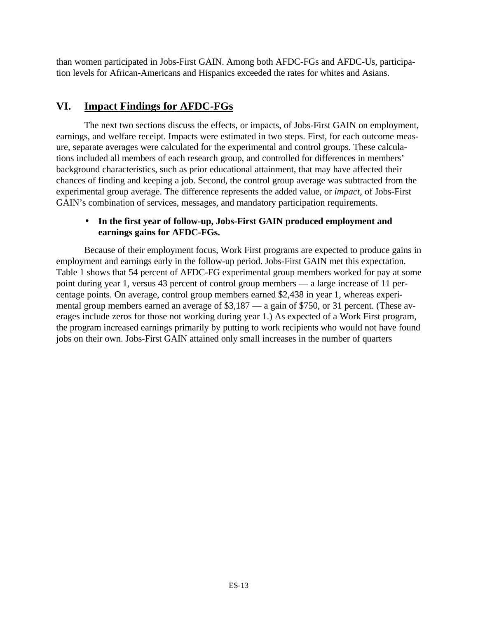than women participated in Jobs-First GAIN. Among both AFDC-FGs and AFDC-Us, participation levels for African-Americans and Hispanics exceeded the rates for whites and Asians.

# **VI. Impact Findings for AFDC-FGs**

The next two sections discuss the effects, or impacts, of Jobs-First GAIN on employment, earnings, and welfare receipt. Impacts were estimated in two steps. First, for each outcome measure, separate averages were calculated for the experimental and control groups. These calculations included all members of each research group, and controlled for differences in members' background characteristics, such as prior educational attainment, that may have affected their chances of finding and keeping a job. Second, the control group average was subtracted from the experimental group average. The difference represents the added value, or *impact,* of Jobs-First GAIN's combination of services, messages, and mandatory participation requirements.

### • **In the first year of follow-up, Jobs-First GAIN produced employment and earnings gains for AFDC-FGs.**

Because of their employment focus, Work First programs are expected to produce gains in employment and earnings early in the follow-up period. Jobs-First GAIN met this expectation. Table 1 shows that 54 percent of AFDC-FG experimental group members worked for pay at some point during year 1, versus 43 percent of control group members — a large increase of 11 percentage points. On average, control group members earned \$2,438 in year 1, whereas experimental group members earned an average of \$3,187 — a gain of \$750, or 31 percent. (These averages include zeros for those not working during year 1.) As expected of a Work First program, the program increased earnings primarily by putting to work recipients who would not have found jobs on their own. Jobs-First GAIN attained only small increases in the number of quarters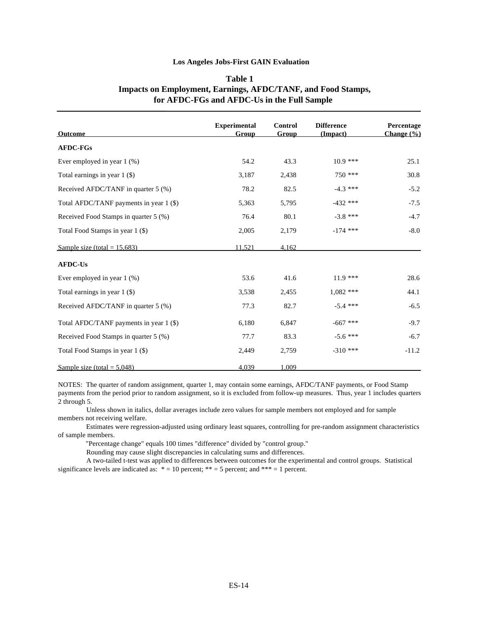#### **Los Angeles Jobs-First GAIN Evaluation**

| <b>Outcome</b>                          | <b>Experimental</b><br><b>Group</b> | <b>Control</b><br>Group | <b>Difference</b><br>(Impact) | Percentage<br>Change $(\% )$ |
|-----------------------------------------|-------------------------------------|-------------------------|-------------------------------|------------------------------|
| <b>AFDC-FGs</b>                         |                                     |                         |                               |                              |
| Ever employed in year $1$ (%)           | 54.2                                | 43.3                    | $10.9$ ***                    | 25.1                         |
| Total earnings in year $1$ (\$)         | 3,187                               | 2,438                   | $750$ ***                     | 30.8                         |
| Received AFDC/TANF in quarter 5 (%)     | 78.2                                | 82.5                    | $-4.3$ ***                    | $-5.2$                       |
| Total AFDC/TANF payments in year 1 (\$) | 5,363                               | 5,795                   | $-432$ ***                    | $-7.5$                       |
| Received Food Stamps in quarter 5 (%)   | 76.4                                | 80.1                    | $-3.8$ ***                    | $-4.7$                       |
| Total Food Stamps in year 1 (\$)        | 2,005                               | 2,179                   | $-174$ ***                    | $-8.0$                       |
| Sample size (total = $15.683$ )         | 11,521                              | 4.162                   |                               |                              |
| <b>AFDC-Us</b>                          |                                     |                         |                               |                              |
| Ever employed in year $1$ (%)           | 53.6                                | 41.6                    | $11.9***$                     | 28.6                         |
| Total earnings in year $1$ (\$)         | 3,538                               | 2,455                   | $1,082$ ***                   | 44.1                         |
| Received AFDC/TANF in quarter 5 (%)     | 77.3                                | 82.7                    | $-5.4$ ***                    | $-6.5$                       |
| Total AFDC/TANF payments in year 1 (\$) | 6,180                               | 6,847                   | $-667$ ***                    | $-9.7$                       |
| Received Food Stamps in quarter 5 (%)   | 77.7                                | 83.3                    | $-5.6$ ***                    | $-6.7$                       |
| Total Food Stamps in year 1 (\$)        | 2,449                               | 2,759                   | $-310$ ***                    | $-11.2$                      |
| Sample size (total = $5,048$ )          | 4,039                               | 1.009                   |                               |                              |

#### **Table 1 Impacts on Employment, Earnings, AFDC/TANF, and Food Stamps, for AFDC-FGs and AFDC-Us in the Full Sample**

NOTES: The quarter of random assignment, quarter 1, may contain some earnings, AFDC/TANF payments, or Food Stamp payments from the period prior to random assignment, so it is excluded from follow-up measures. Thus, year 1 includes quarters 2 through 5.

 Unless shown in italics, dollar averages include zero values for sample members not employed and for sample members not receiving welfare.

 Estimates were regression-adjusted using ordinary least squares, controlling for pre-random assignment characteristics of sample members.

"Percentage change" equals 100 times "difference" divided by "control group."

Rounding may cause slight discrepancies in calculating sums and differences.

 A two-tailed t-test was applied to differences between outcomes for the experimental and control groups. Statistical significance levels are indicated as:  $* = 10$  percent;  $** = 5$  percent; and  $*** = 1$  percent.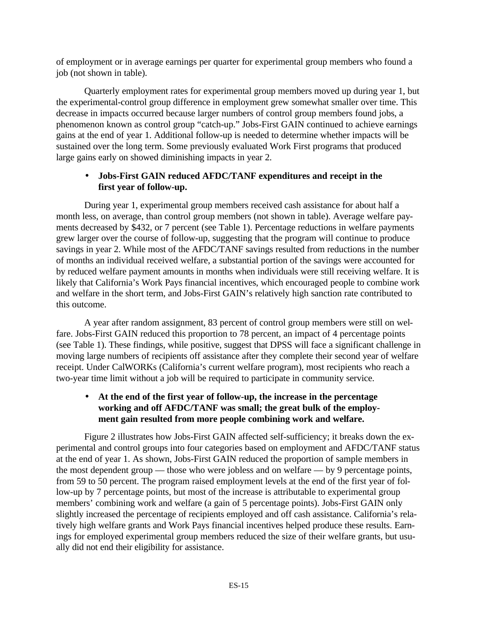of employment or in average earnings per quarter for experimental group members who found a job (not shown in table).

Quarterly employment rates for experimental group members moved up during year 1, but the experimental-control group difference in employment grew somewhat smaller over time. This decrease in impacts occurred because larger numbers of control group members found jobs, a phenomenon known as control group "catch-up." Jobs-First GAIN continued to achieve earnings gains at the end of year 1. Additional follow-up is needed to determine whether impacts will be sustained over the long term. Some previously evaluated Work First programs that produced large gains early on showed diminishing impacts in year 2.

### • **Jobs-First GAIN reduced AFDC/TANF expenditures and receipt in the first year of follow-up.**

During year 1, experimental group members received cash assistance for about half a month less, on average, than control group members (not shown in table). Average welfare payments decreased by \$432, or 7 percent (see Table 1). Percentage reductions in welfare payments grew larger over the course of follow-up, suggesting that the program will continue to produce savings in year 2. While most of the AFDC/TANF savings resulted from reductions in the number of months an individual received welfare, a substantial portion of the savings were accounted for by reduced welfare payment amounts in months when individuals were still receiving welfare. It is likely that California's Work Pays financial incentives, which encouraged people to combine work and welfare in the short term, and Jobs-First GAIN's relatively high sanction rate contributed to this outcome.

A year after random assignment, 83 percent of control group members were still on welfare. Jobs-First GAIN reduced this proportion to 78 percent, an impact of 4 percentage points (see Table 1). These findings, while positive, suggest that DPSS will face a significant challenge in moving large numbers of recipients off assistance after they complete their second year of welfare receipt. Under CalWORKs (California's current welfare program), most recipients who reach a two-year time limit without a job will be required to participate in community service.

## • **At the end of the first year of follow-up, the increase in the percentage working and off AFDC/TANF was small; the great bulk of the employment gain resulted from more people combining work and welfare.**

Figure 2 illustrates how Jobs-First GAIN affected self-sufficiency; it breaks down the experimental and control groups into four categories based on employment and AFDC/TANF status at the end of year 1. As shown, Jobs-First GAIN reduced the proportion of sample members in the most dependent group — those who were jobless and on welfare — by 9 percentage points, from 59 to 50 percent. The program raised employment levels at the end of the first year of follow-up by 7 percentage points, but most of the increase is attributable to experimental group members' combining work and welfare (a gain of 5 percentage points). Jobs-First GAIN only slightly increased the percentage of recipients employed and off cash assistance. California's relatively high welfare grants and Work Pays financial incentives helped produce these results. Earnings for employed experimental group members reduced the size of their welfare grants, but usually did not end their eligibility for assistance.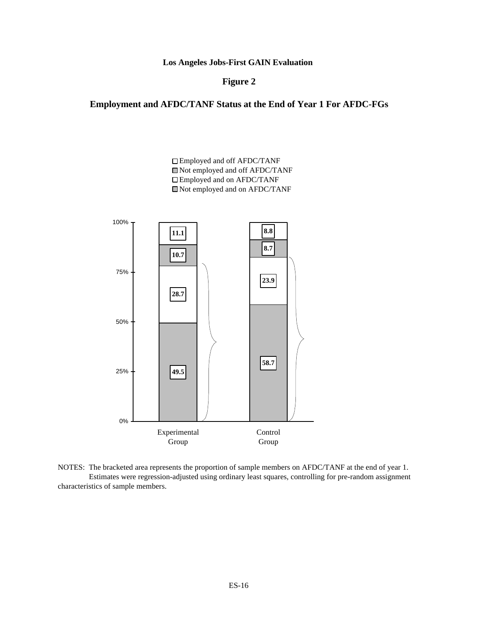**Los Angeles Jobs-First GAIN Evaluation** 

#### **Figure 2**

# **Employment and AFDC/TANF Status at the End of Year 1 For AFDC-FGs**

Employed and off AFDC/TANF Not employed and off AFDC/TANF Employed and on AFDC/TANF Not employed and on AFDC/TANF



NOTES: The bracketed area represents the proportion of sample members on AFDC/TANF at the end of year 1. Estimates were regression-adjusted using ordinary least squares, controlling for pre-random assignment characteristics of sample members.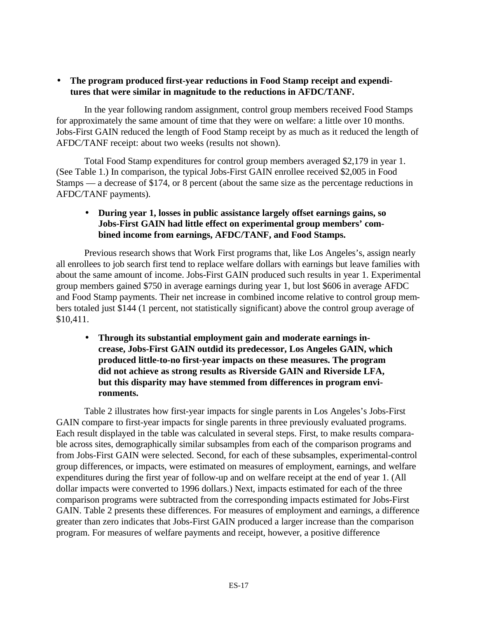### • **The program produced first-year reductions in Food Stamp receipt and expenditures that were similar in magnitude to the reductions in AFDC/TANF.**

In the year following random assignment, control group members received Food Stamps for approximately the same amount of time that they were on welfare: a little over 10 months. Jobs-First GAIN reduced the length of Food Stamp receipt by as much as it reduced the length of AFDC/TANF receipt: about two weeks (results not shown).

Total Food Stamp expenditures for control group members averaged \$2,179 in year 1. (See Table 1.) In comparison, the typical Jobs-First GAIN enrollee received \$2,005 in Food Stamps — a decrease of \$174, or 8 percent (about the same size as the percentage reductions in AFDC/TANF payments).

# • **During year 1, losses in public assistance largely offset earnings gains, so Jobs-First GAIN had little effect on experimental group members' combined income from earnings, AFDC/TANF, and Food Stamps.**

Previous research shows that Work First programs that, like Los Angeles's, assign nearly all enrollees to job search first tend to replace welfare dollars with earnings but leave families with about the same amount of income. Jobs-First GAIN produced such results in year 1. Experimental group members gained \$750 in average earnings during year 1, but lost \$606 in average AFDC and Food Stamp payments. Their net increase in combined income relative to control group members totaled just \$144 (1 percent, not statistically significant) above the control group average of \$10,411.

• **Through its substantial employment gain and moderate earnings increase, Jobs-First GAIN outdid its predecessor, Los Angeles GAIN, which produced little-to-no first-year impacts on these measures. The program did not achieve as strong results as Riverside GAIN and Riverside LFA, but this disparity may have stemmed from differences in program environments.**

Table 2 illustrates how first-year impacts for single parents in Los Angeles's Jobs-First GAIN compare to first-year impacts for single parents in three previously evaluated programs. Each result displayed in the table was calculated in several steps. First, to make results comparable across sites, demographically similar subsamples from each of the comparison programs and from Jobs-First GAIN were selected. Second, for each of these subsamples, experimental-control group differences, or impacts, were estimated on measures of employment, earnings, and welfare expenditures during the first year of follow-up and on welfare receipt at the end of year 1. (All dollar impacts were converted to 1996 dollars.) Next, impacts estimated for each of the three comparison programs were subtracted from the corresponding impacts estimated for Jobs-First GAIN. Table 2 presents these differences. For measures of employment and earnings, a difference greater than zero indicates that Jobs-First GAIN produced a larger increase than the comparison program. For measures of welfare payments and receipt, however, a positive difference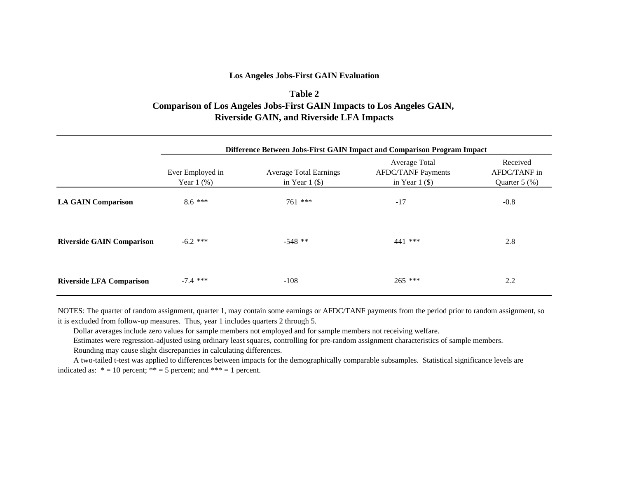#### **Los Angeles Jobs-First GAIN Evaluation**

# **Table 2 Comparison of Los Angeles Jobs-First GAIN Impacts to Los Angeles GAIN, Riverside GAIN, and Riverside LFA Impacts**

|                                  | Difference Between Jobs-First GAIN Impact and Comparison Program Impact |                                                   |                                                                |                                                |  |  |  |  |  |
|----------------------------------|-------------------------------------------------------------------------|---------------------------------------------------|----------------------------------------------------------------|------------------------------------------------|--|--|--|--|--|
|                                  | Ever Employed in<br>Year $1$ $(\%)$                                     | <b>Average Total Earnings</b><br>in Year $1$ (\$) | Average Total<br><b>AFDC/TANF Payments</b><br>in Year $1$ (\$) | Received<br>AFDC/TANF in<br>Quarter $5$ $(\%)$ |  |  |  |  |  |
| <b>LA GAIN Comparison</b>        | $8.6***$                                                                | $761$ ***                                         | $-17$                                                          | $-0.8$                                         |  |  |  |  |  |
| <b>Riverside GAIN Comparison</b> | $-6.2$ ***                                                              | $-548$ **                                         | 441 ***                                                        | 2.8                                            |  |  |  |  |  |
| <b>Riverside LFA Comparison</b>  | $-7.4$ ***                                                              | $-108$                                            | $265$ ***                                                      | 2.2                                            |  |  |  |  |  |

NOTES: The quarter of random assignment, quarter 1, may contain some earnings or AFDC/TANF payments from the period prior to random assignment, so it is excluded from follow-up measures. Thus, year 1 includes quarters 2 through 5.

Dollar averages include zero values for sample members not employed and for sample members not receiving welfare.

Estimates were regression-adjusted using ordinary least squares, controlling for pre-random assignment characteristics of sample members.

Rounding may cause slight discrepancies in calculating differences.

 A two-tailed t-test was applied to differences between impacts for the demographically comparable subsamples. Statistical significance levels are indicated as:  $* = 10$  percent;  $** = 5$  percent; and  $*** = 1$  percent.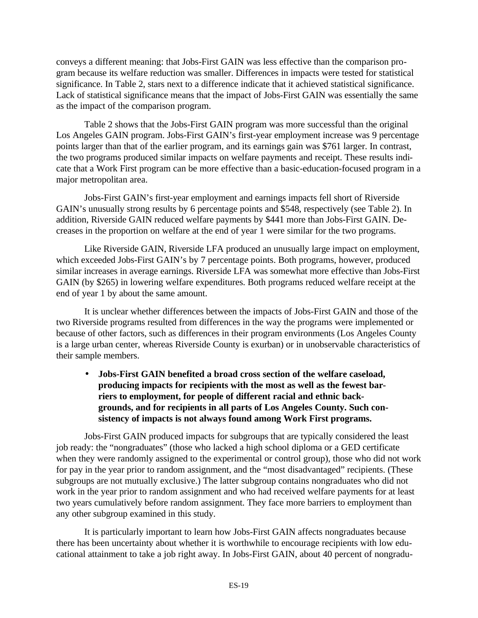conveys a different meaning: that Jobs-First GAIN was less effective than the comparison program because its welfare reduction was smaller. Differences in impacts were tested for statistical significance. In Table 2, stars next to a difference indicate that it achieved statistical significance. Lack of statistical significance means that the impact of Jobs-First GAIN was essentially the same as the impact of the comparison program.

Table 2 shows that the Jobs-First GAIN program was more successful than the original Los Angeles GAIN program. Jobs-First GAIN's first-year employment increase was 9 percentage points larger than that of the earlier program, and its earnings gain was \$761 larger. In contrast, the two programs produced similar impacts on welfare payments and receipt. These results indicate that a Work First program can be more effective than a basic-education-focused program in a major metropolitan area.

Jobs-First GAIN's first-year employment and earnings impacts fell short of Riverside GAIN's unusually strong results by 6 percentage points and \$548, respectively (see Table 2). In addition, Riverside GAIN reduced welfare payments by \$441 more than Jobs-First GAIN. Decreases in the proportion on welfare at the end of year 1 were similar for the two programs.

Like Riverside GAIN, Riverside LFA produced an unusually large impact on employment, which exceeded Jobs-First GAIN's by 7 percentage points. Both programs, however, produced similar increases in average earnings. Riverside LFA was somewhat more effective than Jobs-First GAIN (by \$265) in lowering welfare expenditures. Both programs reduced welfare receipt at the end of year 1 by about the same amount.

It is unclear whether differences between the impacts of Jobs-First GAIN and those of the two Riverside programs resulted from differences in the way the programs were implemented or because of other factors, such as differences in their program environments (Los Angeles County is a large urban center, whereas Riverside County is exurban) or in unobservable characteristics of their sample members.

• **Jobs-First GAIN benefited a broad cross section of the welfare caseload, producing impacts for recipients with the most as well as the fewest barriers to employment, for people of different racial and ethnic backgrounds, and for recipients in all parts of Los Angeles County. Such consistency of impacts is not always found among Work First programs.**

Jobs-First GAIN produced impacts for subgroups that are typically considered the least job ready: the "nongraduates" (those who lacked a high school diploma or a GED certificate when they were randomly assigned to the experimental or control group), those who did not work for pay in the year prior to random assignment, and the "most disadvantaged" recipients. (These subgroups are not mutually exclusive.) The latter subgroup contains nongraduates who did not work in the year prior to random assignment and who had received welfare payments for at least two years cumulatively before random assignment. They face more barriers to employment than any other subgroup examined in this study.

It is particularly important to learn how Jobs-First GAIN affects nongraduates because there has been uncertainty about whether it is worthwhile to encourage recipients with low educational attainment to take a job right away. In Jobs-First GAIN, about 40 percent of nongradu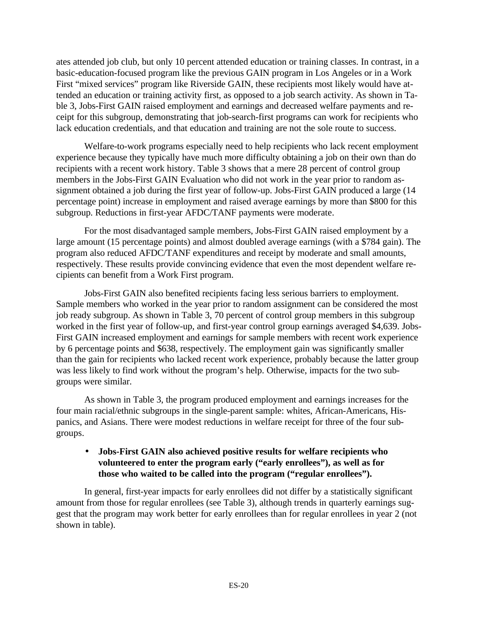ates attended job club, but only 10 percent attended education or training classes. In contrast, in a basic-education-focused program like the previous GAIN program in Los Angeles or in a Work First "mixed services" program like Riverside GAIN, these recipients most likely would have attended an education or training activity first, as opposed to a job search activity. As shown in Table 3, Jobs-First GAIN raised employment and earnings and decreased welfare payments and receipt for this subgroup, demonstrating that job-search-first programs can work for recipients who lack education credentials, and that education and training are not the sole route to success.

Welfare-to-work programs especially need to help recipients who lack recent employment experience because they typically have much more difficulty obtaining a job on their own than do recipients with a recent work history. Table 3 shows that a mere 28 percent of control group members in the Jobs-First GAIN Evaluation who did not work in the year prior to random assignment obtained a job during the first year of follow-up. Jobs-First GAIN produced a large (14 percentage point) increase in employment and raised average earnings by more than \$800 for this subgroup. Reductions in first-year AFDC/TANF payments were moderate.

For the most disadvantaged sample members, Jobs-First GAIN raised employment by a large amount (15 percentage points) and almost doubled average earnings (with a \$784 gain). The program also reduced AFDC/TANF expenditures and receipt by moderate and small amounts, respectively. These results provide convincing evidence that even the most dependent welfare recipients can benefit from a Work First program.

Jobs-First GAIN also benefited recipients facing less serious barriers to employment. Sample members who worked in the year prior to random assignment can be considered the most job ready subgroup. As shown in Table 3, 70 percent of control group members in this subgroup worked in the first year of follow-up, and first-year control group earnings averaged \$4,639. Jobs-First GAIN increased employment and earnings for sample members with recent work experience by 6 percentage points and \$638, respectively. The employment gain was significantly smaller than the gain for recipients who lacked recent work experience, probably because the latter group was less likely to find work without the program's help. Otherwise, impacts for the two subgroups were similar.

As shown in Table 3, the program produced employment and earnings increases for the four main racial/ethnic subgroups in the single-parent sample: whites, African-Americans, Hispanics, and Asians. There were modest reductions in welfare receipt for three of the four subgroups.

### • **Jobs-First GAIN also achieved positive results for welfare recipients who volunteered to enter the program early ("early enrollees"), as well as for those who waited to be called into the program ("regular enrollees").**

In general, first-year impacts for early enrollees did not differ by a statistically significant amount from those for regular enrollees (see Table 3), although trends in quarterly earnings suggest that the program may work better for early enrollees than for regular enrollees in year 2 (not shown in table).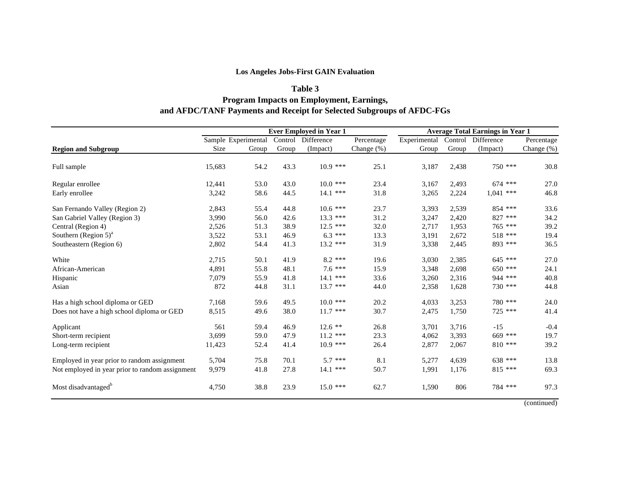### **Los Angeles Jobs-First GAIN Evaluation**

# **Table 3 Program Impacts on Employment, Earnings, and AFDC/TANF Payments and Receipt for Selected Subgroups of AFDC-FGs**

|                                                 |        |                     |       | <b>Ever Employed in Year 1</b> |            | <b>Average Total Earnings in Year 1</b> |       |                    |            |
|-------------------------------------------------|--------|---------------------|-------|--------------------------------|------------|-----------------------------------------|-------|--------------------|------------|
|                                                 |        | Sample Experimental |       | Control Difference             | Percentage | Experimental                            |       | Control Difference | Percentage |
| <b>Region and Subgroup</b>                      | Size   | Group               | Group | (Impact)                       | Change (%) | Group                                   | Group | (Impact)           | Change (%) |
| Full sample                                     | 15,683 | 54.2                | 43.3  | $10.9$ ***                     | 25.1       | 3,187                                   | 2,438 | 750 ***            | 30.8       |
| Regular enrollee                                | 12,441 | 53.0                | 43.0  | $10.0$ ***                     | 23.4       | 3,167                                   | 2,493 | $674$ ***          | 27.0       |
| Early enrollee                                  | 3,242  | 58.6                | 44.5  | $14.1$ ***                     | 31.8       | 3,265                                   | 2,224 | $1,041$ ***        | 46.8       |
| San Fernando Valley (Region 2)                  | 2,843  | 55.4                | 44.8  | $10.6$ ***                     | 23.7       | 3,393                                   | 2,539 | 854 ***            | 33.6       |
| San Gabriel Valley (Region 3)                   | 3,990  | 56.0                | 42.6  | $13.3$ ***                     | 31.2       | 3,247                                   | 2,420 | 827 ***            | 34.2       |
| Central (Region 4)                              | 2,526  | 51.3                | 38.9  | $12.5$ ***                     | 32.0       | 2,717                                   | 1.953 | 765 ***            | 39.2       |
| Southern (Region $5)^a$                         | 3,522  | 53.1                | 46.9  | $6.3***$                       | 13.3       | 3,191                                   | 2,672 | 518 ***            | 19.4       |
| Southeastern (Region 6)                         | 2,802  | 54.4                | 41.3  | $13.2$ ***                     | 31.9       | 3,338                                   | 2,445 | 893 ***            | 36.5       |
| White                                           | 2,715  | 50.1                | 41.9  | $8.2$ ***                      | 19.6       | 3,030                                   | 2,385 | 645 ***            | 27.0       |
| African-American                                | 4,891  | 55.8                | 48.1  | $7.6***$                       | 15.9       | 3,348                                   | 2,698 | $650$ ***          | 24.1       |
| Hispanic                                        | 7,079  | 55.9                | 41.8  | 14.1 ***                       | 33.6       | 3,260                                   | 2,316 | 944 ***            | 40.8       |
| Asian                                           | 872    | 44.8                | 31.1  | $13.7$ ***                     | 44.0       | 2,358                                   | 1,628 | 730 ***            | 44.8       |
| Has a high school diploma or GED                | 7,168  | 59.6                | 49.5  | $10.0$ ***                     | 20.2       | 4,033                                   | 3,253 | 780 ***            | 24.0       |
| Does not have a high school diploma or GED      | 8,515  | 49.6                | 38.0  | $11.7$ ***                     | 30.7       | 2,475                                   | 1,750 | 725 ***            | 41.4       |
| Applicant                                       | 561    | 59.4                | 46.9  | $12.6$ **                      | 26.8       | 3,701                                   | 3,716 | $-15$              | $-0.4$     |
| Short-term recipient                            | 3,699  | 59.0                | 47.9  | $11.2$ ***                     | 23.3       | 4,062                                   | 3,393 | 669 ***            | 19.7       |
| Long-term recipient                             | 11,423 | 52.4                | 41.4  | $10.9$ ***                     | 26.4       | 2,877                                   | 2,067 | $810$ ***          | 39.2       |
| Employed in year prior to random assignment     | 5,704  | 75.8                | 70.1  | $5.7***$                       | 8.1        | 5,277                                   | 4,639 | 638 ***            | 13.8       |
| Not employed in year prior to random assignment | 9,979  | 41.8                | 27.8  | 14.1 ***                       | 50.7       | 1,991                                   | 1,176 | $815$ ***          | 69.3       |
| Most disadvantaged <sup>o</sup>                 | 4,750  | 38.8                | 23.9  | $15.0$ ***                     | 62.7       | 1,590                                   | 806   | 784 ***            | 97.3       |

(continued)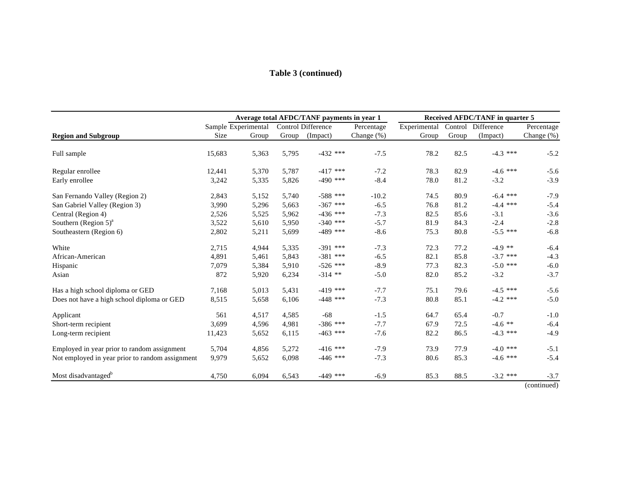# **Table 3 (continued)**

|                                                 |        |                     |       | Average total AFDC/TANF payments in year 1 | Received AFDC/TANF in quarter 5 |              |         |            |               |
|-------------------------------------------------|--------|---------------------|-------|--------------------------------------------|---------------------------------|--------------|---------|------------|---------------|
|                                                 |        | Sample Experimental |       | Control Difference                         | Percentage                      | Experimental | Control | Difference | Percentage    |
| <b>Region and Subgroup</b>                      | Size   | Group               | Group | (Impact)                                   | Change (%)                      | Group        | Group   | (Impact)   | Change $(\%)$ |
| Full sample                                     | 15,683 | 5,363               | 5,795 | $-432$ ***                                 | $-7.5$                          | 78.2         | 82.5    | $-4.3$ *** | $-5.2$        |
| Regular enrollee                                | 12,441 | 5,370               | 5,787 | $-417$ ***                                 | $-7.2$                          | 78.3         | 82.9    | $-4.6$ *** | $-5.6$        |
| Early enrollee                                  | 3,242  | 5,335               | 5,826 | $-490$ ***                                 | $-8.4$                          | 78.0         | 81.2    | $-3.2$     | $-3.9$        |
| San Fernando Valley (Region 2)                  | 2,843  | 5,152               | 5,740 | $-588$ ***                                 | $-10.2$                         | 74.5         | 80.9    | $-6.4$ *** | $-7.9$        |
| San Gabriel Valley (Region 3)                   | 3,990  | 5,296               | 5,663 | $-367$ ***                                 | $-6.5$                          | 76.8         | 81.2    | $-4.4$ *** | $-5.4$        |
| Central (Region 4)                              | 2,526  | 5,525               | 5,962 | $-436$ ***                                 | $-7.3$                          | 82.5         | 85.6    | $-3.1$     | $-3.6$        |
| Southern (Region $5)^a$                         | 3,522  | 5,610               | 5,950 | $-340$ ***                                 | $-5.7$                          | 81.9         | 84.3    | $-2.4$     | $-2.8$        |
| Southeastern (Region 6)                         | 2,802  | 5,211               | 5,699 | $-489$ ***                                 | $-8.6$                          | 75.3         | 80.8    | $-5.5$ *** | $-6.8$        |
| White                                           | 2,715  | 4,944               | 5,335 | $-391$ ***                                 | $-7.3$                          | 72.3         | 77.2    | $-4.9$ **  | $-6.4$        |
| African-American                                | 4,891  | 5,461               | 5,843 | $-381$ ***                                 | $-6.5$                          | 82.1         | 85.8    | $-3.7$ *** | $-4.3$        |
| Hispanic                                        | 7,079  | 5,384               | 5,910 | $-526$ ***                                 | $-8.9$                          | 77.3         | 82.3    | $-5.0$ *** | $-6.0$        |
| Asian                                           | 872    | 5,920               | 6,234 | $-314$ **                                  | $-5.0$                          | 82.0         | 85.2    | $-3.2$     | $-3.7$        |
| Has a high school diploma or GED                | 7,168  | 5,013               | 5,431 | $-419$ ***                                 | $-7.7$                          | 75.1         | 79.6    | $-4.5$ *** | $-5.6$        |
| Does not have a high school diploma or GED      | 8,515  | 5,658               | 6,106 | $-448$ ***                                 | $-7.3$                          | 80.8         | 85.1    | $-4.2$ *** | $-5.0$        |
| Applicant                                       | 561    | 4,517               | 4,585 | $-68$                                      | $-1.5$                          | 64.7         | 65.4    | $-0.7$     | $-1.0$        |
| Short-term recipient                            | 3,699  | 4,596               | 4,981 | $-386$ ***                                 | $-7.7$                          | 67.9         | 72.5    | $-4.6$ **  | $-6.4$        |
| Long-term recipient                             | 11,423 | 5,652               | 6,115 | $-463$ ***                                 | $-7.6$                          | 82.2         | 86.5    | $-4.3$ *** | $-4.9$        |
| Employed in year prior to random assignment     | 5,704  | 4,856               | 5,272 | $-416$ ***                                 | $-7.9$                          | 73.9         | 77.9    | $-4.0$ *** | $-5.1$        |
| Not employed in year prior to random assignment | 9,979  | 5,652               | 6,098 | $-446$ ***                                 | $-7.3$                          | 80.6         | 85.3    | $-4.6$ *** | $-5.4$        |
| Most disadvantaged <sup>b</sup>                 | 4,750  | 6,094               | 6,543 | $-449$ ***                                 | $-6.9$                          | 85.3         | 88.5    | $-3.2$ *** | $-3.7$        |

(continued)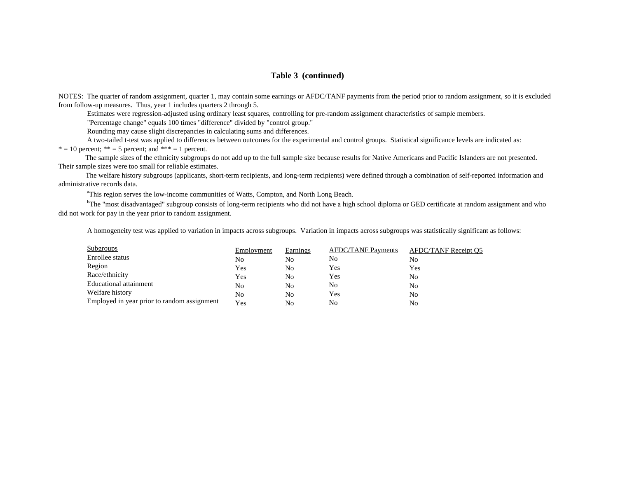#### **Table 3 (continued)**

NOTES: The quarter of random assignment, quarter 1, may contain some earnings or AFDC/TANF payments from the period prior to random assignment, so it is excluded from follow-up measures. Thus, year 1 includes quarters 2 through 5.

Estimates were regression-adjusted using ordinary least squares, controlling for pre-random assignment characteristics of sample members.

"Percentage change" equals 100 times "difference" divided by "control group."

Rounding may cause slight discrepancies in calculating sums and differences.

 A two-tailed t-test was applied to differences between outcomes for the experimental and control groups. Statistical significance levels are indicated as:  $* = 10$  percent;  $** = 5$  percent; and  $*** = 1$  percent.

 The sample sizes of the ethnicity subgroups do not add up to the full sample size because results for Native Americans and Pacific Islanders are not presented. Their sample sizes were too small for reliable estimates.

 The welfare history subgroups (applicants, short-term recipients, and long-term recipients) were defined through a combination of self-reported information and administrative records data.

<sup>a</sup>This region serves the low-income communities of Watts, Compton, and North Long Beach.

<sup>b</sup>The "most disadvantaged" subgroup consists of long-term recipients who did not have a high school diploma or GED certificate at random assignment and who did not work for pay in the year prior to random assignment.

A homogeneity test was applied to variation in impacts across subgroups. Variation in impacts across subgroups was statistically significant as follows:

| Subgroups                                   | Employment | <b>Earnings</b> | <b>AFDC/TANF Payments</b> | <b>AFDC/TANF Receipt O5</b> |
|---------------------------------------------|------------|-----------------|---------------------------|-----------------------------|
| Enrollee status                             | No         | No              | No                        | No                          |
| Region                                      | Yes        | No              | Yes                       | Yes                         |
| Race/ethnicity                              | Yes        | No              | Yes                       | No                          |
| Educational attainment                      | No         | No              | No                        | No                          |
| Welfare history                             | No         | No              | Yes                       | No                          |
| Employed in year prior to random assignment | Yes        | No              | No                        | No                          |
|                                             |            |                 |                           |                             |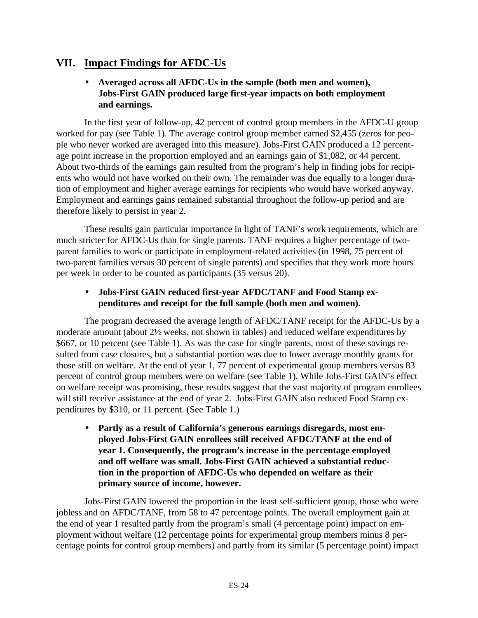# **VII. Impact Findings for AFDC-Us**

# • **Averaged across all AFDC-Us in the sample (both men and women), Jobs-First GAIN produced large first-year impacts on both employment and earnings.**

In the first year of follow-up, 42 percent of control group members in the AFDC-U group worked for pay (see Table 1). The average control group member earned \$2,455 (zeros for people who never worked are averaged into this measure). Jobs-First GAIN produced a 12 percentage point increase in the proportion employed and an earnings gain of \$1,082, or 44 percent. About two-thirds of the earnings gain resulted from the program's help in finding jobs for recipients who would not have worked on their own. The remainder was due equally to a longer duration of employment and higher average earnings for recipients who would have worked anyway. Employment and earnings gains remained substantial throughout the follow-up period and are therefore likely to persist in year 2.

These results gain particular importance in light of TANF's work requirements, which are much stricter for AFDC-Us than for single parents. TANF requires a higher percentage of twoparent families to work or participate in employment-related activities (in 1998, 75 percent of two-parent families versus 30 percent of single parents) and specifies that they work more hours per week in order to be counted as participants (35 versus 20).

# • **Jobs-First GAIN reduced first-year AFDC/TANF and Food Stamp expenditures and receipt for the full sample (both men and women).**

The program decreased the average length of AFDC/TANF receipt for the AFDC-Us by a moderate amount (about 2½ weeks, not shown in tables) and reduced welfare expenditures by \$667, or 10 percent (see Table 1). As was the case for single parents, most of these savings resulted from case closures, but a substantial portion was due to lower average monthly grants for those still on welfare. At the end of year 1, 77 percent of experimental group members versus 83 percent of control group members were on welfare (see Table 1). While Jobs-First GAIN's effect on welfare receipt was promising, these results suggest that the vast majority of program enrollees will still receive assistance at the end of year 2. Jobs-First GAIN also reduced Food Stamp expenditures by \$310, or 11 percent. (See Table 1.)

• **Partly as a result of California's generous earnings disregards, most employed Jobs-First GAIN enrollees still received AFDC/TANF at the end of year 1. Consequently, the program's increase in the percentage employed and off welfare was small. Jobs-First GAIN achieved a substantial reduction in the proportion of AFDC-Us who depended on welfare as their primary source of income, however.**

Jobs-First GAIN lowered the proportion in the least self-sufficient group, those who were jobless and on AFDC/TANF, from 58 to 47 percentage points. The overall employment gain at the end of year 1 resulted partly from the program's small (4 percentage point) impact on employment without welfare (12 percentage points for experimental group members minus 8 percentage points for control group members) and partly from its similar (5 percentage point) impact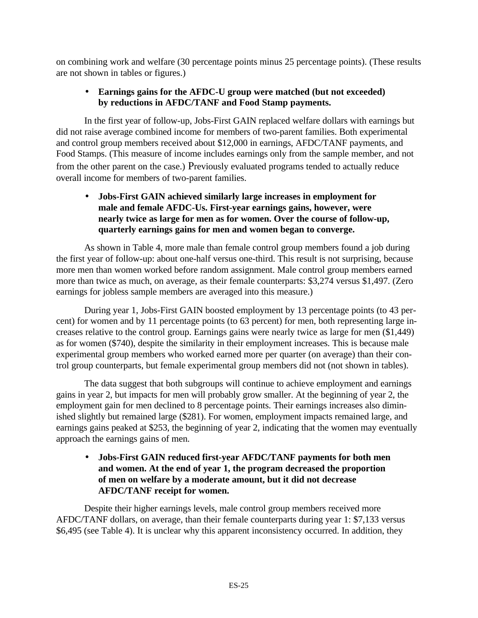on combining work and welfare (30 percentage points minus 25 percentage points). (These results are not shown in tables or figures.)

# • **Earnings gains for the AFDC-U group were matched (but not exceeded) by reductions in AFDC/TANF and Food Stamp payments.**

In the first year of follow-up, Jobs-First GAIN replaced welfare dollars with earnings but did not raise average combined income for members of two-parent families. Both experimental and control group members received about \$12,000 in earnings, AFDC/TANF payments, and Food Stamps. (This measure of income includes earnings only from the sample member, and not from the other parent on the case.) Previously evaluated programs tended to actually reduce overall income for members of two-parent families.

# • **Jobs-First GAIN achieved similarly large increases in employment for male and female AFDC-Us. First-year earnings gains, however, were nearly twice as large for men as for women. Over the course of follow-up, quarterly earnings gains for men and women began to converge.**

As shown in Table 4, more male than female control group members found a job during the first year of follow-up: about one-half versus one-third. This result is not surprising, because more men than women worked before random assignment. Male control group members earned more than twice as much, on average, as their female counterparts: \$3,274 versus \$1,497. (Zero earnings for jobless sample members are averaged into this measure.)

During year 1, Jobs-First GAIN boosted employment by 13 percentage points (to 43 percent) for women and by 11 percentage points (to 63 percent) for men, both representing large increases relative to the control group. Earnings gains were nearly twice as large for men (\$1,449) as for women (\$740), despite the similarity in their employment increases. This is because male experimental group members who worked earned more per quarter (on average) than their control group counterparts, but female experimental group members did not (not shown in tables).

The data suggest that both subgroups will continue to achieve employment and earnings gains in year 2, but impacts for men will probably grow smaller. At the beginning of year 2, the employment gain for men declined to 8 percentage points. Their earnings increases also diminished slightly but remained large (\$281). For women, employment impacts remained large, and earnings gains peaked at \$253, the beginning of year 2, indicating that the women may eventually approach the earnings gains of men.

# • **Jobs-First GAIN reduced first-year AFDC/TANF payments for both men and women. At the end of year 1, the program decreased the proportion of men on welfare by a moderate amount, but it did not decrease AFDC/TANF receipt for women.**

Despite their higher earnings levels, male control group members received more AFDC/TANF dollars, on average, than their female counterparts during year 1: \$7,133 versus \$6,495 (see Table 4). It is unclear why this apparent inconsistency occurred. In addition, they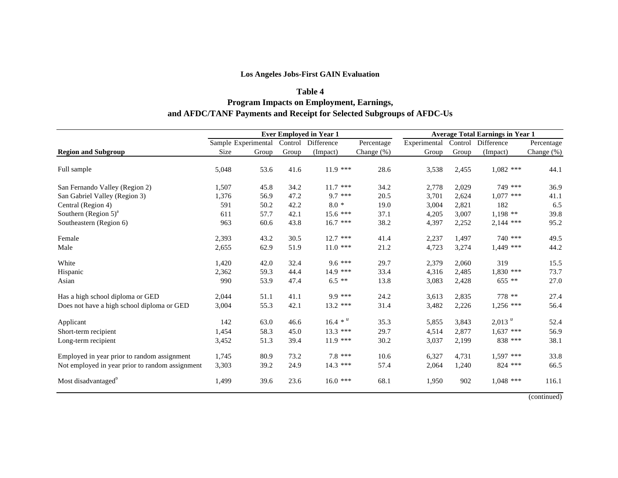### **Los Angeles Jobs-First GAIN Evaluation**

### **Table 4 Program Impacts on Employment, Earnings, and AFDC/TANF Payments and Receipt for Selected Subgroups of AFDC-Us**

|                                                 | <b>Ever Employed in Year 1</b> |                     |       | <b>Average Total Earnings in Year 1</b> |               |              |       |                    |               |
|-------------------------------------------------|--------------------------------|---------------------|-------|-----------------------------------------|---------------|--------------|-------|--------------------|---------------|
|                                                 |                                | Sample Experimental |       | Control Difference                      | Percentage    | Experimental |       | Control Difference | Percentage    |
| <b>Region and Subgroup</b>                      | Size                           | Group               | Group | (Impact)                                | Change $(\%)$ | Group        | Group | (Impact)           | Change $(\%)$ |
| Full sample                                     | 5,048                          | 53.6                | 41.6  | $11.9$ ***                              | 28.6          | 3,538        | 2,455 | $1,082$ ***        | 44.1          |
| San Fernando Valley (Region 2)                  | 1,507                          | 45.8                | 34.2  | $11.7$ ***                              | 34.2          | 2,778        | 2,029 | 749 ***            | 36.9          |
| San Gabriel Valley (Region 3)                   | 1,376                          | 56.9                | 47.2  | $9.7***$                                | 20.5          | 3,701        | 2,624 | $1.077$ ***        | 41.1          |
| Central (Region 4)                              | 591                            | 50.2                | 42.2  | $8.0*$                                  | 19.0          | 3,004        | 2,821 | 182                | 6.5           |
| Southern (Region $5)^a$                         | 611                            | 57.7                | 42.1  | $15.6$ ***                              | 37.1          | 4,205        | 3,007 | $1,198$ **         | 39.8          |
| Southeastern (Region 6)                         | 963                            | 60.6                | 43.8  | $16.7$ ***                              | 38.2          | 4,397        | 2,252 | $2,144$ ***        | 95.2          |
| Female                                          | 2,393                          | 43.2                | 30.5  | $12.7$ ***                              | 41.4          | 2,237        | 1,497 | 740 ***            | 49.5          |
| Male                                            | 2,655                          | 62.9                | 51.9  | $11.0$ ***                              | 21.2          | 4,723        | 3,274 | $1,449$ ***        | 44.2          |
| White                                           | 1,420                          | 42.0                | 32.4  | $9.6***$                                | 29.7          | 2,379        | 2,060 | 319                | 15.5          |
| Hispanic                                        | 2,362                          | 59.3                | 44.4  | $14.9$ ***                              | 33.4          | 4,316        | 2,485 | $1,830$ ***        | 73.7          |
| Asian                                           | 990                            | 53.9                | 47.4  | $6.5$ **                                | 13.8          | 3,083        | 2,428 | 655 **             | 27.0          |
| Has a high school diploma or GED                | 2,044                          | 51.1                | 41.1  | $9.9***$                                | 24.2          | 3,613        | 2,835 | 778 **             | 27.4          |
| Does not have a high school diploma or GED      | 3,004                          | 55.3                | 42.1  | $13.2$ ***                              | 31.4          | 3,482        | 2,226 | $1,256$ ***        | 56.4          |
| Applicant                                       | 142                            | 63.0                | 46.6  | $16.4 * u$                              | 35.3          | 5,855        | 3,843 | $2,013$ $^u$       | 52.4          |
| Short-term recipient                            | 1,454                          | 58.3                | 45.0  | $13.3$ ***                              | 29.7          | 4,514        | 2.877 | $1,637$ ***        | 56.9          |
| Long-term recipient                             | 3,452                          | 51.3                | 39.4  | $11.9***$                               | 30.2          | 3,037        | 2,199 | 838 ***            | 38.1          |
| Employed in year prior to random assignment     | 1,745                          | 80.9                | 73.2  | $7.8***$                                | 10.6          | 6,327        | 4,731 | $1,597$ ***        | 33.8          |
| Not employed in year prior to random assignment | 3,303                          | 39.2                | 24.9  | $14.3$ ***                              | 57.4          | 2,064        | 1,240 | 824 ***            | 66.5          |
| Most disadvantaged <sup>b</sup>                 | 1,499                          | 39.6                | 23.6  | $16.0$ ***                              | 68.1          | 1,950        | 902   | $1,048$ ***        | 116.1         |

(continued)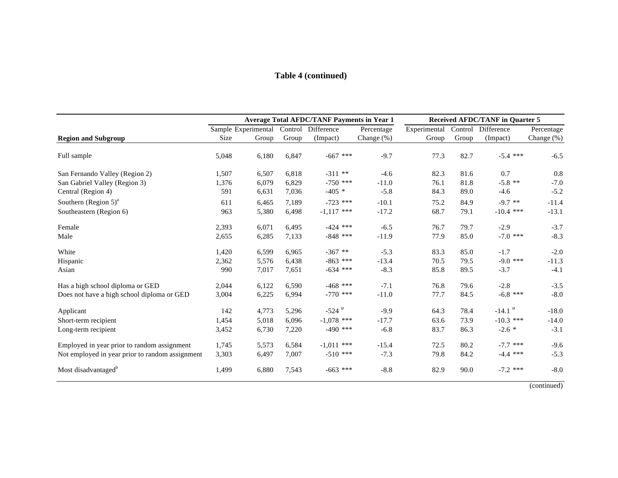### **Table 4 (continued)**

|                                                 | <b>Average Total AFDC/TANF Payments in Year 1</b> |       |         |              | <b>Received AFDC/TANF in Quarter 5</b> |              |         |                      |            |
|-------------------------------------------------|---------------------------------------------------|-------|---------|--------------|----------------------------------------|--------------|---------|----------------------|------------|
|                                                 | Sample Experimental                               |       | Control | Difference   | Percentage                             | Experimental | Control | Difference           | Percentage |
| <b>Region and Subgroup</b>                      | Size                                              | Group | Group   | (Impact)     | Change $(\%)$                          | Group        | Group   | (Impact)             | Change (%) |
| Full sample                                     | 5,048                                             | 6,180 | 6,847   | $-667$ ***   | $-9.7$                                 | 77.3         | 82.7    | $-5.4$ ***           | $-6.5$     |
| San Fernando Valley (Region 2)                  | 1,507                                             | 6,507 | 6,818   | $-311**$     | $-4.6$                                 | 82.3         | 81.6    | 0.7                  | 0.8        |
| San Gabriel Valley (Region 3)                   | 1,376                                             | 6,079 | 6,829   | $-750$ ***   | $-11.0$                                | 76.1         | 81.8    | $-5.8$ **            | $-7.0$     |
| Central (Region 4)                              | 591                                               | 6,631 | 7,036   | $-405$ *     | $-5.8$                                 | 84.3         | 89.0    | $-4.6$               | $-5.2$     |
| Southern $(Region 5)^a$                         | 611                                               | 6,465 | 7,189   | $-723$ ***   | $-10.1$                                | 75.2         | 84.9    | $-9.7$ **            | $-11.4$    |
| Southeastern (Region 6)                         | 963                                               | 5,380 | 6,498   | $-1,117$ *** | $-17.2$                                | 68.7         | 79.1    | $-10.4$ ***          | $-13.1$    |
| Female                                          | 2,393                                             | 6,071 | 6,495   | $-424$ ***   | $-6.5$                                 | 76.7         | 79.7    | $-2.9$               | $-3.7$     |
| Male                                            | 2,655                                             | 6,285 | 7,133   | $-848$ ***   | $-11.9$                                | 77.9         | 85.0    | $-7.0$ ***           | $-8.3$     |
| White                                           | 1,420                                             | 6,599 | 6,965   | $-367**$     | $-5.3$                                 | 83.3         | 85.0    | $-1.7$               | $-2.0$     |
| Hispanic                                        | 2,362                                             | 5,576 | 6,438   | $-863$ ***   | $-13.4$                                | 70.5         | 79.5    | $-9.0$ ***           | $-11.3$    |
| Asian                                           | 990                                               | 7,017 | 7,651   | $-634$ ***   | $-8.3$                                 | 85.8         | 89.5    | $-3.7$               | $-4.1$     |
| Has a high school diploma or GED                | 2,044                                             | 6,122 | 6,590   | $-468$ ***   | $-7.1$                                 | 76.8         | 79.6    | $-2.8$               | $-3.5$     |
| Does not have a high school diploma or GED      | 3,004                                             | 6,225 | 6,994   | $-770$ ***   | $-11.0$                                | 77.7         | 84.5    | $-6.8$ ***           | $-8.0$     |
| Applicant                                       | 142                                               | 4,773 | 5,296   | $-524$ $u$   | $-9.9$                                 | 64.3         | 78.4    | $-14.1$ <sup>u</sup> | $-18.0$    |
| Short-term recipient                            | 1,454                                             | 5,018 | 6,096   | $-1,078$ *** | $-17.7$                                | 63.6         | 73.9    | $-10.3$ ***          | $-14.0$    |
| Long-term recipient                             | 3,452                                             | 6,730 | 7,220   | $-490$ ***   | $-6.8$                                 | 83.7         | 86.3    | $-2.6*$              | $-3.1$     |
| Employed in year prior to random assignment     | 1,745                                             | 5,573 | 6,584   | $-1,011$ *** | $-15.4$                                | 72.5         | 80.2    | $-7.7$ ***           | $-9.6$     |
| Not employed in year prior to random assignment | 3,303                                             | 6,497 | 7,007   | $-510$ ***   | $-7.3$                                 | 79.8         | 84.2    | $-4.4$ ***           | $-5.3$     |
| Most disadvantaged <sup>b</sup>                 | 1,499                                             | 6,880 | 7,543   | $-663$ ***   | $-8.8$                                 | 82.9         | 90.0    | $-7.2$ ***           | $-8.0$     |

(continued)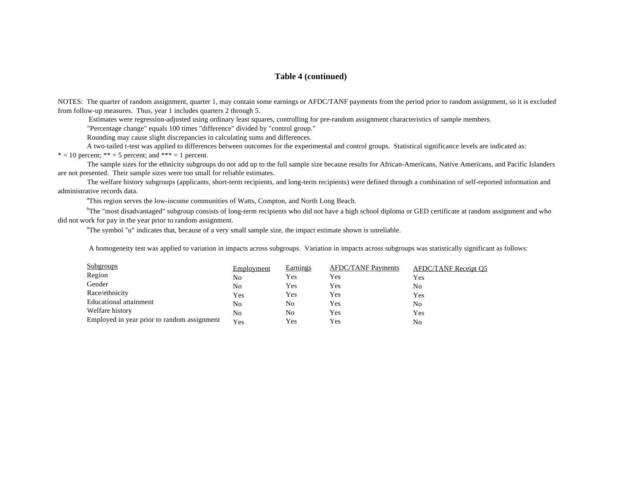#### **Table 4 (continued)**

NOTES: The quarter of random assignment, quarter 1, may contain some earnings or AFDC/TANF payments from the period prior to random assignment, so it is excluded from follow-up measures. Thus, year 1 includes quarters 2 through 5.

Estimates were regression-adjusted using ordinary least squares, controlling for pre-random assignment characteristics of sample members.

"Percentage change" equals 100 times "difference" divided by "control group."

Rounding may cause slight discrepancies in calculating sums and differences.

A two-tailed t-test was applied to differences between outcomes for the experimental and control groups. Statistical significance levels are indicated as:

 $* = 10$  percent;  $** = 5$  percent; and  $*** = 1$  percent.

 The sample sizes for the ethnicity subgroups do not add up to the full sample size because results for African-Americans, Native Americans, and Pacific Islanders are not presented. Their sample sizes were too small for reliable estimates.

 The welfare history subgroups (applicants, short-term recipients, and long-term recipients) were defined through a combination of self-reported information and administrative records data.

<sup>a</sup>This region serves the low-income communities of Watts, Compton, and North Long Beach.

<sup>b</sup>The "most disadvantaged" subgroup consists of long-term recipients who did not have a high school diploma or GED certificate at random assignment and who did not work for pay in the year prior to random assignment.

<sup>u</sup>The symbol "u" indicates that, because of a very small sample size, the impact estimate shown is unreliable.

A homogeneity test was applied to variation in impacts across subgroups. Variation in impacts across subgroups was statistically significant as follows:

| <b>Subgroups</b>                            | Employment | <b>Earnings</b> | <b>AFDC/TANF Payments</b> | <b>AFDC/TANF Receipt O5</b> |
|---------------------------------------------|------------|-----------------|---------------------------|-----------------------------|
| Region                                      | No         | <b>Yes</b>      | Yes                       | Yes                         |
| Gender                                      | No         | Yes             | Yes                       | No                          |
| Race/ethnicity                              | Yes        | Yes             | Yes                       | Yes                         |
| Educational attainment                      | No         | No              | Yes                       | No                          |
| Welfare history                             | No         | No              | Yes                       | Yes                         |
| Employed in year prior to random assignment | Yes        | Yes             | Yes                       | No                          |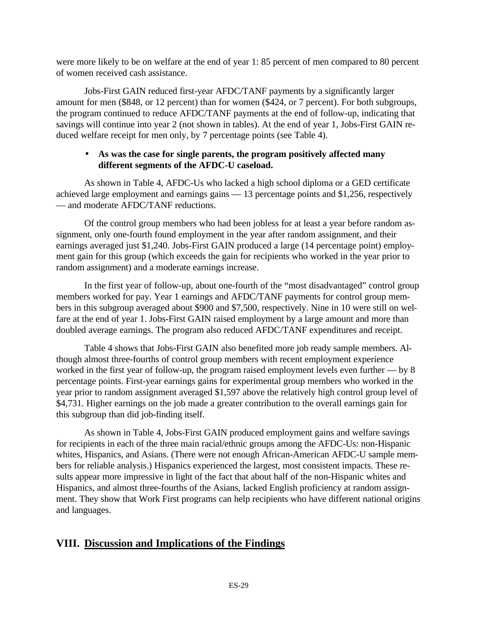were more likely to be on welfare at the end of year 1: 85 percent of men compared to 80 percent of women received cash assistance.

Jobs-First GAIN reduced first-year AFDC/TANF payments by a significantly larger amount for men (\$848, or 12 percent) than for women (\$424, or 7 percent). For both subgroups, the program continued to reduce AFDC/TANF payments at the end of follow-up, indicating that savings will continue into year 2 (not shown in tables). At the end of year 1, Jobs-First GAIN reduced welfare receipt for men only, by 7 percentage points (see Table 4).

### • **As was the case for single parents, the program positively affected many different segments of the AFDC-U caseload.**

As shown in Table 4, AFDC-Us who lacked a high school diploma or a GED certificate achieved large employment and earnings gains — 13 percentage points and \$1,256, respectively — and moderate AFDC/TANF reductions.

Of the control group members who had been jobless for at least a year before random assignment, only one-fourth found employment in the year after random assignment, and their earnings averaged just \$1,240. Jobs-First GAIN produced a large (14 percentage point) employment gain for this group (which exceeds the gain for recipients who worked in the year prior to random assignment) and a moderate earnings increase.

In the first year of follow-up, about one-fourth of the "most disadvantaged" control group members worked for pay. Year 1 earnings and AFDC/TANF payments for control group members in this subgroup averaged about \$900 and \$7,500, respectively. Nine in 10 were still on welfare at the end of year 1. Jobs-First GAIN raised employment by a large amount and more than doubled average earnings. The program also reduced AFDC/TANF expenditures and receipt.

Table 4 shows that Jobs-First GAIN also benefited more job ready sample members. Although almost three-fourths of control group members with recent employment experience worked in the first year of follow-up, the program raised employment levels even further — by 8 percentage points. First-year earnings gains for experimental group members who worked in the year prior to random assignment averaged \$1,597 above the relatively high control group level of \$4,731. Higher earnings on the job made a greater contribution to the overall earnings gain for this subgroup than did job-finding itself.

As shown in Table 4, Jobs-First GAIN produced employment gains and welfare savings for recipients in each of the three main racial/ethnic groups among the AFDC-Us: non-Hispanic whites, Hispanics, and Asians. (There were not enough African-American AFDC-U sample members for reliable analysis.) Hispanics experienced the largest, most consistent impacts. These results appear more impressive in light of the fact that about half of the non-Hispanic whites and Hispanics, and almost three-fourths of the Asians, lacked English proficiency at random assignment. They show that Work First programs can help recipients who have different national origins and languages.

# **VIII. Discussion and Implications of the Findings**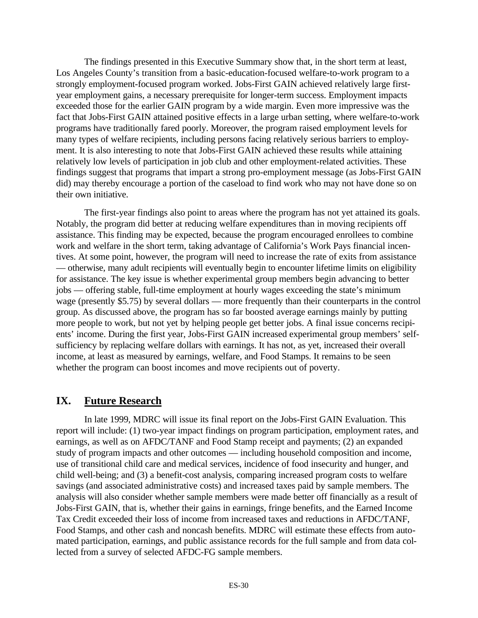The findings presented in this Executive Summary show that, in the short term at least, Los Angeles County's transition from a basic-education-focused welfare-to-work program to a strongly employment-focused program worked. Jobs-First GAIN achieved relatively large firstyear employment gains, a necessary prerequisite for longer-term success. Employment impacts exceeded those for the earlier GAIN program by a wide margin. Even more impressive was the fact that Jobs-First GAIN attained positive effects in a large urban setting, where welfare-to-work programs have traditionally fared poorly. Moreover, the program raised employment levels for many types of welfare recipients, including persons facing relatively serious barriers to employment. It is also interesting to note that Jobs-First GAIN achieved these results while attaining relatively low levels of participation in job club and other employment-related activities. These findings suggest that programs that impart a strong pro-employment message (as Jobs-First GAIN did) may thereby encourage a portion of the caseload to find work who may not have done so on their own initiative.

The first-year findings also point to areas where the program has not yet attained its goals. Notably, the program did better at reducing welfare expenditures than in moving recipients off assistance. This finding may be expected, because the program encouraged enrollees to combine work and welfare in the short term, taking advantage of California's Work Pays financial incentives. At some point, however, the program will need to increase the rate of exits from assistance — otherwise, many adult recipients will eventually begin to encounter lifetime limits on eligibility for assistance. The key issue is whether experimental group members begin advancing to better jobs — offering stable, full-time employment at hourly wages exceeding the state's minimum wage (presently \$5.75) by several dollars — more frequently than their counterparts in the control group. As discussed above, the program has so far boosted average earnings mainly by putting more people to work, but not yet by helping people get better jobs. A final issue concerns recipients' income. During the first year, Jobs-First GAIN increased experimental group members' selfsufficiency by replacing welfare dollars with earnings. It has not, as yet, increased their overall income, at least as measured by earnings, welfare, and Food Stamps. It remains to be seen whether the program can boost incomes and move recipients out of poverty.

# **IX. Future Research**

In late 1999, MDRC will issue its final report on the Jobs-First GAIN Evaluation. This report will include: (1) two-year impact findings on program participation, employment rates, and earnings, as well as on AFDC/TANF and Food Stamp receipt and payments; (2) an expanded study of program impacts and other outcomes — including household composition and income, use of transitional child care and medical services, incidence of food insecurity and hunger, and child well-being; and (3) a benefit-cost analysis, comparing increased program costs to welfare savings (and associated administrative costs) and increased taxes paid by sample members. The analysis will also consider whether sample members were made better off financially as a result of Jobs-First GAIN, that is, whether their gains in earnings, fringe benefits, and the Earned Income Tax Credit exceeded their loss of income from increased taxes and reductions in AFDC/TANF, Food Stamps, and other cash and noncash benefits. MDRC will estimate these effects from automated participation, earnings, and public assistance records for the full sample and from data collected from a survey of selected AFDC-FG sample members.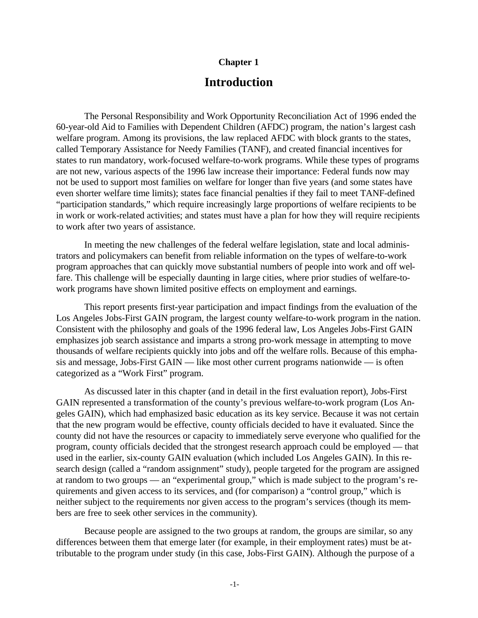### **Chapter 1**

# **Introduction**

The Personal Responsibility and Work Opportunity Reconciliation Act of 1996 ended the 60-year-old Aid to Families with Dependent Children (AFDC) program, the nation's largest cash welfare program. Among its provisions, the law replaced AFDC with block grants to the states, called Temporary Assistance for Needy Families (TANF), and created financial incentives for states to run mandatory, work-focused welfare-to-work programs. While these types of programs are not new, various aspects of the 1996 law increase their importance: Federal funds now may not be used to support most families on welfare for longer than five years (and some states have even shorter welfare time limits); states face financial penalties if they fail to meet TANF-defined "participation standards," which require increasingly large proportions of welfare recipients to be in work or work-related activities; and states must have a plan for how they will require recipients to work after two years of assistance.

In meeting the new challenges of the federal welfare legislation, state and local administrators and policymakers can benefit from reliable information on the types of welfare-to-work program approaches that can quickly move substantial numbers of people into work and off welfare. This challenge will be especially daunting in large cities, where prior studies of welfare-towork programs have shown limited positive effects on employment and earnings.

This report presents first-year participation and impact findings from the evaluation of the Los Angeles Jobs-First GAIN program, the largest county welfare-to-work program in the nation. Consistent with the philosophy and goals of the 1996 federal law, Los Angeles Jobs-First GAIN emphasizes job search assistance and imparts a strong pro-work message in attempting to move thousands of welfare recipients quickly into jobs and off the welfare rolls. Because of this emphasis and message, Jobs-First GAIN — like most other current programs nationwide — is often categorized as a "Work First" program.

As discussed later in this chapter (and in detail in the first evaluation report), Jobs-First GAIN represented a transformation of the county's previous welfare-to-work program (Los Angeles GAIN), which had emphasized basic education as its key service. Because it was not certain that the new program would be effective, county officials decided to have it evaluated. Since the county did not have the resources or capacity to immediately serve everyone who qualified for the program, county officials decided that the strongest research approach could be employed — that used in the earlier, six-county GAIN evaluation (which included Los Angeles GAIN). In this research design (called a "random assignment" study), people targeted for the program are assigned at random to two groups — an "experimental group," which is made subject to the program's requirements and given access to its services, and (for comparison) a "control group," which is neither subject to the requirements nor given access to the program's services (though its members are free to seek other services in the community).

Because people are assigned to the two groups at random, the groups are similar, so any differences between them that emerge later (for example, in their employment rates) must be attributable to the program under study (in this case, Jobs-First GAIN). Although the purpose of a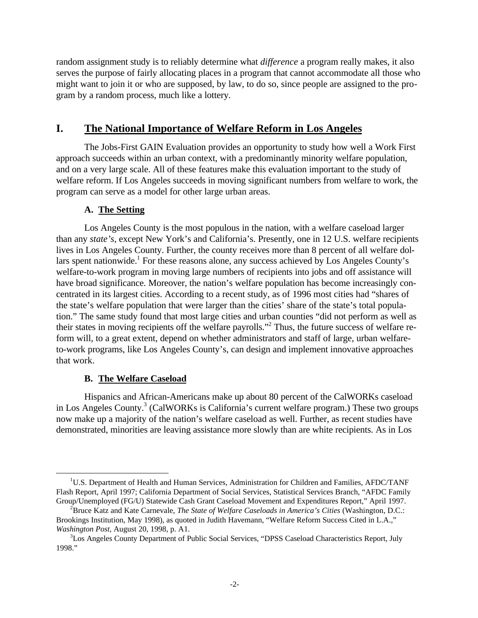random assignment study is to reliably determine what *difference* a program really makes, it also serves the purpose of fairly allocating places in a program that cannot accommodate all those who might want to join it or who are supposed, by law, to do so, since people are assigned to the program by a random process, much like a lottery.

## **I. The National Importance of Welfare Reform in Los Angeles**

The Jobs-First GAIN Evaluation provides an opportunity to study how well a Work First approach succeeds within an urban context, with a predominantly minority welfare population, and on a very large scale. All of these features make this evaluation important to the study of welfare reform. If Los Angeles succeeds in moving significant numbers from welfare to work, the program can serve as a model for other large urban areas.

### **A. The Setting**

Los Angeles County is the most populous in the nation, with a welfare caseload larger than any *state's*, except New York's and California's. Presently, one in 12 U.S. welfare recipients lives in Los Angeles County. Further, the county receives more than 8 percent of all welfare dollars spent nationwide.<sup>1</sup> For these reasons alone, any success achieved by Los Angeles County's welfare-to-work program in moving large numbers of recipients into jobs and off assistance will have broad significance. Moreover, the nation's welfare population has become increasingly concentrated in its largest cities. According to a recent study, as of 1996 most cities had "shares of the state's welfare population that were larger than the cities' share of the state's total population." The same study found that most large cities and urban counties "did not perform as well as their states in moving recipients off the welfare payrolls."<sup>2</sup> Thus, the future success of welfare reform will, to a great extent, depend on whether administrators and staff of large, urban welfareto-work programs, like Los Angeles County's, can design and implement innovative approaches that work.

### **B. The Welfare Caseload**

 $\overline{a}$ 

Hispanics and African-Americans make up about 80 percent of the CalWORKs caseload in Los Angeles County.<sup>3</sup> (CalWORKs is California's current welfare program.) These two groups now make up a majority of the nation's welfare caseload as well. Further, as recent studies have demonstrated, minorities are leaving assistance more slowly than are white recipients. As in Los

<sup>&</sup>lt;sup>1</sup>U.S. Department of Health and Human Services, Administration for Children and Families, AFDC/TANF Flash Report, April 1997; California Department of Social Services, Statistical Services Branch, "AFDC Family Group/Unemployed (FG/U) Statewide Cash Grant Caseload Movement and Expenditures Report," April 1997.

<sup>2</sup>Bruce Katz and Kate Carnevale, *The State of Welfare Caseloads in America's Cities* (Washington, D.C.: Brookings Institution, May 1998), as quoted in Judith Havemann, "Welfare Reform Success Cited in L.A.," *Washington Post,* August 20, 1998, p. A1.

<sup>&</sup>lt;sup>3</sup>Los Angeles County Department of Public Social Services, "DPSS Caseload Characteristics Report, July 1998."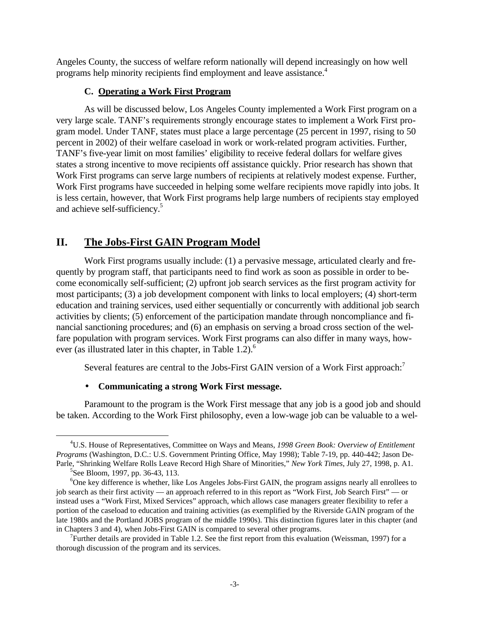Angeles County, the success of welfare reform nationally will depend increasingly on how well programs help minority recipients find employment and leave assistance.<sup>4</sup>

### **C. Operating a Work First Program**

As will be discussed below, Los Angeles County implemented a Work First program on a very large scale. TANF's requirements strongly encourage states to implement a Work First program model. Under TANF, states must place a large percentage (25 percent in 1997, rising to 50 percent in 2002) of their welfare caseload in work or work-related program activities. Further, TANF's five-year limit on most families' eligibility to receive federal dollars for welfare gives states a strong incentive to move recipients off assistance quickly. Prior research has shown that Work First programs can serve large numbers of recipients at relatively modest expense. Further, Work First programs have succeeded in helping some welfare recipients move rapidly into jobs. It is less certain, however, that Work First programs help large numbers of recipients stay employed and achieve self-sufficiency.<sup>5</sup>

# **II. The Jobs-First GAIN Program Model**

Work First programs usually include: (1) a pervasive message, articulated clearly and frequently by program staff, that participants need to find work as soon as possible in order to become economically self-sufficient; (2) upfront job search services as the first program activity for most participants; (3) a job development component with links to local employers; (4) short-term education and training services, used either sequentially or concurrently with additional job search activities by clients; (5) enforcement of the participation mandate through noncompliance and financial sanctioning procedures; and (6) an emphasis on serving a broad cross section of the welfare population with program services. Work First programs can also differ in many ways, however (as illustrated later in this chapter, in Table 1.2).<sup>6</sup>

Several features are central to the Jobs-First GAIN version of a Work First approach:<sup>7</sup>

### • **Communicating a strong Work First message.**

Paramount to the program is the Work First message that any job is a good job and should be taken. According to the Work First philosophy, even a low-wage job can be valuable to a wel-

 $\overline{a}$ 

<sup>4</sup>U.S. House of Representatives, Committee on Ways and Means, *1998 Green Book: Overview of Entitlement Programs* (Washington, D.C.: U.S. Government Printing Office, May 1998); Table 7-19, pp. 440-442; Jason De-Parle, "Shrinking Welfare Rolls Leave Record High Share of Minorities," *New York Times*, July 27, 1998, p. A1.

<sup>&</sup>lt;sup>5</sup>See Bloom, 1997, pp. 36-43, 113.

<sup>&</sup>lt;sup>6</sup>One key difference is whether, like Los Angeles Jobs-First GAIN, the program assigns nearly all enrollees to job search as their first activity — an approach referred to in this report as "Work First, Job Search First" — or instead uses a "Work First, Mixed Services" approach, which allows case managers greater flexibility to refer a portion of the caseload to education and training activities (as exemplified by the Riverside GAIN program of the late 1980s and the Portland JOBS program of the middle 1990s). This distinction figures later in this chapter (and in Chapters 3 and 4), when Jobs-First GAIN is compared to several other programs.

 $7$ Further details are provided in Table 1.2. See the first report from this evaluation (Weissman, 1997) for a thorough discussion of the program and its services.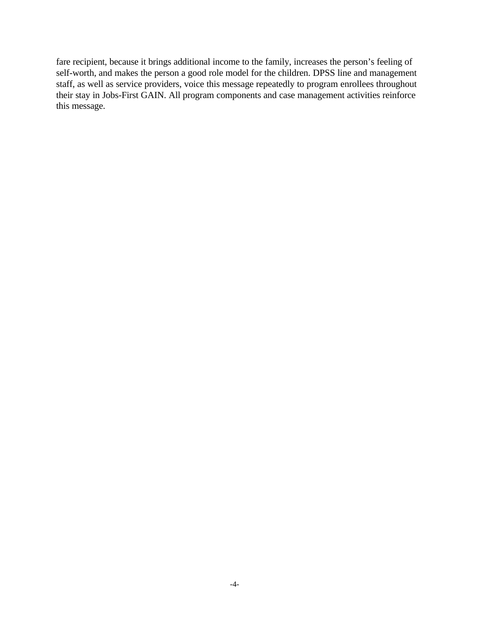fare recipient, because it brings additional income to the family, increases the person's feeling of self-worth, and makes the person a good role model for the children. DPSS line and management staff, as well as service providers, voice this message repeatedly to program enrollees throughout their stay in Jobs-First GAIN. All program components and case management activities reinforce this message.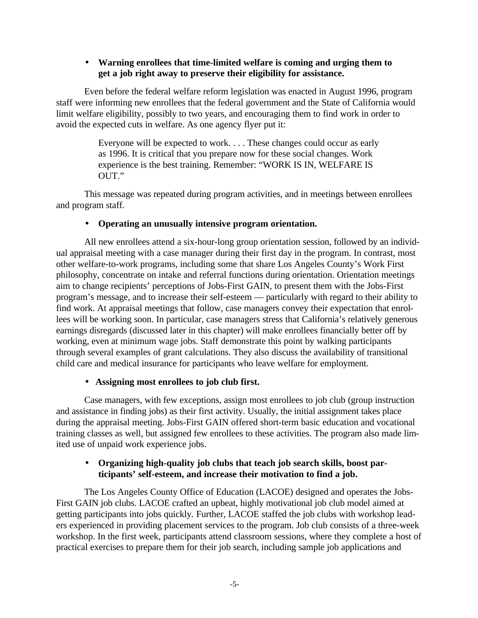### • **Warning enrollees that time-limited welfare is coming and urging them to get a job right away to preserve their eligibility for assistance.**

Even before the federal welfare reform legislation was enacted in August 1996, program staff were informing new enrollees that the federal government and the State of California would limit welfare eligibility, possibly to two years, and encouraging them to find work in order to avoid the expected cuts in welfare. As one agency flyer put it:

> Everyone will be expected to work. . . . These changes could occur as early as 1996. It is critical that you prepare now for these social changes. Work experience is the best training. Remember: "WORK IS IN, WELFARE IS OUT."

This message was repeated during program activities, and in meetings between enrollees and program staff.

### • **Operating an unusually intensive program orientation.**

All new enrollees attend a six-hour-long group orientation session, followed by an individual appraisal meeting with a case manager during their first day in the program. In contrast, most other welfare-to-work programs, including some that share Los Angeles County's Work First philosophy, concentrate on intake and referral functions during orientation. Orientation meetings aim to change recipients' perceptions of Jobs-First GAIN, to present them with the Jobs-First program's message, and to increase their self-esteem — particularly with regard to their ability to find work. At appraisal meetings that follow, case managers convey their expectation that enrollees will be working soon. In particular, case managers stress that California's relatively generous earnings disregards (discussed later in this chapter) will make enrollees financially better off by working, even at minimum wage jobs. Staff demonstrate this point by walking participants through several examples of grant calculations. They also discuss the availability of transitional child care and medical insurance for participants who leave welfare for employment.

### • **Assigning most enrollees to job club first.**

Case managers, with few exceptions, assign most enrollees to job club (group instruction and assistance in finding jobs) as their first activity. Usually, the initial assignment takes place during the appraisal meeting. Jobs-First GAIN offered short-term basic education and vocational training classes as well, but assigned few enrollees to these activities. The program also made limited use of unpaid work experience jobs.

### • **Organizing high-quality job clubs that teach job search skills, boost participants' self-esteem, and increase their motivation to find a job.**

The Los Angeles County Office of Education (LACOE) designed and operates the Jobs-First GAIN job clubs. LACOE crafted an upbeat, highly motivational job club model aimed at getting participants into jobs quickly*.* Further, LACOE staffed the job clubs with workshop leaders experienced in providing placement services to the program. Job club consists of a three-week workshop. In the first week, participants attend classroom sessions, where they complete a host of practical exercises to prepare them for their job search, including sample job applications and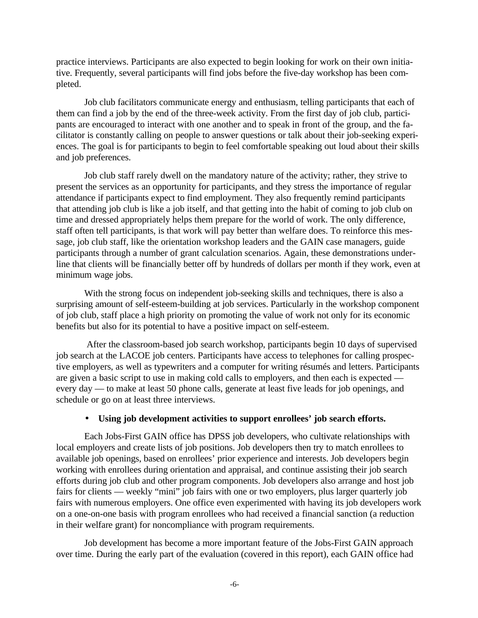practice interviews. Participants are also expected to begin looking for work on their own initiative. Frequently, several participants will find jobs before the five-day workshop has been completed.

Job club facilitators communicate energy and enthusiasm, telling participants that each of them can find a job by the end of the three-week activity. From the first day of job club, participants are encouraged to interact with one another and to speak in front of the group, and the facilitator is constantly calling on people to answer questions or talk about their job-seeking experiences. The goal is for participants to begin to feel comfortable speaking out loud about their skills and job preferences.

Job club staff rarely dwell on the mandatory nature of the activity; rather, they strive to present the services as an opportunity for participants, and they stress the importance of regular attendance if participants expect to find employment. They also frequently remind participants that attending job club is like a job itself, and that getting into the habit of coming to job club on time and dressed appropriately helps them prepare for the world of work. The only difference, staff often tell participants, is that work will pay better than welfare does. To reinforce this message, job club staff, like the orientation workshop leaders and the GAIN case managers, guide participants through a number of grant calculation scenarios. Again, these demonstrations underline that clients will be financially better off by hundreds of dollars per month if they work, even at minimum wage jobs.

With the strong focus on independent job-seeking skills and techniques, there is also a surprising amount of self-esteem-building at job services. Particularly in the workshop component of job club, staff place a high priority on promoting the value of work not only for its economic benefits but also for its potential to have a positive impact on self-esteem.

 After the classroom-based job search workshop, participants begin 10 days of supervised job search at the LACOE job centers. Participants have access to telephones for calling prospective employers, as well as typewriters and a computer for writing résumés and letters. Participants are given a basic script to use in making cold calls to employers, and then each is expected every day — to make at least 50 phone calls, generate at least five leads for job openings, and schedule or go on at least three interviews.

### • **Using job development activities to support enrollees' job search efforts.**

Each Jobs-First GAIN office has DPSS job developers, who cultivate relationships with local employers and create lists of job positions. Job developers then try to match enrollees to available job openings, based on enrollees' prior experience and interests. Job developers begin working with enrollees during orientation and appraisal, and continue assisting their job search efforts during job club and other program components. Job developers also arrange and host job fairs for clients — weekly "mini" job fairs with one or two employers, plus larger quarterly job fairs with numerous employers. One office even experimented with having its job developers work on a one-on-one basis with program enrollees who had received a financial sanction (a reduction in their welfare grant) for noncompliance with program requirements.

Job development has become a more important feature of the Jobs-First GAIN approach over time. During the early part of the evaluation (covered in this report), each GAIN office had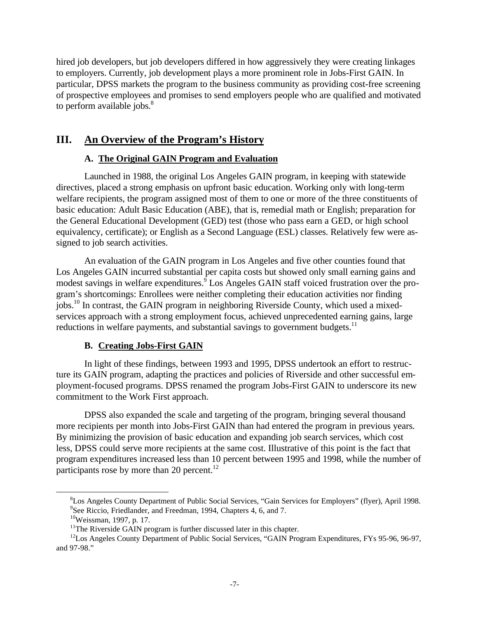hired job developers, but job developers differed in how aggressively they were creating linkages to employers. Currently, job development plays a more prominent role in Jobs-First GAIN. In particular, DPSS markets the program to the business community as providing cost-free screening of prospective employees and promises to send employers people who are qualified and motivated to perform available jobs. $8<sup>8</sup>$ 

# **III. An Overview of the Program's History**

## **A. The Original GAIN Program and Evaluation**

Launched in 1988, the original Los Angeles GAIN program, in keeping with statewide directives, placed a strong emphasis on upfront basic education. Working only with long-term welfare recipients, the program assigned most of them to one or more of the three constituents of basic education: Adult Basic Education (ABE), that is, remedial math or English; preparation for the General Educational Development (GED) test (those who pass earn a GED, or high school equivalency, certificate); or English as a Second Language (ESL) classes. Relatively few were assigned to job search activities.

An evaluation of the GAIN program in Los Angeles and five other counties found that Los Angeles GAIN incurred substantial per capita costs but showed only small earning gains and modest savings in welfare expenditures.<sup>9</sup> Los Angeles GAIN staff voiced frustration over the program's shortcomings: Enrollees were neither completing their education activities nor finding jobs.<sup>10</sup> In contrast, the GAIN program in neighboring Riverside County, which used a mixedservices approach with a strong employment focus, achieved unprecedented earning gains, large reductions in welfare payments, and substantial savings to government budgets.<sup>11</sup>

### **B. Creating Jobs-First GAIN**

In light of these findings, between 1993 and 1995, DPSS undertook an effort to restructure its GAIN program, adapting the practices and policies of Riverside and other successful employment-focused programs. DPSS renamed the program Jobs-First GAIN to underscore its new commitment to the Work First approach.

DPSS also expanded the scale and targeting of the program, bringing several thousand more recipients per month into Jobs-First GAIN than had entered the program in previous years. By minimizing the provision of basic education and expanding job search services, which cost less, DPSS could serve more recipients at the same cost. Illustrative of this point is the fact that program expenditures increased less than 10 percent between 1995 and 1998, while the number of participants rose by more than 20 percent.<sup>12</sup>

 $\overline{a}$ 

<sup>8</sup>Los Angeles County Department of Public Social Services, "Gain Services for Employers" (flyer), April 1998. <sup>9</sup>See Riccio, Friedlander, and Freedman, 1994, Chapters 4, 6, and 7.

<sup>10</sup>Weissman, 1997, p. 17.

 $11$ The Riverside GAIN program is further discussed later in this chapter.

<sup>&</sup>lt;sup>12</sup>Los Angeles County Department of Public Social Services, "GAIN Program Expenditures, FYs 95-96, 96-97, and 97-98."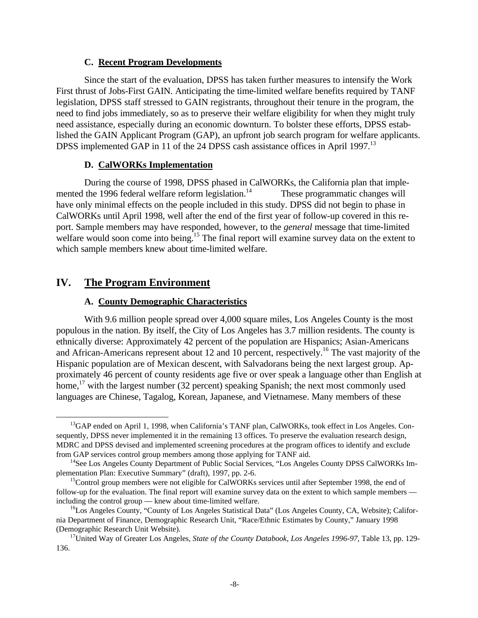#### **C. Recent Program Developments**

Since the start of the evaluation, DPSS has taken further measures to intensify the Work First thrust of Jobs-First GAIN. Anticipating the time-limited welfare benefits required by TANF legislation, DPSS staff stressed to GAIN registrants, throughout their tenure in the program, the need to find jobs immediately, so as to preserve their welfare eligibility for when they might truly need assistance, especially during an economic downturn. To bolster these efforts, DPSS established the GAIN Applicant Program (GAP), an upfront job search program for welfare applicants. DPSS implemented GAP in 11 of the 24 DPSS cash assistance offices in April 1997.<sup>13</sup>

### **D. CalWORKs Implementation**

During the course of 1998, DPSS phased in CalWORKs, the California plan that implemented the 1996 federal welfare reform legislation.<sup>14</sup> These programmatic changes will have only minimal effects on the people included in this study. DPSS did not begin to phase in CalWORKs until April 1998, well after the end of the first year of follow-up covered in this report. Sample members may have responded, however, to the *general* message that time-limited welfare would soon come into being.<sup>15</sup> The final report will examine survey data on the extent to which sample members knew about time-limited welfare.

### **IV. The Program Environment**

<u>.</u>

### **A. County Demographic Characteristics**

With 9.6 million people spread over 4,000 square miles, Los Angeles County is the most populous in the nation. By itself, the City of Los Angeles has 3.7 million residents. The county is ethnically diverse: Approximately 42 percent of the population are Hispanics; Asian-Americans and African-Americans represent about 12 and 10 percent, respectively.<sup>16</sup> The vast majority of the Hispanic population are of Mexican descent, with Salvadorans being the next largest group. Approximately 46 percent of county residents age five or over speak a language other than English at home.<sup>17</sup> with the largest number (32 percent) speaking Spanish; the next most commonly used languages are Chinese, Tagalog, Korean, Japanese, and Vietnamese. Many members of these

 $^{13}$ GAP ended on April 1, 1998, when California's TANF plan, CalWORKs, took effect in Los Angeles. Consequently, DPSS never implemented it in the remaining 13 offices. To preserve the evaluation research design, MDRC and DPSS devised and implemented screening procedures at the program offices to identify and exclude from GAP services control group members among those applying for TANF aid.

<sup>&</sup>lt;sup>14</sup>See Los Angeles County Department of Public Social Services, "Los Angeles County DPSS CalWORKs Implementation Plan: Executive Summary" (draft), 1997, pp. 2-6.

<sup>&</sup>lt;sup>15</sup>Control group members were not eligible for CalWORKs services until after September 1998, the end of follow-up for the evaluation. The final report will examine survey data on the extent to which sample members including the control group — knew about time-limited welfare.

<sup>&</sup>lt;sup>16</sup>Los Angeles County, "County of Los Angeles Statistical Data" (Los Angeles County, CA, Website); California Department of Finance, Demographic Research Unit, "Race/Ethnic Estimates by County," January 1998 (Demographic Research Unit Website).

<sup>17</sup>United Way of Greater Los Angeles, *State of the County Databook, Los Angeles 1996-97,* Table 13, pp. 129- 136.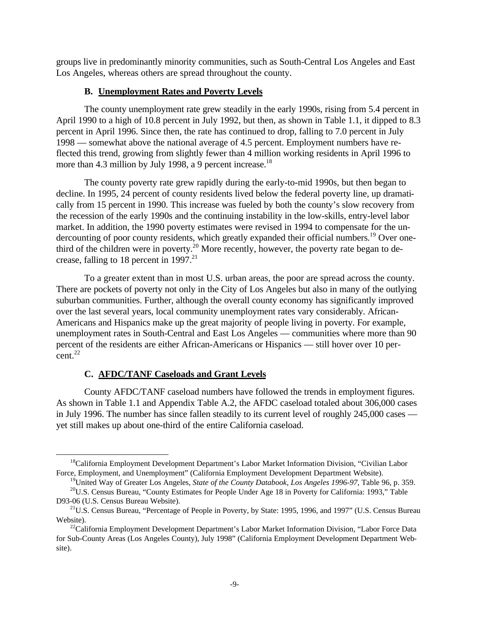groups live in predominantly minority communities, such as South-Central Los Angeles and East Los Angeles, whereas others are spread throughout the county.

### **B. Unemployment Rates and Poverty Levels**

The county unemployment rate grew steadily in the early 1990s, rising from 5.4 percent in April 1990 to a high of 10.8 percent in July 1992, but then, as shown in Table 1.1, it dipped to 8.3 percent in April 1996. Since then, the rate has continued to drop, falling to 7.0 percent in July 1998 — somewhat above the national average of 4.5 percent. Employment numbers have reflected this trend, growing from slightly fewer than 4 million working residents in April 1996 to more than 4.3 million by July 1998, a 9 percent increase.<sup>18</sup>

The county poverty rate grew rapidly during the early-to-mid 1990s, but then began to decline. In 1995, 24 percent of county residents lived below the federal poverty line, up dramatically from 15 percent in 1990. This increase was fueled by both the county's slow recovery from the recession of the early 1990s and the continuing instability in the low-skills, entry-level labor market. In addition, the 1990 poverty estimates were revised in 1994 to compensate for the undercounting of poor county residents, which greatly expanded their official numbers.<sup>19</sup> Over onethird of the children were in poverty.<sup>20</sup> More recently, however, the poverty rate began to decrease, falling to 18 percent in 1997.<sup>21</sup>

To a greater extent than in most U.S. urban areas, the poor are spread across the county. There are pockets of poverty not only in the City of Los Angeles but also in many of the outlying suburban communities. Further, although the overall county economy has significantly improved over the last several years, local community unemployment rates vary considerably. African-Americans and Hispanics make up the great majority of people living in poverty. For example, unemployment rates in South-Central and East Los Angeles — communities where more than 90 percent of the residents are either African-Americans or Hispanics — still hover over 10 percent. $^{22}$ 

### **C. AFDC/TANF Caseloads and Grant Levels**

 $\overline{a}$ 

County AFDC/TANF caseload numbers have followed the trends in employment figures. As shown in Table 1.1 and Appendix Table A.2, the AFDC caseload totaled about 306,000 cases in July 1996. The number has since fallen steadily to its current level of roughly 245,000 cases yet still makes up about one-third of the entire California caseload.

<sup>&</sup>lt;sup>18</sup>California Employment Development Department's Labor Market Information Division, "Civilian Labor Force, Employment, and Unemployment" (California Employment Development Department Website).

<sup>19</sup>United Way of Greater Los Angeles, *State of the County Databook, Los Angeles 1996-97*, Table 96, p. 359.

<sup>&</sup>lt;sup>20</sup>U.S. Census Bureau, "County Estimates for People Under Age 18 in Poverty for California: 1993," Table D93-06 (U.S. Census Bureau Website).

 $^{21}$ U.S. Census Bureau, "Percentage of People in Poverty, by State: 1995, 1996, and 1997" (U.S. Census Bureau Website).

<sup>&</sup>lt;sup>22</sup>California Employment Development Department's Labor Market Information Division, "Labor Force Data for Sub-County Areas (Los Angeles County), July 1998" (California Employment Development Department Website).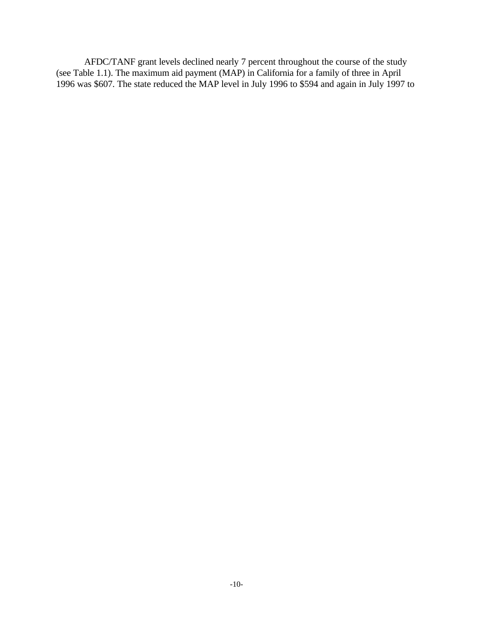AFDC/TANF grant levels declined nearly 7 percent throughout the course of the study (see Table 1.1). The maximum aid payment (MAP) in California for a family of three in April 1996 was \$607. The state reduced the MAP level in July 1996 to \$594 and again in July 1997 to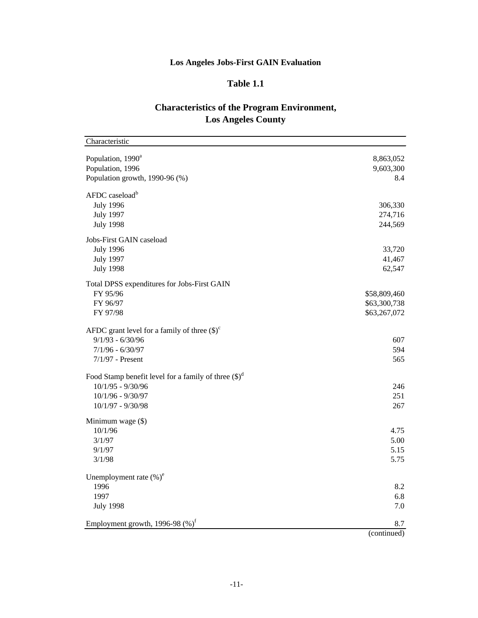# **Los Angeles Jobs-First GAIN Evaluation**

# **Table 1.1**

## **Characteristics of the Program Environment, Los Angeles County**

| Characteristic                                                 |              |
|----------------------------------------------------------------|--------------|
| Population, 1990 <sup>a</sup>                                  | 8,863,052    |
| Population, 1996                                               | 9,603,300    |
| Population growth, 1990-96 (%)                                 | 8.4          |
| AFDC caseload <sup>b</sup>                                     |              |
| <b>July 1996</b>                                               | 306,330      |
| <b>July 1997</b>                                               | 274,716      |
| <b>July 1998</b>                                               | 244,569      |
| Jobs-First GAIN caseload                                       |              |
| <b>July 1996</b>                                               | 33,720       |
| <b>July 1997</b>                                               | 41,467       |
| <b>July 1998</b>                                               | 62,547       |
| Total DPSS expenditures for Jobs-First GAIN                    |              |
| FY 95/96                                                       | \$58,809,460 |
| FY 96/97                                                       | \$63,300,738 |
| FY 97/98                                                       | \$63,267,072 |
| AFDC grant level for a family of three $(\text{\$})^c$         |              |
| $9/1/93 - 6/30/96$                                             | 607          |
| $7/1/96 - 6/30/97$                                             | 594          |
| $7/1/97$ - Present                                             | 565          |
| Food Stamp benefit level for a family of three $(\text{\$})^d$ |              |
| $10/1/95 - 9/30/96$                                            | 246          |
| 10/1/96 - 9/30/97                                              | 251          |
| $10/1/97 - 9/30/98$                                            | 267          |
| Minimum wage (\$)                                              |              |
| 10/1/96                                                        | 4.75         |
| 3/1/97                                                         | 5.00         |
| 9/1/97                                                         | 5.15         |
| 3/1/98                                                         | 5.75         |
| Unemployment rate $(\%)^e$                                     |              |
| 1996                                                           | 8.2          |
| 1997                                                           | 6.8          |
| <b>July 1998</b>                                               | 7.0          |
| Employment growth, 1996-98 $(\%)^f$                            | 8.7          |
|                                                                | (continued)  |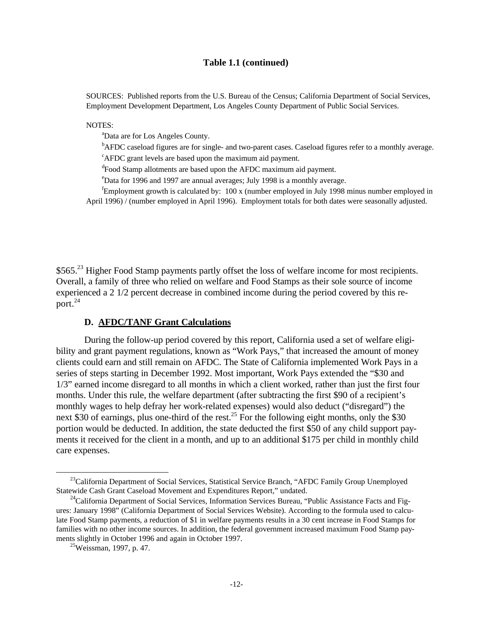#### **Table 1.1 (continued)**

SOURCES: Published reports from the U.S. Bureau of the Census; California Department of Social Services, Employment Development Department, Los Angeles County Department of Public Social Services.

NOTES:

<sup>a</sup>Data are for Los Angeles County.

<sup>b</sup>AFDC caseload figures are for single- and two-parent cases. Caseload figures refer to a monthly average.  ${}^{\text{c}}$ AFDC grant levels are based upon the maximum aid payment.

<sup>d</sup>Food Stamp allotments are based upon the AFDC maximum aid payment.

<sup>e</sup>Data for 1996 and 1997 are annual averages; July 1998 is a monthly average.

<sup>f</sup>Employment growth is calculated by: 100 x (number employed in July 1998 minus number employed in April 1996) / (number employed in April 1996). Employment totals for both dates were seasonally adjusted.

\$565.<sup>23</sup> Higher Food Stamp payments partly offset the loss of welfare income for most recipients. Overall, a family of three who relied on welfare and Food Stamps as their sole source of income experienced a 2 1/2 percent decrease in combined income during the period covered by this report.<sup>24</sup>

### **D. AFDC/TANF Grant Calculations**

During the follow-up period covered by this report, California used a set of welfare eligibility and grant payment regulations, known as "Work Pays," that increased the amount of money clients could earn and still remain on AFDC. The State of California implemented Work Pays in a series of steps starting in December 1992. Most important, Work Pays extended the "\$30 and 1/3" earned income disregard to all months in which a client worked, rather than just the first four months. Under this rule, the welfare department (after subtracting the first \$90 of a recipient's monthly wages to help defray her work-related expenses) would also deduct ("disregard") the next \$30 of earnings, plus one-third of the rest.<sup>25</sup> For the following eight months, only the \$30 portion would be deducted. In addition, the state deducted the first \$50 of any child support payments it received for the client in a month, and up to an additional \$175 per child in monthly child care expenses.

 $\overline{a}$ 

<sup>&</sup>lt;sup>23</sup>California Department of Social Services, Statistical Service Branch, "AFDC Family Group Unemployed Statewide Cash Grant Caseload Movement and Expenditures Report," undated.

 $^{24}$ California Department of Social Services, Information Services Bureau, "Public Assistance Facts and Figures: January 1998" (California Department of Social Services Website). According to the formula used to calculate Food Stamp payments, a reduction of \$1 in welfare payments results in a 30 cent increase in Food Stamps for families with no other income sources. In addition, the federal government increased maximum Food Stamp payments slightly in October 1996 and again in October 1997.

<sup>&</sup>lt;sup>25</sup>Weissman, 1997, p. 47.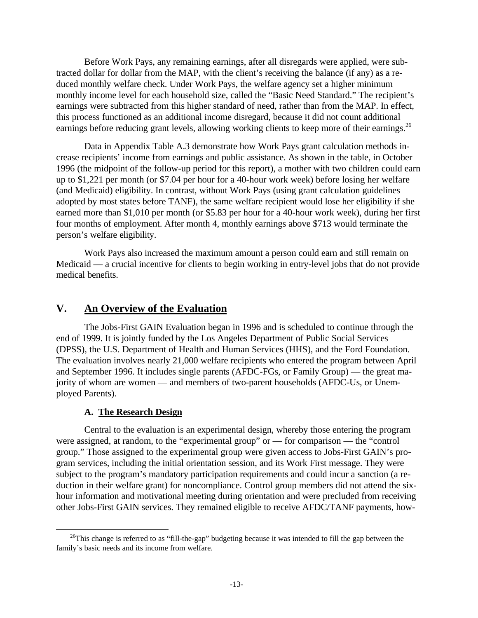Before Work Pays, any remaining earnings, after all disregards were applied, were subtracted dollar for dollar from the MAP, with the client's receiving the balance (if any) as a reduced monthly welfare check. Under Work Pays, the welfare agency set a higher minimum monthly income level for each household size, called the "Basic Need Standard." The recipient's earnings were subtracted from this higher standard of need, rather than from the MAP. In effect, this process functioned as an additional income disregard, because it did not count additional earnings before reducing grant levels, allowing working clients to keep more of their earnings.<sup>26</sup>

Data in Appendix Table A.3 demonstrate how Work Pays grant calculation methods increase recipients' income from earnings and public assistance. As shown in the table, in October 1996 (the midpoint of the follow-up period for this report), a mother with two children could earn up to \$1,221 per month (or \$7.04 per hour for a 40-hour work week) before losing her welfare (and Medicaid) eligibility. In contrast, without Work Pays (using grant calculation guidelines adopted by most states before TANF), the same welfare recipient would lose her eligibility if she earned more than \$1,010 per month (or \$5.83 per hour for a 40-hour work week), during her first four months of employment. After month 4, monthly earnings above \$713 would terminate the person's welfare eligibility.

Work Pays also increased the maximum amount a person could earn and still remain on Medicaid — a crucial incentive for clients to begin working in entry-level jobs that do not provide medical benefits.

# **V. An Overview of the Evaluation**

The Jobs-First GAIN Evaluation began in 1996 and is scheduled to continue through the end of 1999. It is jointly funded by the Los Angeles Department of Public Social Services (DPSS), the U.S. Department of Health and Human Services (HHS), and the Ford Foundation. The evaluation involves nearly 21,000 welfare recipients who entered the program between April and September 1996. It includes single parents (AFDC-FGs, or Family Group) — the great majority of whom are women — and members of two-parent households (AFDC-Us, or Unemployed Parents).

### **A. The Research Design**

 $\overline{a}$ 

Central to the evaluation is an experimental design, whereby those entering the program were assigned, at random, to the "experimental group" or — for comparison — the "control group." Those assigned to the experimental group were given access to Jobs-First GAIN's program services, including the initial orientation session, and its Work First message. They were subject to the program's mandatory participation requirements and could incur a sanction (a reduction in their welfare grant) for noncompliance. Control group members did not attend the sixhour information and motivational meeting during orientation and were precluded from receiving other Jobs-First GAIN services. They remained eligible to receive AFDC/TANF payments, how-

<sup>&</sup>lt;sup>26</sup>This change is referred to as "fill-the-gap" budgeting because it was intended to fill the gap between the family's basic needs and its income from welfare.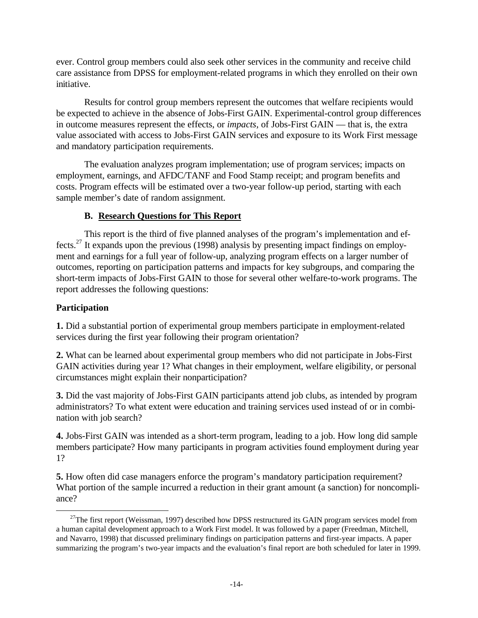ever. Control group members could also seek other services in the community and receive child care assistance from DPSS for employment-related programs in which they enrolled on their own initiative.

Results for control group members represent the outcomes that welfare recipients would be expected to achieve in the absence of Jobs-First GAIN. Experimental-control group differences in outcome measures represent the effects, or *impacts,* of Jobs-First GAIN — that is, the extra value associated with access to Jobs-First GAIN services and exposure to its Work First message and mandatory participation requirements.

The evaluation analyzes program implementation; use of program services; impacts on employment, earnings, and AFDC/TANF and Food Stamp receipt; and program benefits and costs. Program effects will be estimated over a two-year follow-up period, starting with each sample member's date of random assignment.

## **B. Research Questions for This Report**

This report is the third of five planned analyses of the program's implementation and effects.<sup>27</sup> It expands upon the previous (1998) analysis by presenting impact findings on employment and earnings for a full year of follow-up, analyzing program effects on a larger number of outcomes, reporting on participation patterns and impacts for key subgroups, and comparing the short-term impacts of Jobs-First GAIN to those for several other welfare-to-work programs. The report addresses the following questions:

## **Participation**

<u>.</u>

**1.** Did a substantial portion of experimental group members participate in employment-related services during the first year following their program orientation?

**2.** What can be learned about experimental group members who did not participate in Jobs-First GAIN activities during year 1? What changes in their employment, welfare eligibility, or personal circumstances might explain their nonparticipation?

**3.** Did the vast majority of Jobs-First GAIN participants attend job clubs, as intended by program administrators? To what extent were education and training services used instead of or in combination with job search?

**4.** Jobs-First GAIN was intended as a short-term program, leading to a job. How long did sample members participate? How many participants in program activities found employment during year 1?

**5.** How often did case managers enforce the program's mandatory participation requirement? What portion of the sample incurred a reduction in their grant amount (a sanction) for noncompliance?

 $^{27}$ The first report (Weissman, 1997) described how DPSS restructured its GAIN program services model from a human capital development approach to a Work First model. It was followed by a paper (Freedman, Mitchell, and Navarro, 1998) that discussed preliminary findings on participation patterns and first-year impacts. A paper summarizing the program's two-year impacts and the evaluation's final report are both scheduled for later in 1999.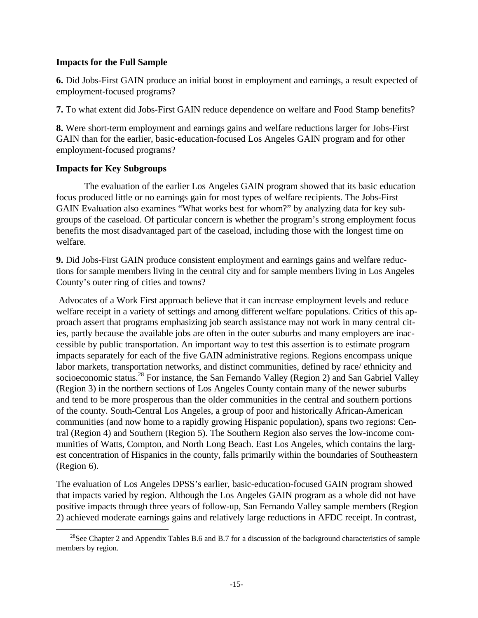### **Impacts for the Full Sample**

**6.** Did Jobs-First GAIN produce an initial boost in employment and earnings, a result expected of employment-focused programs?

**7.** To what extent did Jobs-First GAIN reduce dependence on welfare and Food Stamp benefits?

**8.** Were short-term employment and earnings gains and welfare reductions larger for Jobs-First GAIN than for the earlier, basic-education-focused Los Angeles GAIN program and for other employment-focused programs?

### **Impacts for Key Subgroups**

<u>.</u>

The evaluation of the earlier Los Angeles GAIN program showed that its basic education focus produced little or no earnings gain for most types of welfare recipients. The Jobs-First GAIN Evaluation also examines "What works best for whom?" by analyzing data for key subgroups of the caseload. Of particular concern is whether the program's strong employment focus benefits the most disadvantaged part of the caseload, including those with the longest time on welfare.

**9.** Did Jobs-First GAIN produce consistent employment and earnings gains and welfare reductions for sample members living in the central city and for sample members living in Los Angeles County's outer ring of cities and towns?

 Advocates of a Work First approach believe that it can increase employment levels and reduce welfare receipt in a variety of settings and among different welfare populations. Critics of this approach assert that programs emphasizing job search assistance may not work in many central cities, partly because the available jobs are often in the outer suburbs and many employers are inaccessible by public transportation. An important way to test this assertion is to estimate program impacts separately for each of the five GAIN administrative regions. Regions encompass unique labor markets, transportation networks, and distinct communities, defined by race/ ethnicity and socioeconomic status.<sup>28</sup> For instance, the San Fernando Valley (Region 2) and San Gabriel Valley (Region 3) in the northern sections of Los Angeles County contain many of the newer suburbs and tend to be more prosperous than the older communities in the central and southern portions of the county. South-Central Los Angeles, a group of poor and historically African-American communities (and now home to a rapidly growing Hispanic population), spans two regions: Central (Region 4) and Southern (Region 5). The Southern Region also serves the low-income communities of Watts, Compton, and North Long Beach. East Los Angeles, which contains the largest concentration of Hispanics in the county, falls primarily within the boundaries of Southeastern (Region 6).

The evaluation of Los Angeles DPSS's earlier, basic-education-focused GAIN program showed that impacts varied by region. Although the Los Angeles GAIN program as a whole did not have positive impacts through three years of follow-up, San Fernando Valley sample members (Region 2) achieved moderate earnings gains and relatively large reductions in AFDC receipt. In contrast,

<sup>&</sup>lt;sup>28</sup>See Chapter 2 and Appendix Tables B.6 and B.7 for a discussion of the background characteristics of sample members by region.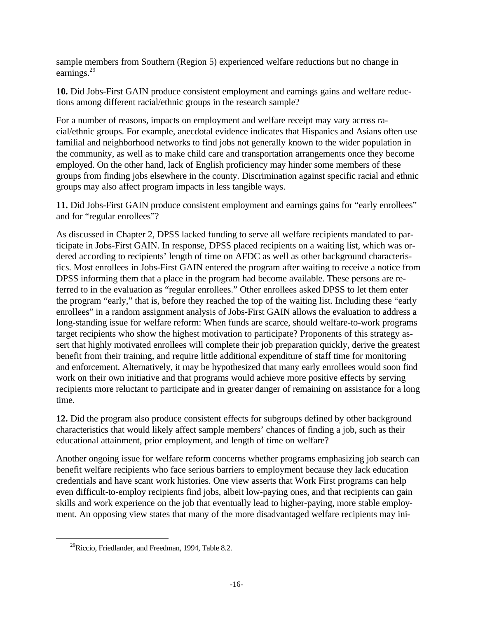sample members from Southern (Region 5) experienced welfare reductions but no change in earnings.<sup>29</sup>

**10.** Did Jobs-First GAIN produce consistent employment and earnings gains and welfare reductions among different racial/ethnic groups in the research sample?

For a number of reasons, impacts on employment and welfare receipt may vary across racial/ethnic groups. For example, anecdotal evidence indicates that Hispanics and Asians often use familial and neighborhood networks to find jobs not generally known to the wider population in the community, as well as to make child care and transportation arrangements once they become employed. On the other hand, lack of English proficiency may hinder some members of these groups from finding jobs elsewhere in the county. Discrimination against specific racial and ethnic groups may also affect program impacts in less tangible ways.

**11.** Did Jobs-First GAIN produce consistent employment and earnings gains for "early enrollees" and for "regular enrollees"?

As discussed in Chapter 2, DPSS lacked funding to serve all welfare recipients mandated to participate in Jobs-First GAIN. In response, DPSS placed recipients on a waiting list, which was ordered according to recipients' length of time on AFDC as well as other background characteristics. Most enrollees in Jobs-First GAIN entered the program after waiting to receive a notice from DPSS informing them that a place in the program had become available. These persons are referred to in the evaluation as "regular enrollees." Other enrollees asked DPSS to let them enter the program "early," that is, before they reached the top of the waiting list. Including these "early enrollees" in a random assignment analysis of Jobs-First GAIN allows the evaluation to address a long-standing issue for welfare reform: When funds are scarce, should welfare-to-work programs target recipients who show the highest motivation to participate? Proponents of this strategy assert that highly motivated enrollees will complete their job preparation quickly, derive the greatest benefit from their training, and require little additional expenditure of staff time for monitoring and enforcement. Alternatively, it may be hypothesized that many early enrollees would soon find work on their own initiative and that programs would achieve more positive effects by serving recipients more reluctant to participate and in greater danger of remaining on assistance for a long time.

**12.** Did the program also produce consistent effects for subgroups defined by other background characteristics that would likely affect sample members' chances of finding a job, such as their educational attainment, prior employment, and length of time on welfare?

Another ongoing issue for welfare reform concerns whether programs emphasizing job search can benefit welfare recipients who face serious barriers to employment because they lack education credentials and have scant work histories. One view asserts that Work First programs can help even difficult-to-employ recipients find jobs, albeit low-paying ones, and that recipients can gain skills and work experience on the job that eventually lead to higher-paying, more stable employment. An opposing view states that many of the more disadvantaged welfare recipients may ini-

<u>.</u>

 $^{29}$ Riccio, Friedlander, and Freedman, 1994, Table 8.2.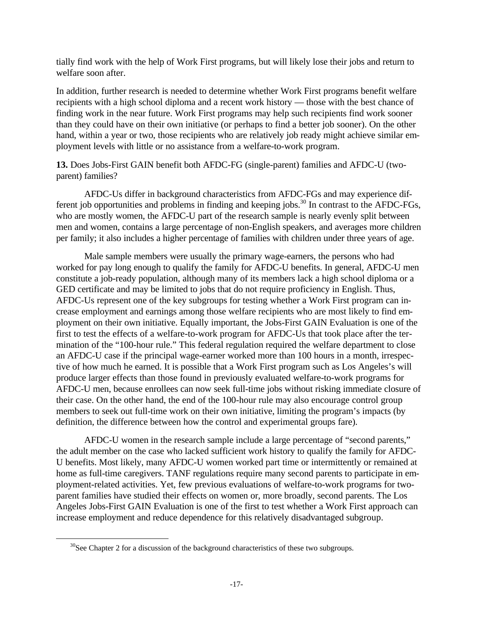tially find work with the help of Work First programs, but will likely lose their jobs and return to welfare soon after.

In addition, further research is needed to determine whether Work First programs benefit welfare recipients with a high school diploma and a recent work history — those with the best chance of finding work in the near future. Work First programs may help such recipients find work sooner than they could have on their own initiative (or perhaps to find a better job sooner). On the other hand, within a year or two, those recipients who are relatively job ready might achieve similar employment levels with little or no assistance from a welfare-to-work program.

**13.** Does Jobs-First GAIN benefit both AFDC-FG (single-parent) families and AFDC-U (twoparent) families?

AFDC-Us differ in background characteristics from AFDC-FGs and may experience different job opportunities and problems in finding and keeping jobs.<sup>30</sup> In contrast to the AFDC-FGs, who are mostly women, the AFDC-U part of the research sample is nearly evenly split between men and women, contains a large percentage of non-English speakers, and averages more children per family; it also includes a higher percentage of families with children under three years of age.

Male sample members were usually the primary wage-earners, the persons who had worked for pay long enough to qualify the family for AFDC-U benefits. In general, AFDC-U men constitute a job-ready population, although many of its members lack a high school diploma or a GED certificate and may be limited to jobs that do not require proficiency in English. Thus, AFDC-Us represent one of the key subgroups for testing whether a Work First program can increase employment and earnings among those welfare recipients who are most likely to find employment on their own initiative. Equally important, the Jobs-First GAIN Evaluation is one of the first to test the effects of a welfare-to-work program for AFDC-Us that took place after the termination of the "100-hour rule." This federal regulation required the welfare department to close an AFDC-U case if the principal wage-earner worked more than 100 hours in a month, irrespective of how much he earned. It is possible that a Work First program such as Los Angeles's will produce larger effects than those found in previously evaluated welfare-to-work programs for AFDC-U men, because enrollees can now seek full-time jobs without risking immediate closure of their case. On the other hand, the end of the 100-hour rule may also encourage control group members to seek out full-time work on their own initiative, limiting the program's impacts (by definition, the difference between how the control and experimental groups fare).

AFDC-U women in the research sample include a large percentage of "second parents," the adult member on the case who lacked sufficient work history to qualify the family for AFDC-U benefits. Most likely, many AFDC-U women worked part time or intermittently or remained at home as full-time caregivers. TANF regulations require many second parents to participate in employment-related activities. Yet, few previous evaluations of welfare-to-work programs for twoparent families have studied their effects on women or, more broadly, second parents. The Los Angeles Jobs-First GAIN Evaluation is one of the first to test whether a Work First approach can increase employment and reduce dependence for this relatively disadvantaged subgroup.

<u>.</u>

 $30$ See Chapter 2 for a discussion of the background characteristics of these two subgroups.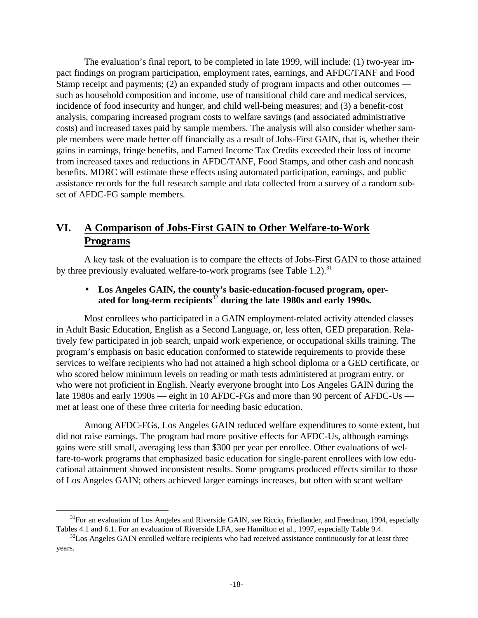The evaluation's final report, to be completed in late 1999, will include: (1) two-year impact findings on program participation, employment rates, earnings, and AFDC/TANF and Food Stamp receipt and payments; (2) an expanded study of program impacts and other outcomes such as household composition and income, use of transitional child care and medical services, incidence of food insecurity and hunger, and child well-being measures; and (3) a benefit-cost analysis, comparing increased program costs to welfare savings (and associated administrative costs) and increased taxes paid by sample members. The analysis will also consider whether sample members were made better off financially as a result of Jobs-First GAIN, that is, whether their gains in earnings, fringe benefits, and Earned Income Tax Credits exceeded their loss of income from increased taxes and reductions in AFDC/TANF, Food Stamps, and other cash and noncash benefits. MDRC will estimate these effects using automated participation, earnings, and public assistance records for the full research sample and data collected from a survey of a random subset of AFDC-FG sample members.

# **VI. A Comparison of Jobs-First GAIN to Other Welfare-to-Work Programs**

A key task of the evaluation is to compare the effects of Jobs-First GAIN to those attained by three previously evaluated welfare-to-work programs (see Table 1.2).<sup>31</sup>

## • **Los Angeles GAIN, the county's basic-education-focused program, operated for long-term recipients**<sup>32</sup> **during the late 1980s and early 1990s.**

Most enrollees who participated in a GAIN employment-related activity attended classes in Adult Basic Education, English as a Second Language, or, less often, GED preparation. Relatively few participated in job search, unpaid work experience, or occupational skills training. The program's emphasis on basic education conformed to statewide requirements to provide these services to welfare recipients who had not attained a high school diploma or a GED certificate, or who scored below minimum levels on reading or math tests administered at program entry, or who were not proficient in English. Nearly everyone brought into Los Angeles GAIN during the late 1980s and early 1990s — eight in 10 AFDC-FGs and more than 90 percent of AFDC-Us met at least one of these three criteria for needing basic education.

Among AFDC-FGs, Los Angeles GAIN reduced welfare expenditures to some extent, but did not raise earnings. The program had more positive effects for AFDC-Us, although earnings gains were still small, averaging less than \$300 per year per enrollee. Other evaluations of welfare-to-work programs that emphasized basic education for single-parent enrollees with low educational attainment showed inconsistent results. Some programs produced effects similar to those of Los Angeles GAIN; others achieved larger earnings increases, but often with scant welfare

 $\overline{a}$ 

<sup>&</sup>lt;sup>31</sup>For an evaluation of Los Angeles and Riverside GAIN, see Riccio, Friedlander, and Freedman, 1994, especially Tables 4.1 and 6.1. For an evaluation of Riverside LFA, see Hamilton et al., 1997, especially Table 9.4.

 $32$ Los Angeles GAIN enrolled welfare recipients who had received assistance continuously for at least three years.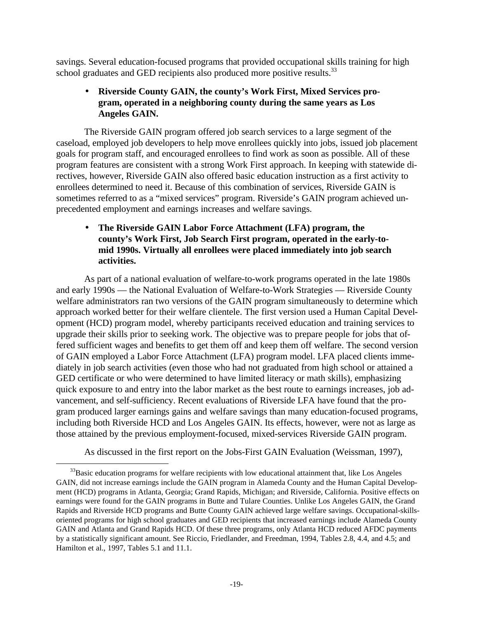savings. Several education-focused programs that provided occupational skills training for high school graduates and GED recipients also produced more positive results.<sup>33</sup>

## • **Riverside County GAIN, the county's Work First, Mixed Services program, operated in a neighboring county during the same years as Los Angeles GAIN.**

The Riverside GAIN program offered job search services to a large segment of the caseload, employed job developers to help move enrollees quickly into jobs, issued job placement goals for program staff, and encouraged enrollees to find work as soon as possible. All of these program features are consistent with a strong Work First approach. In keeping with statewide directives, however, Riverside GAIN also offered basic education instruction as a first activity to enrollees determined to need it. Because of this combination of services, Riverside GAIN is sometimes referred to as a "mixed services" program. Riverside's GAIN program achieved unprecedented employment and earnings increases and welfare savings.

## • **The Riverside GAIN Labor Force Attachment (LFA) program, the county's Work First, Job Search First program, operated in the early-tomid 1990s. Virtually all enrollees were placed immediately into job search activities.**

As part of a national evaluation of welfare-to-work programs operated in the late 1980s and early 1990s — the National Evaluation of Welfare-to-Work Strategies — Riverside County welfare administrators ran two versions of the GAIN program simultaneously to determine which approach worked better for their welfare clientele. The first version used a Human Capital Development (HCD) program model, whereby participants received education and training services to upgrade their skills prior to seeking work. The objective was to prepare people for jobs that offered sufficient wages and benefits to get them off and keep them off welfare. The second version of GAIN employed a Labor Force Attachment (LFA) program model. LFA placed clients immediately in job search activities (even those who had not graduated from high school or attained a GED certificate or who were determined to have limited literacy or math skills), emphasizing quick exposure to and entry into the labor market as the best route to earnings increases, job advancement, and self-sufficiency. Recent evaluations of Riverside LFA have found that the program produced larger earnings gains and welfare savings than many education-focused programs, including both Riverside HCD and Los Angeles GAIN. Its effects, however, were not as large as those attained by the previous employment-focused, mixed-services Riverside GAIN program.

As discussed in the first report on the Jobs-First GAIN Evaluation (Weissman, 1997),

 $\overline{a}$ 

 $33$ Basic education programs for welfare recipients with low educational attainment that, like Los Angeles GAIN, did not increase earnings include the GAIN program in Alameda County and the Human Capital Development (HCD) programs in Atlanta, Georgia; Grand Rapids, Michigan; and Riverside, California. Positive effects on earnings were found for the GAIN programs in Butte and Tulare Counties. Unlike Los Angeles GAIN, the Grand Rapids and Riverside HCD programs and Butte County GAIN achieved large welfare savings. Occupational-skillsoriented programs for high school graduates and GED recipients that increased earnings include Alameda County GAIN and Atlanta and Grand Rapids HCD. Of these three programs, only Atlanta HCD reduced AFDC payments by a statistically significant amount. See Riccio, Friedlander, and Freedman, 1994, Tables 2.8, 4.4, and 4.5; and Hamilton et al., 1997, Tables 5.1 and 11.1.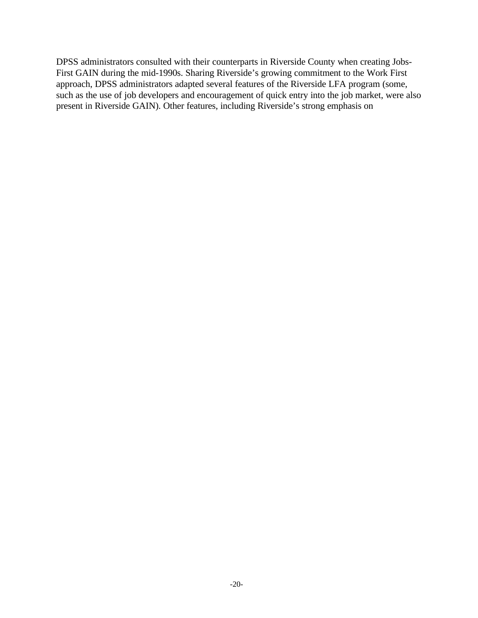DPSS administrators consulted with their counterparts in Riverside County when creating Jobs-First GAIN during the mid-1990s. Sharing Riverside's growing commitment to the Work First approach, DPSS administrators adapted several features of the Riverside LFA program (some, such as the use of job developers and encouragement of quick entry into the job market, were also present in Riverside GAIN). Other features, including Riverside's strong emphasis on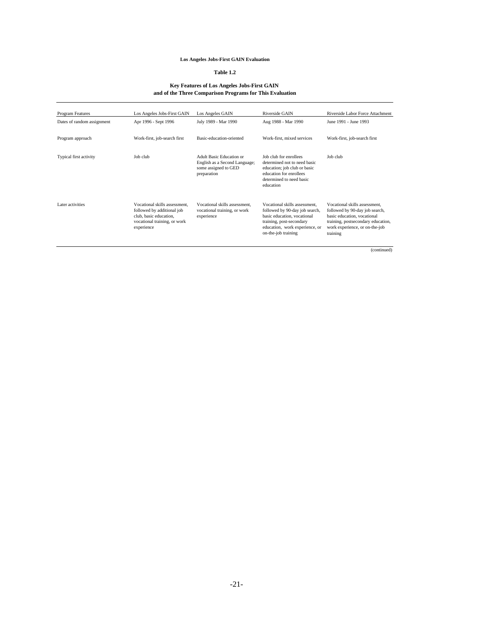#### **Los Angeles Jobs-First GAIN Evaluation**

#### **Table 1.2**

#### **Key Features of Los Angeles Jobs-First GAIN and of the Three Comparison Programs for This Evaluation**

| <b>Program Features</b>    | Los Angeles Jobs-First GAIN                                                                                                         | Los Angeles GAIN                                                                                 | Riverside GAIN                                                                                                                                                                      | Riverside Labor Force Attachment                                                                                                                                                   |
|----------------------------|-------------------------------------------------------------------------------------------------------------------------------------|--------------------------------------------------------------------------------------------------|-------------------------------------------------------------------------------------------------------------------------------------------------------------------------------------|------------------------------------------------------------------------------------------------------------------------------------------------------------------------------------|
| Dates of random assignment | Apr 1996 - Sept 1996                                                                                                                | July 1989 - Mar 1990                                                                             | Aug 1988 - Mar 1990                                                                                                                                                                 | June 1991 - June 1993                                                                                                                                                              |
| Program approach           | Work-first, job-search first                                                                                                        | Basic-education-oriented                                                                         | Work-first, mixed services                                                                                                                                                          | Work-first, job-search first                                                                                                                                                       |
| Typical first activity     | Job club                                                                                                                            | Adult Basic Education or<br>English as a Second Language;<br>some assigned to GED<br>preparation | Job club for enrollees<br>determined not to need basic<br>education; job club or basic<br>education for enrollees<br>determined to need basic<br>education                          | Job club                                                                                                                                                                           |
| Later activities           | Vocational skills assessment.<br>followed by additional job<br>club, basic education,<br>vocational training, or work<br>experience | Vocational skills assessment.<br>vocational training, or work<br>experience                      | Vocational skills assessment.<br>followed by 90-day job search,<br>basic education, vocational<br>training, post-secondary<br>education, work experience, or<br>on-the-job training | Vocational skills assessment.<br>followed by 90-day job search,<br>basic education, vocational<br>training, postsecondary education,<br>work experience, or on-the-job<br>training |

(continued)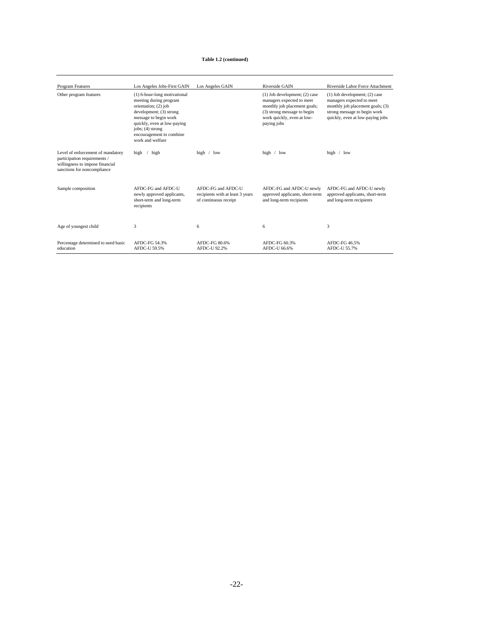#### **Table 1.2 (continued)**

| Program Features                                                                                                                    | Los Angeles Jobs-First GAIN                                                                                                                                                                                                              | Los Angeles GAIN                                                                | Riverside GAIN                                                                                                                                                             | Riverside Labor Force Attachment                                                                                                                                       |
|-------------------------------------------------------------------------------------------------------------------------------------|------------------------------------------------------------------------------------------------------------------------------------------------------------------------------------------------------------------------------------------|---------------------------------------------------------------------------------|----------------------------------------------------------------------------------------------------------------------------------------------------------------------------|------------------------------------------------------------------------------------------------------------------------------------------------------------------------|
| Other program features                                                                                                              | (1) 6-hour-long motivational<br>meeting during program<br>orientation; (2) job<br>development; (3) strong<br>message to begin work<br>quickly, even at low-paying<br>$iobs$ ; (4) strong<br>encouragement to combine<br>work and welfare |                                                                                 | $(1)$ Job development; $(2)$ case<br>managers expected to meet<br>monthly job placement goals;<br>(3) strong message to begin<br>work quickly, even at low-<br>paying jobs | $(1)$ Job development; $(2)$ case<br>managers expected to meet<br>monthly job placement goals; (3)<br>strong message to begin work<br>quickly, even at low-paying jobs |
| Level of enforcement of mandatory<br>participation requirements /<br>willingness to impose financial<br>sanctions for noncompliance | high<br>high                                                                                                                                                                                                                             | high $/$ low                                                                    | high / low                                                                                                                                                                 | high $/$ low                                                                                                                                                           |
| Sample composition                                                                                                                  | AFDC-FG and AFDC-U<br>newly approved applicants,<br>short-term and long-term<br>recipients                                                                                                                                               | AFDC-FG and AFDC-U<br>recipients with at least 3 years<br>of continuous receipt | AFDC-FG and AFDC-U newly<br>approved applicants, short-term<br>and long-term recipients                                                                                    | AFDC-FG and AFDC-U newly<br>approved applicants, short-term<br>and long-term recipients                                                                                |
| Age of youngest child                                                                                                               | 3                                                                                                                                                                                                                                        | 6                                                                               | 6                                                                                                                                                                          | 3                                                                                                                                                                      |
| Percentage determined to need basic<br>education                                                                                    | AFDC-FG 54.3%<br>AFDC-U 59.5%                                                                                                                                                                                                            | AFDC-FG 80.6%<br>AFDC-U 92.2%                                                   | AFDC-FG 60.3%<br>AFDC-U 66.6%                                                                                                                                              | AFDC-FG 46.5%<br>AFDC-U 55.7%                                                                                                                                          |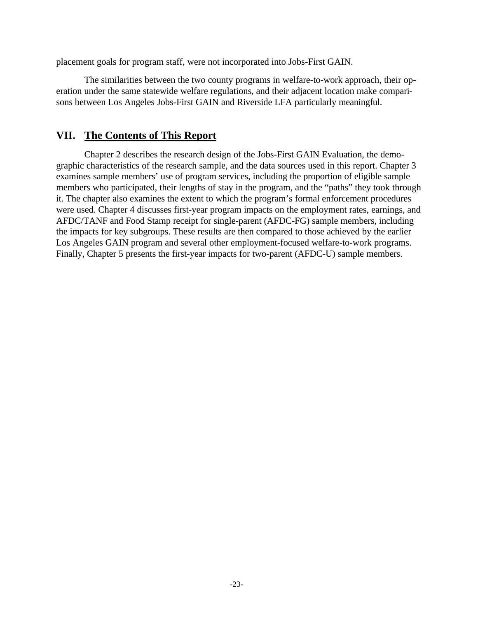placement goals for program staff, were not incorporated into Jobs-First GAIN.

The similarities between the two county programs in welfare-to-work approach, their operation under the same statewide welfare regulations, and their adjacent location make comparisons between Los Angeles Jobs-First GAIN and Riverside LFA particularly meaningful.

### **VII. The Contents of This Report**

Chapter 2 describes the research design of the Jobs-First GAIN Evaluation, the demographic characteristics of the research sample, and the data sources used in this report. Chapter 3 examines sample members' use of program services, including the proportion of eligible sample members who participated, their lengths of stay in the program, and the "paths" they took through it. The chapter also examines the extent to which the program's formal enforcement procedures were used. Chapter 4 discusses first-year program impacts on the employment rates, earnings, and AFDC/TANF and Food Stamp receipt for single-parent (AFDC-FG) sample members, including the impacts for key subgroups. These results are then compared to those achieved by the earlier Los Angeles GAIN program and several other employment-focused welfare-to-work programs. Finally, Chapter 5 presents the first-year impacts for two-parent (AFDC-U) sample members.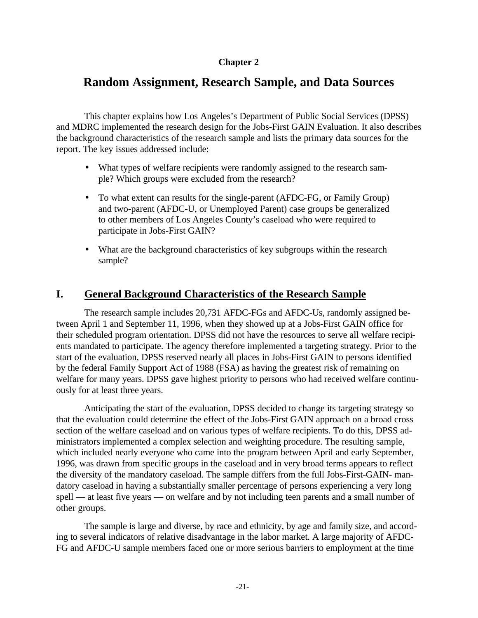### **Chapter 2**

# **Random Assignment, Research Sample, and Data Sources**

This chapter explains how Los Angeles's Department of Public Social Services (DPSS) and MDRC implemented the research design for the Jobs-First GAIN Evaluation. It also describes the background characteristics of the research sample and lists the primary data sources for the report. The key issues addressed include:

- What types of welfare recipients were randomly assigned to the research sample? Which groups were excluded from the research?
- To what extent can results for the single-parent (AFDC-FG, or Family Group) and two-parent (AFDC-U, or Unemployed Parent) case groups be generalized to other members of Los Angeles County's caseload who were required to participate in Jobs-First GAIN?
- What are the background characteristics of key subgroups within the research sample?

## **I. General Background Characteristics of the Research Sample**

The research sample includes 20,731 AFDC-FGs and AFDC-Us, randomly assigned between April 1 and September 11, 1996, when they showed up at a Jobs-First GAIN office for their scheduled program orientation. DPSS did not have the resources to serve all welfare recipients mandated to participate. The agency therefore implemented a targeting strategy. Prior to the start of the evaluation, DPSS reserved nearly all places in Jobs-First GAIN to persons identified by the federal Family Support Act of 1988 (FSA) as having the greatest risk of remaining on welfare for many years. DPSS gave highest priority to persons who had received welfare continuously for at least three years.

Anticipating the start of the evaluation, DPSS decided to change its targeting strategy so that the evaluation could determine the effect of the Jobs-First GAIN approach on a broad cross section of the welfare caseload and on various types of welfare recipients. To do this, DPSS administrators implemented a complex selection and weighting procedure. The resulting sample, which included nearly everyone who came into the program between April and early September, 1996, was drawn from specific groups in the caseload and in very broad terms appears to reflect the diversity of the mandatory caseload. The sample differs from the full Jobs-First-GAIN- mandatory caseload in having a substantially smaller percentage of persons experiencing a very long spell — at least five years — on welfare and by not including teen parents and a small number of other groups.

The sample is large and diverse, by race and ethnicity, by age and family size, and according to several indicators of relative disadvantage in the labor market. A large majority of AFDC-FG and AFDC-U sample members faced one or more serious barriers to employment at the time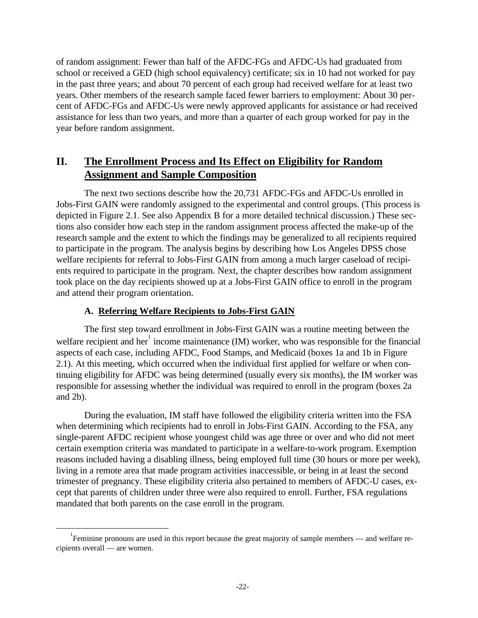of random assignment: Fewer than half of the AFDC-FGs and AFDC-Us had graduated from school or received a GED (high school equivalency) certificate; six in 10 had not worked for pay in the past three years; and about 70 percent of each group had received welfare for at least two years. Other members of the research sample faced fewer barriers to employment: About 30 percent of AFDC-FGs and AFDC-Us were newly approved applicants for assistance or had received assistance for less than two years, and more than a quarter of each group worked for pay in the year before random assignment.

# **II. The Enrollment Process and Its Effect on Eligibility for Random Assignment and Sample Composition**

The next two sections describe how the 20,731 AFDC-FGs and AFDC-Us enrolled in Jobs-First GAIN were randomly assigned to the experimental and control groups. (This process is depicted in Figure 2.1. See also Appendix B for a more detailed technical discussion.) These sections also consider how each step in the random assignment process affected the make-up of the research sample and the extent to which the findings may be generalized to all recipients required to participate in the program. The analysis begins by describing how Los Angeles DPSS chose welfare recipients for referral to Jobs-First GAIN from among a much larger caseload of recipients required to participate in the program. Next, the chapter describes how random assignment took place on the day recipients showed up at a Jobs-First GAIN office to enroll in the program and attend their program orientation.

### **A. Referring Welfare Recipients to Jobs-First GAIN**

-

The first step toward enrollment in Jobs-First GAIN was a routine meeting between the welfare recipient and her income maintenance  $(IM)$  worker, who was responsible for the financial aspects of each case, including AFDC, Food Stamps, and Medicaid (boxes 1a and 1b in Figure 2.1). At this meeting, which occurred when the individual first applied for welfare or when continuing eligibility for AFDC was being determined (usually every six months), the IM worker was responsible for assessing whether the individual was required to enroll in the program (boxes 2a and 2b).

During the evaluation, IM staff have followed the eligibility criteria written into the FSA when determining which recipients had to enroll in Jobs-First GAIN. According to the FSA, any single-parent AFDC recipient whose youngest child was age three or over and who did not meet certain exemption criteria was mandated to participate in a welfare-to-work program. Exemption reasons included having a disabling illness, being employed full time (30 hours or more per week), living in a remote area that made program activities inaccessible, or being in at least the second trimester of pregnancy. These eligibility criteria also pertained to members of AFDC-U cases, except that parents of children under three were also required to enroll. Further, FSA regulations mandated that both parents on the case enroll in the program.

<sup>&</sup>lt;sup>1</sup> Feminine pronouns are used in this report because the great majority of sample members — and welfare recipients overall — are women.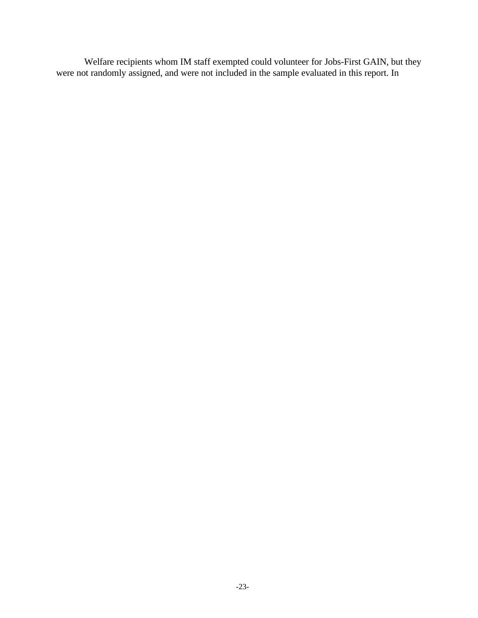Welfare recipients whom IM staff exempted could volunteer for Jobs-First GAIN, but they were not randomly assigned, and were not included in the sample evaluated in this report. In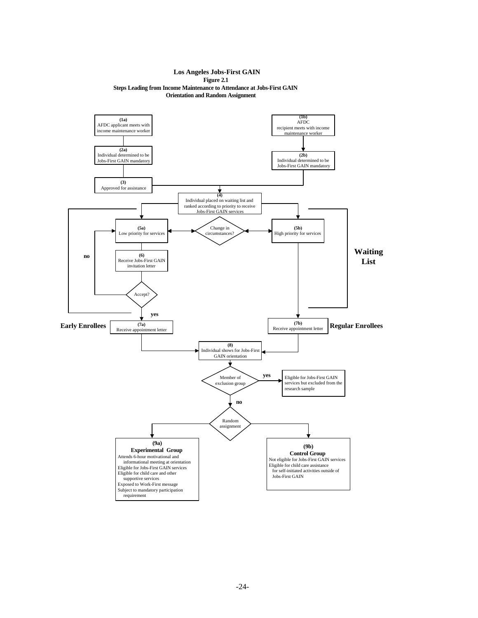#### **Los Angeles Jobs-First GAIN Figure 2.1 Steps Leading from Income Maintenance to Attendance at Jobs-First GAIN Orientation and Random Assignment**

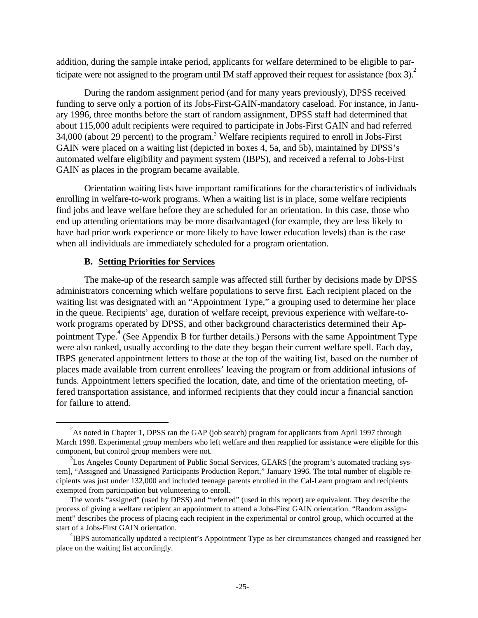addition, during the sample intake period, applicants for welfare determined to be eligible to participate were not assigned to the program until IM staff approved their request for assistance (box  $3$ ).

During the random assignment period (and for many years previously), DPSS received funding to serve only a portion of its Jobs-First-GAIN-mandatory caseload. For instance, in January 1996, three months before the start of random assignment, DPSS staff had determined that about 115,000 adult recipients were required to participate in Jobs-First GAIN and had referred 34,000 (about 29 percent) to the program.<sup>3</sup> Welfare recipients required to enroll in Jobs-First GAIN were placed on a waiting list (depicted in boxes 4, 5a, and 5b), maintained by DPSS's automated welfare eligibility and payment system (IBPS), and received a referral to Jobs-First GAIN as places in the program became available.

Orientation waiting lists have important ramifications for the characteristics of individuals enrolling in welfare-to-work programs. When a waiting list is in place, some welfare recipients find jobs and leave welfare before they are scheduled for an orientation. In this case, those who end up attending orientations may be more disadvantaged (for example, they are less likely to have had prior work experience or more likely to have lower education levels) than is the case when all individuals are immediately scheduled for a program orientation.

### **B. Setting Priorities for Services**

 $\overline{a}$ 

The make-up of the research sample was affected still further by decisions made by DPSS administrators concerning which welfare populations to serve first. Each recipient placed on the waiting list was designated with an "Appointment Type," a grouping used to determine her place in the queue. Recipients' age, duration of welfare receipt, previous experience with welfare-towork programs operated by DPSS, and other background characteristics determined their Appointment Type.<sup>4</sup> (See Appendix B for further details.) Persons with the same Appointment Type were also ranked, usually according to the date they began their current welfare spell. Each day, IBPS generated appointment letters to those at the top of the waiting list, based on the number of places made available from current enrollees' leaving the program or from additional infusions of funds. Appointment letters specified the location, date, and time of the orientation meeting, offered transportation assistance, and informed recipients that they could incur a financial sanction for failure to attend.

 $2^2$ As noted in Chapter 1, DPSS ran the GAP (job search) program for applicants from April 1997 through March 1998. Experimental group members who left welfare and then reapplied for assistance were eligible for this component, but control group members were not.

<sup>&</sup>lt;sup>3</sup>Los Angeles County Department of Public Social Services, GEARS [the program's automated tracking system], "Assigned and Unassigned Participants Production Report," January 1996. The total number of eligible recipients was just under 132,000 and included teenage parents enrolled in the Cal-Learn program and recipients exempted from participation but volunteering to enroll.

The words "assigned" (used by DPSS) and "referred" (used in this report) are equivalent. They describe the process of giving a welfare recipient an appointment to attend a Jobs-First GAIN orientation. "Random assignment" describes the process of placing each recipient in the experimental or control group, which occurred at the start of a Jobs-First GAIN orientation.

<sup>&</sup>lt;sup>4</sup>IBPS automatically updated a recipient's Appointment Type as her circumstances changed and reassigned her place on the waiting list accordingly.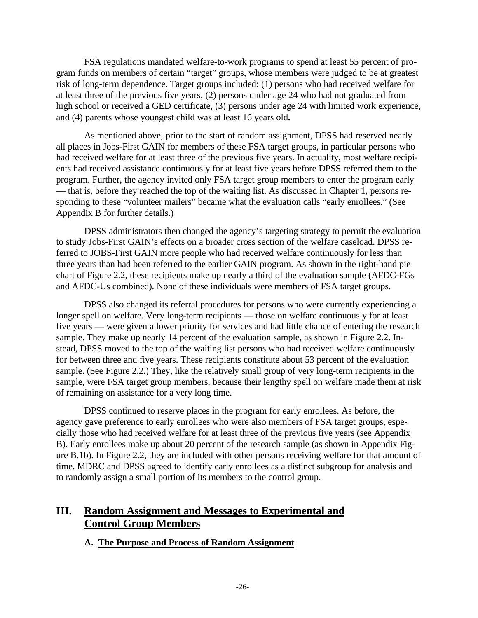FSA regulations mandated welfare-to-work programs to spend at least 55 percent of program funds on members of certain "target" groups, whose members were judged to be at greatest risk of long-term dependence. Target groups included: (1) persons who had received welfare for at least three of the previous five years, (2) persons under age 24 who had not graduated from high school or received a GED certificate, (3) persons under age 24 with limited work experience, and (4) parents whose youngest child was at least 16 years old**.**

As mentioned above, prior to the start of random assignment, DPSS had reserved nearly all places in Jobs-First GAIN for members of these FSA target groups, in particular persons who had received welfare for at least three of the previous five years. In actuality, most welfare recipients had received assistance continuously for at least five years before DPSS referred them to the program. Further, the agency invited only FSA target group members to enter the program early — that is, before they reached the top of the waiting list. As discussed in Chapter 1, persons responding to these "volunteer mailers" became what the evaluation calls "early enrollees." (See Appendix B for further details.)

DPSS administrators then changed the agency's targeting strategy to permit the evaluation to study Jobs-First GAIN's effects on a broader cross section of the welfare caseload. DPSS referred to JOBS-First GAIN more people who had received welfare continuously for less than three years than had been referred to the earlier GAIN program. As shown in the right-hand pie chart of Figure 2.2, these recipients make up nearly a third of the evaluation sample (AFDC-FGs and AFDC-Us combined). None of these individuals were members of FSA target groups.

DPSS also changed its referral procedures for persons who were currently experiencing a longer spell on welfare. Very long-term recipients — those on welfare continuously for at least five years — were given a lower priority for services and had little chance of entering the research sample. They make up nearly 14 percent of the evaluation sample, as shown in Figure 2.2. Instead, DPSS moved to the top of the waiting list persons who had received welfare continuously for between three and five years. These recipients constitute about 53 percent of the evaluation sample. (See Figure 2.2.) They, like the relatively small group of very long-term recipients in the sample, were FSA target group members, because their lengthy spell on welfare made them at risk of remaining on assistance for a very long time.

DPSS continued to reserve places in the program for early enrollees. As before, the agency gave preference to early enrollees who were also members of FSA target groups, especially those who had received welfare for at least three of the previous five years (see Appendix B). Early enrollees make up about 20 percent of the research sample (as shown in Appendix Figure B.1b). In Figure 2.2, they are included with other persons receiving welfare for that amount of time. MDRC and DPSS agreed to identify early enrollees as a distinct subgroup for analysis and to randomly assign a small portion of its members to the control group.

# **III. Random Assignment and Messages to Experimental and Control Group Members**

### **A. The Purpose and Process of Random Assignment**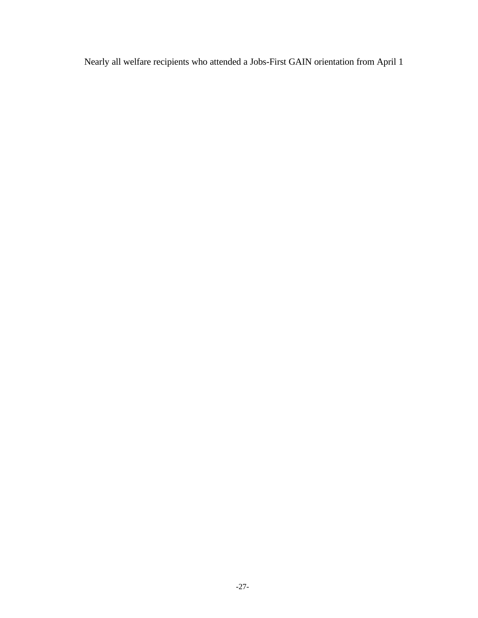Nearly all welfare recipients who attended a Jobs-First GAIN orientation from April 1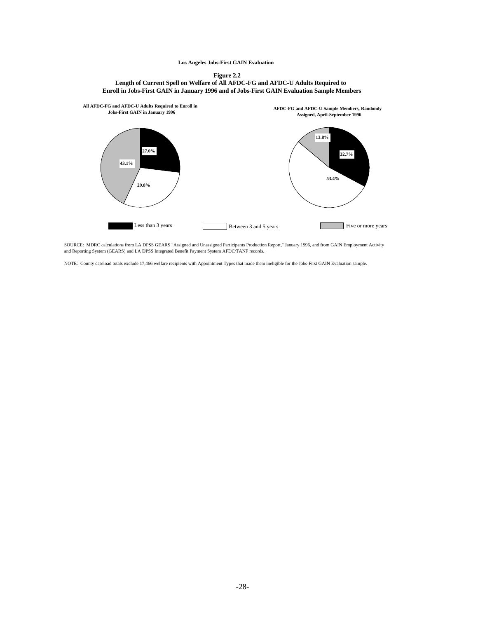#### **Los Angeles Jobs-First GAIN Evaluation**





SOURCE: MDRC calculations from LA DPSS GEARS "Assigned and Unassigned Participants Production Report," January 1996, and from GAIN Employment Activity and Reporting System (GEARS) and LA DPSS Integrated Benefit Payment System AFDC/TANF records.

NOTE: County caseload totals exclude 17,466 welfare recipients with Appointment Types that made them ineligible for the Jobs-First GAIN Evaluation sample.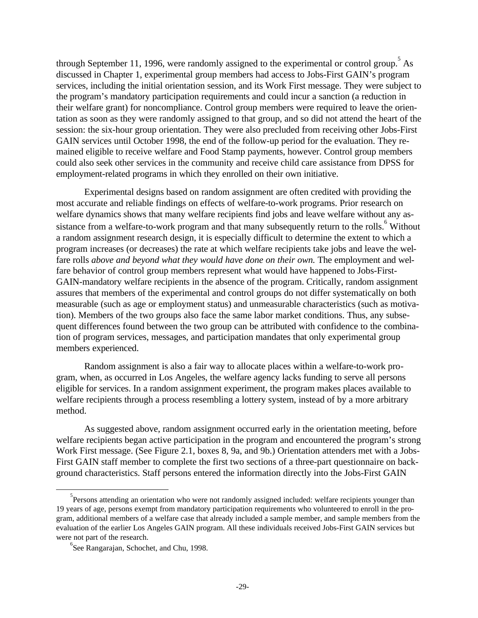through September 11, 1996, were randomly assigned to the experimental or control group.<sup>5</sup> As discussed in Chapter 1, experimental group members had access to Jobs-First GAIN's program services, including the initial orientation session, and its Work First message. They were subject to the program's mandatory participation requirements and could incur a sanction (a reduction in their welfare grant) for noncompliance. Control group members were required to leave the orientation as soon as they were randomly assigned to that group, and so did not attend the heart of the session: the six-hour group orientation. They were also precluded from receiving other Jobs-First GAIN services until October 1998, the end of the follow-up period for the evaluation. They remained eligible to receive welfare and Food Stamp payments, however. Control group members could also seek other services in the community and receive child care assistance from DPSS for employment-related programs in which they enrolled on their own initiative.

Experimental designs based on random assignment are often credited with providing the most accurate and reliable findings on effects of welfare-to-work programs. Prior research on welfare dynamics shows that many welfare recipients find jobs and leave welfare without any assistance from a welfare-to-work program and that many subsequently return to the rolls. <sup>6</sup> Without a random assignment research design, it is especially difficult to determine the extent to which a program increases (or decreases) the rate at which welfare recipients take jobs and leave the welfare rolls *above and beyond what they would have done on their own*. The employment and welfare behavior of control group members represent what would have happened to Jobs-First-GAIN-mandatory welfare recipients in the absence of the program. Critically, random assignment assures that members of the experimental and control groups do not differ systematically on both measurable (such as age or employment status) and unmeasurable characteristics (such as motivation). Members of the two groups also face the same labor market conditions. Thus, any subsequent differences found between the two group can be attributed with confidence to the combination of program services, messages, and participation mandates that only experimental group members experienced.

Random assignment is also a fair way to allocate places within a welfare-to-work program, when, as occurred in Los Angeles, the welfare agency lacks funding to serve all persons eligible for services. In a random assignment experiment, the program makes places available to welfare recipients through a process resembling a lottery system, instead of by a more arbitrary method.

As suggested above, random assignment occurred early in the orientation meeting, before welfare recipients began active participation in the program and encountered the program's strong Work First message. (See Figure 2.1, boxes 8, 9a, and 9b.) Orientation attenders met with a Jobs-First GAIN staff member to complete the first two sections of a three-part questionnaire on background characteristics. Staff persons entered the information directly into the Jobs-First GAIN

 $\overline{a}$ 

<sup>&</sup>lt;sup>5</sup> Persons attending an orientation who were not randomly assigned included: welfare recipients younger than 19 years of age, persons exempt from mandatory participation requirements who volunteered to enroll in the program, additional members of a welfare case that already included a sample member, and sample members from the evaluation of the earlier Los Angeles GAIN program. All these individuals received Jobs-First GAIN services but were not part of the research.

<sup>6</sup> See Rangarajan, Schochet, and Chu, 1998.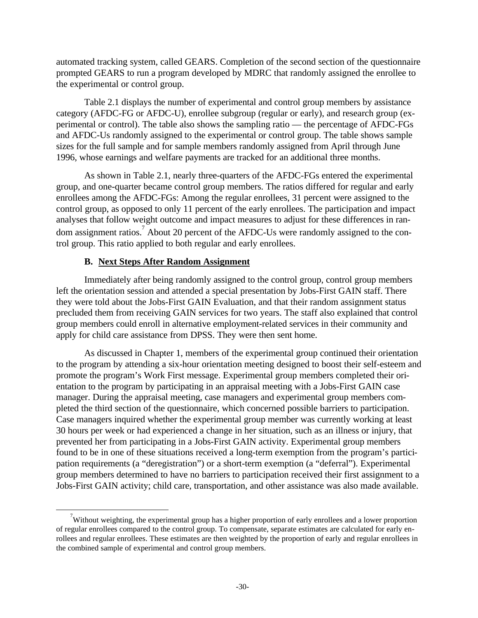automated tracking system, called GEARS. Completion of the second section of the questionnaire prompted GEARS to run a program developed by MDRC that randomly assigned the enrollee to the experimental or control group.

Table 2.1 displays the number of experimental and control group members by assistance category (AFDC-FG or AFDC-U), enrollee subgroup (regular or early), and research group (experimental or control). The table also shows the sampling ratio — the percentage of AFDC-FGs and AFDC-Us randomly assigned to the experimental or control group. The table shows sample sizes for the full sample and for sample members randomly assigned from April through June 1996, whose earnings and welfare payments are tracked for an additional three months.

As shown in Table 2.1, nearly three-quarters of the AFDC-FGs entered the experimental group, and one-quarter became control group members. The ratios differed for regular and early enrollees among the AFDC-FGs: Among the regular enrollees, 31 percent were assigned to the control group, as opposed to only 11 percent of the early enrollees. The participation and impact analyses that follow weight outcome and impact measures to adjust for these differences in random assignment ratios.<sup>7</sup> About 20 percent of the AFDC-Us were randomly assigned to the control group. This ratio applied to both regular and early enrollees.

# **B. Next Steps After Random Assignment**

 $\overline{a}$ 

Immediately after being randomly assigned to the control group, control group members left the orientation session and attended a special presentation by Jobs-First GAIN staff. There they were told about the Jobs-First GAIN Evaluation, and that their random assignment status precluded them from receiving GAIN services for two years. The staff also explained that control group members could enroll in alternative employment-related services in their community and apply for child care assistance from DPSS. They were then sent home.

As discussed in Chapter 1, members of the experimental group continued their orientation to the program by attending a six-hour orientation meeting designed to boost their self-esteem and promote the program's Work First message. Experimental group members completed their orientation to the program by participating in an appraisal meeting with a Jobs-First GAIN case manager. During the appraisal meeting, case managers and experimental group members completed the third section of the questionnaire, which concerned possible barriers to participation. Case managers inquired whether the experimental group member was currently working at least 30 hours per week or had experienced a change in her situation, such as an illness or injury, that prevented her from participating in a Jobs-First GAIN activity. Experimental group members found to be in one of these situations received a long-term exemption from the program's participation requirements (a "deregistration") or a short-term exemption (a "deferral"). Experimental group members determined to have no barriers to participation received their first assignment to a Jobs-First GAIN activity; child care, transportation, and other assistance was also made available.

 $\alpha$ <sup>7</sup>Without weighting, the experimental group has a higher proportion of early enrollees and a lower proportion of regular enrollees compared to the control group. To compensate, separate estimates are calculated for early enrollees and regular enrollees. These estimates are then weighted by the proportion of early and regular enrollees in the combined sample of experimental and control group members.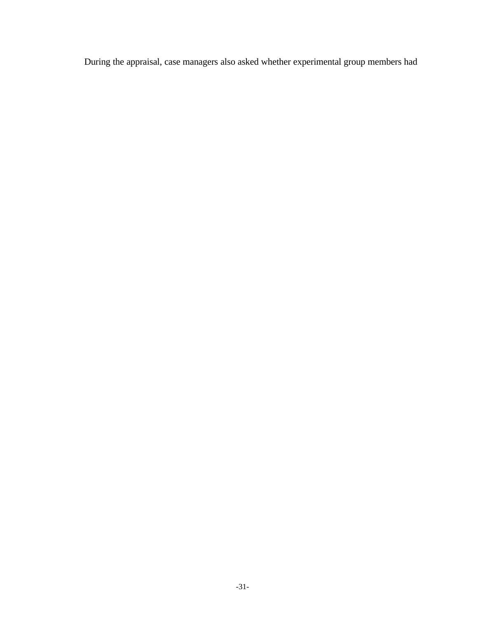During the appraisal, case managers also asked whether experimental group members had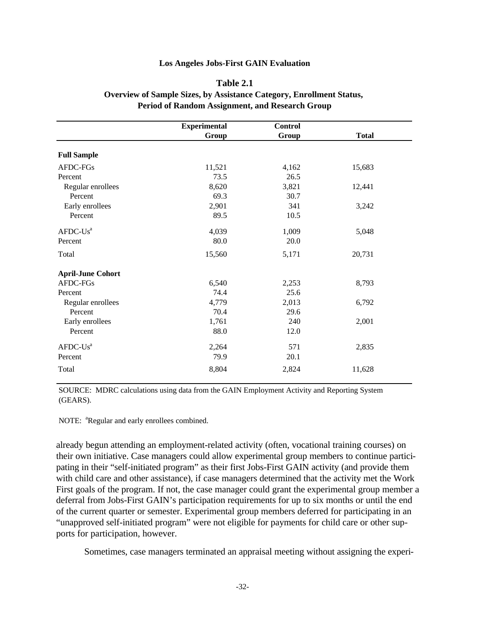### **Table 2.1**

### **Overview of Sample Sizes, by Assistance Category, Enrollment Status, Period of Random Assignment, and Research Group**

|                          | <b>Experimental</b> | <b>Control</b> |              |
|--------------------------|---------------------|----------------|--------------|
|                          | Group               | Group          | <b>Total</b> |
| <b>Full Sample</b>       |                     |                |              |
| AFDC-FGs                 | 11,521              | 4,162          | 15,683       |
| Percent                  | 73.5                | 26.5           |              |
| Regular enrollees        | 8,620               | 3,821          | 12,441       |
| Percent                  | 69.3                | 30.7           |              |
| Early enrollees          | 2,901               | 341            | 3,242        |
| Percent                  | 89.5                | 10.5           |              |
| $AFDC-Us^a$              | 4,039               | 1,009          | 5,048        |
| Percent                  | 80.0                | 20.0           |              |
| Total                    | 15,560              | 5,171          | 20,731       |
| <b>April-June Cohort</b> |                     |                |              |
| AFDC-FGs                 | 6,540               | 2,253          | 8,793        |
| Percent                  | 74.4                | 25.6           |              |
| Regular enrollees        | 4,779               | 2,013          | 6,792        |
| Percent                  | 70.4                | 29.6           |              |
| Early enrollees          | 1,761               | 240            | 2,001        |
| Percent                  | 88.0                | 12.0           |              |
| $AFDC-Us^a$              | 2,264               | 571            | 2,835        |
| Percent                  | 79.9                | 20.1           |              |
| Total                    | 8,804               | 2,824          | 11,628       |

SOURCE: MDRC calculations using data from the GAIN Employment Activity and Reporting System (GEARS).

NOTE: <sup>a</sup>Regular and early enrollees combined.

already begun attending an employment-related activity (often, vocational training courses) on their own initiative. Case managers could allow experimental group members to continue participating in their "self-initiated program" as their first Jobs-First GAIN activity (and provide them with child care and other assistance), if case managers determined that the activity met the Work First goals of the program. If not, the case manager could grant the experimental group member a deferral from Jobs-First GAIN's participation requirements for up to six months or until the end of the current quarter or semester. Experimental group members deferred for participating in an "unapproved self-initiated program" were not eligible for payments for child care or other supports for participation, however.

Sometimes, case managers terminated an appraisal meeting without assigning the experi-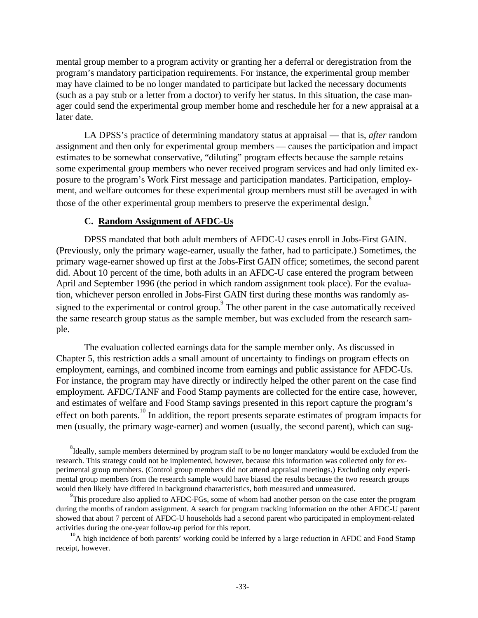mental group member to a program activity or granting her a deferral or deregistration from the program's mandatory participation requirements. For instance, the experimental group member may have claimed to be no longer mandated to participate but lacked the necessary documents (such as a pay stub or a letter from a doctor) to verify her status. In this situation, the case manager could send the experimental group member home and reschedule her for a new appraisal at a later date.

LA DPSS's practice of determining mandatory status at appraisal — that is, *after* random assignment and then only for experimental group members — causes the participation and impact estimates to be somewhat conservative, "diluting" program effects because the sample retains some experimental group members who never received program services and had only limited exposure to the program's Work First message and participation mandates. Participation, employment, and welfare outcomes for these experimental group members must still be averaged in with those of the other experimental group members to preserve the experimental design.<sup>8</sup>

### **C. Random Assignment of AFDC-Us**

 $\overline{a}$ 

DPSS mandated that both adult members of AFDC-U cases enroll in Jobs-First GAIN. (Previously, only the primary wage-earner, usually the father, had to participate.) Sometimes, the primary wage-earner showed up first at the Jobs-First GAIN office; sometimes, the second parent did. About 10 percent of the time, both adults in an AFDC-U case entered the program between April and September 1996 (the period in which random assignment took place). For the evaluation, whichever person enrolled in Jobs-First GAIN first during these months was randomly assigned to the experimental or control group.<sup>9</sup> The other parent in the case automatically received the same research group status as the sample member, but was excluded from the research sample.

The evaluation collected earnings data for the sample member only. As discussed in Chapter 5, this restriction adds a small amount of uncertainty to findings on program effects on employment, earnings, and combined income from earnings and public assistance for AFDC-Us. For instance, the program may have directly or indirectly helped the other parent on the case find employment. AFDC/TANF and Food Stamp payments are collected for the entire case, however, and estimates of welfare and Food Stamp savings presented in this report capture the program's effect on both parents.<sup>10</sup> In addition, the report presents separate estimates of program impacts for men (usually, the primary wage-earner) and women (usually, the second parent), which can sug-

 $^{8}$ Ideally, sample members determined by program staff to be no longer mandatory would be excluded from the research. This strategy could not be implemented, however, because this information was collected only for experimental group members. (Control group members did not attend appraisal meetings.) Excluding only experimental group members from the research sample would have biased the results because the two research groups would then likely have differed in background characteristics, both measured and unmeasured.

 $^{9}$ This procedure also applied to AFDC-FGs, some of whom had another person on the case enter the program during the months of random assignment. A search for program tracking information on the other AFDC-U parent showed that about 7 percent of AFDC-U households had a second parent who participated in employment-related activities during the one**-**year follow-up period for this report.

<sup>&</sup>lt;sup>10</sup>A high incidence of both parents' working could be inferred by a large reduction in AFDC and Food Stamp receipt, however.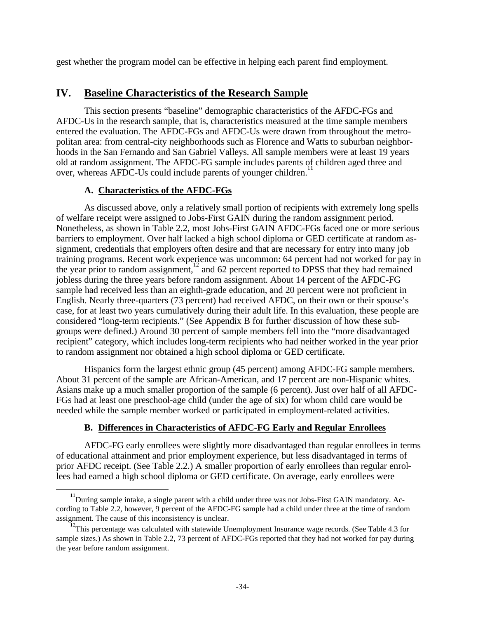gest whether the program model can be effective in helping each parent find employment.

# **IV. Baseline Characteristics of the Research Sample**

This section presents "baseline" demographic characteristics of the AFDC-FGs and AFDC-Us in the research sample, that is, characteristics measured at the time sample members entered the evaluation. The AFDC-FGs and AFDC-Us were drawn from throughout the metropolitan area: from central-city neighborhoods such as Florence and Watts to suburban neighborhoods in the San Fernando and San Gabriel Valleys. All sample members were at least 19 years old at random assignment. The AFDC-FG sample includes parents of children aged three and over, whereas AFDC-Us could include parents of younger children.<sup>1</sup>

# **A. Characteristics of the AFDC-FGs**

-

As discussed above, only a relatively small portion of recipients with extremely long spells of welfare receipt were assigned to Jobs-First GAIN during the random assignment period. Nonetheless, as shown in Table 2.2, most Jobs-First GAIN AFDC-FGs faced one or more serious barriers to employment. Over half lacked a high school diploma or GED certificate at random assignment, credentials that employers often desire and that are necessary for entry into many job training programs. Recent work experience was uncommon: 64 percent had not worked for pay in the year prior to random assignment,<sup>12</sup> and 62 percent reported to DPSS that they had remained jobless during the three years before random assignment. About 14 percent of the AFDC-FG sample had received less than an eighth-grade education, and 20 percent were not proficient in English. Nearly three-quarters (73 percent) had received AFDC, on their own or their spouse's case, for at least two years cumulatively during their adult life. In this evaluation, these people are considered "long-term recipients." (See Appendix B for further discussion of how these subgroups were defined.) Around 30 percent of sample members fell into the "more disadvantaged recipient" category, which includes long-term recipients who had neither worked in the year prior to random assignment nor obtained a high school diploma or GED certificate.

Hispanics form the largest ethnic group (45 percent) among AFDC-FG sample members. About 31 percent of the sample are African-American, and 17 percent are non-Hispanic whites. Asians make up a much smaller proportion of the sample (6 percent). Just over half of all AFDC-FGs had at least one preschool-age child (under the age of six) for whom child care would be needed while the sample member worked or participated in employment-related activities.

# **B. Differences in Characteristics of AFDC-FG Early and Regular Enrollees**

AFDC-FG early enrollees were slightly more disadvantaged than regular enrollees in terms of educational attainment and prior employment experience, but less disadvantaged in terms of prior AFDC receipt. (See Table 2.2.) A smaller proportion of early enrollees than regular enrollees had earned a high school diploma or GED certificate. On average, early enrollees were

<sup>&</sup>lt;sup>11</sup>During sample intake, a single parent with a child under three was not Jobs-First GAIN mandatory. According to Table 2.2, however, 9 percent of the AFDC-FG sample had a child under three at the time of random assignment. The cause of this inconsistency is unclear.

 $12$ <sup>12</sup>This percentage was calculated with statewide Unemployment Insurance wage records. (See Table 4.3 for sample sizes.) As shown in Table 2.2, 73 percent of AFDC-FGs reported that they had not worked for pay during the year before random assignment.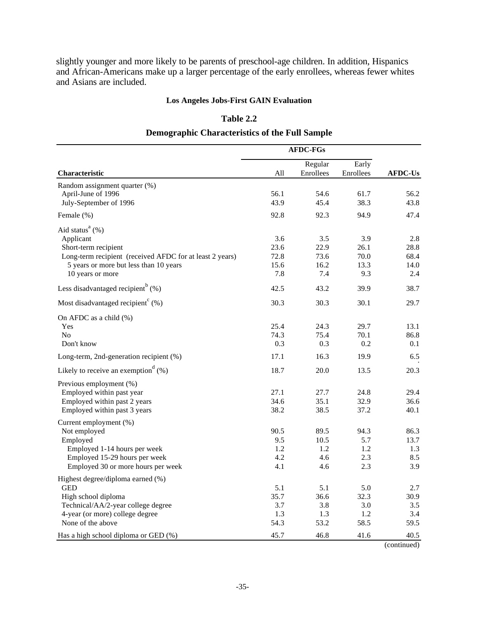slightly younger and more likely to be parents of preschool-age children. In addition, Hispanics and African-Americans make up a larger percentage of the early enrollees, whereas fewer whites and Asians are included.

## **Los Angeles Jobs-First GAIN Evaluation**

### **Table 2.2**

## **Demographic Characteristics of the Full Sample**

|                                                                  | <b>AFDC-FGs</b> |                      |                    |                |
|------------------------------------------------------------------|-----------------|----------------------|--------------------|----------------|
| <b>Characteristic</b>                                            | All             | Regular<br>Enrollees | Early<br>Enrollees | <b>AFDC-Us</b> |
| Random assignment quarter (%)                                    |                 |                      |                    |                |
| April-June of 1996                                               | 56.1            | 54.6                 | 61.7               | 56.2           |
| July-September of 1996                                           | 43.9            | 45.4                 | 38.3               | 43.8           |
| Female (%)                                                       | 92.8            | 92.3                 | 94.9               | 47.4           |
| Aid status <sup>a</sup> $(\%)$                                   |                 |                      |                    |                |
| Applicant                                                        | 3.6             | 3.5                  | 3.9                | 2.8            |
| Short-term recipient                                             | 23.6            | 22.9                 | 26.1               | 28.8           |
| Long-term recipient (received AFDC for at least 2 years)         | 72.8            | 73.6                 | 70.0               | 68.4           |
| 5 years or more but less than 10 years                           | 15.6            | 16.2                 | 13.3               | 14.0           |
| 10 years or more                                                 | 7.8             | 7.4                  | 9.3                | 2.4            |
| Less disadvantaged recipient <sup><math>\degree</math></sup> (%) | 42.5            | 43.2                 | 39.9               | 38.7           |
| Most disadvantaged recipient <sup>c</sup> $(\% )$                | 30.3            | 30.3                 | 30.1               | 29.7           |
| On AFDC as a child (%)                                           |                 |                      |                    |                |
| Yes                                                              | 25.4            | 24.3                 | 29.7               | 13.1           |
| N <sub>0</sub>                                                   | 74.3            | 75.4                 | 70.1               | 86.8           |
| Don't know                                                       | 0.3             | 0.3                  | 0.2                | 0.1            |
| Long-term, 2nd-generation recipient (%)                          | 17.1            | 16.3                 | 19.9               | 6.5            |
| Likely to receive an exemption $(%)$                             | 18.7            | 20.0                 | 13.5               | 20.3           |
| Previous employment (%)                                          |                 |                      |                    |                |
| Employed within past year                                        | 27.1            | 27.7                 | 24.8               | 29.4           |
| Employed within past 2 years                                     | 34.6            | 35.1                 | 32.9               | 36.6           |
| Employed within past 3 years                                     | 38.2            | 38.5                 | 37.2               | 40.1           |
| Current employment (%)                                           |                 |                      |                    |                |
| Not employed                                                     | 90.5            | 89.5                 | 94.3               | 86.3           |
| Employed                                                         | 9.5             | 10.5                 | 5.7                | 13.7           |
| Employed 1-14 hours per week                                     | 1.2             | 1.2                  | 1.2                | 1.3            |
| Employed 15-29 hours per week                                    | 4.2             | 4.6                  | 2.3                | 8.5            |
| Employed 30 or more hours per week                               | 4.1             | 4.6                  | 2.3                | 3.9            |
| Highest degree/diploma earned (%)                                |                 |                      |                    |                |
| <b>GED</b>                                                       | 5.1             | 5.1                  | 5.0                | 2.7            |
| High school diploma                                              | 35.7            | 36.6                 | 32.3               | 30.9           |
| Technical/AA/2-year college degree                               | 3.7             | 3.8                  | 3.0                | 3.5            |
| 4-year (or more) college degree<br>None of the above             | 1.3<br>54.3     | 1.3<br>53.2          | 1.2<br>58.5        | 3.4<br>59.5    |
|                                                                  |                 |                      |                    |                |
| Has a high school diploma or GED (%)                             | 45.7            | 46.8                 | 41.6               | 40.5           |

(continued)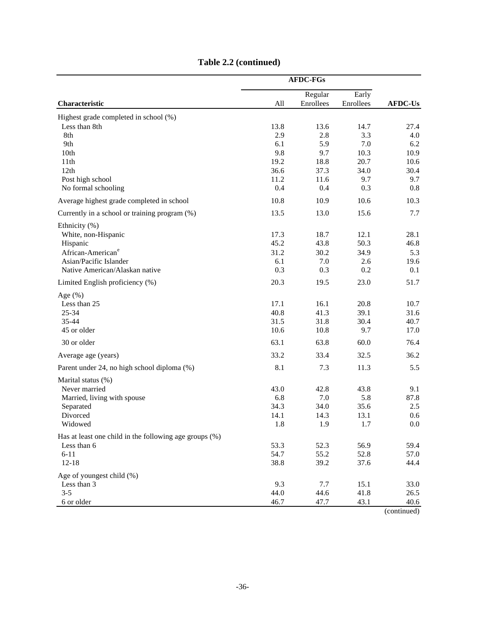|                                                          |              | <b>AFDC-FGs</b> |             |                |
|----------------------------------------------------------|--------------|-----------------|-------------|----------------|
|                                                          |              | Regular         | Early       |                |
| Characteristic                                           | All          | Enrollees       | Enrollees   | <b>AFDC-Us</b> |
| Highest grade completed in school (%)                    |              |                 |             |                |
| Less than 8th                                            | 13.8         | 13.6            | 14.7        | 27.4           |
| 8th                                                      | 2.9          | 2.8             | 3.3         | 4.0            |
| 9th                                                      | 6.1          | 5.9             | 7.0         | 6.2            |
| 10th                                                     | 9.8          | 9.7             | 10.3        | 10.9           |
| 11th                                                     | 19.2         | 18.8            | 20.7        | 10.6           |
| 12th                                                     | 36.6         | 37.3            | 34.0        | 30.4           |
| Post high school                                         | 11.2         | 11.6            | 9.7         | 9.7            |
| No formal schooling                                      | 0.4          | 0.4             | 0.3         | 0.8            |
| Average highest grade completed in school                | 10.8         | 10.9            | 10.6        | 10.3           |
| Currently in a school or training program (%)            | 13.5         | 13.0            | 15.6        | 7.7            |
| Ethnicity (%)                                            |              |                 |             |                |
| White, non-Hispanic                                      | 17.3         | 18.7            | 12.1        | 28.1           |
| Hispanic<br>African-American <sup>e</sup>                | 45.2         | 43.8            | 50.3        | 46.8           |
|                                                          | 31.2         | 30.2            | 34.9        | 5.3            |
| Asian/Pacific Islander<br>Native American/Alaskan native | 6.1<br>0.3   | 7.0<br>0.3      | 2.6<br>0.2  | 19.6<br>0.1    |
|                                                          |              |                 |             |                |
| Limited English proficiency (%)                          | 20.3         | 19.5            | 23.0        | 51.7           |
| Age $(\% )$                                              |              |                 |             |                |
| Less than 25                                             | 17.1         | 16.1            | 20.8        | 10.7           |
| 25-34<br>35-44                                           | 40.8         | 41.3            | 39.1        | 31.6           |
| 45 or older                                              | 31.5<br>10.6 | 31.8<br>10.8    | 30.4<br>9.7 | 40.7<br>17.0   |
| 30 or older                                              | 63.1         | 63.8            |             |                |
|                                                          | 33.2         | 33.4            | 60.0        | 76.4           |
| Average age (years)                                      |              |                 | 32.5        | 36.2           |
| Parent under 24, no high school diploma (%)              | 8.1          | 7.3             | 11.3        | 5.5            |
| Marital status (%)<br>Never married                      | 43.0         | 42.8            | 43.8        | 9.1            |
| Married, living with spouse                              | 6.8          | 7.0             | 5.8         | 87.8           |
| Separated                                                | 34.3         | 34.0            | 35.6        | 2.5            |
| Divorced                                                 | 14.1         | 14.3            | 13.1        | 0.6            |
| Widowed                                                  | 1.8          | 1.9             | 1.7         | $0.0\,$        |
| Has at least one child in the following age groups (%)   |              |                 |             |                |
| Less than 6                                              | 53.3         | 52.3            | 56.9        | 59.4           |
| $6 - 11$                                                 | 54.7         | 55.2            | 52.8        | 57.0           |
| $12 - 18$                                                | 38.8         | 39.2            | 37.6        | 44.4           |
| Age of youngest child (%)                                |              |                 |             |                |
| Less than 3                                              | 9.3          | 7.7             | 15.1        | 33.0           |
| $3 - 5$                                                  | 44.0         | 44.6            | 41.8        | 26.5           |
| 6 or older                                               | 46.7         | 47.7            | 43.1        | 40.6           |

# **Table 2.2 (continued)**

(continued)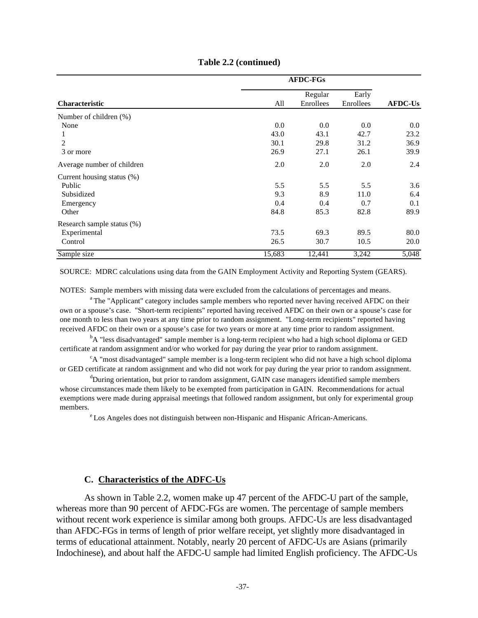|                            | <b>AFDC-FGs</b> |           |           |                |  |
|----------------------------|-----------------|-----------|-----------|----------------|--|
|                            |                 | Regular   | Early     |                |  |
| <b>Characteristic</b>      | All             | Enrollees | Enrollees | <b>AFDC-Us</b> |  |
| Number of children (%)     |                 |           |           |                |  |
| None                       | 0.0             | 0.0       | 0.0       | 0.0            |  |
|                            | 43.0            | 43.1      | 42.7      | 23.2           |  |
| $\overline{c}$             | 30.1            | 29.8      | 31.2      | 36.9           |  |
| 3 or more                  | 26.9            | 27.1      | 26.1      | 39.9           |  |
| Average number of children | 2.0             | 2.0       | 2.0       | 2.4            |  |
| Current housing status (%) |                 |           |           |                |  |
| Public                     | 5.5             | 5.5       | 5.5       | 3.6            |  |
| Subsidized                 | 9.3             | 8.9       | 11.0      | 6.4            |  |
| Emergency                  | 0.4             | 0.4       | 0.7       | 0.1            |  |
| Other                      | 84.8            | 85.3      | 82.8      | 89.9           |  |
| Research sample status (%) |                 |           |           |                |  |
| Experimental               | 73.5            | 69.3      | 89.5      | 80.0           |  |
| Control                    | 26.5            | 30.7      | 10.5      | 20.0           |  |
| Sample size                | 15,683          | 12,441    | 3,242     | 5,048          |  |

### **Table 2.2 (continued)**

SOURCE: MDRC calculations using data from the GAIN Employment Activity and Reporting System (GEARS).

NOTES: Sample members with missing data were excluded from the calculations of percentages and means.

<sup>a</sup>The "Applicant" category includes sample members who reported never having received AFDC on their own or a spouse's case. "Short-term recipients" reported having received AFDC on their own or a spouse's case for one month to less than two years at any time prior to random assignment. "Long-term recipients" reported having received AFDC on their own or a spouse's case for two years or more at any time prior to random assignment.

<sup>b</sup>A "less disadvantaged" sample member is a long-term recipient who had a high school diploma or GED certificate at random assignment and/or who worked for pay during the year prior to random assignment.

<sup>c</sup>A "most disadvantaged" sample member is a long-term recipient who did not have a high school diploma or GED certificate at random assignment and who did not work for pay during the year prior to random assignment.

 $\rm^4$ During orientation, but prior to random assignment, GAIN case managers identified sample members whose circumstances made them likely to be exempted from participation in GAIN. Recommendations for actual exemptions were made during appraisal meetings that followed random assignment, but only for experimental group members.

<sup>e</sup>Los Angeles does not distinguish between non-Hispanic and Hispanic African-Americans.

### **C. Characteristics of the ADFC-Us**

As shown in Table 2.2, women make up 47 percent of the AFDC-U part of the sample, whereas more than 90 percent of AFDC-FGs are women. The percentage of sample members without recent work experience is similar among both groups. AFDC-Us are less disadvantaged than AFDC-FGs in terms of length of prior welfare receipt, yet slightly more disadvantaged in terms of educational attainment. Notably, nearly 20 percent of AFDC-Us are Asians (primarily Indochinese), and about half the AFDC-U sample had limited English proficiency. The AFDC-Us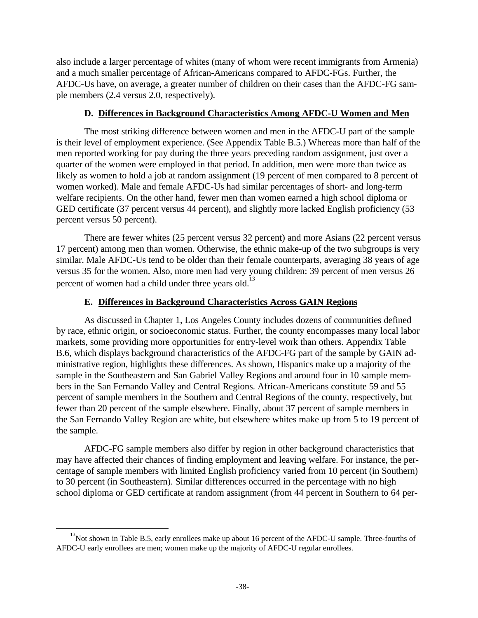also include a larger percentage of whites (many of whom were recent immigrants from Armenia) and a much smaller percentage of African-Americans compared to AFDC-FGs. Further, the AFDC-Us have, on average, a greater number of children on their cases than the AFDC-FG sample members (2.4 versus 2.0, respectively).

### **D. Differences in Background Characteristics Among AFDC-U Women and Men**

The most striking difference between women and men in the AFDC-U part of the sample is their level of employment experience. (See Appendix Table B.5.) Whereas more than half of the men reported working for pay during the three years preceding random assignment, just over a quarter of the women were employed in that period. In addition, men were more than twice as likely as women to hold a job at random assignment (19 percent of men compared to 8 percent of women worked). Male and female AFDC-Us had similar percentages of short- and long-term welfare recipients. On the other hand, fewer men than women earned a high school diploma or GED certificate (37 percent versus 44 percent), and slightly more lacked English proficiency (53 percent versus 50 percent).

There are fewer whites (25 percent versus 32 percent) and more Asians (22 percent versus 17 percent) among men than women. Otherwise, the ethnic make-up of the two subgroups is very similar. Male AFDC-Us tend to be older than their female counterparts, averaging 38 years of age versus 35 for the women. Also, more men had very young children: 39 percent of men versus 26 percent of women had a child under three years old.<sup>13</sup>

# **E. Differences in Background Characteristics Across GAIN Regions**

As discussed in Chapter 1, Los Angeles County includes dozens of communities defined by race, ethnic origin, or socioeconomic status. Further, the county encompasses many local labor markets, some providing more opportunities for entry-level work than others. Appendix Table B.6, which displays background characteristics of the AFDC-FG part of the sample by GAIN administrative region, highlights these differences. As shown, Hispanics make up a majority of the sample in the Southeastern and San Gabriel Valley Regions and around four in 10 sample members in the San Fernando Valley and Central Regions. African-Americans constitute 59 and 55 percent of sample members in the Southern and Central Regions of the county, respectively, but fewer than 20 percent of the sample elsewhere. Finally, about 37 percent of sample members in the San Fernando Valley Region are white, but elsewhere whites make up from 5 to 19 percent of the sample.

AFDC-FG sample members also differ by region in other background characteristics that may have affected their chances of finding employment and leaving welfare. For instance, the percentage of sample members with limited English proficiency varied from 10 percent (in Southern) to 30 percent (in Southeastern). Similar differences occurred in the percentage with no high school diploma or GED certificate at random assignment (from 44 percent in Southern to 64 per-

 $\overline{a}$ 

<sup>&</sup>lt;sup>13</sup>Not shown in Table B.5, early enrollees make up about 16 percent of the AFDC-U sample. Three-fourths of AFDC-U early enrollees are men; women make up the majority of AFDC-U regular enrollees.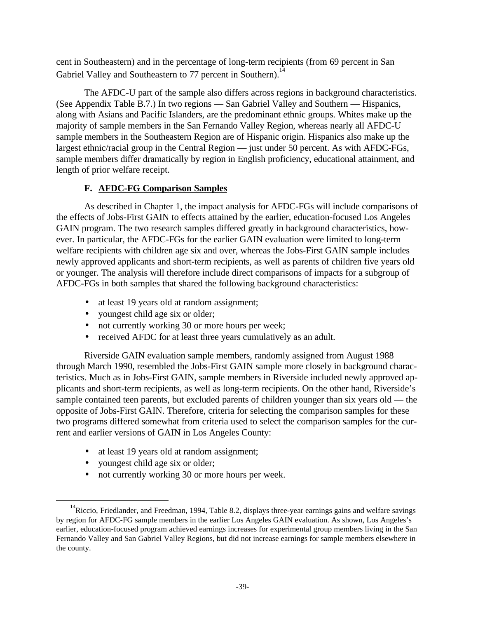cent in Southeastern) and in the percentage of long-term recipients (from 69 percent in San Gabriel Valley and Southeastern to 77 percent in Southern).<sup>14</sup>

The AFDC-U part of the sample also differs across regions in background characteristics. (See Appendix Table B.7.) In two regions — San Gabriel Valley and Southern — Hispanics, along with Asians and Pacific Islanders, are the predominant ethnic groups. Whites make up the majority of sample members in the San Fernando Valley Region, whereas nearly all AFDC-U sample members in the Southeastern Region are of Hispanic origin. Hispanics also make up the largest ethnic/racial group in the Central Region — just under 50 percent. As with AFDC-FGs, sample members differ dramatically by region in English proficiency, educational attainment, and length of prior welfare receipt.

# **F. AFDC-FG Comparison Samples**

As described in Chapter 1, the impact analysis for AFDC-FGs will include comparisons of the effects of Jobs-First GAIN to effects attained by the earlier, education-focused Los Angeles GAIN program. The two research samples differed greatly in background characteristics, however. In particular, the AFDC-FGs for the earlier GAIN evaluation were limited to long-term welfare recipients with children age six and over, whereas the Jobs-First GAIN sample includes newly approved applicants and short-term recipients, as well as parents of children five years old or younger. The analysis will therefore include direct comparisons of impacts for a subgroup of AFDC-FGs in both samples that shared the following background characteristics:

- at least 19 years old at random assignment;
- youngest child age six or older;
- not currently working 30 or more hours per week;
- received AFDC for at least three years cumulatively as an adult.

Riverside GAIN evaluation sample members, randomly assigned from August 1988 through March 1990, resembled the Jobs-First GAIN sample more closely in background characteristics. Much as in Jobs-First GAIN, sample members in Riverside included newly approved applicants and short-term recipients, as well as long-term recipients. On the other hand, Riverside's sample contained teen parents, but excluded parents of children younger than six years old — the opposite of Jobs-First GAIN. Therefore, criteria for selecting the comparison samples for these two programs differed somewhat from criteria used to select the comparison samples for the current and earlier versions of GAIN in Los Angeles County:

- at least 19 years old at random assignment;
- youngest child age six or older;

-

• not currently working 30 or more hours per week.

<sup>&</sup>lt;sup>14</sup>Riccio, Friedlander, and Freedman, 1994, Table 8.2, displays three-year earnings gains and welfare savings by region for AFDC-FG sample members in the earlier Los Angeles GAIN evaluation. As shown, Los Angeles's earlier, education-focused program achieved earnings increases for experimental group members living in the San Fernando Valley and San Gabriel Valley Regions, but did not increase earnings for sample members elsewhere in the county.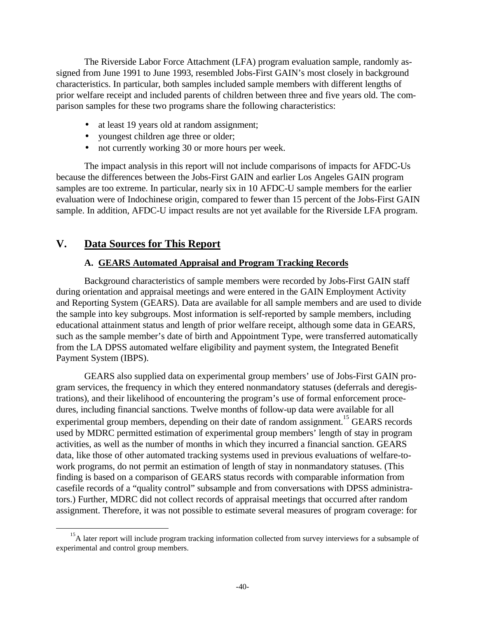The Riverside Labor Force Attachment (LFA) program evaluation sample, randomly assigned from June 1991 to June 1993, resembled Jobs-First GAIN's most closely in background characteristics. In particular, both samples included sample members with different lengths of prior welfare receipt and included parents of children between three and five years old. The comparison samples for these two programs share the following characteristics:

- at least 19 years old at random assignment;
- youngest children age three or older;
- not currently working 30 or more hours per week.

The impact analysis in this report will not include comparisons of impacts for AFDC-Us because the differences between the Jobs-First GAIN and earlier Los Angeles GAIN program samples are too extreme. In particular, nearly six in 10 AFDC-U sample members for the earlier evaluation were of Indochinese origin, compared to fewer than 15 percent of the Jobs-First GAIN sample. In addition, AFDC-U impact results are not yet available for the Riverside LFA program.

# **V. Data Sources for This Report**

 $\overline{a}$ 

# **A. GEARS Automated Appraisal and Program Tracking Records**

Background characteristics of sample members were recorded by Jobs-First GAIN staff during orientation and appraisal meetings and were entered in the GAIN Employment Activity and Reporting System (GEARS). Data are available for all sample members and are used to divide the sample into key subgroups. Most information is self-reported by sample members, including educational attainment status and length of prior welfare receipt, although some data in GEARS, such as the sample member's date of birth and Appointment Type, were transferred automatically from the LA DPSS automated welfare eligibility and payment system, the Integrated Benefit Payment System (IBPS).

GEARS also supplied data on experimental group members' use of Jobs-First GAIN program services, the frequency in which they entered nonmandatory statuses (deferrals and deregistrations), and their likelihood of encountering the program's use of formal enforcement procedures, including financial sanctions. Twelve months of follow-up data were available for all experimental group members, depending on their date of random assignment.<sup>15</sup> GEARS records used by MDRC permitted estimation of experimental group members' length of stay in program activities, as well as the number of months in which they incurred a financial sanction. GEARS data, like those of other automated tracking systems used in previous evaluations of welfare-towork programs, do not permit an estimation of length of stay in nonmandatory statuses. (This finding is based on a comparison of GEARS status records with comparable information from casefile records of a "quality control" subsample and from conversations with DPSS administrators.) Further, MDRC did not collect records of appraisal meetings that occurred after random assignment. Therefore, it was not possible to estimate several measures of program coverage: for

<sup>&</sup>lt;sup>15</sup>A later report will include program tracking information collected from survey interviews for a subsample of experimental and control group members.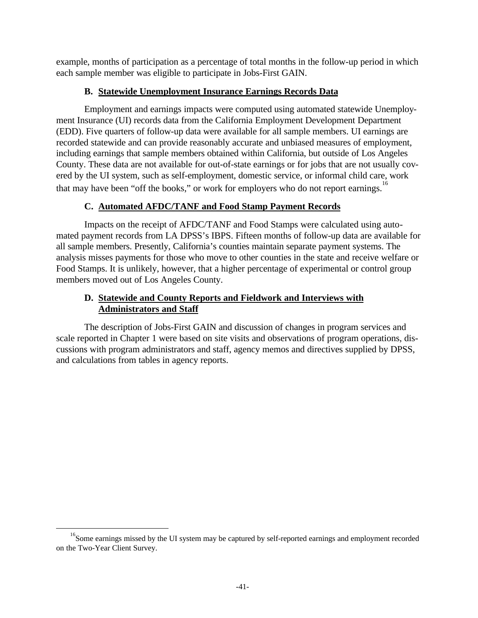example, months of participation as a percentage of total months in the follow-up period in which each sample member was eligible to participate in Jobs-First GAIN.

# **B. Statewide Unemployment Insurance Earnings Records Data**

Employment and earnings impacts were computed using automated statewide Unemployment Insurance (UI) records data from the California Employment Development Department (EDD). Five quarters of follow-up data were available for all sample members. UI earnings are recorded statewide and can provide reasonably accurate and unbiased measures of employment, including earnings that sample members obtained within California, but outside of Los Angeles County. These data are not available for out-of-state earnings or for jobs that are not usually covered by the UI system, such as self-employment, domestic service, or informal child care, work that may have been "off the books," or work for employers who do not report earnings.<sup>16</sup>

# **C. Automated AFDC/TANF and Food Stamp Payment Records**

Impacts on the receipt of AFDC/TANF and Food Stamps were calculated using automated payment records from LA DPSS's IBPS. Fifteen months of follow-up data are available for all sample members. Presently, California's counties maintain separate payment systems. The analysis misses payments for those who move to other counties in the state and receive welfare or Food Stamps. It is unlikely, however, that a higher percentage of experimental or control group members moved out of Los Angeles County.

# **D. Statewide and County Reports and Fieldwork and Interviews with Administrators and Staff**

The description of Jobs-First GAIN and discussion of changes in program services and scale reported in Chapter 1 were based on site visits and observations of program operations, discussions with program administrators and staff, agency memos and directives supplied by DPSS, and calculations from tables in agency reports.

 $\overline{a}$ 

<sup>&</sup>lt;sup>16</sup>Some earnings missed by the UI system may be captured by self-reported earnings and employment recorded on the Two-Year Client Survey.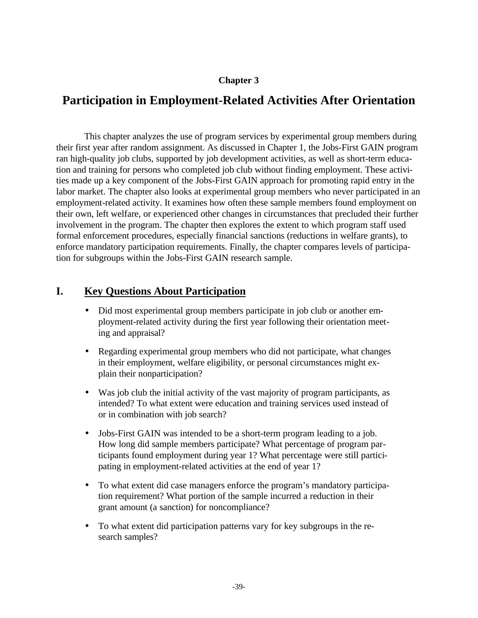# **Chapter 3**

# **Participation in Employment-Related Activities After Orientation**

This chapter analyzes the use of program services by experimental group members during their first year after random assignment. As discussed in Chapter 1, the Jobs-First GAIN program ran high-quality job clubs, supported by job development activities, as well as short-term education and training for persons who completed job club without finding employment. These activities made up a key component of the Jobs-First GAIN approach for promoting rapid entry in the labor market. The chapter also looks at experimental group members who never participated in an employment-related activity. It examines how often these sample members found employment on their own, left welfare, or experienced other changes in circumstances that precluded their further involvement in the program. The chapter then explores the extent to which program staff used formal enforcement procedures, especially financial sanctions (reductions in welfare grants), to enforce mandatory participation requirements. Finally, the chapter compares levels of participation for subgroups within the Jobs-First GAIN research sample.

# **I. Key Questions About Participation**

- Did most experimental group members participate in job club or another employment-related activity during the first year following their orientation meeting and appraisal?
- Regarding experimental group members who did not participate, what changes in their employment, welfare eligibility, or personal circumstances might explain their nonparticipation?
- Was job club the initial activity of the vast majority of program participants, as intended? To what extent were education and training services used instead of or in combination with job search?
- Jobs-First GAIN was intended to be a short-term program leading to a job. How long did sample members participate? What percentage of program participants found employment during year 1? What percentage were still participating in employment-related activities at the end of year 1?
- To what extent did case managers enforce the program's mandatory participation requirement? What portion of the sample incurred a reduction in their grant amount (a sanction) for noncompliance?
- To what extent did participation patterns vary for key subgroups in the research samples?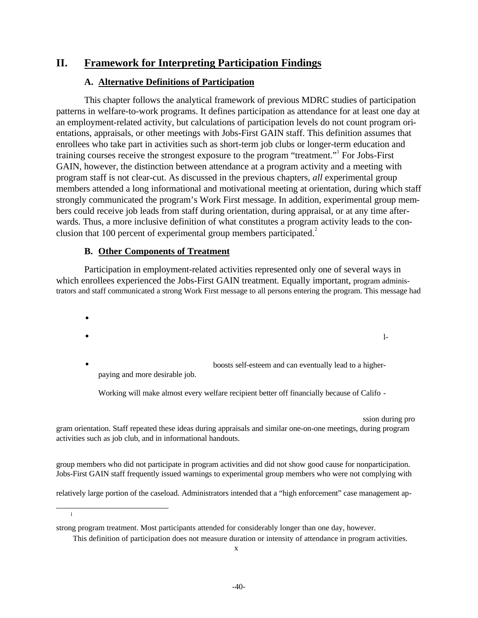# **II. Framework for Interpreting Participation Findings**

# **A. Alternative Definitions of Participation**

This chapter follows the analytical framework of previous MDRC studies of participation patterns in welfare-to-work programs. It defines participation as attendance for at least one day at an employment-related activity, but calculations of participation levels do not count program orientations, appraisals, or other meetings with Jobs-First GAIN staff. This definition assumes that enrollees who take part in activities such as short-term job clubs or longer-term education and training courses receive the strongest exposure to the program "treatment." For Jobs-First GAIN, however, the distinction between attendance at a program activity and a meeting with program staff is not clear-cut. As discussed in the previous chapters, *all* experimental group members attended a long informational and motivational meeting at orientation, during which staff strongly communicated the program's Work First message. In addition, experimental group members could receive job leads from staff during orientation, during appraisal, or at any time afterwards. Thus, a more inclusive definition of what constitutes a program activity leads to the conclusion that 100 percent of experimental group members participated.<sup>2</sup>

### **B. Other Components of Treatment**

-1

Participation in employment-related activities represented only one of several ways in which enrollees experienced the Jobs-First GAIN treatment. Equally important, program administrators and staff communicated a strong Work First message to all persons entering the program. This message had

•  $\bullet$  is a set of the contract of the contract of the contract of the contract of the contract of the contract of the contract of the contract of the contract of the contract of the contract of the contract of the contract

• boosts self-esteem and can eventually lead to a higherpaying and more desirable job.

Working will make almost every welfare recipient better off financially because of Califo -

ssion during pro gram orientation. Staff repeated these ideas during appraisals and similar one-on-one meetings, during program activities such as job club, and in informational handouts.

group members who did not participate in program activities and did not show good cause for nonparticipation. Jobs-First GAIN staff frequently issued warnings to experimental group members who were not complying with

relatively large portion of the caseload. Administrators intended that a "high enforcement" case management ap-

strong program treatment. Most participants attended for considerably longer than one day, however.

This definition of participation does not measure duration or intensity of attendance in program activities.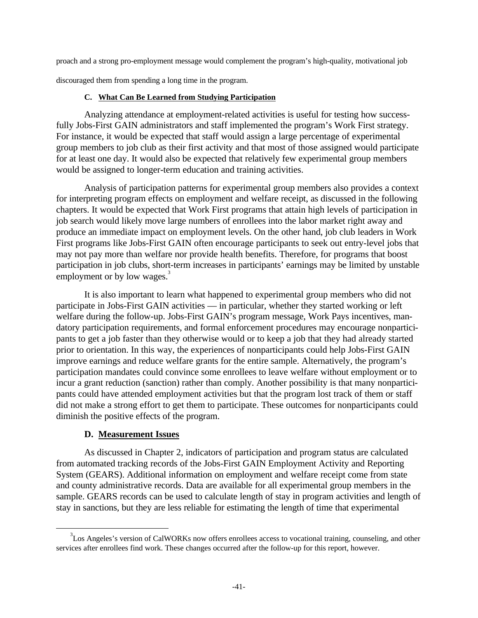proach and a strong pro-employment message would complement the program's high-quality, motivational job

discouraged them from spending a long time in the program.

### **C. What Can Be Learned from Studying Participation**

Analyzing attendance at employment-related activities is useful for testing how successfully Jobs-First GAIN administrators and staff implemented the program's Work First strategy. For instance, it would be expected that staff would assign a large percentage of experimental group members to job club as their first activity and that most of those assigned would participate for at least one day. It would also be expected that relatively few experimental group members would be assigned to longer-term education and training activities.

Analysis of participation patterns for experimental group members also provides a context for interpreting program effects on employment and welfare receipt, as discussed in the following chapters. It would be expected that Work First programs that attain high levels of participation in job search would likely move large numbers of enrollees into the labor market right away and produce an immediate impact on employment levels. On the other hand, job club leaders in Work First programs like Jobs-First GAIN often encourage participants to seek out entry-level jobs that may not pay more than welfare nor provide health benefits. Therefore, for programs that boost participation in job clubs, short-term increases in participants' earnings may be limited by unstable employment or by low wages.<sup>3</sup>

It is also important to learn what happened to experimental group members who did not participate in Jobs-First GAIN activities — in particular, whether they started working or left welfare during the follow-up. Jobs-First GAIN's program message, Work Pays incentives, mandatory participation requirements, and formal enforcement procedures may encourage nonparticipants to get a job faster than they otherwise would or to keep a job that they had already started prior to orientation. In this way, the experiences of nonparticipants could help Jobs-First GAIN improve earnings and reduce welfare grants for the entire sample. Alternatively, the program's participation mandates could convince some enrollees to leave welfare without employment or to incur a grant reduction (sanction) rather than comply. Another possibility is that many nonparticipants could have attended employment activities but that the program lost track of them or staff did not make a strong effort to get them to participate. These outcomes for nonparticipants could diminish the positive effects of the program.

### **D. Measurement Issues**

ı

As discussed in Chapter 2, indicators of participation and program status are calculated from automated tracking records of the Jobs-First GAIN Employment Activity and Reporting System (GEARS). Additional information on employment and welfare receipt come from state and county administrative records. Data are available for all experimental group members in the sample. GEARS records can be used to calculate length of stay in program activities and length of stay in sanctions, but they are less reliable for estimating the length of time that experimental

<sup>&</sup>lt;sup>3</sup>Los Angeles's version of CalWORKs now offers enrollees access to vocational training, counseling, and other services after enrollees find work. These changes occurred after the follow-up for this report, however.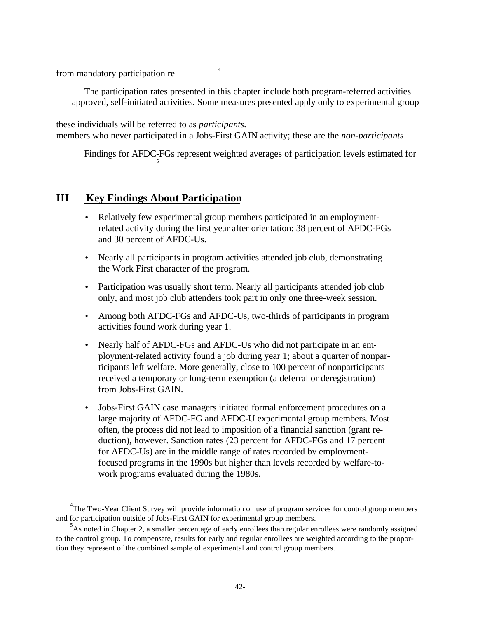from mandatory participation re $44$ 

ı

The participation rates presented in this chapter include both program-referred activities approved, self-initiated activities. Some measures presented apply only to experimental group

these individuals will be referred to as *participants.* members who never participated in a Jobs-First GAIN activity; these are the *non-participants*

Findings for AFDC-FGs represent weighted averages of participation levels estimated for 5

# **III Key Findings About Participation**

- Relatively few experimental group members participated in an employmentrelated activity during the first year after orientation: 38 percent of AFDC-FGs and 30 percent of AFDC-Us.
- Nearly all participants in program activities attended job club, demonstrating the Work First character of the program.
- Participation was usually short term. Nearly all participants attended job club only, and most job club attenders took part in only one three-week session.
- Among both AFDC-FGs and AFDC-Us, two-thirds of participants in program activities found work during year 1.
- Nearly half of AFDC-FGs and AFDC-Us who did not participate in an employment-related activity found a job during year 1; about a quarter of nonparticipants left welfare. More generally, close to 100 percent of nonparticipants received a temporary or long-term exemption (a deferral or deregistration) from Jobs-First GAIN.
- Jobs-First GAIN case managers initiated formal enforcement procedures on a large majority of AFDC-FG and AFDC-U experimental group members. Most often, the process did not lead to imposition of a financial sanction (grant reduction), however. Sanction rates (23 percent for AFDC-FGs and 17 percent for AFDC-Us) are in the middle range of rates recorded by employmentfocused programs in the 1990s but higher than levels recorded by welfare-towork programs evaluated during the 1980s.

<sup>&</sup>lt;sup>4</sup>The Two-Year Client Survey will provide information on use of program services for control group members and for participation outside of Jobs-First GAIN for experimental group members.

<sup>&</sup>lt;sup>5</sup>As noted in Chapter 2, a smaller percentage of early enrollees than regular enrollees were randomly assigned to the control group. To compensate, results for early and regular enrollees are weighted according to the proportion they represent of the combined sample of experimental and control group members.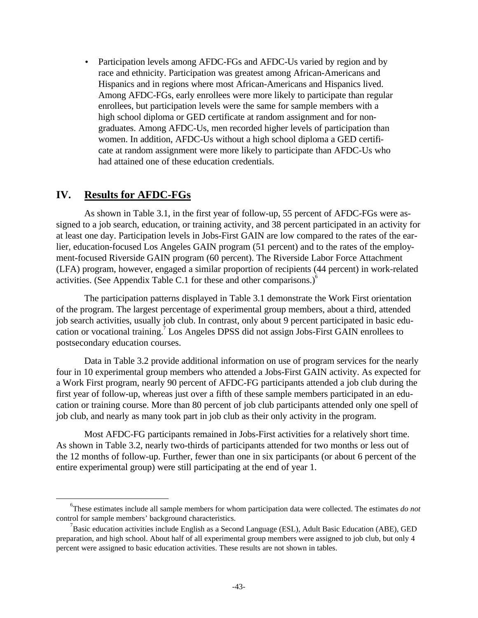• Participation levels among AFDC-FGs and AFDC-Us varied by region and by race and ethnicity. Participation was greatest among African-Americans and Hispanics and in regions where most African-Americans and Hispanics lived. Among AFDC-FGs, early enrollees were more likely to participate than regular enrollees, but participation levels were the same for sample members with a high school diploma or GED certificate at random assignment and for nongraduates. Among AFDC-Us, men recorded higher levels of participation than women. In addition, AFDC-Us without a high school diploma a GED certificate at random assignment were more likely to participate than AFDC-Us who had attained one of these education credentials.

# **IV. Results for AFDC-FGs**

ı

As shown in Table 3.1, in the first year of follow-up, 55 percent of AFDC-FGs were assigned to a job search, education, or training activity, and 38 percent participated in an activity for at least one day. Participation levels in Jobs-First GAIN are low compared to the rates of the earlier, education-focused Los Angeles GAIN program (51 percent) and to the rates of the employment-focused Riverside GAIN program (60 percent). The Riverside Labor Force Attachment (LFA) program, however, engaged a similar proportion of recipients (44 percent) in work-related activities. (See Appendix Table C.1 for these and other comparisons.) $^6$ 

The participation patterns displayed in Table 3.1 demonstrate the Work First orientation of the program. The largest percentage of experimental group members, about a third, attended job search activities, usually job club. In contrast, only about 9 percent participated in basic education or vocational training.<sup>7</sup> Los Angeles DPSS did not assign Jobs-First GAIN enrollees to postsecondary education courses.

Data in Table 3.2 provide additional information on use of program services for the nearly four in 10 experimental group members who attended a Jobs-First GAIN activity. As expected for a Work First program, nearly 90 percent of AFDC-FG participants attended a job club during the first year of follow-up, whereas just over a fifth of these sample members participated in an education or training course. More than 80 percent of job club participants attended only one spell of job club, and nearly as many took part in job club as their only activity in the program.

Most AFDC-FG participants remained in Jobs-First activities for a relatively short time. As shown in Table 3.2, nearly two-thirds of participants attended for two months or less out of the 12 months of follow-up. Further, fewer than one in six participants (or about 6 percent of the entire experimental group) were still participating at the end of year 1.

<sup>6</sup> These estimates include all sample members for whom participation data were collected. The estimates *do not* control for sample members' background characteristics.

 $^7$ Basic education activities include English as a Second Language (ESL), Adult Basic Education (ABE), GED preparation, and high school. About half of all experimental group members were assigned to job club, but only 4 percent were assigned to basic education activities. These results are not shown in tables.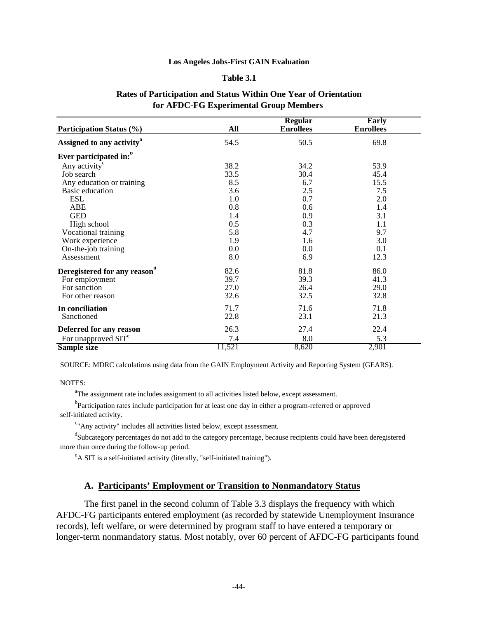#### **Table 3.1**

| for AFDC-FG Experimental Group Members |      |                                    |                           |  |  |
|----------------------------------------|------|------------------------------------|---------------------------|--|--|
| <b>Participation Status (%)</b>        | All  | <b>Regular</b><br><b>Enrollees</b> | Early<br><b>Enrollees</b> |  |  |
| Assigned to any activity <sup>a</sup>  | 54.5 | 50.5                               | 69.8                      |  |  |
| Ever participated in: <sup>"</sup>     |      |                                    |                           |  |  |
| Any activity <sup>c</sup>              | 38.2 | 34.2                               | 53.9                      |  |  |
| Job search                             | 33.5 | 30.4                               | 45.4                      |  |  |
| Any education or training              | 8.5  | 6.7                                | 15.5                      |  |  |
| Basic education                        | 3.6  | 2.5                                | 7.5                       |  |  |
| <b>ESL</b>                             | 1.0  | 0.7                                | 2.0                       |  |  |
| ABE                                    | 0.8  | 0.6                                | 1.4                       |  |  |
| <b>GED</b>                             | 1.4  | 0.9                                | 3.1                       |  |  |
| High school                            | 0.5  | 0.3                                | 1.1                       |  |  |
| Vocational training                    | 5.8  | 4.7                                | 9.7                       |  |  |
| Work experience                        | 1.9  | 1.6                                | 3.0                       |  |  |

### **Rates of Participation and Status Within One Year of Orientation for AFDC-FG Experimental Group Members**

SOURCE: MDRC calculations using data from the GAIN Employment Activity and Reporting System (GEARS).

On-the-job training  $\begin{array}{cccc} 0.0 & 0.0 & 0.1 \\ 0.85855 & 0.85855 & 0.0 \\ 0.0 & 0.0 & 0.1 \\ 0.0 & 0.0 & 0.1 \end{array}$ 

For employment 39.7 39.3 41.3<br>
For sanction 27.0 26.4 29.0 For sanction 27.0 26.4 29.0<br>
For other reason 32.6 32.5 32.8

**In conciliation 11.7** 71.6 71.8 Sanctioned 22.8 23.1 21.3 **Deferred for any reason** 26.3 27.4 22.4 22.4

**Sample size** 11,521 8,620 2,901

82.6 81.8 86.0

7.4 8.0 5.3

NOTES:

Assessment

For other reason

For unapproved SIT<sup>e</sup>

**Deregistered for any reason<sup>d</sup>**

<sup>a</sup>The assignment rate includes assignment to all activities listed below, except assessment.

<sup>b</sup>Participation rates include participation for at least one day in either a program-referred or approved self-initiated activity.

<sup>c</sup>"Any activity" includes all activities listed below, except assessment.

<sup>d</sup>Subcategory percentages do not add to the category percentage, because recipients could have been deregistered more than once during the follow-up period.

<sup>e</sup>A SIT is a self-initiated activity (literally, "self-initiated training").

### **A. Participants' Employment or Transition to Nonmandatory Status**

The first panel in the second column of Table 3.3 displays the frequency with which AFDC-FG participants entered employment (as recorded by statewide Unemployment Insurance records), left welfare, or were determined by program staff to have entered a temporary or longer-term nonmandatory status. Most notably, over 60 percent of AFDC-FG participants found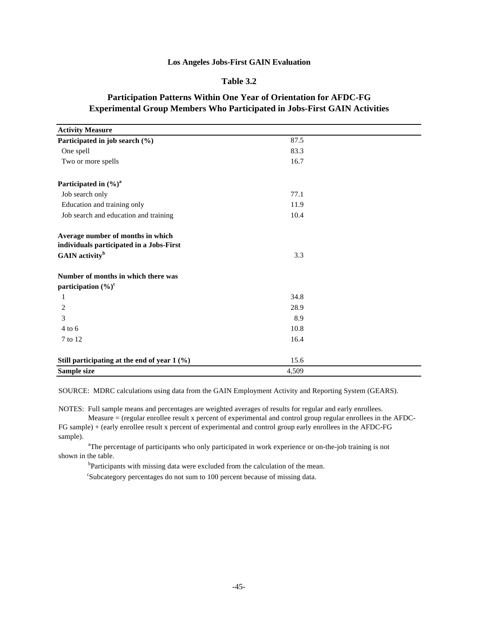### **Table 3.2**

| <b>Activity Measure</b>                                                       |       |  |
|-------------------------------------------------------------------------------|-------|--|
| Participated in job search (%)                                                | 87.5  |  |
| One spell                                                                     | 83.3  |  |
| Two or more spells                                                            | 16.7  |  |
| Participated in $(\%)^a$                                                      |       |  |
| Job search only                                                               | 77.1  |  |
| Education and training only                                                   | 11.9  |  |
| Job search and education and training                                         | 10.4  |  |
| Average number of months in which<br>individuals participated in a Jobs-First |       |  |
| GAIN activity <sup>b</sup>                                                    | 3.3   |  |
| Number of months in which there was                                           |       |  |
| participation $(\%)^c$                                                        |       |  |
| 1                                                                             | 34.8  |  |
| 2                                                                             | 28.9  |  |
| 3                                                                             | 8.9   |  |
| $4$ to 6                                                                      | 10.8  |  |
| 7 to 12                                                                       | 16.4  |  |
| Still participating at the end of year 1 (%)                                  | 15.6  |  |
| Sample size                                                                   | 4,509 |  |

### **Participation Patterns Within One Year of Orientation for AFDC-FG Experimental Group Members Who Participated in Jobs-First GAIN Activities**

SOURCE: MDRC calculations using data from the GAIN Employment Activity and Reporting System (GEARS).

NOTES: Full sample means and percentages are weighted averages of results for regular and early enrollees.

 Measure = (regular enrollee result x percent of experimental and control group regular enrollees in the AFDC-FG sample) + (early enrollee result x percent of experimental and control group early enrollees in the AFDC-FG

sample).

<sup>a</sup>The percentage of participants who only participated in work experience or on-the-job training is not shown in the table.

<sup>b</sup>Participants with missing data were excluded from the calculation of the mean.

<sup>c</sup>Subcategory percentages do not sum to 100 percent because of missing data.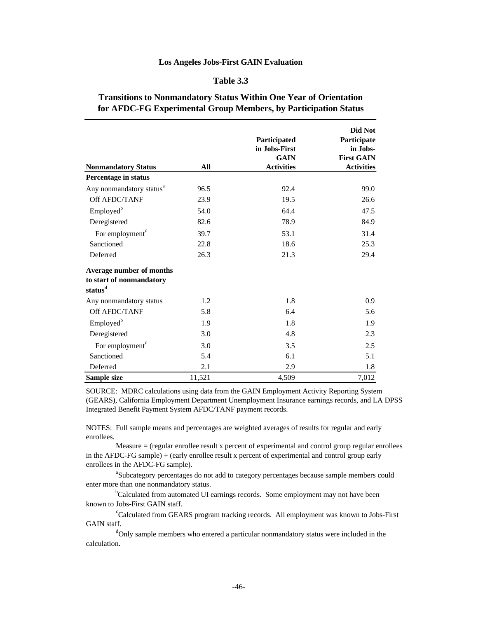#### **Table 3.3**

### **Transitions to Nonmandatory Status Within One Year of Orientation for AFDC-FG Experimental Group Members, by Participation Status**

| <b>Nonmandatory Status</b>                                                  | All    | Participated<br>in Jobs-First<br><b>GAIN</b><br><b>Activities</b> | Did Not<br>Participate<br>in Jobs-<br><b>First GAIN</b><br><b>Activities</b> |
|-----------------------------------------------------------------------------|--------|-------------------------------------------------------------------|------------------------------------------------------------------------------|
| Percentage in status                                                        |        |                                                                   |                                                                              |
| Any nonmandatory status <sup>a</sup>                                        | 96.5   | 92.4                                                              | 99.0                                                                         |
| Off AFDC/TANF                                                               | 23.9   | 19.5                                                              | 26.6                                                                         |
| Employed <sup>b</sup>                                                       | 54.0   | 64.4                                                              | 47.5                                                                         |
| Deregistered                                                                | 82.6   | 78.9                                                              | 84.9                                                                         |
| For employment <sup>c</sup>                                                 | 39.7   | 53.1                                                              | 31.4                                                                         |
| Sanctioned                                                                  | 22.8   | 18.6                                                              | 25.3                                                                         |
| Deferred                                                                    | 26.3   | 21.3                                                              | 29.4                                                                         |
| Average number of months<br>to start of nonmandatory<br>status <sup>d</sup> |        |                                                                   |                                                                              |
| Any nonmandatory status                                                     | 1.2    | 1.8                                                               | 0.9                                                                          |
| Off AFDC/TANF                                                               | 5.8    | 6.4                                                               | 5.6                                                                          |
| Employed <sup>b</sup>                                                       | 1.9    | 1.8                                                               | 1.9                                                                          |
| Deregistered                                                                | 3.0    | 4.8                                                               | 2.3                                                                          |
| For employment <sup>c</sup>                                                 | 3.0    | 3.5                                                               | 2.5                                                                          |
| Sanctioned                                                                  | 5.4    | 6.1                                                               | 5.1                                                                          |
| Deferred                                                                    | 2.1    | 2.9                                                               | 1.8                                                                          |
| Sample size                                                                 | 11,521 | 4,509                                                             | 7,012                                                                        |

SOURCE: MDRC calculations using data from the GAIN Employment Activity Reporting System (GEARS), California Employment Department Unemployment Insurance earnings records, and LA DPSS Integrated Benefit Payment System AFDC/TANF payment records.

NOTES: Full sample means and percentages are weighted averages of results for regular and early enrollees.

 Measure = (regular enrollee result x percent of experimental and control group regular enrollees in the AFDC-FG sample) + (early enrollee result x percent of experimental and control group early enrollees in the AFDC-FG sample).

<sup>a</sup>Subcategory percentages do not add to category percentages because sample members could enter more than one nonmandatory status.

<sup>b</sup>Calculated from automated UI earnings records. Some employment may not have been known to Jobs-First GAIN staff.

<sup>c</sup>Calculated from GEARS program tracking records. All employment was known to Jobs-First GAIN staff.

 $\alpha$ <sup>d</sup>Only sample members who entered a particular nonmandatory status were included in the calculation.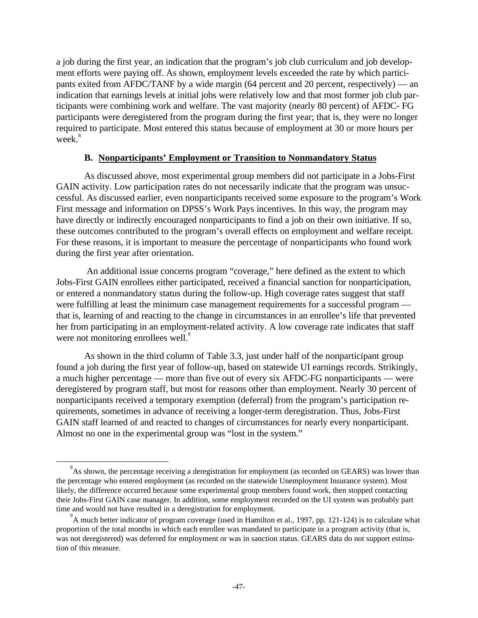a job during the first year, an indication that the program's job club curriculum and job development efforts were paying off. As shown, employment levels exceeded the rate by which participants exited from AFDC/TANF by a wide margin (64 percent and 20 percent, respectively) — an indication that earnings levels at initial jobs were relatively low and that most former job club participants were combining work and welfare. The vast majority (nearly 80 percent) of AFDC- FG participants were deregistered from the program during the first year; that is, they were no longer required to participate. Most entered this status because of employment at 30 or more hours per week.<sup>8</sup>

### **B. Nonparticipants' Employment or Transition to Nonmandatory Status**

As discussed above, most experimental group members did not participate in a Jobs-First GAIN activity. Low participation rates do not necessarily indicate that the program was unsuccessful. As discussed earlier, even nonparticipants received some exposure to the program's Work First message and information on DPSS's Work Pays incentives. In this way, the program may have directly or indirectly encouraged nonparticipants to find a job on their own initiative. If so, these outcomes contributed to the program's overall effects on employment and welfare receipt. For these reasons, it is important to measure the percentage of nonparticipants who found work during the first year after orientation.

 An additional issue concerns program "coverage," here defined as the extent to which Jobs-First GAIN enrollees either participated, received a financial sanction for nonparticipation, or entered a nonmandatory status during the follow-up. High coverage rates suggest that staff were fulfilling at least the minimum case management requirements for a successful program that is, learning of and reacting to the change in circumstances in an enrollee's life that prevented her from participating in an employment-related activity. A low coverage rate indicates that staff were not monitoring enrollees well.<sup>9</sup>

As shown in the third column of Table 3.3, just under half of the nonparticipant group found a job during the first year of follow-up, based on statewide UI earnings records. Strikingly, a much higher percentage — more than five out of every six AFDC-FG nonparticipants — were deregistered by program staff, but most for reasons other than employment. Nearly 30 percent of nonparticipants received a temporary exemption (deferral) from the program's participation requirements, sometimes in advance of receiving a longer-term deregistration. Thus, Jobs-First GAIN staff learned of and reacted to changes of circumstances for nearly every nonparticipant. Almost no one in the experimental group was "lost in the system."

ı

 $8<sup>8</sup>$ As shown, the percentage receiving a deregistration for employment (as recorded on GEARS) was lower than the percentage who entered employment (as recorded on the statewide Unemployment Insurance system). Most likely, the difference occurred because some experimental group members found work, then stopped contacting their Jobs-First GAIN case manager. In addition, some employment recorded on the UI system was probably part time and would not have resulted in a deregistration for employment.

<sup>&</sup>lt;sup>9</sup> A much better indicator of program coverage (used in Hamilton et al., 1997, pp. 121-124) is to calculate what proportion of the total months in which each enrollee was mandated to participate in a program activity (that is, was not deregistered) was deferred for employment or was in sanction status. GEARS data do not support estimation of this measure.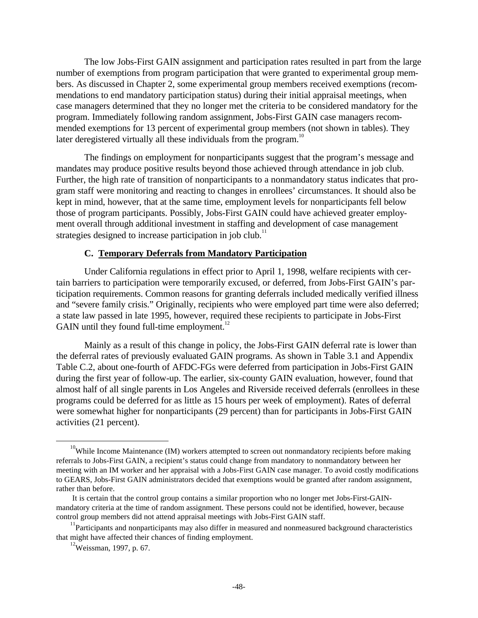The low Jobs-First GAIN assignment and participation rates resulted in part from the large number of exemptions from program participation that were granted to experimental group members. As discussed in Chapter 2, some experimental group members received exemptions (recommendations to end mandatory participation status) during their initial appraisal meetings, when case managers determined that they no longer met the criteria to be considered mandatory for the program. Immediately following random assignment, Jobs-First GAIN case managers recommended exemptions for 13 percent of experimental group members (not shown in tables). They later deregistered virtually all these individuals from the program.<sup>10</sup>

The findings on employment for nonparticipants suggest that the program's message and mandates may produce positive results beyond those achieved through attendance in job club. Further, the high rate of transition of nonparticipants to a nonmandatory status indicates that program staff were monitoring and reacting to changes in enrollees' circumstances. It should also be kept in mind, however, that at the same time, employment levels for nonparticipants fell below those of program participants. Possibly, Jobs-First GAIN could have achieved greater employment overall through additional investment in staffing and development of case management strategies designed to increase participation in job club.<sup>11</sup>

### **C. Temporary Deferrals from Mandatory Participation**

Under California regulations in effect prior to April 1, 1998, welfare recipients with certain barriers to participation were temporarily excused, or deferred, from Jobs-First GAIN's participation requirements. Common reasons for granting deferrals included medically verified illness and "severe family crisis." Originally, recipients who were employed part time were also deferred; a state law passed in late 1995, however, required these recipients to participate in Jobs-First GAIN until they found full-time employment. $^{12}$ 

Mainly as a result of this change in policy, the Jobs-First GAIN deferral rate is lower than the deferral rates of previously evaluated GAIN programs. As shown in Table 3.1 and Appendix Table C.2, about one-fourth of AFDC-FGs were deferred from participation in Jobs-First GAIN during the first year of follow-up. The earlier, six-county GAIN evaluation, however, found that almost half of all single parents in Los Angeles and Riverside received deferrals (enrollees in these programs could be deferred for as little as 15 hours per week of employment). Rates of deferral were somewhat higher for nonparticipants (29 percent) than for participants in Jobs-First GAIN activities (21 percent).

ı

 $10$ While Income Maintenance (IM) workers attempted to screen out nonmandatory recipients before making referrals to Jobs-First GAIN, a recipient's status could change from mandatory to nonmandatory between her meeting with an IM worker and her appraisal with a Jobs-First GAIN case manager. To avoid costly modifications to GEARS, Jobs-First GAIN administrators decided that exemptions would be granted after random assignment, rather than before.

It is certain that the control group contains a similar proportion who no longer met Jobs-First-GAINmandatory criteria at the time of random assignment. These persons could not be identified, however, because control group members did not attend appraisal meetings with Jobs-First GAIN staff.

<sup>&</sup>lt;sup>11</sup>Participants and nonparticipants may also differ in measured and nonmeasured background characteristics that might have affected their chances of finding employment.

 $12$ Weissman, 1997, p. 67.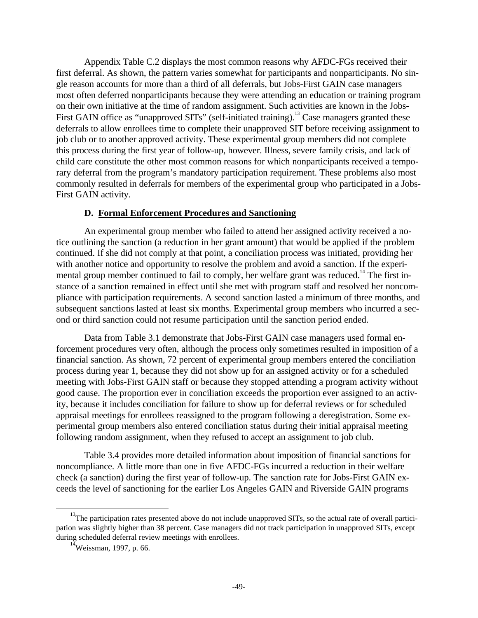Appendix Table C.2 displays the most common reasons why AFDC-FGs received their first deferral. As shown, the pattern varies somewhat for participants and nonparticipants. No single reason accounts for more than a third of all deferrals, but Jobs-First GAIN case managers most often deferred nonparticipants because they were attending an education or training program on their own initiative at the time of random assignment. Such activities are known in the Jobs-First GAIN office as "unapproved SITs" (self-initiated training).<sup>13</sup> Case managers granted these deferrals to allow enrollees time to complete their unapproved SIT before receiving assignment to job club or to another approved activity. These experimental group members did not complete this process during the first year of follow-up, however. Illness, severe family crisis, and lack of child care constitute the other most common reasons for which nonparticipants received a temporary deferral from the program's mandatory participation requirement. These problems also most commonly resulted in deferrals for members of the experimental group who participated in a Jobs-First GAIN activity.

### **D. Formal Enforcement Procedures and Sanctioning**

An experimental group member who failed to attend her assigned activity received a notice outlining the sanction (a reduction in her grant amount) that would be applied if the problem continued. If she did not comply at that point, a conciliation process was initiated, providing her with another notice and opportunity to resolve the problem and avoid a sanction. If the experimental group member continued to fail to comply, her welfare grant was reduced.<sup>14</sup> The first instance of a sanction remained in effect until she met with program staff and resolved her noncompliance with participation requirements. A second sanction lasted a minimum of three months, and subsequent sanctions lasted at least six months. Experimental group members who incurred a second or third sanction could not resume participation until the sanction period ended.

Data from Table 3.1 demonstrate that Jobs-First GAIN case managers used formal enforcement procedures very often, although the process only sometimes resulted in imposition of a financial sanction. As shown, 72 percent of experimental group members entered the conciliation process during year 1, because they did not show up for an assigned activity or for a scheduled meeting with Jobs-First GAIN staff or because they stopped attending a program activity without good cause. The proportion ever in conciliation exceeds the proportion ever assigned to an activity, because it includes conciliation for failure to show up for deferral reviews or for scheduled appraisal meetings for enrollees reassigned to the program following a deregistration. Some experimental group members also entered conciliation status during their initial appraisal meeting following random assignment, when they refused to accept an assignment to job club.

Table 3.4 provides more detailed information about imposition of financial sanctions for noncompliance. A little more than one in five AFDC-FGs incurred a reduction in their welfare check (a sanction) during the first year of follow-up. The sanction rate for Jobs-First GAIN exceeds the level of sanctioning for the earlier Los Angeles GAIN and Riverside GAIN programs

ı

<sup>&</sup>lt;sup>13</sup>The participation rates presented above do not include unapproved SITs, so the actual rate of overall participation was slightly higher than 38 percent. Case managers did not track participation in unapproved SITs, except during scheduled deferral review meetings with enrollees.

 $14$ Weissman, 1997, p. 66.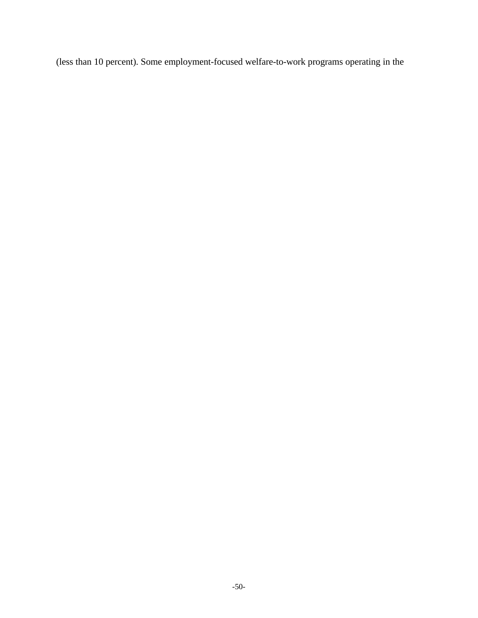(less than 10 percent). Some employment-focused welfare-to-work programs operating in the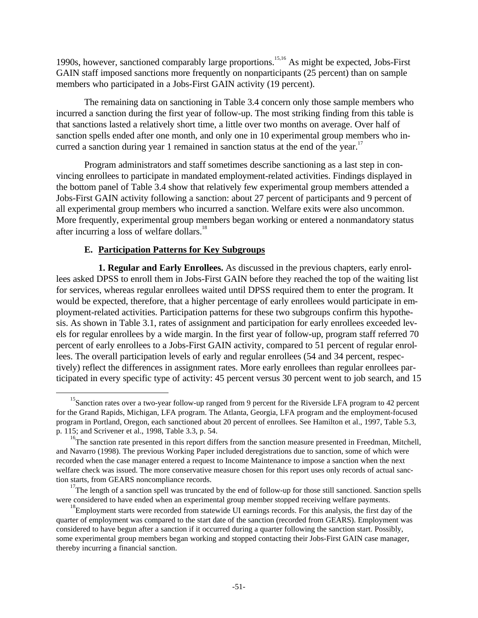1990s, however, sanctioned comparably large proportions.15,16 As might be expected, Jobs-First GAIN staff imposed sanctions more frequently on nonparticipants (25 percent) than on sample members who participated in a Jobs-First GAIN activity (19 percent).

The remaining data on sanctioning in Table 3.4 concern only those sample members who incurred a sanction during the first year of follow-up. The most striking finding from this table is that sanctions lasted a relatively short time, a little over two months on average. Over half of sanction spells ended after one month, and only one in 10 experimental group members who incurred a sanction during year 1 remained in sanction status at the end of the year.<sup>17</sup>

Program administrators and staff sometimes describe sanctioning as a last step in convincing enrollees to participate in mandated employment-related activities. Findings displayed in the bottom panel of Table 3.4 show that relatively few experimental group members attended a Jobs-First GAIN activity following a sanction: about 27 percent of participants and 9 percent of all experimental group members who incurred a sanction. Welfare exits were also uncommon. More frequently, experimental group members began working or entered a nonmandatory status after incurring a loss of welfare dollars.<sup>18</sup>

### **E. Participation Patterns for Key Subgroups**

ı

**1. Regular and Early Enrollees.** As discussed in the previous chapters, early enrollees asked DPSS to enroll them in Jobs-First GAIN before they reached the top of the waiting list for services, whereas regular enrollees waited until DPSS required them to enter the program. It would be expected, therefore, that a higher percentage of early enrollees would participate in employment-related activities. Participation patterns for these two subgroups confirm this hypothesis. As shown in Table 3.1, rates of assignment and participation for early enrollees exceeded levels for regular enrollees by a wide margin. In the first year of follow-up, program staff referred 70 percent of early enrollees to a Jobs-First GAIN activity, compared to 51 percent of regular enrollees. The overall participation levels of early and regular enrollees (54 and 34 percent, respectively) reflect the differences in assignment rates. More early enrollees than regular enrollees participated in every specific type of activity: 45 percent versus 30 percent went to job search, and 15

<sup>&</sup>lt;sup>15</sup>Sanction rates over a two-year follow-up ranged from 9 percent for the Riverside LFA program to 42 percent for the Grand Rapids, Michigan, LFA program. The Atlanta, Georgia, LFA program and the employment-focused program in Portland, Oregon, each sanctioned about 20 percent of enrollees. See Hamilton et al., 1997, Table 5.3, p. 115; and Scrivener et al., 1998, Table 3.3, p. 54.

<sup>&</sup>lt;sup>16</sup>The sanction rate presented in this report differs from the sanction measure presented in Freedman, Mitchell, and Navarro (1998). The previous Working Paper included deregistrations due to sanction, some of which were recorded when the case manager entered a request to Income Maintenance to impose a sanction when the next welfare check was issued. The more conservative measure chosen for this report uses only records of actual sanction starts, from GEARS noncompliance records.

<sup>&</sup>lt;sup>17</sup>The length of a sanction spell was truncated by the end of follow-up for those still sanctioned. Sanction spells were considered to have ended when an experimental group member stopped receiving welfare payments.

<sup>&</sup>lt;sup>18</sup>Employment starts were recorded from statewide UI earnings records. For this analysis, the first day of the quarter of employment was compared to the start date of the sanction (recorded from GEARS). Employment was considered to have begun after a sanction if it occurred during a quarter following the sanction start. Possibly, some experimental group members began working and stopped contacting their Jobs-First GAIN case manager, thereby incurring a financial sanction.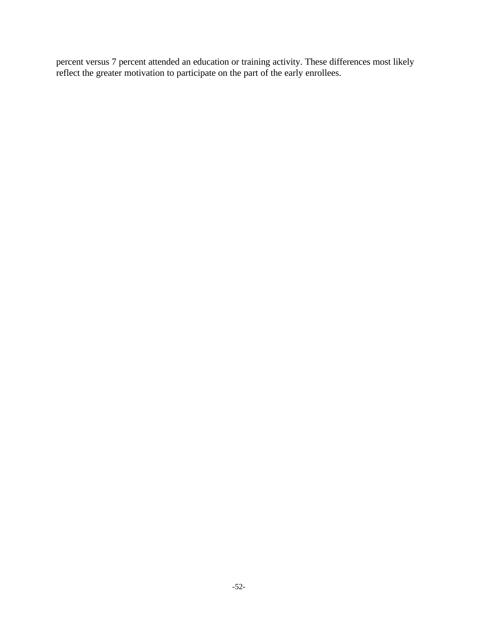percent versus 7 percent attended an education or training activity. These differences most likely reflect the greater motivation to participate on the part of the early enrollees.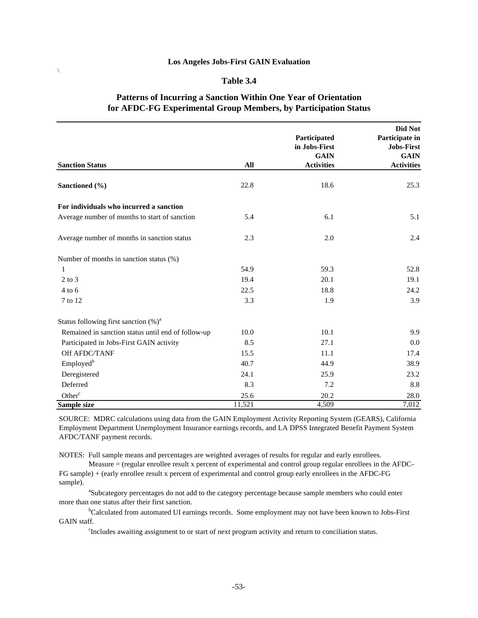$\setminus$ 

#### **Table 3.4**

### **Patterns of Incurring a Sanction Within One Year of Orientation for AFDC-FG Experimental Group Members, by Participation Status**

|                                                    |        | Participated<br>in Jobs-First<br><b>GAIN</b> | Did Not<br>Participate in<br>Jobs-First<br><b>GAIN</b> |
|----------------------------------------------------|--------|----------------------------------------------|--------------------------------------------------------|
| <b>Sanction Status</b>                             | All    | <b>Activities</b>                            | <b>Activities</b>                                      |
| Sanctioned (%)                                     | 22.8   | 18.6                                         | 25.3                                                   |
| For individuals who incurred a sanction            |        |                                              |                                                        |
| Average number of months to start of sanction      | 5.4    | 6.1                                          | 5.1                                                    |
| Average number of months in sanction status        | 2.3    | 2.0                                          | 2.4                                                    |
| Number of months in sanction status (%)            |        |                                              |                                                        |
| 1                                                  | 54.9   | 59.3                                         | 52.8                                                   |
| $2$ to $3$                                         | 19.4   | 20.1                                         | 19.1                                                   |
| $4$ to $6$                                         | 22.5   | 18.8                                         | 24.2                                                   |
| 7 to 12                                            | 3.3    | 1.9                                          | 3.9                                                    |
| Status following first sanction $(\%)^a$           |        |                                              |                                                        |
| Remained in sanction status until end of follow-up | 10.0   | 10.1                                         | 9.9                                                    |
| Participated in Jobs-First GAIN activity           | 8.5    | 27.1                                         | 0.0                                                    |
| Off AFDC/TANF                                      | 15.5   | 11.1                                         | 17.4                                                   |
| Employed <sup>b</sup>                              | 40.7   | 44.9                                         | 38.9                                                   |
| Deregistered                                       | 24.1   | 25.9                                         | 23.2                                                   |
| Deferred                                           | 8.3    | 7.2                                          | 8.8                                                    |
| Other <sup>c</sup>                                 | 25.6   | 20.2                                         | 28.0                                                   |
| Sample size                                        | 11,521 | 4,509                                        | 7,012                                                  |

SOURCE: MDRC calculations using data from the GAIN Employment Activity Reporting System (GEARS), California Employment Department Unemployment Insurance earnings records, and LA DPSS Integrated Benefit Payment System AFDC/TANF payment records.

NOTES: Full sample means and percentages are weighted averages of results for regular and early enrollees. Measure = (regular enrollee result x percent of experimental and control group regular enrollees in the AFDC-

FG sample) + (early enrollee result x percent of experimental and control group early enrollees in the AFDC-FG sample).

<sup>a</sup>Subcategory percentages do not add to the category percentage because sample members who could enter more than one status after their first sanction.

<sup>b</sup>Calculated from automated UI earnings records. Some employment may not have been known to Jobs-First GAIN staff.

c Includes awaiting assignment to or start of next program activity and return to conciliation status.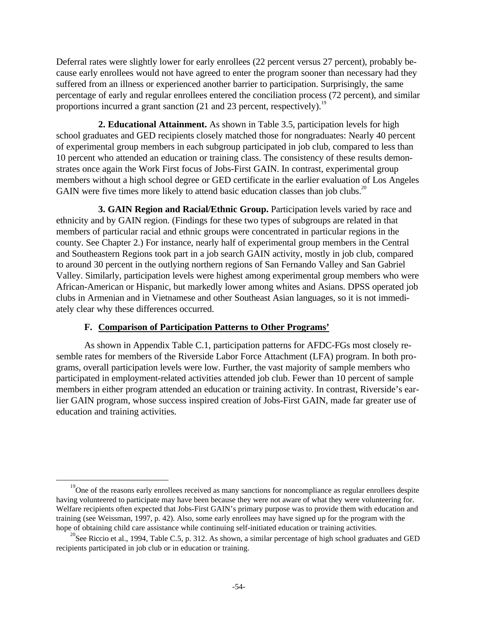Deferral rates were slightly lower for early enrollees (22 percent versus 27 percent), probably because early enrollees would not have agreed to enter the program sooner than necessary had they suffered from an illness or experienced another barrier to participation. Surprisingly, the same percentage of early and regular enrollees entered the conciliation process (72 percent), and similar proportions incurred a grant sanction  $(21 \text{ and } 23 \text{ percent}, \text{respectively})$ .<sup>19</sup>

**2. Educational Attainment.** As shown in Table 3.5, participation levels for high school graduates and GED recipients closely matched those for nongraduates: Nearly 40 percent of experimental group members in each subgroup participated in job club, compared to less than 10 percent who attended an education or training class. The consistency of these results demonstrates once again the Work First focus of Jobs-First GAIN. In contrast, experimental group members without a high school degree or GED certificate in the earlier evaluation of Los Angeles GAIN were five times more likely to attend basic education classes than job clubs.<sup>20</sup>

**3. GAIN Region and Racial/Ethnic Group.** Participation levels varied by race and ethnicity and by GAIN region. (Findings for these two types of subgroups are related in that members of particular racial and ethnic groups were concentrated in particular regions in the county. See Chapter 2.) For instance, nearly half of experimental group members in the Central and Southeastern Regions took part in a job search GAIN activity, mostly in job club, compared to around 30 percent in the outlying northern regions of San Fernando Valley and San Gabriel Valley. Similarly, participation levels were highest among experimental group members who were African-American or Hispanic, but markedly lower among whites and Asians. DPSS operated job clubs in Armenian and in Vietnamese and other Southeast Asian languages, so it is not immediately clear why these differences occurred.

# **F. Comparison of Participation Patterns to Other Programs'**

-

As shown in Appendix Table C.1, participation patterns for AFDC-FGs most closely resemble rates for members of the Riverside Labor Force Attachment (LFA) program. In both programs, overall participation levels were low. Further, the vast majority of sample members who participated in employment-related activities attended job club. Fewer than 10 percent of sample members in either program attended an education or training activity. In contrast, Riverside's earlier GAIN program, whose success inspired creation of Jobs-First GAIN, made far greater use of education and training activities.

<sup>&</sup>lt;sup>19</sup>One of the reasons early enrollees received as many sanctions for noncompliance as regular enrollees despite having volunteered to participate may have been because they were not aware of what they were volunteering for. Welfare recipients often expected that Jobs-First GAIN's primary purpose was to provide them with education and training (see Weissman, 1997, p. 42). Also, some early enrollees may have signed up for the program with the hope of obtaining child care assistance while continuing self-initiated education or training activities.

<sup>&</sup>lt;sup>20</sup>See Riccio et al., 1994, Table C.5, p. 312. As shown, a similar percentage of high school graduates and GED recipients participated in job club or in education or training.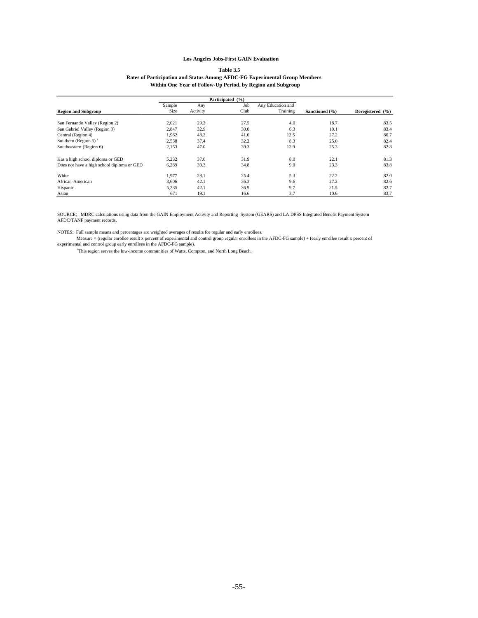#### **Table 3.5 Rates of Participation and Status Among AFDC-FG Experimental Group Members Within One Year of Follow-Up Period, by Region and Subgroup**

|                                            | Participated (%) |          |      |                   |                |                  |
|--------------------------------------------|------------------|----------|------|-------------------|----------------|------------------|
|                                            | Sample           | Any      | Job  | Any Education and |                |                  |
| <b>Region and Subgroup</b>                 | <b>Size</b>      | Activity | Club | Training          | Sanctioned (%) | Deregistered (%) |
|                                            |                  |          |      |                   |                |                  |
| San Fernando Valley (Region 2)             | 2,021            | 29.2     | 27.5 | 4.0               | 18.7           | 83.5             |
| San Gabriel Valley (Region 3)              | 2.847            | 32.9     | 30.0 | 6.3               | 19.1           | 83.4             |
| Central (Region 4)                         | 1,962            | 48.2     | 41.0 | 12.5              | 27.2           | 80.7             |
| Southern (Region 5) $a$                    | 2,538            | 37.4     | 32.2 | 8.3               | 25.0           | 82.4             |
| Southeastern (Region 6)                    | 2,153            | 47.0     | 39.3 | 12.9              | 25.3           | 82.8             |
| Has a high school diploma or GED           | 5.232            | 37.0     | 31.9 | 8.0               | 22.1           | 81.3             |
| Does not have a high school diploma or GED | 6,289            | 39.3     | 34.8 | 9.0               | 23.3           | 83.8             |
| White                                      | 1.977            | 28.1     | 25.4 | 5.3               | 22.2           | 82.0             |
| African-American                           | 3,606            | 42.1     | 36.3 | 9.6               | 27.2           | 82.6             |
| Hispanic                                   | 5,235            | 42.1     | 36.9 | 9.7               | 21.5           | 82.7             |
| Asian                                      | 671              | 19.1     | 16.6 | 3.7               | 10.6           | 83.7             |

SOURCE: MDRC calculations using data from the GAIN Employment Activity and Reporting System (GEARS) and LA DPSS Integrated Benefit Payment System AFDC/TANF payment records.

NOTES: Full sample means and percentages are weighted averages of results for regular and early enrollees.<br>Measure = (regular enrollee result x percent of experimental and control group regular enrollees in the AFDC-FG sam

a This region serves the low-income communities of Watts, Compton, and North Long Beach.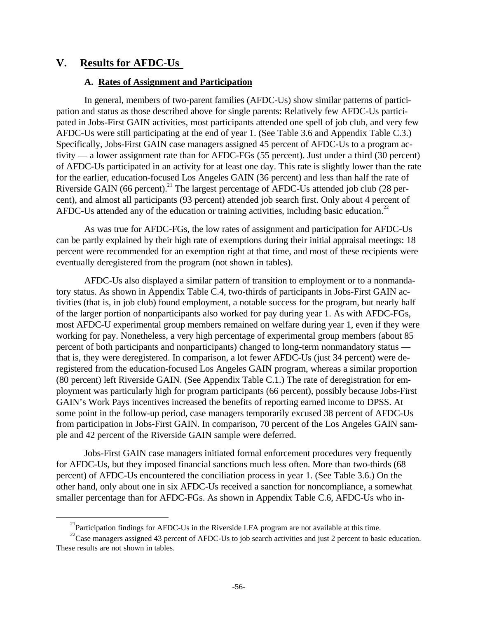# **V. Results for AFDC-Us**

ı

### **A. Rates of Assignment and Participation**

In general, members of two-parent families (AFDC-Us) show similar patterns of participation and status as those described above for single parents: Relatively few AFDC-Us participated in Jobs-First GAIN activities, most participants attended one spell of job club, and very few AFDC-Us were still participating at the end of year 1. (See Table 3.6 and Appendix Table C.3.) Specifically, Jobs-First GAIN case managers assigned 45 percent of AFDC-Us to a program activity — a lower assignment rate than for AFDC-FGs (55 percent). Just under a third (30 percent) of AFDC-Us participated in an activity for at least one day. This rate is slightly lower than the rate for the earlier, education-focused Los Angeles GAIN (36 percent) and less than half the rate of Riverside GAIN (66 percent).<sup>21</sup> The largest percentage of AFDC-Us attended job club (28 percent), and almost all participants (93 percent) attended job search first. Only about 4 percent of AFDC-Us attended any of the education or training activities, including basic education.<sup>22</sup>

As was true for AFDC-FGs, the low rates of assignment and participation for AFDC-Us can be partly explained by their high rate of exemptions during their initial appraisal meetings: 18 percent were recommended for an exemption right at that time, and most of these recipients were eventually deregistered from the program (not shown in tables).

AFDC-Us also displayed a similar pattern of transition to employment or to a nonmandatory status. As shown in Appendix Table C.4, two-thirds of participants in Jobs-First GAIN activities (that is, in job club) found employment, a notable success for the program, but nearly half of the larger portion of nonparticipants also worked for pay during year 1. As with AFDC-FGs, most AFDC-U experimental group members remained on welfare during year 1, even if they were working for pay. Nonetheless, a very high percentage of experimental group members (about 85 percent of both participants and nonparticipants) changed to long-term nonmandatory status that is, they were deregistered. In comparison, a lot fewer AFDC-Us (just 34 percent) were deregistered from the education-focused Los Angeles GAIN program, whereas a similar proportion (80 percent) left Riverside GAIN. (See Appendix Table C.1.) The rate of deregistration for employment was particularly high for program participants (66 percent), possibly because Jobs-First GAIN's Work Pays incentives increased the benefits of reporting earned income to DPSS. At some point in the follow-up period, case managers temporarily excused 38 percent of AFDC-Us from participation in Jobs-First GAIN. In comparison, 70 percent of the Los Angeles GAIN sample and 42 percent of the Riverside GAIN sample were deferred.

Jobs-First GAIN case managers initiated formal enforcement procedures very frequently for AFDC-Us, but they imposed financial sanctions much less often. More than two-thirds (68 percent) of AFDC-Us encountered the conciliation process in year 1. (See Table 3.6.) On the other hand, only about one in six AFDC-Us received a sanction for noncompliance, a somewhat smaller percentage than for AFDC-FGs. As shown in Appendix Table C.6, AFDC-Us who in-

 $2^{1}$ Participation findings for AFDC-Us in the Riverside LFA program are not available at this time.

<sup>&</sup>lt;sup>22</sup>Case managers assigned 43 percent of AFDC-Us to job search activities and just 2 percent to basic education. These results are not shown in tables.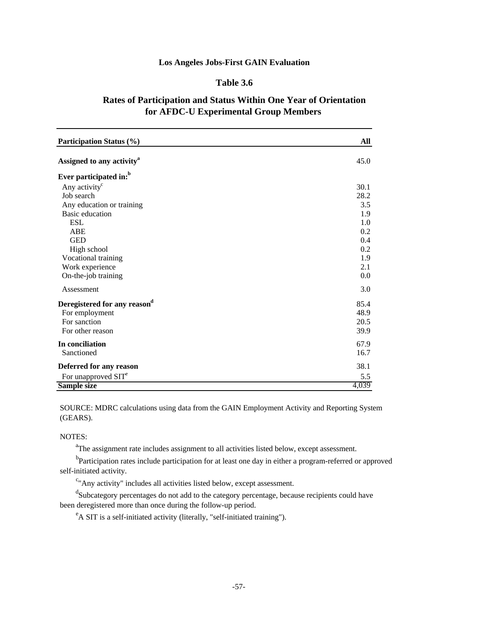### **Table 3.6**

# **Rates of Participation and Status Within One Year of Orientation for AFDC-U Experimental Group Members**

| <b>Participation Status (%)</b>       | All   |
|---------------------------------------|-------|
| Assigned to any activity <sup>a</sup> | 45.0  |
| Ever participated in: <sup>b</sup>    |       |
| Any activity <sup>c</sup>             | 30.1  |
| Job search                            | 28.2  |
| Any education or training             | 3.5   |
| Basic education                       | 1.9   |
| ESL                                   | 1.0   |
| ABE                                   | 0.2   |
| <b>GED</b>                            | 0.4   |
| High school                           | 0.2   |
| Vocational training                   | 1.9   |
| Work experience                       | 2.1   |
| On-the-job training                   | 0.0   |
| Assessment                            | 3.0   |
| Deregistered for any reasond          | 85.4  |
| For employment                        | 48.9  |
| For sanction                          | 20.5  |
| For other reason                      | 39.9  |
| In conciliation                       | 67.9  |
| Sanctioned                            | 16.7  |
| Deferred for any reason               | 38.1  |
| For unapproved SIT <sup>e</sup>       | 5.5   |
| Sample size                           | 4,039 |

SOURCE: MDRC calculations using data from the GAIN Employment Activity and Reporting System (GEARS).

#### NOTES:

<sup>a</sup>The assignment rate includes assignment to all activities listed below, except assessment.

<sup>b</sup>Participation rates include participation for at least one day in either a program-referred or approved self-initiated activity.

<sup>c</sup>"Any activity" includes all activities listed below, except assessment.

<sup>d</sup>Subcategory percentages do not add to the category percentage, because recipients could have been deregistered more than once during the follow-up period.

<sup>e</sup>A SIT is a self-initiated activity (literally, "self-initiated training").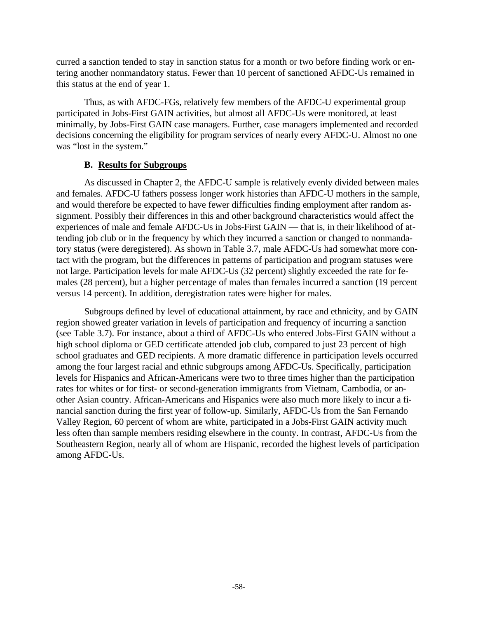curred a sanction tended to stay in sanction status for a month or two before finding work or entering another nonmandatory status. Fewer than 10 percent of sanctioned AFDC-Us remained in this status at the end of year 1.

Thus, as with AFDC-FGs, relatively few members of the AFDC-U experimental group participated in Jobs-First GAIN activities, but almost all AFDC-Us were monitored, at least minimally, by Jobs-First GAIN case managers. Further, case managers implemented and recorded decisions concerning the eligibility for program services of nearly every AFDC-U. Almost no one was "lost in the system."

## **B. Results for Subgroups**

As discussed in Chapter 2, the AFDC-U sample is relatively evenly divided between males and females. AFDC-U fathers possess longer work histories than AFDC-U mothers in the sample, and would therefore be expected to have fewer difficulties finding employment after random assignment. Possibly their differences in this and other background characteristics would affect the experiences of male and female AFDC-Us in Jobs-First GAIN — that is, in their likelihood of attending job club or in the frequency by which they incurred a sanction or changed to nonmandatory status (were deregistered). As shown in Table 3.7, male AFDC-Us had somewhat more contact with the program, but the differences in patterns of participation and program statuses were not large. Participation levels for male AFDC-Us (32 percent) slightly exceeded the rate for females (28 percent), but a higher percentage of males than females incurred a sanction (19 percent versus 14 percent). In addition, deregistration rates were higher for males.

Subgroups defined by level of educational attainment, by race and ethnicity, and by GAIN region showed greater variation in levels of participation and frequency of incurring a sanction (see Table 3.7). For instance, about a third of AFDC-Us who entered Jobs-First GAIN without a high school diploma or GED certificate attended job club, compared to just 23 percent of high school graduates and GED recipients. A more dramatic difference in participation levels occurred among the four largest racial and ethnic subgroups among AFDC-Us. Specifically, participation levels for Hispanics and African-Americans were two to three times higher than the participation rates for whites or for first- or second-generation immigrants from Vietnam, Cambodia, or another Asian country. African-Americans and Hispanics were also much more likely to incur a financial sanction during the first year of follow-up. Similarly, AFDC-Us from the San Fernando Valley Region, 60 percent of whom are white, participated in a Jobs-First GAIN activity much less often than sample members residing elsewhere in the county. In contrast, AFDC-Us from the Southeastern Region, nearly all of whom are Hispanic, recorded the highest levels of participation among AFDC-Us.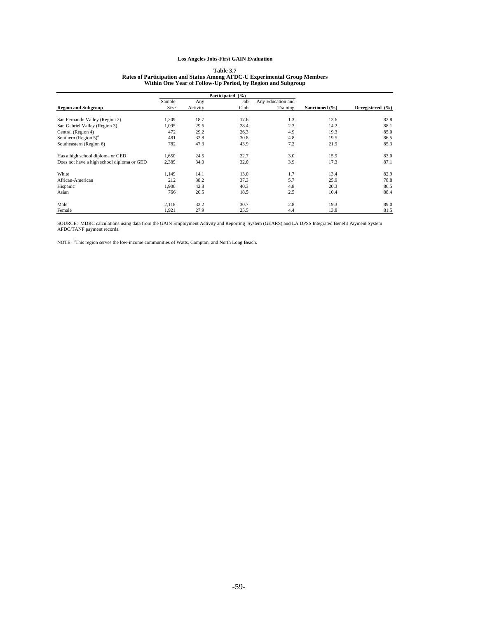### **Table 3.7 Rates of Participation and Status Among AFDC-U Experimental Group Members Within One Year of Follow-Up Period, by Region and Subgroup**

|                                            | Participated (%) |          |      |                   |                |                  |
|--------------------------------------------|------------------|----------|------|-------------------|----------------|------------------|
|                                            | Sample           | Any      | Job  | Any Education and |                |                  |
| <b>Region and Subgroup</b>                 | <b>Size</b>      | Activity | Club | Training          | Sanctioned (%) | Deregistered (%) |
| San Fernando Valley (Region 2)             | 1,209            | 18.7     | 17.6 | 1.3               | 13.6           | 82.8             |
| San Gabriel Valley (Region 3)              | 1,095            | 29.6     | 28.4 | 2.3               | 14.2           | 88.1             |
| Central (Region 4)                         | 472              | 29.2     | 26.3 | 4.9               | 19.3           | 85.0             |
| Southern $(Region 5)^a$                    | 481              | 32.8     | 30.8 | 4.8               | 19.5           | 86.5             |
| Southeastern (Region 6)                    | 782              | 47.3     | 43.9 | 7.2               | 21.9           | 85.3             |
| Has a high school diploma or GED           | 1,650            | 24.5     | 22.7 | 3.0               | 15.9           | 83.0             |
| Does not have a high school diploma or GED | 2,389            | 34.0     | 32.0 | 3.9               | 17.3           | 87.1             |
| White                                      | 1,149            | 14.1     | 13.0 | 1.7               | 13.4           | 82.9             |
| African-American                           | 212              | 38.2     | 37.3 | 5.7               | 25.9           | 78.8             |
| Hispanic                                   | 1.906            | 42.8     | 40.3 | 4.8               | 20.3           | 86.5             |
| Asian                                      | 766              | 20.5     | 18.5 | 2.5               | 10.4           | 88.4             |
| Male                                       | 2,118            | 32.2     | 30.7 | 2.8               | 19.3           | 89.0             |
| Female                                     | 1,921            | 27.9     | 25.5 | 4.4               | 13.8           | 81.5             |

SOURCE: MDRC calculations using data from the GAIN Employment Activity and Reporting System (GEARS) and LA DPSS Integrated Benefit Payment System AFDC/TANF payment records.

NOTE: <sup>a</sup>This region serves the low-income communities of Watts, Compton, and North Long Beach.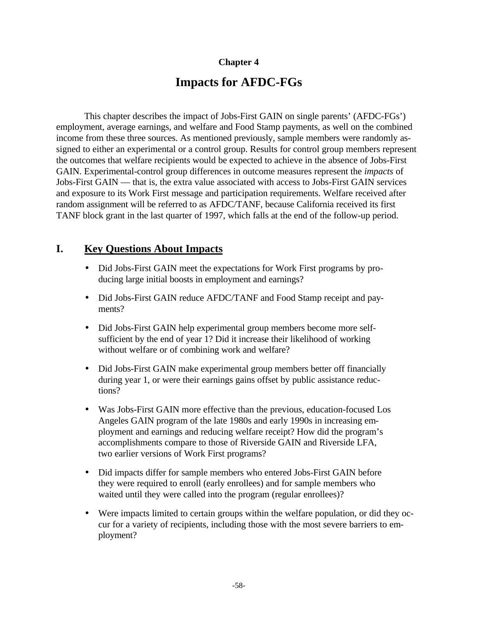# **Chapter 4**

# **Impacts for AFDC-FGs**

This chapter describes the impact of Jobs-First GAIN on single parents' (AFDC-FGs') employment, average earnings, and welfare and Food Stamp payments, as well on the combined income from these three sources. As mentioned previously, sample members were randomly assigned to either an experimental or a control group. Results for control group members represent the outcomes that welfare recipients would be expected to achieve in the absence of Jobs-First GAIN. Experimental-control group differences in outcome measures represent the *impacts* of Jobs-First GAIN — that is, the extra value associated with access to Jobs-First GAIN services and exposure to its Work First message and participation requirements. Welfare received after random assignment will be referred to as AFDC/TANF, because California received its first TANF block grant in the last quarter of 1997, which falls at the end of the follow-up period.

# **I. Key Questions About Impacts**

- Did Jobs-First GAIN meet the expectations for Work First programs by producing large initial boosts in employment and earnings?
- Did Jobs-First GAIN reduce AFDC/TANF and Food Stamp receipt and payments?
- Did Jobs-First GAIN help experimental group members become more selfsufficient by the end of year 1? Did it increase their likelihood of working without welfare or of combining work and welfare?
- Did Jobs-First GAIN make experimental group members better off financially during year 1, or were their earnings gains offset by public assistance reductions?
- Was Jobs-First GAIN more effective than the previous, education-focused Los Angeles GAIN program of the late 1980s and early 1990s in increasing employment and earnings and reducing welfare receipt? How did the program's accomplishments compare to those of Riverside GAIN and Riverside LFA, two earlier versions of Work First programs?
- Did impacts differ for sample members who entered Jobs-First GAIN before they were required to enroll (early enrollees) and for sample members who waited until they were called into the program (regular enrollees)?
- Were impacts limited to certain groups within the welfare population, or did they occur for a variety of recipients, including those with the most severe barriers to employment?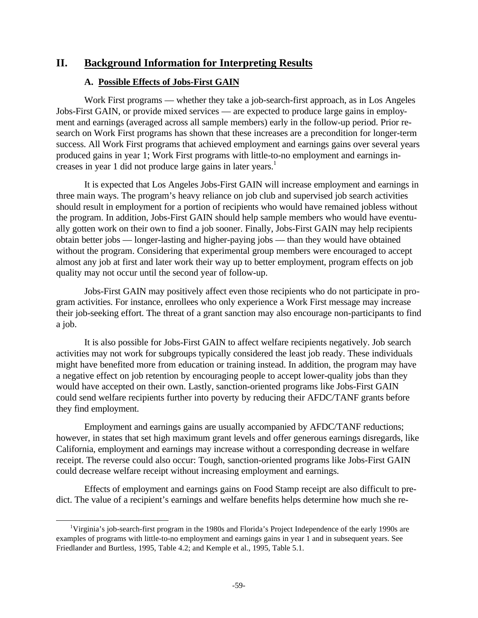# **II. Background Information for Interpreting Results**

## **A. Possible Effects of Jobs-First GAIN**

Work First programs — whether they take a job-search-first approach, as in Los Angeles Jobs-First GAIN, or provide mixed services — are expected to produce large gains in employment and earnings (averaged across all sample members) early in the follow-up period. Prior research on Work First programs has shown that these increases are a precondition for longer-term success. All Work First programs that achieved employment and earnings gains over several years produced gains in year 1; Work First programs with little-to-no employment and earnings increases in year 1 did not produce large gains in later years.<sup>1</sup>

It is expected that Los Angeles Jobs-First GAIN will increase employment and earnings in three main ways. The program's heavy reliance on job club and supervised job search activities should result in employment for a portion of recipients who would have remained jobless without the program. In addition, Jobs-First GAIN should help sample members who would have eventually gotten work on their own to find a job sooner. Finally, Jobs-First GAIN may help recipients obtain better jobs — longer-lasting and higher-paying jobs — than they would have obtained without the program. Considering that experimental group members were encouraged to accept almost any job at first and later work their way up to better employment, program effects on job quality may not occur until the second year of follow-up.

Jobs-First GAIN may positively affect even those recipients who do not participate in program activities. For instance, enrollees who only experience a Work First message may increase their job-seeking effort. The threat of a grant sanction may also encourage non-participants to find a job.

It is also possible for Jobs-First GAIN to affect welfare recipients negatively. Job search activities may not work for subgroups typically considered the least job ready. These individuals might have benefited more from education or training instead. In addition, the program may have a negative effect on job retention by encouraging people to accept lower-quality jobs than they would have accepted on their own. Lastly, sanction-oriented programs like Jobs-First GAIN could send welfare recipients further into poverty by reducing their AFDC/TANF grants before they find employment.

Employment and earnings gains are usually accompanied by AFDC/TANF reductions; however, in states that set high maximum grant levels and offer generous earnings disregards, like California, employment and earnings may increase without a corresponding decrease in welfare receipt. The reverse could also occur: Tough, sanction-oriented programs like Jobs-First GAIN could decrease welfare receipt without increasing employment and earnings.

Effects of employment and earnings gains on Food Stamp receipt are also difficult to predict. The value of a recipient's earnings and welfare benefits helps determine how much she re-

 $\overline{a}$ 

<sup>&</sup>lt;sup>1</sup>Virginia's job-search-first program in the 1980s and Florida's Project Independence of the early 1990s are examples of programs with little-to-no employment and earnings gains in year 1 and in subsequent years. See Friedlander and Burtless, 1995, Table 4.2; and Kemple et al., 1995, Table 5.1.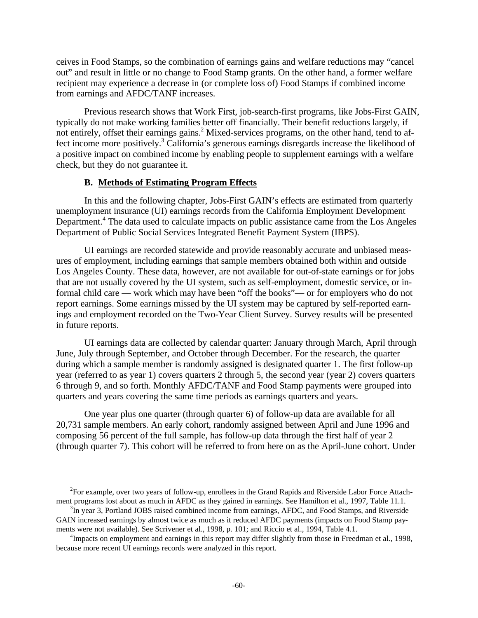ceives in Food Stamps, so the combination of earnings gains and welfare reductions may "cancel out" and result in little or no change to Food Stamp grants. On the other hand, a former welfare recipient may experience a decrease in (or complete loss of) Food Stamps if combined income from earnings and AFDC/TANF increases.

Previous research shows that Work First, job-search-first programs, like Jobs-First GAIN, typically do not make working families better off financially. Their benefit reductions largely, if not entirely, offset their earnings gains.<sup>2</sup> Mixed-services programs, on the other hand, tend to affect income more positively.<sup>3</sup> California's generous earnings disregards increase the likelihood of a positive impact on combined income by enabling people to supplement earnings with a welfare check, but they do not guarantee it.

### **B. Methods of Estimating Program Effects**

 $\overline{a}$ 

In this and the following chapter, Jobs-First GAIN's effects are estimated from quarterly unemployment insurance (UI) earnings records from the California Employment Development Department.<sup>4</sup> The data used to calculate impacts on public assistance came from the Los Angeles Department of Public Social Services Integrated Benefit Payment System (IBPS).

UI earnings are recorded statewide and provide reasonably accurate and unbiased measures of employment, including earnings that sample members obtained both within and outside Los Angeles County. These data, however, are not available for out-of-state earnings or for jobs that are not usually covered by the UI system, such as self-employment, domestic service, or informal child care — work which may have been "off the books"— or for employers who do not report earnings. Some earnings missed by the UI system may be captured by self-reported earnings and employment recorded on the Two-Year Client Survey. Survey results will be presented in future reports.

UI earnings data are collected by calendar quarter: January through March, April through June, July through September, and October through December. For the research, the quarter during which a sample member is randomly assigned is designated quarter 1. The first follow-up year (referred to as year 1) covers quarters 2 through 5, the second year (year 2) covers quarters 6 through 9, and so forth. Monthly AFDC/TANF and Food Stamp payments were grouped into quarters and years covering the same time periods as earnings quarters and years.

One year plus one quarter (through quarter 6) of follow-up data are available for all 20,731 sample members. An early cohort, randomly assigned between April and June 1996 and composing 56 percent of the full sample, has follow-up data through the first half of year 2 (through quarter 7). This cohort will be referred to from here on as the April-June cohort. Under

 $2^2$ For example, over two years of follow-up, enrollees in the Grand Rapids and Riverside Labor Force Attachment programs lost about as much in AFDC as they gained in earnings. See Hamilton et al., 1997, Table 11.1.

<sup>&</sup>lt;sup>3</sup>In year 3, Portland JOBS raised combined income from earnings, AFDC, and Food Stamps, and Riverside GAIN increased earnings by almost twice as much as it reduced AFDC payments (impacts on Food Stamp payments were not available). See Scrivener et al., 1998, p. 101; and Riccio et al., 1994, Table 4.1.

<sup>&</sup>lt;sup>4</sup>Impacts on employment and earnings in this report may differ slightly from those in Freedman et al., 1998, because more recent UI earnings records were analyzed in this report.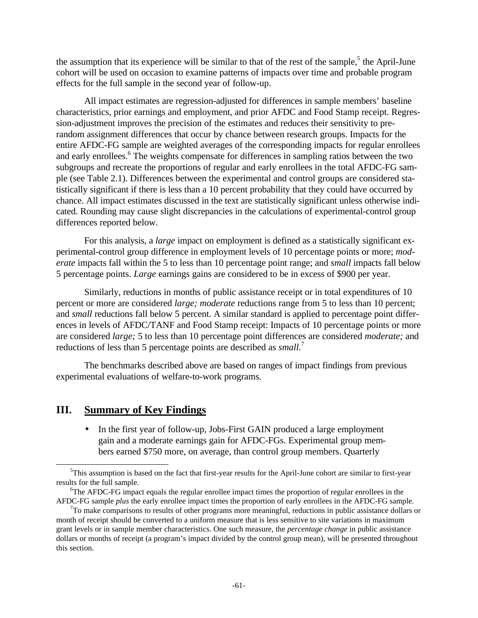the assumption that its experience will be similar to that of the rest of the sample,<sup>5</sup> the April-June cohort will be used on occasion to examine patterns of impacts over time and probable program effects for the full sample in the second year of follow-up.

All impact estimates are regression-adjusted for differences in sample members' baseline characteristics, prior earnings and employment, and prior AFDC and Food Stamp receipt. Regression-adjustment improves the precision of the estimates and reduces their sensitivity to prerandom assignment differences that occur by chance between research groups. Impacts for the entire AFDC-FG sample are weighted averages of the corresponding impacts for regular enrollees and early enrollees.<sup>6</sup> The weights compensate for differences in sampling ratios between the two subgroups and recreate the proportions of regular and early enrollees in the total AFDC-FG sample (see Table 2.1). Differences between the experimental and control groups are considered statistically significant if there is less than a 10 percent probability that they could have occurred by chance. All impact estimates discussed in the text are statistically significant unless otherwise indicated. Rounding may cause slight discrepancies in the calculations of experimental-control group differences reported below.

For this analysis, a *large* impact on employment is defined as a statistically significant experimental-control group difference in employment levels of 10 percentage points or more; *moderate* impacts fall within the 5 to less than 10 percentage point range; and *small* impacts fall below 5 percentage points. *Large* earnings gains are considered to be in excess of \$900 per year.

Similarly, reductions in months of public assistance receipt or in total expenditures of 10 percent or more are considered *large; moderate* reductions range from 5 to less than 10 percent; and *small* reductions fall below 5 percent. A similar standard is applied to percentage point differences in levels of AFDC/TANF and Food Stamp receipt: Impacts of 10 percentage points or more are considered *large;* 5 to less than 10 percentage point differences are considered *moderate;* and reductions of less than 5 percentage points are described as *small.*<sup>7</sup>

The benchmarks described above are based on ranges of impact findings from previous experimental evaluations of welfare-to-work programs.

## **III. Summary of Key Findings**

 $\overline{a}$ 

• In the first year of follow-up, Jobs-First GAIN produced a large employment gain and a moderate earnings gain for AFDC-FGs. Experimental group members earned \$750 more, on average, than control group members. Quarterly

 $5$ This assumption is based on the fact that first-year results for the April-June cohort are similar to first-year results for the full sample.

<sup>&</sup>lt;sup>6</sup>The AFDC-FG impact equals the regular enrollee impact times the proportion of regular enrollees in the AFDC-FG sample *plus* the early enrollee impact times the proportion of early enrollees in the AFDC-FG sample.

 $7$ To make comparisons to results of other programs more meaningful, reductions in public assistance dollars or month of receipt should be converted to a uniform measure that is less sensitive to site variations in maximum grant levels or in sample member characteristics. One such measure, the *percentage change* in public assistance dollars or months of receipt (a program's impact divided by the control group mean), will be presented throughout this section.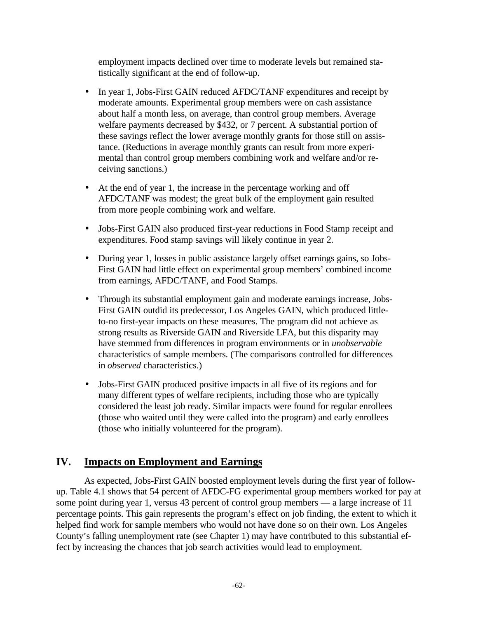employment impacts declined over time to moderate levels but remained statistically significant at the end of follow-up.

- In year 1, Jobs-First GAIN reduced AFDC/TANF expenditures and receipt by moderate amounts. Experimental group members were on cash assistance about half a month less, on average, than control group members. Average welfare payments decreased by \$432, or 7 percent. A substantial portion of these savings reflect the lower average monthly grants for those still on assistance. (Reductions in average monthly grants can result from more experimental than control group members combining work and welfare and/or receiving sanctions.)
- At the end of year 1, the increase in the percentage working and off AFDC/TANF was modest; the great bulk of the employment gain resulted from more people combining work and welfare.
- Jobs-First GAIN also produced first-year reductions in Food Stamp receipt and expenditures. Food stamp savings will likely continue in year 2.
- During year 1, losses in public assistance largely offset earnings gains, so Jobs-First GAIN had little effect on experimental group members' combined income from earnings, AFDC/TANF, and Food Stamps.
- Through its substantial employment gain and moderate earnings increase, Jobs-First GAIN outdid its predecessor, Los Angeles GAIN, which produced littleto-no first-year impacts on these measures. The program did not achieve as strong results as Riverside GAIN and Riverside LFA, but this disparity may have stemmed from differences in program environments or in *unobservable* characteristics of sample members. (The comparisons controlled for differences in *observed* characteristics.)
- Jobs-First GAIN produced positive impacts in all five of its regions and for many different types of welfare recipients, including those who are typically considered the least job ready. Similar impacts were found for regular enrollees (those who waited until they were called into the program) and early enrollees (those who initially volunteered for the program).

# **IV. Impacts on Employment and Earnings**

As expected, Jobs-First GAIN boosted employment levels during the first year of followup. Table 4.1 shows that 54 percent of AFDC-FG experimental group members worked for pay at some point during year 1, versus 43 percent of control group members — a large increase of 11 percentage points. This gain represents the program's effect on job finding, the extent to which it helped find work for sample members who would not have done so on their own. Los Angeles County's falling unemployment rate (see Chapter 1) may have contributed to this substantial effect by increasing the chances that job search activities would lead to employment.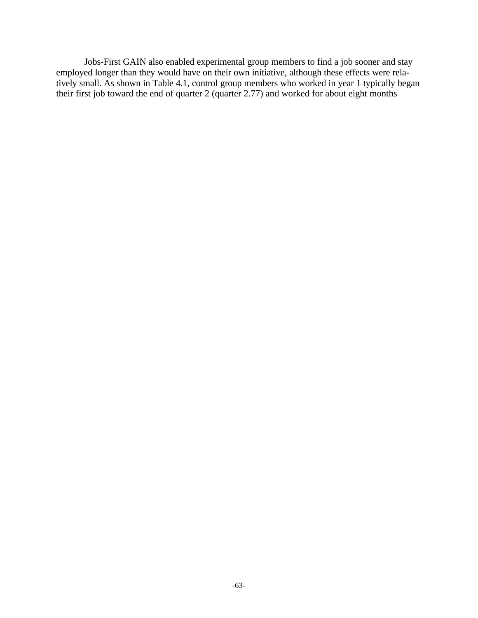Jobs-First GAIN also enabled experimental group members to find a job sooner and stay employed longer than they would have on their own initiative, although these effects were relatively small. As shown in Table 4.1, control group members who worked in year 1 typically began their first job toward the end of quarter 2 (quarter 2.77) and worked for about eight months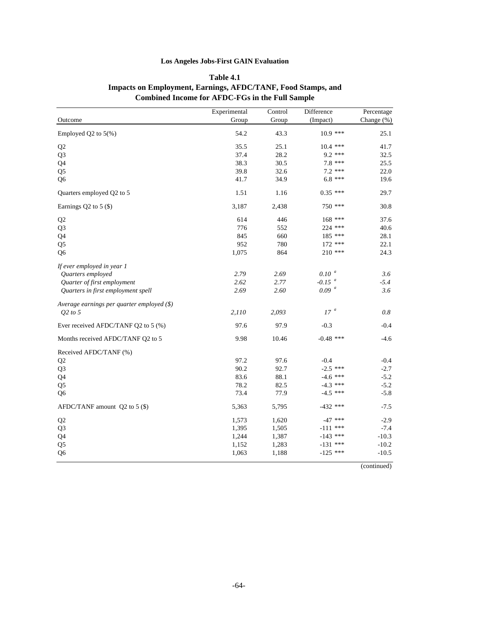### **Los Angeles Jobs-First GAIN Evaluation**

|                                               | Experimental | Control | Difference           | Percentage |
|-----------------------------------------------|--------------|---------|----------------------|------------|
| Outcome                                       | Group        | Group   | (Impact)             | Change (%) |
| Employed Q2 to $5(\%)$                        | 54.2         | 43.3    | $10.9$ ***           | 25.1       |
| Q2                                            | 35.5         | 25.1    | $10.4$ ***           | 41.7       |
| Q <sub>3</sub>                                | 37.4         | 28.2    | $9.2***$             | 32.5       |
| Q4                                            | 38.3         | 30.5    | $7.8***$             | 25.5       |
| Q <sub>5</sub>                                | 39.8         | 32.6    | $7.2$ ***            | 22.0       |
| Q <sub>6</sub>                                | 41.7         | 34.9    | $6.8$ ***            | 19.6       |
| Quarters employed Q2 to 5                     | 1.51         | 1.16    | $0.35$ ***           | 29.7       |
| Earnings Q2 to 5 (\$)                         | 3,187        | 2,438   | 750 ***              | 30.8       |
| Q <sub>2</sub>                                | 614          | 446     | $168$ ***            | 37.6       |
| Q <sub>3</sub>                                | 776          | 552     | 224 ***              | 40.6       |
| Q <sub>4</sub>                                | 845          | 660     | $185$ ***            | 28.1       |
| Q <sub>5</sub>                                | 952          | 780     | $172$ ***            | 22.1       |
| Q <sub>6</sub>                                | 1,075        | 864     | $210$ ***            | 24.3       |
| If ever employed in year 1                    |              |         |                      |            |
| Quarters employed                             | 2.79         | 2.69    | $0.10^{-a}$          | 3.6        |
| Quarter of first employment                   | 2.62         | 2.77    | $-0.15$ <sup>a</sup> | $-5.4$     |
| Quarters in first employment spell            | 2.69         | 2.60    | 0.09 <sup>a</sup>    | 3.6        |
| Average earnings per quarter employed $(\$\)$ |              |         |                      |            |
| O2 to 5                                       | 2,110        | 2,093   | $17\ ^a$             | 0.8        |
| Ever received AFDC/TANF Q2 to 5 (%)           | 97.6         | 97.9    | $-0.3$               | $-0.4$     |
| Months received AFDC/TANF Q2 to 5             | 9.98         | 10.46   | $-0.48$ ***          | $-4.6$     |
| Received AFDC/TANF (%)                        |              |         |                      |            |
| Q2                                            | 97.2         | 97.6    | $-0.4$               | $-0.4$     |
| Q <sub>3</sub>                                | 90.2         | 92.7    | $-2.5$ ***           | $-2.7$     |
| Q <sub>4</sub>                                | 83.6         | 88.1    | $-4.6$ ***           | $-5.2$     |
| Q <sub>5</sub>                                | 78.2         | 82.5    | $-4.3$ ***           | $-5.2$     |
| Q <sub>6</sub>                                | 73.4         | 77.9    | $-4.5$ ***           | $-5.8$     |
| AFDC/TANF amount $Q2$ to 5 (\$)               | 5,363        | 5,795   | $-432$ ***           | $-7.5$     |
| Q2                                            | 1,573        | 1,620   | $-47$ ***            | $-2.9$     |
| Q <sub>3</sub>                                | 1,395        | 1,505   | $-111$ ***           | $-7.4$     |
| Q4                                            | 1,244        | 1,387   | $-143$ ***           | $-10.3$    |
| Q <sub>5</sub>                                | 1,152        | 1,283   | $-131$ ***           | $-10.2$    |
| Q <sub>6</sub>                                | 1,063        | 1,188   | $-125$ ***           | $-10.5$    |

### **Table 4.1 Impacts on Employment, Earnings, AFDC/TANF, Food Stamps, and Combined Income for AFDC-FGs in the Full Sample**

(continued)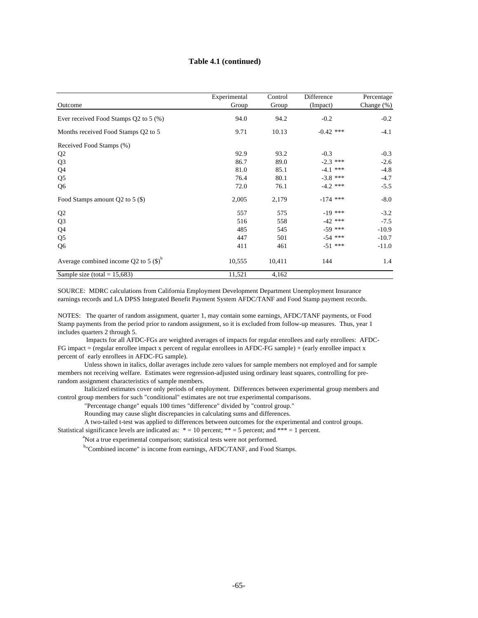#### **Table 4.1 (continued)**

| Outcome                                   | Experimental<br>Group | Control<br>Group | Difference<br>(Impact) | Percentage<br>Change $(\%)$ |
|-------------------------------------------|-----------------------|------------------|------------------------|-----------------------------|
|                                           |                       |                  |                        |                             |
| Ever received Food Stamps Q2 to 5 (%)     | 94.0                  | 94.2             | $-0.2$                 | $-0.2$                      |
| Months received Food Stamps Q2 to 5       | 9.71                  | 10.13            | $-0.42$ ***            | $-4.1$                      |
| Received Food Stamps (%)                  |                       |                  |                        |                             |
| Q <sub>2</sub>                            | 92.9                  | 93.2             | $-0.3$                 | $-0.3$                      |
| Q <sub>3</sub>                            | 86.7                  | 89.0             | $-2.3$ ***             | $-2.6$                      |
| Q4                                        | 81.0                  | 85.1             | $-4.1$ ***             | $-4.8$                      |
| Q <sub>5</sub>                            | 76.4                  | 80.1             | $-3.8$ ***             | $-4.7$                      |
| Q <sub>6</sub>                            | 72.0                  | 76.1             | $-4.2$ ***             | $-5.5$                      |
| Food Stamps amount Q2 to $5$ (\$)         | 2,005                 | 2,179            | $-174$ ***             | $-8.0$                      |
| Q <sub>2</sub>                            | 557                   | 575              | $-19$ ***              | $-3.2$                      |
| Q <sub>3</sub>                            | 516                   | 558              | $-42$ ***              | $-7.5$                      |
| Q4                                        | 485                   | 545              | $-59$ ***              | $-10.9$                     |
| Q <sub>5</sub>                            | 447                   | 501              | $-54$ ***              | $-10.7$                     |
| Q <sub>6</sub>                            | 411                   | 461              | $-51$ ***              | $-11.0$                     |
| Average combined income Q2 to 5 $(S)^{b}$ | 10,555                | 10,411           | 144                    | 1.4                         |
| Sample size (total = $15,683$ )           | 11,521                | 4,162            |                        |                             |

SOURCE: MDRC calculations from California Employment Development Department Unemployment Insurance earnings records and LA DPSS Integrated Benefit Payment System AFDC/TANF and Food Stamp payment records.

NOTES: The quarter of random assignment, quarter 1, may contain some earnings, AFDC/TANF payments, or Food Stamp payments from the period prior to random assignment, so it is excluded from follow-up measures. Thus, year 1 includes quarters 2 through 5.

 Impacts for all AFDC-FGs are weighted averages of impacts for regular enrollees and early enrollees: AFDC-FG impact = (regular enrollee impact x percent of regular enrollees in AFDC-FG sample) + (early enrollee impact x percent of early enrollees in AFDC-FG sample).

 Unless shown in italics, dollar averages include zero values for sample members not employed and for sample members not receiving welfare. Estimates were regression-adjusted using ordinary least squares, controlling for prerandom assignment characteristics of sample members.

 Italicized estimates cover only periods of employment. Differences between experimental group members and control group members for such "conditional" estimates are not true experimental comparisons.

"Percentage change" equals 100 times "difference" divided by "control group."

Rounding may cause slight discrepancies in calculating sums and differences.

A two-tailed t-test was applied to differences between outcomes for the experimental and control groups.

Statistical significance levels are indicated as:  $* = 10$  percent;  $** = 5$  percent; and  $*** = 1$  percent.

<sup>a</sup>Not a true experimental comparison; statistical tests were not performed.

b"Combined income" is income from earnings, AFDC/TANF, and Food Stamps.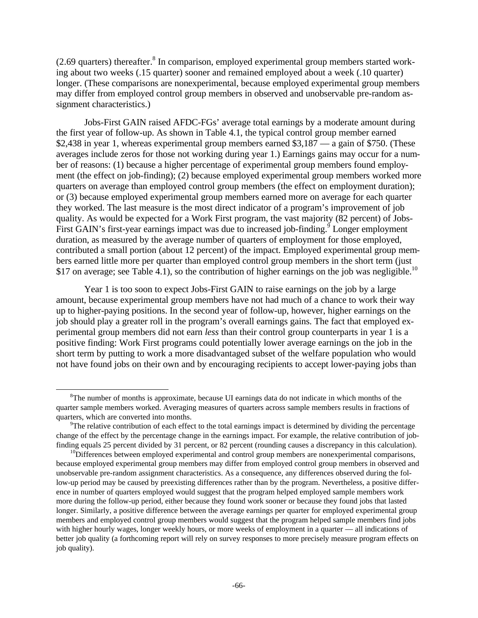$(2.69$  quarters) thereafter. $8$  In comparison, employed experimental group members started working about two weeks (.15 quarter) sooner and remained employed about a week (.10 quarter) longer. (These comparisons are nonexperimental, because employed experimental group members may differ from employed control group members in observed and unobservable pre-random assignment characteristics.)

Jobs-First GAIN raised AFDC-FGs' average total earnings by a moderate amount during the first year of follow-up. As shown in Table 4.1, the typical control group member earned \$2,438 in year 1, whereas experimental group members earned \$3,187 — a gain of \$750. (These averages include zeros for those not working during year 1.) Earnings gains may occur for a number of reasons: (1) because a higher percentage of experimental group members found employment (the effect on job-finding); (2) because employed experimental group members worked more quarters on average than employed control group members (the effect on employment duration); or (3) because employed experimental group members earned more on average for each quarter they worked. The last measure is the most direct indicator of a program's improvement of job quality. As would be expected for a Work First program, the vast majority (82 percent) of Jobs-First GAIN's first-year earnings impact was due to increased job-finding.<sup>9</sup> Longer employment duration, as measured by the average number of quarters of employment for those employed, contributed a small portion (about 12 percent) of the impact. Employed experimental group members earned little more per quarter than employed control group members in the short term (just \$17 on average; see Table 4.1), so the contribution of higher earnings on the job was negligible.<sup>10</sup>

Year 1 is too soon to expect Jobs-First GAIN to raise earnings on the job by a large amount, because experimental group members have not had much of a chance to work their way up to higher-paying positions. In the second year of follow-up, however, higher earnings on the job should play a greater roll in the program's overall earnings gains. The fact that employed experimental group members did not earn *less* than their control group counterparts in year 1 is a positive finding: Work First programs could potentially lower average earnings on the job in the short term by putting to work a more disadvantaged subset of the welfare population who would not have found jobs on their own and by encouraging recipients to accept lower-paying jobs than

 $\overline{a}$ 

<sup>&</sup>lt;sup>8</sup>The number of months is approximate, because UI earnings data do not indicate in which months of the quarter sample members worked. Averaging measures of quarters across sample members results in fractions of quarters, which are converted into months.

 $\rm{P}$ The relative contribution of each effect to the total earnings impact is determined by dividing the percentage change of the effect by the percentage change in the earnings impact. For example, the relative contribution of jobfinding equals 25 percent divided by 31 percent, or 82 percent (rounding causes a discrepancy in this calculation).

 $10$ Differences between employed experimental and control group members are nonexperimental comparisons, because employed experimental group members may differ from employed control group members in observed and unobservable pre-random assignment characteristics. As a consequence, any differences observed during the follow-up period may be caused by preexisting differences rather than by the program. Nevertheless, a positive difference in number of quarters employed would suggest that the program helped employed sample members work more during the follow-up period, either because they found work sooner or because they found jobs that lasted longer. Similarly, a positive difference between the average earnings per quarter for employed experimental group members and employed control group members would suggest that the program helped sample members find jobs with higher hourly wages, longer weekly hours, or more weeks of employment in a quarter — all indications of better job quality (a forthcoming report will rely on survey responses to more precisely measure program effects on job quality).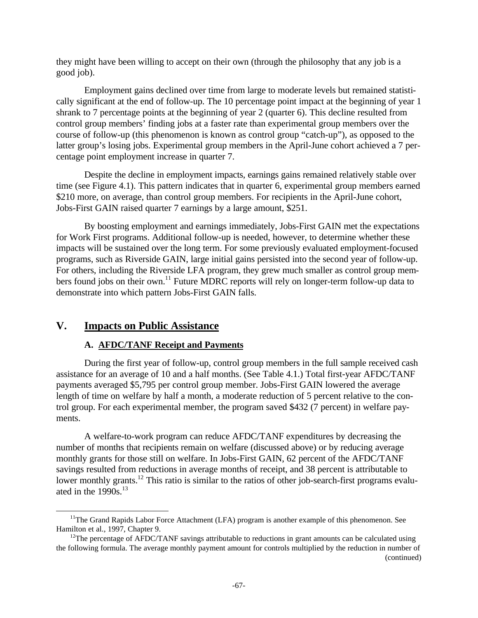they might have been willing to accept on their own (through the philosophy that any job is a good job).

Employment gains declined over time from large to moderate levels but remained statistically significant at the end of follow-up. The 10 percentage point impact at the beginning of year 1 shrank to 7 percentage points at the beginning of year 2 (quarter 6). This decline resulted from control group members' finding jobs at a faster rate than experimental group members over the course of follow-up (this phenomenon is known as control group "catch-up"), as opposed to the latter group's losing jobs. Experimental group members in the April-June cohort achieved a 7 percentage point employment increase in quarter 7.

Despite the decline in employment impacts, earnings gains remained relatively stable over time (see Figure 4.1). This pattern indicates that in quarter 6, experimental group members earned \$210 more, on average, than control group members. For recipients in the April-June cohort, Jobs-First GAIN raised quarter 7 earnings by a large amount, \$251.

By boosting employment and earnings immediately, Jobs-First GAIN met the expectations for Work First programs. Additional follow-up is needed, however, to determine whether these impacts will be sustained over the long term. For some previously evaluated employment-focused programs, such as Riverside GAIN, large initial gains persisted into the second year of follow-up. For others, including the Riverside LFA program, they grew much smaller as control group members found jobs on their own.<sup>11</sup> Future MDRC reports will rely on longer-term follow-up data to demonstrate into which pattern Jobs-First GAIN falls.

# **V. Impacts on Public Assistance**

 $\overline{a}$ 

## **A. AFDC/TANF Receipt and Payments**

During the first year of follow-up, control group members in the full sample received cash assistance for an average of 10 and a half months. (See Table 4.1.) Total first-year AFDC/TANF payments averaged \$5,795 per control group member. Jobs-First GAIN lowered the average length of time on welfare by half a month, a moderate reduction of 5 percent relative to the control group. For each experimental member, the program saved \$432 (7 percent) in welfare payments.

A welfare-to-work program can reduce AFDC/TANF expenditures by decreasing the number of months that recipients remain on welfare (discussed above) or by reducing average monthly grants for those still on welfare. In Jobs-First GAIN, 62 percent of the AFDC/TANF savings resulted from reductions in average months of receipt, and 38 percent is attributable to lower monthly grants.<sup>12</sup> This ratio is similar to the ratios of other job-search-first programs evaluated in the  $1990s$ <sup>13</sup>

<sup>&</sup>lt;sup>11</sup>The Grand Rapids Labor Force Attachment (LFA) program is another example of this phenomenon. See Hamilton et al., 1997, Chapter 9.

<sup>&</sup>lt;sup>12</sup>The percentage of AFDC/TANF savings attributable to reductions in grant amounts can be calculated using the following formula. The average monthly payment amount for controls multiplied by the reduction in number of (continued)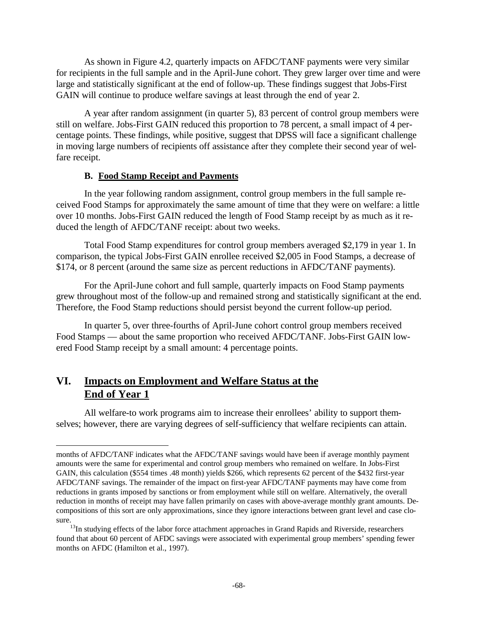As shown in Figure 4.2, quarterly impacts on AFDC/TANF payments were very similar for recipients in the full sample and in the April-June cohort. They grew larger over time and were large and statistically significant at the end of follow-up. These findings suggest that Jobs-First GAIN will continue to produce welfare savings at least through the end of year 2.

A year after random assignment (in quarter 5), 83 percent of control group members were still on welfare. Jobs-First GAIN reduced this proportion to 78 percent, a small impact of 4 percentage points. These findings, while positive, suggest that DPSS will face a significant challenge in moving large numbers of recipients off assistance after they complete their second year of welfare receipt.

### **B. Food Stamp Receipt and Payments**

In the year following random assignment, control group members in the full sample received Food Stamps for approximately the same amount of time that they were on welfare: a little over 10 months. Jobs-First GAIN reduced the length of Food Stamp receipt by as much as it reduced the length of AFDC/TANF receipt: about two weeks.

Total Food Stamp expenditures for control group members averaged \$2,179 in year 1. In comparison, the typical Jobs-First GAIN enrollee received \$2,005 in Food Stamps, a decrease of \$174, or 8 percent (around the same size as percent reductions in AFDC/TANF payments).

For the April-June cohort and full sample, quarterly impacts on Food Stamp payments grew throughout most of the follow-up and remained strong and statistically significant at the end. Therefore, the Food Stamp reductions should persist beyond the current follow-up period.

In quarter 5, over three-fourths of April-June cohort control group members received Food Stamps — about the same proportion who received AFDC/TANF. Jobs-First GAIN lowered Food Stamp receipt by a small amount: 4 percentage points.

# **VI. Impacts on Employment and Welfare Status at the End of Year 1**

-

All welfare-to work programs aim to increase their enrollees' ability to support themselves; however, there are varying degrees of self-sufficiency that welfare recipients can attain.

months of AFDC/TANF indicates what the AFDC/TANF savings would have been if average monthly payment amounts were the same for experimental and control group members who remained on welfare. In Jobs-First GAIN, this calculation (\$554 times .48 month) yields \$266, which represents 62 percent of the \$432 first-year AFDC/TANF savings. The remainder of the impact on first-year AFDC/TANF payments may have come from reductions in grants imposed by sanctions or from employment while still on welfare. Alternatively, the overall reduction in months of receipt may have fallen primarily on cases with above-average monthly grant amounts. Decompositions of this sort are only approximations, since they ignore interactions between grant level and case closure.

 $13$ In studying effects of the labor force attachment approaches in Grand Rapids and Riverside, researchers found that about 60 percent of AFDC savings were associated with experimental group members' spending fewer months on AFDC (Hamilton et al., 1997).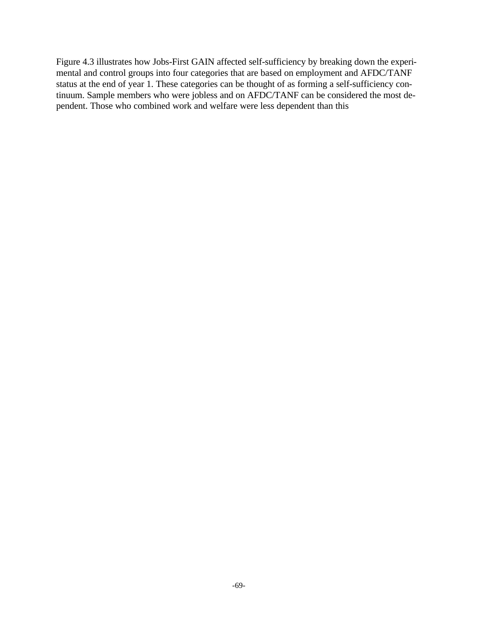Figure 4.3 illustrates how Jobs-First GAIN affected self-sufficiency by breaking down the experimental and control groups into four categories that are based on employment and AFDC/TANF status at the end of year 1. These categories can be thought of as forming a self-sufficiency continuum. Sample members who were jobless and on AFDC/TANF can be considered the most dependent. Those who combined work and welfare were less dependent than this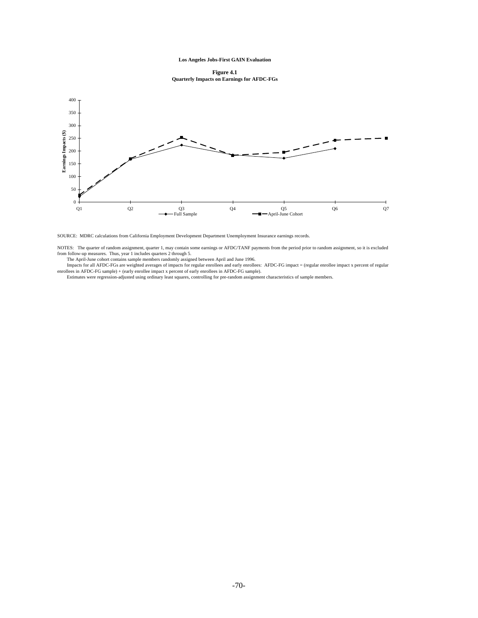#### **Los Angeles Jobs-First GAIN Evaluation**

**Figure 4.1 Quarterly Impacts on Earnings for AFDC-FGs**



SOURCE: MDRC calculations from California Employment Development Department Unemployment Insurance earnings records.

NOTES: The quarter of random assignment, quarter 1, may contain some earnings or AFDC/TANF payments from the period prior to random assignment, so it is excluded<br>from follow-up measures. Thus, year 1 includes quarters 2 th

The April-June cohort contains sample members randomly assigned between April and June 1996.

 Impacts for all AFDC-FGs are weighted averages of impacts for regular enrollees and early enrollees: AFDC-FG impact = (regular enrollee impact x percent of regular enrollees in AFDC-FG sample) + (early enrollee impact x percent of early enrollees in AFDC-FG sample).<br>Estimates were regression-adjusted using ordinary least squares, controlling for pre-random assignment characteristics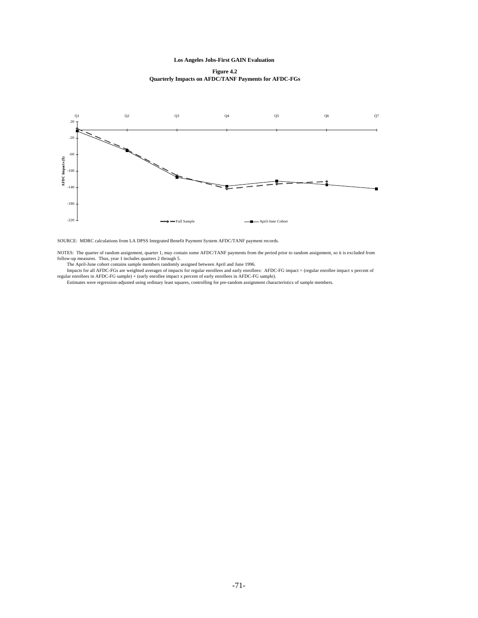**Los Angeles Jobs-First GAIN Evaluation** 

**Figure 4.2 Quarterly Impacts on AFDC/TANF Payments for AFDC-FGs**



SOURCE: MDRC calculations from LA DPSS Integrated Benefit Payment System AFDC/TANF payment records.

NOTES: The quarter of random assignment, quarter 1, may contain some AFDC/TANF payments from the period prior to random assignment, so it is excluded from

follow-up measures. Thus, year 1 includes quarters 2 through 5.<br>The April-June cohort contains sample members randomly assigned between April and June 1996.<br>Impacts for regular enrollees and early enrollees: AFDC-FG impact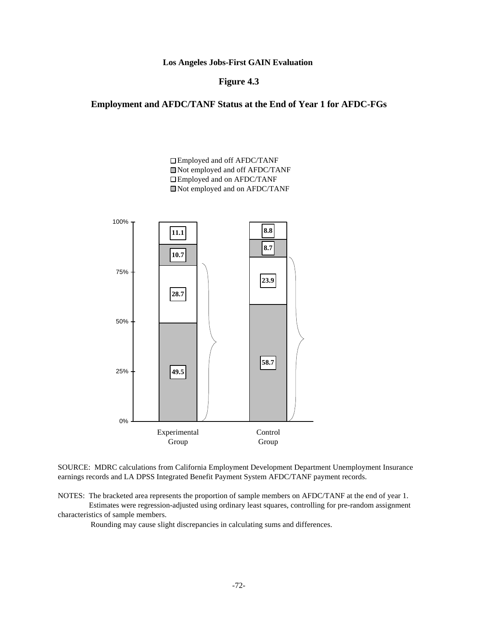**Los Angeles Jobs-First GAIN Evaluation** 

### **Figure 4.3**

### **Employment and AFDC/TANF Status at the End of Year 1 for AFDC-FGs**



SOURCE: MDRC calculations from California Employment Development Department Unemployment Insurance earnings records and LA DPSS Integrated Benefit Payment System AFDC/TANF payment records.

NOTES: The bracketed area represents the proportion of sample members on AFDC/TANF at the end of year 1. Estimates were regression-adjusted using ordinary least squares, controlling for pre-random assignment characteristics of sample members.

Rounding may cause slight discrepancies in calculating sums and differences.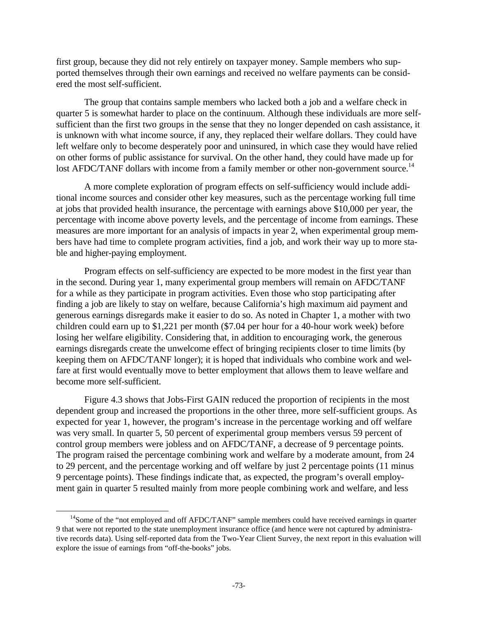first group, because they did not rely entirely on taxpayer money. Sample members who supported themselves through their own earnings and received no welfare payments can be considered the most self-sufficient.

The group that contains sample members who lacked both a job and a welfare check in quarter 5 is somewhat harder to place on the continuum. Although these individuals are more selfsufficient than the first two groups in the sense that they no longer depended on cash assistance, it is unknown with what income source, if any, they replaced their welfare dollars. They could have left welfare only to become desperately poor and uninsured, in which case they would have relied on other forms of public assistance for survival. On the other hand, they could have made up for lost AFDC/TANF dollars with income from a family member or other non-government source.<sup>14</sup>

A more complete exploration of program effects on self-sufficiency would include additional income sources and consider other key measures, such as the percentage working full time at jobs that provided health insurance, the percentage with earnings above \$10,000 per year, the percentage with income above poverty levels, and the percentage of income from earnings. These measures are more important for an analysis of impacts in year 2, when experimental group members have had time to complete program activities, find a job, and work their way up to more stable and higher-paying employment.

Program effects on self-sufficiency are expected to be more modest in the first year than in the second. During year 1, many experimental group members will remain on AFDC/TANF for a while as they participate in program activities. Even those who stop participating after finding a job are likely to stay on welfare, because California's high maximum aid payment and generous earnings disregards make it easier to do so. As noted in Chapter 1, a mother with two children could earn up to \$1,221 per month (\$7.04 per hour for a 40-hour work week) before losing her welfare eligibility. Considering that, in addition to encouraging work, the generous earnings disregards create the unwelcome effect of bringing recipients closer to time limits (by keeping them on AFDC/TANF longer); it is hoped that individuals who combine work and welfare at first would eventually move to better employment that allows them to leave welfare and become more self-sufficient.

Figure 4.3 shows that Jobs-First GAIN reduced the proportion of recipients in the most dependent group and increased the proportions in the other three, more self-sufficient groups. As expected for year 1, however, the program's increase in the percentage working and off welfare was very small. In quarter 5, 50 percent of experimental group members versus 59 percent of control group members were jobless and on AFDC/TANF, a decrease of 9 percentage points. The program raised the percentage combining work and welfare by a moderate amount, from 24 to 29 percent, and the percentage working and off welfare by just 2 percentage points (11 minus 9 percentage points). These findings indicate that, as expected, the program's overall employment gain in quarter 5 resulted mainly from more people combining work and welfare, and less

 $\overline{a}$ 

<sup>&</sup>lt;sup>14</sup>Some of the "not employed and off AFDC/TANF" sample members could have received earnings in quarter 9 that were not reported to the state unemployment insurance office (and hence were not captured by administrative records data). Using self-reported data from the Two-Year Client Survey, the next report in this evaluation will explore the issue of earnings from "off-the-books" jobs.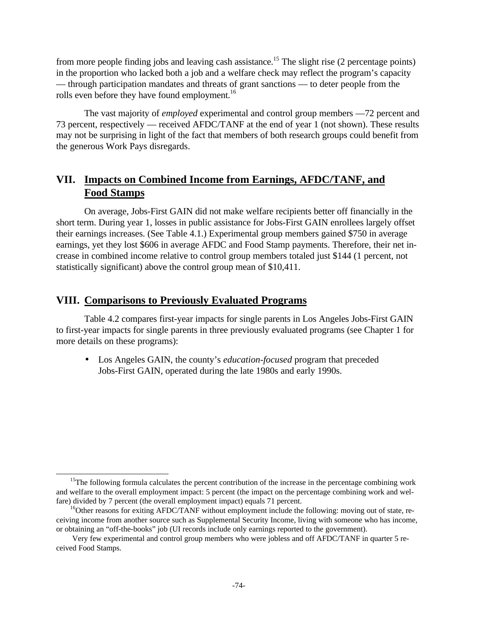from more people finding jobs and leaving cash assistance.<sup>15</sup> The slight rise  $(2 \text{ percentage points})$ in the proportion who lacked both a job and a welfare check may reflect the program's capacity — through participation mandates and threats of grant sanctions — to deter people from the rolls even before they have found employment.<sup>16</sup>

The vast majority of *employed* experimental and control group members —72 percent and 73 percent, respectively — received AFDC/TANF at the end of year 1 (not shown). These results may not be surprising in light of the fact that members of both research groups could benefit from the generous Work Pays disregards.

# **VII. Impacts on Combined Income from Earnings, AFDC/TANF, and Food Stamps**

On average, Jobs-First GAIN did not make welfare recipients better off financially in the short term. During year 1, losses in public assistance for Jobs-First GAIN enrollees largely offset their earnings increases. (See Table 4.1.) Experimental group members gained \$750 in average earnings, yet they lost \$606 in average AFDC and Food Stamp payments. Therefore, their net increase in combined income relative to control group members totaled just \$144 (1 percent, not statistically significant) above the control group mean of \$10,411.

## **VIII. Comparisons to Previously Evaluated Programs**

 $\overline{a}$ 

Table 4.2 compares first-year impacts for single parents in Los Angeles Jobs-First GAIN to first-year impacts for single parents in three previously evaluated programs (see Chapter 1 for more details on these programs):

• Los Angeles GAIN, the county's *education-focused* program that preceded Jobs-First GAIN, operated during the late 1980s and early 1990s.

 $15$ The following formula calculates the percent contribution of the increase in the percentage combining work and welfare to the overall employment impact: 5 percent (the impact on the percentage combining work and welfare) divided by 7 percent (the overall employment impact) equals 71 percent.

 $^{16}$ Other reasons for exiting AFDC/TANF without employment include the following: moving out of state, receiving income from another source such as Supplemental Security Income, living with someone who has income, or obtaining an "off-the-books" job (UI records include only earnings reported to the government).

Very few experimental and control group members who were jobless and off AFDC/TANF in quarter 5 received Food Stamps.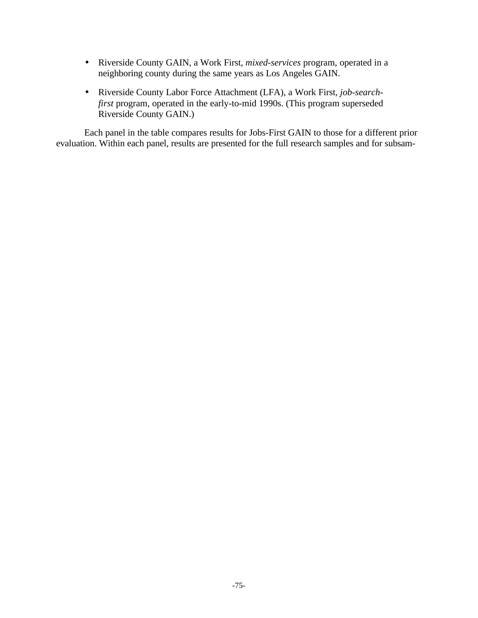- Riverside County GAIN, a Work First, *mixed-services* program, operated in a neighboring county during the same years as Los Angeles GAIN.
- Riverside County Labor Force Attachment (LFA), a Work First, *job-searchfirst* program, operated in the early-to-mid 1990s. (This program superseded Riverside County GAIN.)

Each panel in the table compares results for Jobs-First GAIN to those for a different prior evaluation. Within each panel, results are presented for the full research samples and for subsam-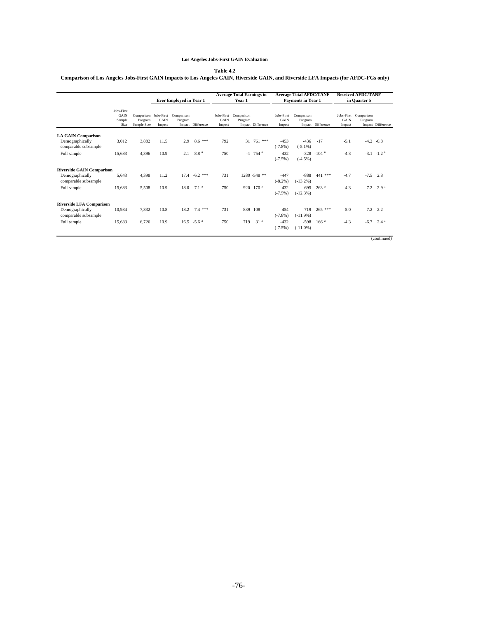### **Los Angeles Jobs-First GAIN Evaluation**

#### **Table 4.2**

### **Comparison of Los Angeles Jobs-First GAIN Impacts to Los Angeles GAIN, Riverside GAIN, and Riverside LFA Impacts (for AFDC-FGs only)**

|                                         |                                      |                        |                | <b>Ever Employed in Year 1</b>              |                           |                | <b>Average Total Earnings in</b><br>Year 1 |                       | <b>Average Total AFDC/TANF</b><br><b>Payments in Year 1</b> |                       |                           | <b>Received AFDC/TANF</b><br>in Quarter 5 |                       |                           |
|-----------------------------------------|--------------------------------------|------------------------|----------------|---------------------------------------------|---------------------------|----------------|--------------------------------------------|-----------------------|-------------------------------------------------------------|-----------------------|---------------------------|-------------------------------------------|-----------------------|---------------------------|
|                                         | Jobs-First<br>GAIN<br>Sample<br>Size | Program<br>Sample Size | GAIN<br>Impact | Comparison Jobs-First Comparison<br>Program | Impact Difference         | GAIN<br>Impact | Jobs-First Comparison<br>Program           | Impact Difference     | Jobs-First<br><b>GAIN</b><br>Impact                         | Comparison<br>Program | Impact Difference         | Jobs-First<br><b>GAIN</b><br>Impact       | Comparison<br>Program | Impact Difference         |
| <b>LA GAIN Comparison</b>               |                                      |                        |                |                                             |                           |                |                                            |                       |                                                             |                       |                           |                                           |                       |                           |
| Demographically<br>comparable subsample | 3,012                                | 3,882                  | 11.5           | 2.9                                         | $8.6***$                  | 792            |                                            | 31 761 ***            | $-453$<br>$(-7.8%$                                          | $-436$<br>$(-5.1\%)$  | $-17$                     | $-5.1$                                    |                       | $-4.2 -0.8$               |
| Full sample                             | 15.683                               | 4.396                  | 10.9           | 2.1                                         | 8.8 <sup>a</sup>          | 750            |                                            | $-4$ 754 <sup>a</sup> | $-432$<br>$(-7.5\%)$                                        | $(-4.5%)$             | $-328 - 104$ <sup>a</sup> | $-4.3$                                    |                       | $-3.1 - 1.2$ <sup>a</sup> |
| <b>Riverside GAIN Comparison</b>        |                                      |                        |                |                                             |                           |                |                                            |                       |                                                             |                       |                           |                                           |                       |                           |
| Demographically<br>comparable subsample | 5.643                                | 4.398                  | 11.2           |                                             | $17.4 -6.2$ ***           | 731            |                                            | $1280 - 548$ **       | $-447$<br>$(-8.2\%)$                                        | $-888$<br>$(-13.2\%)$ | 441 ***                   | $-4.7$                                    |                       | $-7.5$ 2.8                |
| Full sample                             | 15.683                               | 5,508                  | 10.9           |                                             | $18.0 - 7.1$ <sup>a</sup> | 750            |                                            | 920 -170 $a$          | $-432$<br>$(-7.5%)$                                         | $-695$<br>$(-12.3%)$  | 263 <sup>a</sup>          | $-4.3$                                    | $-7.2$                | 2.9 <sup>a</sup>          |
| <b>Riverside LFA Comparison</b>         |                                      |                        |                |                                             |                           |                |                                            |                       |                                                             |                       |                           |                                           |                       |                           |
| Demographically<br>comparable subsample | 10.934                               | 7.332                  | 10.8           |                                             | $18.2 - 7.4$ ***          | 731            |                                            | 839 -108              | $-454$<br>$(-7.8%$                                          | $-719$<br>$(-11.9%)$  | $265$ ***                 | $-5.0$                                    |                       | $-7.2$ 2.2                |
| Full sample                             | 15.683                               | 6.726                  | 10.9           |                                             | $16.5 - 5.6$ <sup>a</sup> | 750            | 719                                        | 31 <sup>a</sup>       | $-432$<br>$(-7.5%)$                                         | $-598$<br>$(-11.0\%)$ | 166 <sup>a</sup>          | $-4.3$                                    |                       | $-6.7$ 2.4 <sup>a</sup>   |
|                                         |                                      |                        |                |                                             |                           |                |                                            |                       |                                                             |                       |                           |                                           |                       | (continued)               |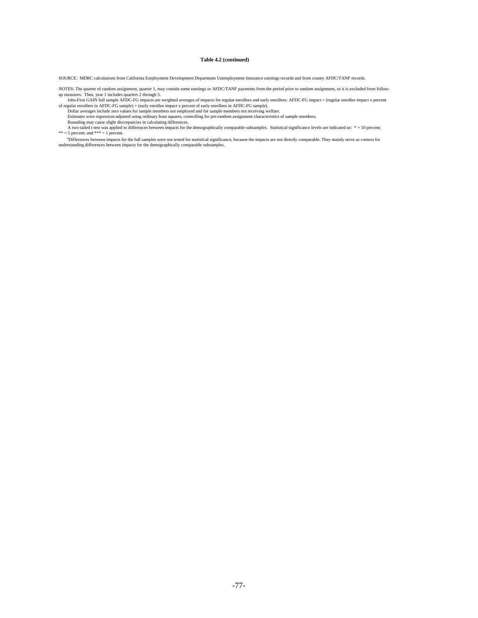#### **Table 4.2 (continued)**

SOURCE: MDRC calculations from California Employment Development Department Unemployment Insurance earnings records and from county AFDC/TANF records.

NOTES: The quarter of random assignment, quarter 1, may contain some earnings or AFDC/TANF payments from the period prior to random assignment, so it is excluded from follow-<br>up measures. Thus, year 1 includes quarters 2 t

Jobs-First GAIN full sample AFDC-FG impacts are weighted averages of impacts for regular enrollees and early enrollees: AFDC-FG impact = (regular enrollee impact x percent of regular enrollees in AFDC-FG sample) + (early e

Dollar averages include zero values for sample members not employed and for sample members not receiving welfare.

Estimates were regression-adjusted using ordinary least squares, controlling for pre-random assignment characteristics of sample members.<br>A two-diled t-test was applied to differences in calculating differences.<br>A two-dil

<sup>a</sup>Differences between impacts for the full samples were not tested for statistical significance, because the impacts are not directly comparable. They mainly serve as context for understanding differences between impacts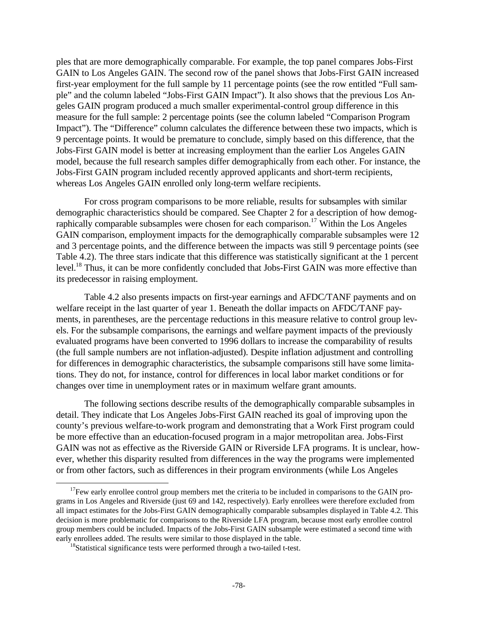ples that are more demographically comparable. For example, the top panel compares Jobs-First GAIN to Los Angeles GAIN. The second row of the panel shows that Jobs-First GAIN increased first-year employment for the full sample by 11 percentage points (see the row entitled "Full sample" and the column labeled "Jobs-First GAIN Impact"). It also shows that the previous Los Angeles GAIN program produced a much smaller experimental-control group difference in this measure for the full sample: 2 percentage points (see the column labeled "Comparison Program Impact"). The "Difference" column calculates the difference between these two impacts, which is 9 percentage points. It would be premature to conclude, simply based on this difference, that the Jobs-First GAIN model is better at increasing employment than the earlier Los Angeles GAIN model, because the full research samples differ demographically from each other. For instance, the Jobs-First GAIN program included recently approved applicants and short-term recipients, whereas Los Angeles GAIN enrolled only long-term welfare recipients.

For cross program comparisons to be more reliable, results for subsamples with similar demographic characteristics should be compared. See Chapter 2 for a description of how demographically comparable subsamples were chosen for each comparison.<sup>17</sup> Within the Los Angeles GAIN comparison, employment impacts for the demographically comparable subsamples were 12 and 3 percentage points, and the difference between the impacts was still 9 percentage points (see Table 4.2). The three stars indicate that this difference was statistically significant at the 1 percent level.<sup>18</sup> Thus, it can be more confidently concluded that Jobs-First GAIN was more effective than its predecessor in raising employment.

Table 4.2 also presents impacts on first-year earnings and AFDC/TANF payments and on welfare receipt in the last quarter of year 1. Beneath the dollar impacts on AFDC/TANF payments, in parentheses, are the percentage reductions in this measure relative to control group levels. For the subsample comparisons, the earnings and welfare payment impacts of the previously evaluated programs have been converted to 1996 dollars to increase the comparability of results (the full sample numbers are not inflation-adjusted). Despite inflation adjustment and controlling for differences in demographic characteristics, the subsample comparisons still have some limitations. They do not, for instance, control for differences in local labor market conditions or for changes over time in unemployment rates or in maximum welfare grant amounts.

The following sections describe results of the demographically comparable subsamples in detail. They indicate that Los Angeles Jobs-First GAIN reached its goal of improving upon the county's previous welfare-to-work program and demonstrating that a Work First program could be more effective than an education-focused program in a major metropolitan area. Jobs-First GAIN was not as effective as the Riverside GAIN or Riverside LFA programs. It is unclear, however, whether this disparity resulted from differences in the way the programs were implemented or from other factors, such as differences in their program environments (while Los Angeles

 $\overline{a}$ 

 $17$ Few early enrollee control group members met the criteria to be included in comparisons to the GAIN programs in Los Angeles and Riverside (just 69 and 142, respectively). Early enrollees were therefore excluded from all impact estimates for the Jobs-First GAIN demographically comparable subsamples displayed in Table 4.2. This decision is more problematic for comparisons to the Riverside LFA program, because most early enrollee control group members could be included. Impacts of the Jobs-First GAIN subsample were estimated a second time with early enrollees added. The results were similar to those displayed in the table.

<sup>&</sup>lt;sup>18</sup>Statistical significance tests were performed through a two-tailed t-test.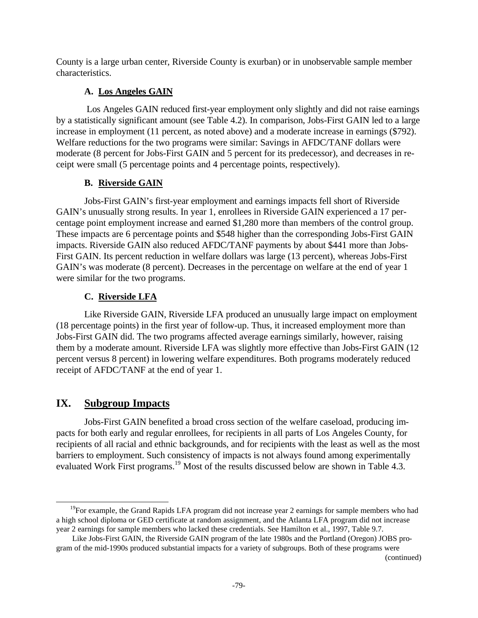County is a large urban center, Riverside County is exurban) or in unobservable sample member characteristics.

# **A. Los Angeles GAIN**

 Los Angeles GAIN reduced first-year employment only slightly and did not raise earnings by a statistically significant amount (see Table 4.2). In comparison, Jobs-First GAIN led to a large increase in employment (11 percent, as noted above) and a moderate increase in earnings (\$792). Welfare reductions for the two programs were similar: Savings in AFDC/TANF dollars were moderate (8 percent for Jobs-First GAIN and 5 percent for its predecessor), and decreases in receipt were small (5 percentage points and 4 percentage points, respectively).

## **B. Riverside GAIN**

Jobs-First GAIN's first-year employment and earnings impacts fell short of Riverside GAIN's unusually strong results. In year 1, enrollees in Riverside GAIN experienced a 17 percentage point employment increase and earned \$1,280 more than members of the control group. These impacts are 6 percentage points and \$548 higher than the corresponding Jobs-First GAIN impacts. Riverside GAIN also reduced AFDC/TANF payments by about \$441 more than Jobs-First GAIN. Its percent reduction in welfare dollars was large (13 percent), whereas Jobs-First GAIN's was moderate (8 percent). Decreases in the percentage on welfare at the end of year 1 were similar for the two programs.

## **C. Riverside LFA**

Like Riverside GAIN, Riverside LFA produced an unusually large impact on employment (18 percentage points) in the first year of follow-up. Thus, it increased employment more than Jobs-First GAIN did. The two programs affected average earnings similarly, however, raising them by a moderate amount. Riverside LFA was slightly more effective than Jobs-First GAIN (12 percent versus 8 percent) in lowering welfare expenditures. Both programs moderately reduced receipt of AFDC/TANF at the end of year 1.

# **IX. Subgroup Impacts**

-

Jobs-First GAIN benefited a broad cross section of the welfare caseload, producing impacts for both early and regular enrollees, for recipients in all parts of Los Angeles County, for recipients of all racial and ethnic backgrounds, and for recipients with the least as well as the most barriers to employment. Such consistency of impacts is not always found among experimentally evaluated Work First programs.<sup>19</sup> Most of the results discussed below are shown in Table 4.3.

(continued)

<sup>&</sup>lt;sup>19</sup>For example, the Grand Rapids LFA program did not increase year 2 earnings for sample members who had a high school diploma or GED certificate at random assignment, and the Atlanta LFA program did not increase year 2 earnings for sample members who lacked these credentials. See Hamilton et al., 1997, Table 9.7.

Like Jobs-First GAIN, the Riverside GAIN program of the late 1980s and the Portland (Oregon) JOBS program of the mid-1990s produced substantial impacts for a variety of subgroups. Both of these programs were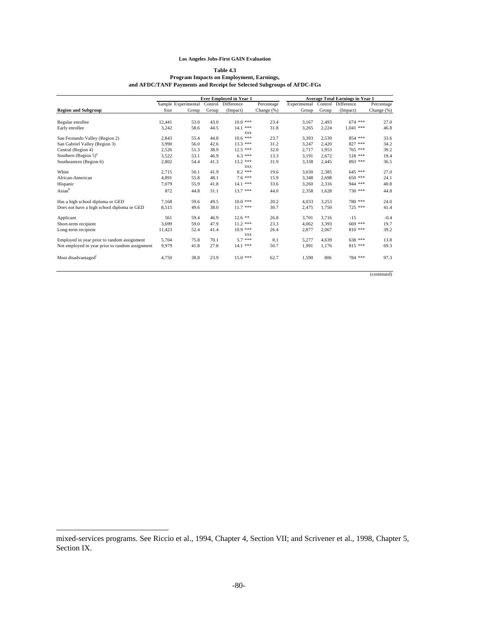### **Los Angeles Jobs-First GAIN Evaluation**

#### **Table 4.3 Program Impacts on Employment, Earnings, and AFDC/TANF Payments and Receipt for Selected Subgroups of AFDC-FGs**

|                                                 |        |                     |       | <b>Ever Employed in Year 1</b> | <b>Average Total Earnings in Year 1</b> |              |       |                    |               |
|-------------------------------------------------|--------|---------------------|-------|--------------------------------|-----------------------------------------|--------------|-------|--------------------|---------------|
|                                                 |        | Sample Experimental |       | Control Difference             | Percentage                              | Experimental |       | Control Difference | Percentage    |
| <b>Region and Subgroup</b>                      | Size   | Group               | Group | (Impact)                       | Change (%)                              | Group        | Group | (Impact)           | Change $(\%)$ |
| Regular enrollee                                | 12,441 | 53.0                | 43.0  | $10.0***$                      | 23.4                                    | 3,167        | 2,493 | $674$ ***          | 27.0          |
| Early enrollee                                  | 3,242  | 58.6                | 44.5  | $14.1$ ***<br>XXX              | 31.8                                    | 3,265        | 2.224 | $1.041$ ***        | 46.8          |
| San Fernando Valley (Region 2)                  | 2,843  | 55.4                | 44.8  | $10.6***$                      | 23.7                                    | 3,393        | 2,539 | 854 ***            | 33.6          |
| San Gabriel Valley (Region 3)                   | 3,990  | 56.0                | 42.6  | $13.3***$                      | 31.2                                    | 3,247        | 2,420 | 827 ***            | 34.2          |
| Central (Region 4)                              | 2,526  | 51.3                | 38.9  | $12.5***$                      | 32.0                                    | 2.717        | 1.953 | 765 ***            | 39.2          |
| Southern (Region $5^{\circ}$ ) <sup>a</sup>     | 3,522  | 53.1                | 46.9  | $6.3***$                       | 13.3                                    | 3,191        | 2,672 | 518 ***            | 19.4          |
| Southeastern (Region 6)                         | 2,802  | 54.4                | 41.3  | $13.2$ ***                     | 31.9                                    | 3,338        | 2,445 | 893 ***            | 36.5          |
|                                                 |        |                     |       | <b>XXX</b>                     |                                         |              |       |                    |               |
| White                                           | 2,715  | 50.1                | 41.9  | $8.2***$                       | 19.6                                    | 3,030        | 2.385 | $645$ ***          | 27.0          |
| African-American                                | 4,891  | 55.8                | 48.1  | $7.6***$                       | 15.9                                    | 3,348        | 2.698 | 650 ***            | 24.1          |
| Hispanic                                        | 7,079  | 55.9                | 41.8  | 14.1 ***                       | 33.6                                    | 3,260        | 2,316 | 944 ***            | 40.8          |
| Asian <sup>b</sup>                              | 872    | 44.8                | 31.1  | $13.7***$                      | 44.0                                    | 2,358        | 1.628 | 730 ***            | 44.8          |
| Has a high school diploma or GED                | 7,168  | 59.6                | 49.5  | $10.0***$                      | 20.2                                    | 4,033        | 3.253 | 780 ***            | 24.0          |
| Does not have a high school diploma or GED      | 8,515  | 49.6                | 38.0  | $11.7***$                      | 30.7                                    | 2,475        | 1.750 | 725 ***            | 41.4          |
| Applicant                                       | 561    | 59.4                | 46.9  | $12.6$ **                      | 26.8                                    | 3,701        | 3.716 | $-15$              | $-0.4$        |
| Short-term recipient                            | 3,699  | 59.0                | 47.9  | $11.2$ ***                     | 23.3                                    | 4,062        | 3,393 | 669 ***            | 19.7          |
| Long-term recipient                             | 11,423 | 52.4                | 41.4  | $10.9***$<br><b>XXX</b>        | 26.4                                    | 2,877        | 2,067 | $810$ ***          | 39.2          |
| Employed in year prior to random assignment     | 5,704  | 75.8                | 70.1  | $5.7***$                       | 8.1                                     | 5,277        | 4.639 | 638 ***            | 13.8          |
| Not employed in year prior to random assignment | 9,979  | 41.8                | 27.8  | $14.1$ ***                     | 50.7                                    | 1,991        | 1,176 | 815 ***            | 69.3          |
| Most disadvantaged <sup>c</sup>                 | 4,750  | 38.8                | 23.9  | $15.0***$                      | 62.7                                    | 1,590        | 806   | 784 ***            | 97.3          |
|                                                 |        |                     |       |                                |                                         |              |       |                    | (continued)   |

-

mixed-services programs. See Riccio et al., 1994, Chapter 4, Section VII; and Scrivener et al., 1998, Chapter 5, Section IX.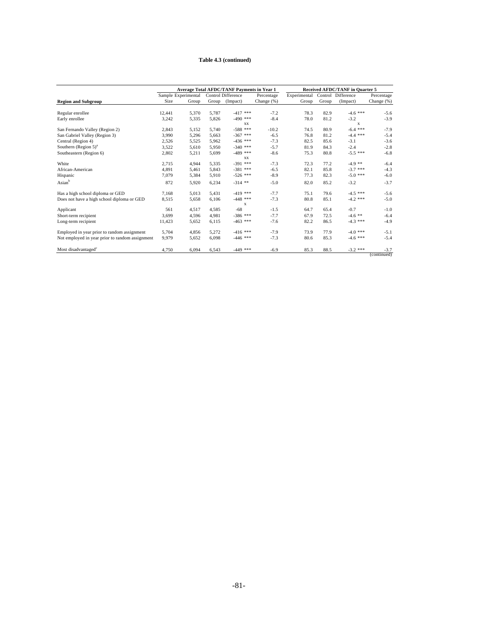### **Table 4.3 (continued)**

|                                                 |                     |       |       | <b>Average Total AFDC/TANF Payments in Year 1</b> | Received AFDC/TANF in Quarter 5 |              |       |                    |                       |
|-------------------------------------------------|---------------------|-------|-------|---------------------------------------------------|---------------------------------|--------------|-------|--------------------|-----------------------|
|                                                 | Sample Experimental |       |       | Control Difference                                | Percentage                      | Experimental |       | Control Difference | Percentage            |
| <b>Region and Subgroup</b>                      | Size                | Group | Group | (Impact)                                          | Change (%)                      | Group        | Group | (Impact)           | Change (%)            |
|                                                 |                     |       |       |                                                   |                                 |              |       |                    |                       |
| Regular enrollee                                | 12,441              | 5,370 | 5,787 | $-417$ ***                                        | $-7.2$                          | 78.3         | 82.9  | $-4.6$ ***         | $-5.6$                |
| Early enrollee                                  | 3,242               | 5,335 | 5,826 | $-490$ ***                                        | $-8.4$                          | 78.0         | 81.2  | $-3.2$             | $-3.9$                |
|                                                 |                     |       |       | <b>XX</b>                                         |                                 |              |       | X                  |                       |
| San Fernando Valley (Region 2)                  | 2,843               | 5,152 | 5,740 | $-588$ ***                                        | $-10.2$                         | 74.5         | 80.9  | $-6.4$ ***         | $-7.9$                |
| San Gabriel Valley (Region 3)                   | 3,990               | 5,296 | 5.663 | $-367$ ***                                        | $-6.5$                          | 76.8         | 81.2  | $-4.4$ ***         | $-5.4$                |
| Central (Region 4)                              | 2,526               | 5,525 | 5,962 | $-436$ ***                                        | $-7.3$                          | 82.5         | 85.6  | $-3.1$             | $-3.6$                |
| Southern $(Region 5)^a$                         | 3,522               | 5,610 | 5.950 | $-340$ ***                                        | $-5.7$                          | 81.9         | 84.3  | $-2.4$             | $-2.8$                |
| Southeastern (Region 6)                         | 2,802               | 5,211 | 5,699 | $-489$ ***                                        | $-8.6$                          | 75.3         | 80.8  | $-5.5$ ***         | $-6.8$                |
|                                                 |                     |       |       | <b>XX</b>                                         |                                 |              |       |                    |                       |
| White                                           | 2,715               | 4,944 | 5,335 | $-391$ ***                                        | $-7.3$                          | 72.3         | 77.2  | $-4.9$ **          | $-6.4$                |
| African-American                                | 4,891               | 5,461 | 5.843 | $-381$ ***                                        | $-6.5$                          | 82.1         | 85.8  | $-3.7$ ***         | $-4.3$                |
| Hispanic                                        | 7,079               | 5,384 | 5,910 | $-526$ ***                                        | $-8.9$                          | 77.3         | 82.3  | $-5.0$ ***         | $-6.0$                |
| Asian <sup>b</sup>                              | 872                 | 5,920 | 6.234 | $-314$ **                                         | $-5.0$                          | 82.0         | 85.2  | $-3.2$             | $-3.7$                |
| Has a high school diploma or GED                | 7.168               | 5.013 | 5.431 | $-419$ ***                                        | $-7.7$                          | 75.1         | 79.6  | $-4.5$ ***         | $-5.6$                |
| Does not have a high school diploma or GED      | 8,515               | 5,658 | 6,106 | $-448$ ***                                        | $-7.3$                          | 80.8         | 85.1  | $-4.2$ ***         | $-5.0$                |
|                                                 |                     |       |       | X                                                 |                                 |              |       |                    |                       |
| Applicant                                       | 561                 | 4,517 | 4,585 | $-68$                                             | $-1.5$                          | 64.7         | 65.4  | $-0.7$             | $-1.0$                |
| Short-term recipient                            | 3,699               | 4,596 | 4,981 | $-386$ ***                                        | $-7.7$                          | 67.9         | 72.5  | $-4.6$ **          | $-6.4$                |
| Long-term recipient                             | 11,423              | 5,652 | 6.115 | $-463$ ***                                        | $-7.6$                          | 82.2         | 86.5  | $-4.3$ ***         | $-4.9$                |
| Employed in year prior to random assignment     | 5,704               | 4,856 | 5.272 | $-416$ ***                                        | $-7.9$                          | 73.9         | 77.9  | $-4.0$ ***         | $-5.1$                |
| Not employed in year prior to random assignment | 9,979               | 5,652 | 6.098 | $-446$ ***                                        | $-7.3$                          | 80.6         | 85.3  | $-4.6$ ***         | $-5.4$                |
| Most disadvantaged <sup>c</sup>                 | 4,750               | 6.094 | 6,543 | $-449$ ***                                        | $-6.9$                          | 85.3         | 88.5  | $-3.2$ ***         | $-3.7$<br>(continued) |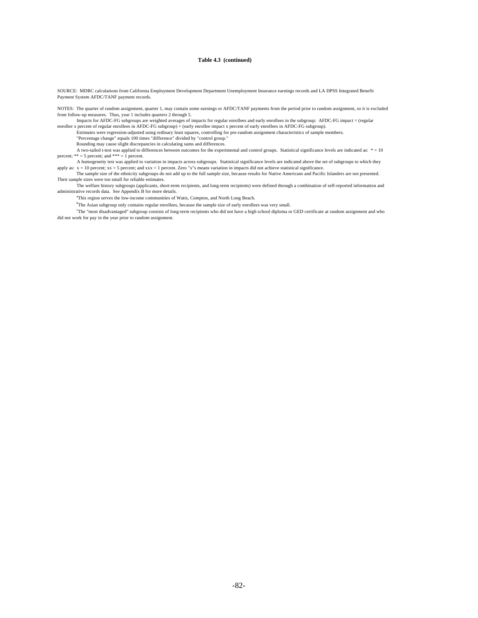#### **Table 4.3 (continued)**

SOURCE: MDRC calculations from California Employment Development Department Unemployment Insurance earnings records and LA DPSS Integrated Benefit Payment System AFDC/TANF payment records.

NOTES: The quarter of random assignment, quarter 1, may contain some earnings or AFDC/TANF payments from the period prior to random assignment, so it is excluded from follow-up measures. Thus, year 1 includes quarters 2 through 5.

Impacts for AFDC-FG subgroups are weighted averages of impacts for regular enrollees and early enrollees in the subgroup: AFDC-FG impact = (regular enrollee x percent of regular enrollees in AFDC-FG subgroup) + (early enro

"Percentage change" equals 100 times "difference" divided by "control group." Rounding may cause slight discrepancies in calculating sums and differences.

A two-tailed t-test was applied to differences between outcomes for the experimental and control groups. Statistical significance levels are indicated as: \* = 10 percent; \*\* = 5 percent; and \*\*\* = 1 percent.

 A homogeneity test was applied to variation in impacts across subgroups. Statistical significance levels are indicated above the set of subgroups to which they apply as:  $x = 10$  percent;  $xx = 5$  percent; and  $xxx = 1$  percent. Zero "x"s means variation in impacts did not achieve statistical significance.

The sample size of the ethnicity subgroups do not add up to the full sample size, because results for Native Americans and Pacific Islanders are not presented. Their sample sizes were too small for reliable estimates.

 The welfare history subgroups (applicants, short-term recipients, and long-term recipients) were defined through a combination of self-reported information and administrative records data. See Appendix B for more details.

<sup>a</sup>This region serves the low-income communities of Watts, Compton, and North Long Beach.

<sup>b</sup>The Asian subgroup only contains regular enrollees, because the sample size of early enrollees was very small.

c The "most disadvantaged" subgroup consists of long-term recipients who did not have a high school diploma or GED certificate at random assignment and who did not work for pay in the year prior to random assignment.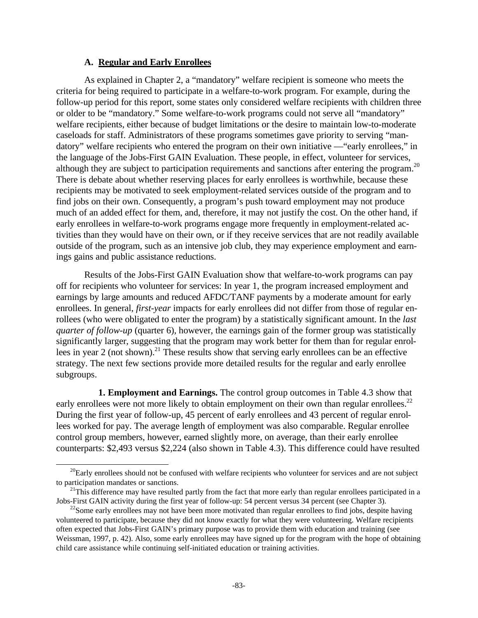### **A. Regular and Early Enrollees**

-

As explained in Chapter 2, a "mandatory" welfare recipient is someone who meets the criteria for being required to participate in a welfare-to-work program. For example, during the follow-up period for this report, some states only considered welfare recipients with children three or older to be "mandatory." Some welfare-to-work programs could not serve all "mandatory" welfare recipients, either because of budget limitations or the desire to maintain low-to-moderate caseloads for staff. Administrators of these programs sometimes gave priority to serving "mandatory" welfare recipients who entered the program on their own initiative —"early enrollees," in the language of the Jobs-First GAIN Evaluation. These people, in effect, volunteer for services, although they are subject to participation requirements and sanctions after entering the program.<sup>20</sup> There is debate about whether reserving places for early enrollees is worthwhile, because these recipients may be motivated to seek employment-related services outside of the program and to find jobs on their own. Consequently, a program's push toward employment may not produce much of an added effect for them, and, therefore, it may not justify the cost. On the other hand, if early enrollees in welfare-to-work programs engage more frequently in employment-related activities than they would have on their own, or if they receive services that are not readily available outside of the program, such as an intensive job club, they may experience employment and earnings gains and public assistance reductions.

Results of the Jobs-First GAIN Evaluation show that welfare-to-work programs can pay off for recipients who volunteer for services: In year 1, the program increased employment and earnings by large amounts and reduced AFDC/TANF payments by a moderate amount for early enrollees. In general, *first-year* impacts for early enrollees did not differ from those of regular enrollees (who were obligated to enter the program) by a statistically significant amount. In the *last quarter of follow-up* (quarter 6), however, the earnings gain of the former group was statistically significantly larger, suggesting that the program may work better for them than for regular enrollees in year 2 (not shown).<sup>21</sup> These results show that serving early enrollees can be an effective strategy. The next few sections provide more detailed results for the regular and early enrollee subgroups.

**1. Employment and Earnings.** The control group outcomes in Table 4.3 show that early enrollees were not more likely to obtain employment on their own than regular enrollees.<sup>22</sup> During the first year of follow-up, 45 percent of early enrollees and 43 percent of regular enrollees worked for pay. The average length of employment was also comparable. Regular enrollee control group members, however, earned slightly more, on average, than their early enrollee counterparts: \$2,493 versus \$2,224 (also shown in Table 4.3). This difference could have resulted

 $^{20}$ Early enrollees should not be confused with welfare recipients who volunteer for services and are not subject to participation mandates or sanctions.

 $21$ This difference may have resulted partly from the fact that more early than regular enrollees participated in a Jobs-First GAIN activity during the first year of follow-up: 54 percent versus 34 percent (see Chapter 3).

 $22$ Some early enrollees may not have been more motivated than regular enrollees to find jobs, despite having volunteered to participate, because they did not know exactly for what they were volunteering. Welfare recipients often expected that Jobs-First GAIN's primary purpose was to provide them with education and training (see Weissman, 1997, p. 42). Also, some early enrollees may have signed up for the program with the hope of obtaining child care assistance while continuing self-initiated education or training activities.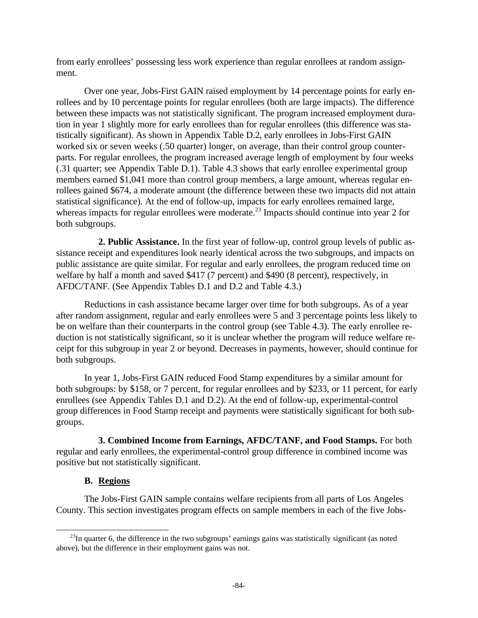from early enrollees' possessing less work experience than regular enrollees at random assignment.

Over one year, Jobs-First GAIN raised employment by 14 percentage points for early enrollees and by 10 percentage points for regular enrollees (both are large impacts). The difference between these impacts was not statistically significant. The program increased employment duration in year 1 slightly more for early enrollees than for regular enrollees (this difference was statistically significant). As shown in Appendix Table D.2, early enrollees in Jobs-First GAIN worked six or seven weeks (.50 quarter) longer, on average, than their control group counterparts. For regular enrollees, the program increased average length of employment by four weeks (.31 quarter; see Appendix Table D.1). Table 4.3 shows that early enrollee experimental group members earned \$1,041 more than control group members, a large amount, whereas regular enrollees gained \$674, a moderate amount (the difference between these two impacts did not attain statistical significance). At the end of follow-up, impacts for early enrollees remained large, whereas impacts for regular enrollees were moderate.<sup>23</sup> Impacts should continue into year 2 for both subgroups.

**2. Public Assistance.** In the first year of follow-up, control group levels of public assistance receipt and expenditures look nearly identical across the two subgroups, and impacts on public assistance are quite similar. For regular and early enrollees, the program reduced time on welfare by half a month and saved \$417 (7 percent) and \$490 (8 percent), respectively, in AFDC/TANF. (See Appendix Tables D.1 and D.2 and Table 4.3.)

Reductions in cash assistance became larger over time for both subgroups. As of a year after random assignment, regular and early enrollees were 5 and 3 percentage points less likely to be on welfare than their counterparts in the control group (see Table 4.3). The early enrollee reduction is not statistically significant, so it is unclear whether the program will reduce welfare receipt for this subgroup in year 2 or beyond. Decreases in payments, however, should continue for both subgroups.

In year 1, Jobs-First GAIN reduced Food Stamp expenditures by a similar amount for both subgroups: by \$158, or 7 percent, for regular enrollees and by \$233, or 11 percent, for early enrollees (see Appendix Tables D.1 and D.2). At the end of follow-up, experimental-control group differences in Food Stamp receipt and payments were statistically significant for both subgroups.

**3. Combined Income from Earnings, AFDC/TANF, and Food Stamps.** For both regular and early enrollees, the experimental-control group difference in combined income was positive but not statistically significant.

### **B. Regions**

 $\overline{a}$ 

The Jobs-First GAIN sample contains welfare recipients from all parts of Los Angeles County. This section investigates program effects on sample members in each of the five Jobs-

 $^{23}$ In quarter 6, the difference in the two subgroups' earnings gains was statistically significant (as noted above), but the difference in their employment gains was not.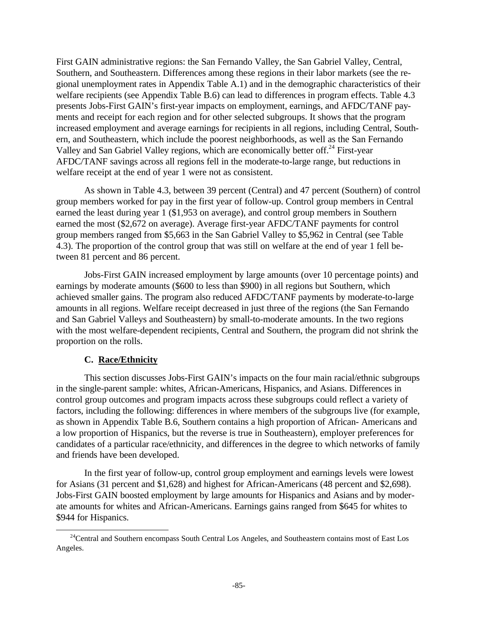First GAIN administrative regions: the San Fernando Valley, the San Gabriel Valley, Central, Southern, and Southeastern. Differences among these regions in their labor markets (see the regional unemployment rates in Appendix Table A.1) and in the demographic characteristics of their welfare recipients (see Appendix Table B.6) can lead to differences in program effects. Table 4.3 presents Jobs-First GAIN's first-year impacts on employment, earnings, and AFDC/TANF payments and receipt for each region and for other selected subgroups. It shows that the program increased employment and average earnings for recipients in all regions, including Central, Southern, and Southeastern, which include the poorest neighborhoods, as well as the San Fernando Valley and San Gabriel Valley regions, which are economically better off.<sup>24</sup> First-year AFDC/TANF savings across all regions fell in the moderate-to-large range, but reductions in welfare receipt at the end of year 1 were not as consistent.

As shown in Table 4.3, between 39 percent (Central) and 47 percent (Southern) of control group members worked for pay in the first year of follow-up. Control group members in Central earned the least during year 1 (\$1,953 on average), and control group members in Southern earned the most (\$2,672 on average). Average first-year AFDC/TANF payments for control group members ranged from \$5,663 in the San Gabriel Valley to \$5,962 in Central (see Table 4.3). The proportion of the control group that was still on welfare at the end of year 1 fell between 81 percent and 86 percent.

Jobs-First GAIN increased employment by large amounts (over 10 percentage points) and earnings by moderate amounts (\$600 to less than \$900) in all regions but Southern, which achieved smaller gains. The program also reduced AFDC/TANF payments by moderate-to-large amounts in all regions. Welfare receipt decreased in just three of the regions (the San Fernando and San Gabriel Valleys and Southeastern) by small-to-moderate amounts. In the two regions with the most welfare-dependent recipients, Central and Southern, the program did not shrink the proportion on the rolls.

## **C. Race/Ethnicity**

 $\overline{a}$ 

This section discusses Jobs-First GAIN's impacts on the four main racial/ethnic subgroups in the single-parent sample: whites, African-Americans, Hispanics, and Asians. Differences in control group outcomes and program impacts across these subgroups could reflect a variety of factors, including the following: differences in where members of the subgroups live (for example, as shown in Appendix Table B.6, Southern contains a high proportion of African- Americans and a low proportion of Hispanics, but the reverse is true in Southeastern), employer preferences for candidates of a particular race/ethnicity, and differences in the degree to which networks of family and friends have been developed.

In the first year of follow-up, control group employment and earnings levels were lowest for Asians (31 percent and \$1,628) and highest for African-Americans (48 percent and \$2,698). Jobs-First GAIN boosted employment by large amounts for Hispanics and Asians and by moderate amounts for whites and African-Americans. Earnings gains ranged from \$645 for whites to \$944 for Hispanics.

<sup>&</sup>lt;sup>24</sup>Central and Southern encompass South Central Los Angeles, and Southeastern contains most of East Los Angeles.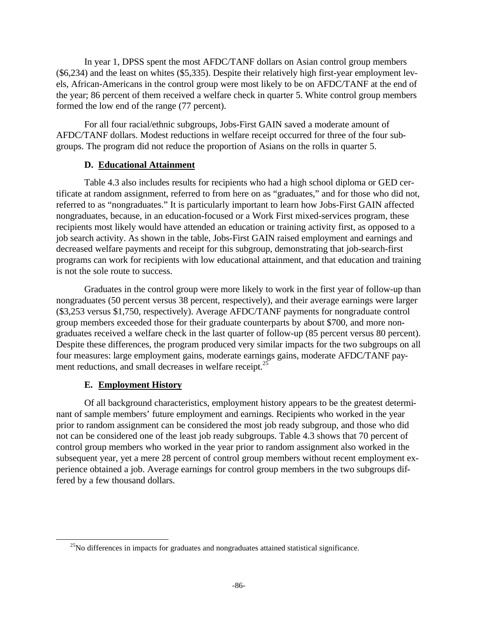In year 1, DPSS spent the most AFDC/TANF dollars on Asian control group members (\$6,234) and the least on whites (\$5,335). Despite their relatively high first-year employment levels, African-Americans in the control group were most likely to be on AFDC/TANF at the end of the year; 86 percent of them received a welfare check in quarter 5. White control group members formed the low end of the range (77 percent).

For all four racial/ethnic subgroups, Jobs-First GAIN saved a moderate amount of AFDC/TANF dollars. Modest reductions in welfare receipt occurred for three of the four subgroups. The program did not reduce the proportion of Asians on the rolls in quarter 5.

### **D. Educational Attainment**

Table 4.3 also includes results for recipients who had a high school diploma or GED certificate at random assignment, referred to from here on as "graduates," and for those who did not, referred to as "nongraduates." It is particularly important to learn how Jobs-First GAIN affected nongraduates, because, in an education-focused or a Work First mixed-services program, these recipients most likely would have attended an education or training activity first, as opposed to a job search activity. As shown in the table, Jobs-First GAIN raised employment and earnings and decreased welfare payments and receipt for this subgroup, demonstrating that job-search-first programs can work for recipients with low educational attainment, and that education and training is not the sole route to success.

Graduates in the control group were more likely to work in the first year of follow-up than nongraduates (50 percent versus 38 percent, respectively), and their average earnings were larger (\$3,253 versus \$1,750, respectively). Average AFDC/TANF payments for nongraduate control group members exceeded those for their graduate counterparts by about \$700, and more nongraduates received a welfare check in the last quarter of follow-up (85 percent versus 80 percent). Despite these differences, the program produced very similar impacts for the two subgroups on all four measures: large employment gains, moderate earnings gains, moderate AFDC/TANF payment reductions, and small decreases in welfare receipt.<sup>25</sup>

## **E. Employment History**

 $\overline{a}$ 

Of all background characteristics, employment history appears to be the greatest determinant of sample members' future employment and earnings. Recipients who worked in the year prior to random assignment can be considered the most job ready subgroup, and those who did not can be considered one of the least job ready subgroups. Table 4.3 shows that 70 percent of control group members who worked in the year prior to random assignment also worked in the subsequent year, yet a mere 28 percent of control group members without recent employment experience obtained a job. Average earnings for control group members in the two subgroups differed by a few thousand dollars.

 $^{25}$ No differences in impacts for graduates and nongraduates attained statistical significance.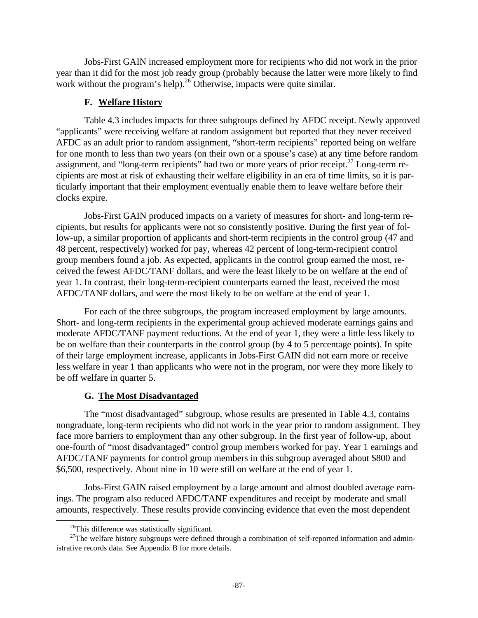Jobs-First GAIN increased employment more for recipients who did not work in the prior year than it did for the most job ready group (probably because the latter were more likely to find work without the program's help).<sup>26</sup> Otherwise, impacts were quite similar.

### **F. Welfare History**

Table 4.3 includes impacts for three subgroups defined by AFDC receipt. Newly approved "applicants" were receiving welfare at random assignment but reported that they never received AFDC as an adult prior to random assignment, "short-term recipients" reported being on welfare for one month to less than two years (on their own or a spouse's case) at any time before random assignment, and "long-term recipients" had two or more years of prior receipt.<sup>27</sup> Long-term recipients are most at risk of exhausting their welfare eligibility in an era of time limits, so it is particularly important that their employment eventually enable them to leave welfare before their clocks expire.

Jobs-First GAIN produced impacts on a variety of measures for short- and long-term recipients, but results for applicants were not so consistently positive. During the first year of follow-up, a similar proportion of applicants and short-term recipients in the control group (47 and 48 percent, respectively) worked for pay, whereas 42 percent of long-term-recipient control group members found a job. As expected, applicants in the control group earned the most, received the fewest AFDC/TANF dollars, and were the least likely to be on welfare at the end of year 1. In contrast, their long-term-recipient counterparts earned the least, received the most AFDC/TANF dollars, and were the most likely to be on welfare at the end of year 1.

For each of the three subgroups, the program increased employment by large amounts. Short- and long-term recipients in the experimental group achieved moderate earnings gains and moderate AFDC/TANF payment reductions. At the end of year 1, they were a little less likely to be on welfare than their counterparts in the control group (by 4 to 5 percentage points). In spite of their large employment increase, applicants in Jobs-First GAIN did not earn more or receive less welfare in year 1 than applicants who were not in the program, nor were they more likely to be off welfare in quarter 5.

### **G. The Most Disadvantaged**

The "most disadvantaged" subgroup, whose results are presented in Table 4.3, contains nongraduate, long-term recipients who did not work in the year prior to random assignment. They face more barriers to employment than any other subgroup. In the first year of follow-up, about one-fourth of "most disadvantaged" control group members worked for pay. Year 1 earnings and AFDC/TANF payments for control group members in this subgroup averaged about \$800 and \$6,500, respectively. About nine in 10 were still on welfare at the end of year 1.

Jobs-First GAIN raised employment by a large amount and almost doubled average earnings. The program also reduced AFDC/TANF expenditures and receipt by moderate and small amounts, respectively. These results provide convincing evidence that even the most dependent

-

 $^{26}$ This difference was statistically significant.

<sup>&</sup>lt;sup>27</sup>The welfare history subgroups were defined through a combination of self-reported information and administrative records data. See Appendix B for more details.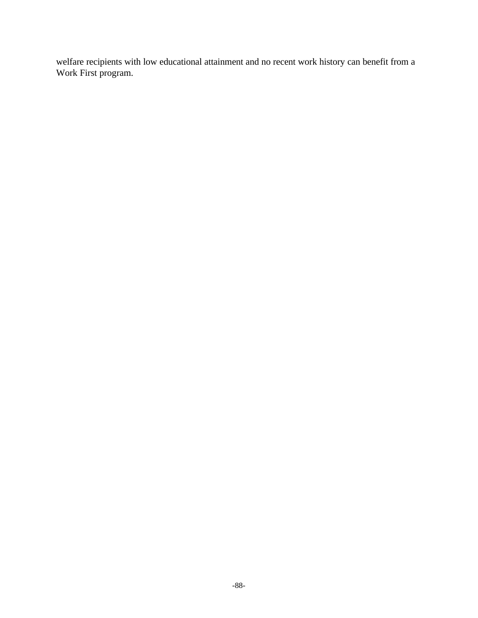welfare recipients with low educational attainment and no recent work history can benefit from a Work First program.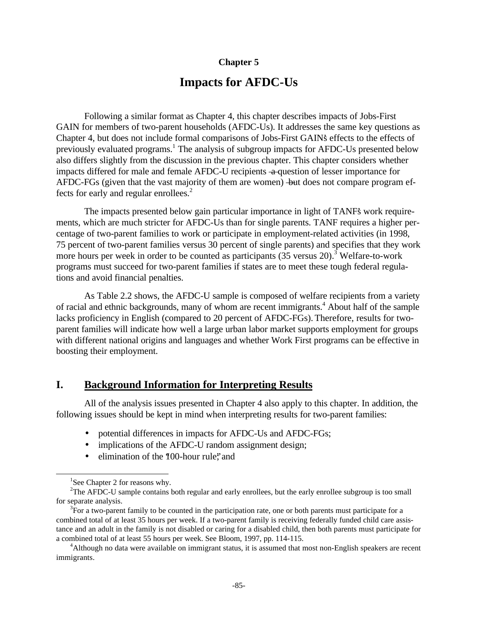### **Chapter 5**

# **Impacts for AFDC-Us**

Following a similar format as Chapter 4, this chapter describes impacts of Jobs-First GAIN for members of two-parent households (AFDC-Us). It addresses the same key questions as Chapter 4, but does not include formal comparisons of Jobs-First GAIN's effects to the effects of previously evaluated programs.<sup>1</sup> The analysis of subgroup impacts for AFDC-Us presented below also differs slightly from the discussion in the previous chapter. This chapter considers whether impacts differed for male and female AFDC-U recipients  $-a$  question of lesser importance for AFDC-FGs (given that the vast majority of them are women) —but does not compare program effects for early and regular enrollees.<sup>2</sup>

The impacts presented below gain particular importance in light of TANF's work requirements, which are much stricter for AFDC-Us than for single parents. TANF requires a higher percentage of two-parent families to work or participate in employment-related activities (in 1998, 75 percent of two-parent families versus 30 percent of single parents) and specifies that they work more hours per week in order to be counted as participants (35 versus 20).<sup>3</sup> Welfare-to-work programs must succeed for two-parent families if states are to meet these tough federal regulations and avoid financial penalties.

As Table 2.2 shows, the AFDC-U sample is composed of welfare recipients from a variety of racial and ethnic backgrounds, many of whom are recent immigrants.<sup>4</sup> About half of the sample lacks proficiency in English (compared to 20 percent of AFDC-FGs). Therefore, results for twoparent families will indicate how well a large urban labor market supports employment for groups with different national origins and languages and whether Work First programs can be effective in boosting their employment.

# **I. Background Information for Interpreting Results**

All of the analysis issues presented in Chapter 4 also apply to this chapter. In addition, the following issues should be kept in mind when interpreting results for two-parent families:

- potential differences in impacts for AFDC-Us and AFDC-FGs;
- implications of the AFDC-U random assignment design;
- elimination of the "100-hour rule"; and

 $\overline{a}$ 

<sup>&</sup>lt;sup>1</sup>See Chapter 2 for reasons why.

<sup>&</sup>lt;sup>2</sup>The AFDC-U sample contains both regular and early enrollees, but the early enrollee subgroup is too small for separate analysis.

 $3\overline{F}$  For a two-parent family to be counted in the participation rate, one or both parents must participate for a combined total of at least 35 hours per week. If a two-parent family is receiving federally funded child care assistance and an adult in the family is not disabled or caring for a disabled child, then both parents must participate for a combined total of at least 55 hours per week. See Bloom, 1997, pp. 114-115.

<sup>4</sup>Although no data were available on immigrant status, it is assumed that most non-English speakers are recent immigrants.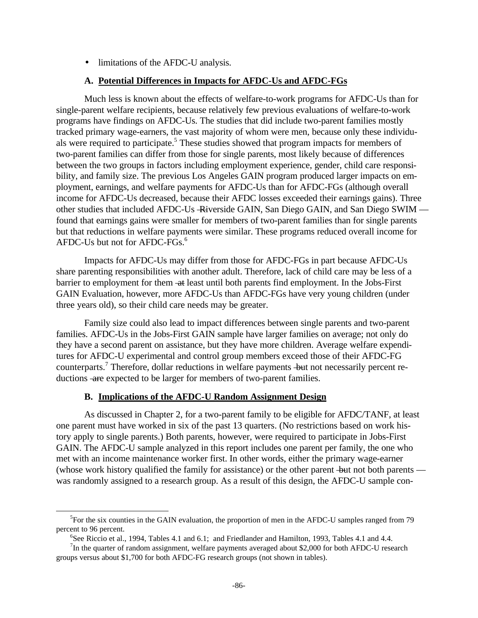• limitations of the AFDC-U analysis.

### **A. Potential Differences in Impacts for AFDC-Us and AFDC-FGs**

Much less is known about the effects of welfare-to-work programs for AFDC-Us than for single-parent welfare recipients, because relatively few previous evaluations of welfare-to-work programs have findings on AFDC-Us. The studies that did include two-parent families mostly tracked primary wage-earners, the vast majority of whom were men, because only these individuals were required to participate.<sup>5</sup> These studies showed that program impacts for members of two-parent families can differ from those for single parents, most likely because of differences between the two groups in factors including employment experience, gender, child care responsibility, and family size. The previous Los Angeles GAIN program produced larger impacts on employment, earnings, and welfare payments for AFDC-Us than for AFDC-FGs (although overall income for AFDC-Us decreased, because their AFDC losses exceeded their earnings gains). Three other studies that included AFDC-Us -Riverside GAIN, San Diego GAIN, and San Diego SWIM found that earnings gains were smaller for members of two-parent families than for single parents but that reductions in welfare payments were similar. These programs reduced overall income for AFDC-Us but not for AFDC-FGs.<sup>6</sup>

Impacts for AFDC-Us may differ from those for AFDC-FGs in part because AFDC-Us share parenting responsibilities with another adult. Therefore, lack of child care may be less of a barrier to employment for them -at least until both parents find employment. In the Jobs-First GAIN Evaluation, however, more AFDC-Us than AFDC-FGs have very young children (under three years old), so their child care needs may be greater.

Family size could also lead to impact differences between single parents and two-parent families. AFDC-Us in the Jobs-First GAIN sample have larger families on average; not only do they have a second parent on assistance, but they have more children. Average welfare expenditures for AFDC-U experimental and control group members exceed those of their AFDC-FG counterparts.<sup>7</sup> Therefore, dollar reductions in welfare payments but not necessarily percent reductions - are expected to be larger for members of two-parent families.

### **B. Implications of the AFDC-U Random Assignment Design**

 $\overline{a}$ 

As discussed in Chapter 2, for a two-parent family to be eligible for AFDC/TANF, at least one parent must have worked in six of the past 13 quarters. (No restrictions based on work history apply to single parents.) Both parents, however, were required to participate in Jobs-First GAIN. The AFDC-U sample analyzed in this report includes one parent per family, the one who met with an income maintenance worker first. In other words, either the primary wage-earner (whose work history qualified the family for assistance) or the other parent -but not both parents was randomly assigned to a research group. As a result of this design, the AFDC-U sample con-

<sup>&</sup>lt;sup>5</sup>For the six counties in the GAIN evaluation, the proportion of men in the AFDC-U samples ranged from 79 percent to 96 percent.

<sup>&</sup>lt;sup>6</sup>See Riccio et al., 1994, Tables 4.1 and 6.1; and Friedlander and Hamilton, 1993, Tables 4.1 and 4.4.

<sup>&</sup>lt;sup>7</sup>In the quarter of random assignment, welfare payments averaged about \$2,000 for both AFDC-U research groups versus about \$1,700 for both AFDC-FG research groups (not shown in tables).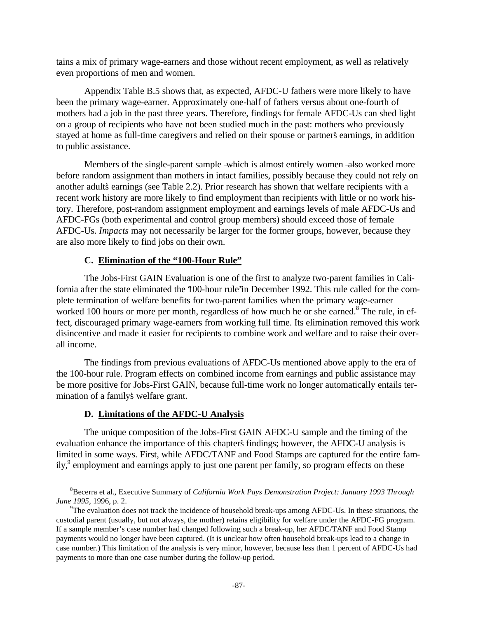tains a mix of primary wage-earners and those without recent employment, as well as relatively even proportions of men and women.

Appendix Table B.5 shows that, as expected, AFDC-U fathers were more likely to have been the primary wage-earner. Approximately one-half of fathers versus about one-fourth of mothers had a job in the past three years. Therefore, findings for female AFDC-Us can shed light on a group of recipients who have not been studied much in the past: mothers who previously stayed at home as full-time caregivers and relied on their spouse or partner's earnings, in addition to public assistance.

Members of the single-parent sample - which is almost entirely women - also worked more before random assignment than mothers in intact families, possibly because they could not rely on another adults earnings (see Table 2.2). Prior research has shown that welfare recipients with a recent work history are more likely to find employment than recipients with little or no work history. Therefore, post-random assignment employment and earnings levels of male AFDC-Us and AFDC-FGs (both experimental and control group members) should exceed those of female AFDC-Us. *Impacts* may not necessarily be larger for the former groups, however, because they are also more likely to find jobs on their own.

### **C. Elimination of the "100-Hour Rule"**

The Jobs-First GAIN Evaluation is one of the first to analyze two-parent families in California after the state eliminated the "100-hour rule" in December 1992. This rule called for the complete termination of welfare benefits for two-parent families when the primary wage-earner worked 100 hours or more per month, regardless of how much he or she earned.<sup>8</sup> The rule, in effect, discouraged primary wage-earners from working full time. Its elimination removed this work disincentive and made it easier for recipients to combine work and welfare and to raise their overall income.

The findings from previous evaluations of AFDC-Us mentioned above apply to the era of the 100-hour rule. Program effects on combined income from earnings and public assistance may be more positive for Jobs-First GAIN, because full-time work no longer automatically entails termination of a family's welfare grant.

### **D. Limitations of the AFDC-U Analysis**

-

The unique composition of the Jobs-First GAIN AFDC-U sample and the timing of the evaluation enhance the importance of this chapter's findings; however, the AFDC-U analysis is limited in some ways. First, while AFDC/TANF and Food Stamps are captured for the entire family,<sup>9</sup> employment and earnings apply to just one parent per family, so program effects on these

<sup>8</sup>Becerra et al., Executive Summary of *California Work Pays Demonstration Project: January 1993 Through June 1995,* 1996, p. 2.

 $^{9}$ The evaluation does not track the incidence of household break-ups among AFDC-Us. In these situations, the custodial parent (usually, but not always, the mother) retains eligibility for welfare under the AFDC-FG program. If a sample member's case number had changed following such a break-up, her AFDC/TANF and Food Stamp payments would no longer have been captured. (It is unclear how often household break-ups lead to a change in case number.) This limitation of the analysis is very minor, however, because less than 1 percent of AFDC-Us had payments to more than one case number during the follow-up period.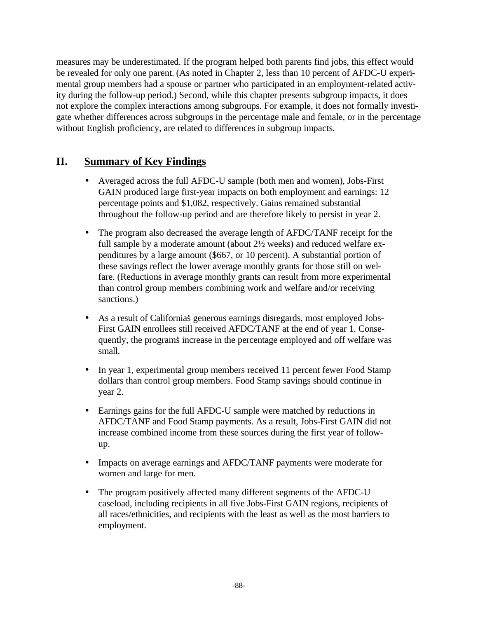measures may be underestimated. If the program helped both parents find jobs, this effect would be revealed for only one parent. (As noted in Chapter 2, less than 10 percent of AFDC-U experimental group members had a spouse or partner who participated in an employment-related activity during the follow-up period.) Second, while this chapter presents subgroup impacts, it does not explore the complex interactions among subgroups. For example, it does not formally investigate whether differences across subgroups in the percentage male and female, or in the percentage without English proficiency, are related to differences in subgroup impacts.

# **II. Summary of Key Findings**

- Averaged across the full AFDC-U sample (both men and women), Jobs-First GAIN produced large first-year impacts on both employment and earnings: 12 percentage points and \$1,082, respectively. Gains remained substantial throughout the follow-up period and are therefore likely to persist in year 2.
- The program also decreased the average length of AFDC/TANF receipt for the full sample by a moderate amount (about 2½ weeks) and reduced welfare expenditures by a large amount (\$667, or 10 percent). A substantial portion of these savings reflect the lower average monthly grants for those still on welfare. (Reductions in average monthly grants can result from more experimental than control group members combining work and welfare and/or receiving sanctions.)
- As a result of California's generous earnings disregards, most employed Jobs-First GAIN enrollees still received AFDC/TANF at the end of year 1. Consequently, the program's increase in the percentage employed and off welfare was small.
- In year 1, experimental group members received 11 percent fewer Food Stamp dollars than control group members. Food Stamp savings should continue in year 2.
- Earnings gains for the full AFDC-U sample were matched by reductions in AFDC/TANF and Food Stamp payments. As a result, Jobs-First GAIN did not increase combined income from these sources during the first year of followup.
- Impacts on average earnings and AFDC/TANF payments were moderate for women and large for men.
- The program positively affected many different segments of the AFDC-U caseload, including recipients in all five Jobs-First GAIN regions, recipients of all races/ethnicities, and recipients with the least as well as the most barriers to employment.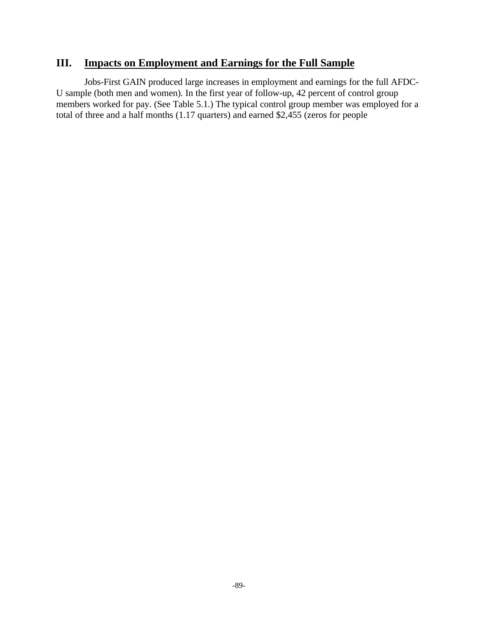# **III. Impacts on Employment and Earnings for the Full Sample**

Jobs-First GAIN produced large increases in employment and earnings for the full AFDC-U sample (both men and women). In the first year of follow-up, 42 percent of control group members worked for pay. (See Table 5.1.) The typical control group member was employed for a total of three and a half months (1.17 quarters) and earned \$2,455 (zeros for people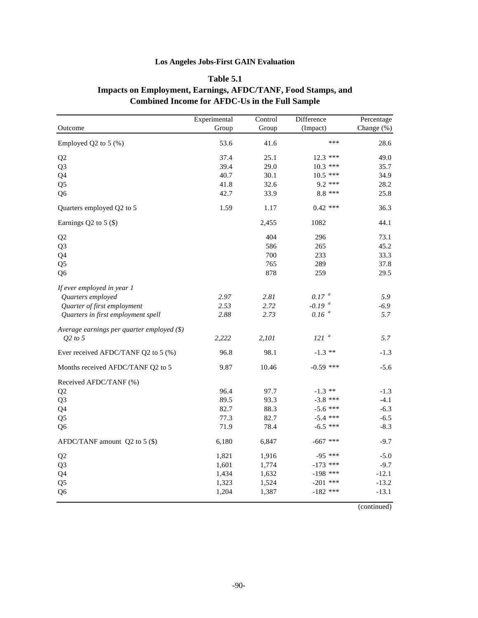### **Los Angeles Jobs-First GAIN Evaluation**

### **Table 5.1**

## **Impacts on Employment, Earnings, AFDC/TANF, Food Stamps, and Combined Income for AFDC-Us in the Full Sample**

|                                            | Experimental | Control | Difference           | Percentage |
|--------------------------------------------|--------------|---------|----------------------|------------|
| Outcome                                    | Group        | Group   | (Impact)             | Change (%) |
| Employed Q2 to $5$ (%)                     | 53.6         | 41.6    | ***                  | 28.6       |
| Q2                                         | 37.4         | 25.1    | 12.3 ***             | 49.0       |
| Q <sub>3</sub>                             | 39.4         | 29.0    | $10.3$ ***           | 35.7       |
| Q4                                         | 40.7         | 30.1    | $10.5$ ***           | 34.9       |
| Q <sub>5</sub>                             | 41.8         | 32.6    | $9.2$ ***            | 28.2       |
| Q <sub>6</sub>                             | 42.7         | 33.9    | $8.8***$             | 25.8       |
| Quarters employed Q2 to 5                  | 1.59         | 1.17    | $0.42$ ***           | 36.3       |
| Earnings $Q2$ to 5 $(\$)$                  |              | 2,455   | 1082                 | 44.1       |
| Q2                                         |              | 404     | 296                  | 73.1       |
| Q <sub>3</sub>                             |              | 586     | 265                  | 45.2       |
| Q4                                         |              | 700     | 233                  | 33.3       |
| Q <sub>5</sub>                             |              | 765     | 289                  | 37.8       |
| Q <sub>6</sub>                             |              | 878     | 259                  | 29.5       |
| If ever employed in year 1                 |              |         |                      |            |
| Quarters employed                          | 2.97         | 2.81    | 0.17~ <sup>a</sup>   | 5.9        |
| Quarter of first employment                | 2.53         | 2.72    | $-0.19$ <sup>a</sup> | $-6.9$     |
| Quarters in first employment spell         | 2.88         | 2.73    | 0.16 <sup>a</sup>    | 5.7        |
| Average earnings per quarter employed (\$) |              |         |                      |            |
| $Q2$ to 5                                  | 2,222        | 2,101   | $121$ <sup>a</sup>   | 5.7        |
| Ever received AFDC/TANF Q2 to 5 (%)        | 96.8         | 98.1    | $-1.3$ **            | $-1.3$     |
| Months received AFDC/TANF Q2 to 5          | 9.87         | 10.46   | $-0.59$ ***          | $-5.6$     |
| Received AFDC/TANF (%)                     |              |         |                      |            |
| Q <sub>2</sub>                             | 96.4         | 97.7    | $-1.3$ **            | $-1.3$     |
| Q <sub>3</sub>                             | 89.5         | 93.3    | $-3.8$ ***           | $-4.1$     |
| Q4                                         | 82.7         | 88.3    | $-5.6$ ***           | $-6.3$     |
| Q <sub>5</sub>                             | 77.3         | 82.7    | $-5.4$ ***           | $-6.5$     |
| Q <sub>6</sub>                             | 71.9         | 78.4    | $-6.5$ ***           | $-8.3$     |
| AFDC/TANF amount $Q2$ to 5 (\$)            | 6,180        | 6,847   | $-667$ ***           | $-9.7$     |
| Q <sub>2</sub>                             | 1,821        | 1,916   | $-95$ ***            | $-5.0$     |
| Q <sub>3</sub>                             | 1,601        | 1,774   | $-173$ ***           | $-9.7$     |
| Q4                                         | 1,434        | 1,632   | $-198$ ***           | $-12.1$    |
| Q <sub>5</sub>                             | 1,323        | 1,524   | $-201$ ***           | $-13.2$    |
| Q <sub>6</sub>                             | 1,204        | 1,387   | $-182$ ***           | $-13.1$    |

(continued)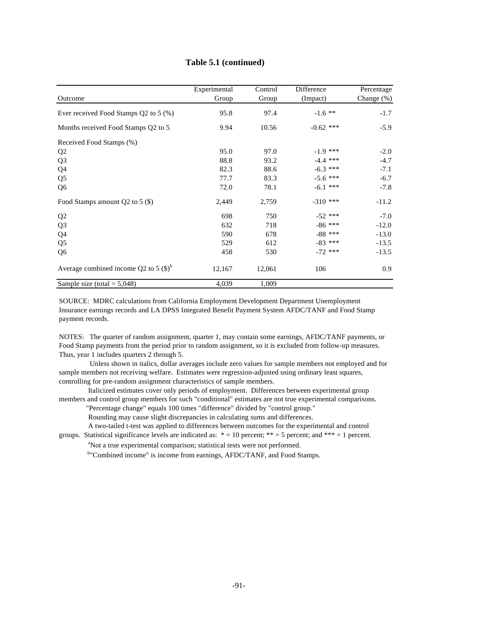|                                                 | Experimental | Control | Difference  | Percentage    |
|-------------------------------------------------|--------------|---------|-------------|---------------|
| Outcome                                         | Group        | Group   | (Impact)    | Change $(\%)$ |
| Ever received Food Stamps Q2 to 5 (%)           | 95.8         | 97.4    | $-1.6$ **   | $-1.7$        |
| Months received Food Stamps Q2 to 5             | 9.94         | 10.56   | $-0.62$ *** | $-5.9$        |
| Received Food Stamps (%)                        |              |         |             |               |
| Q <sub>2</sub>                                  | 95.0         | 97.0    | $-1.9$ ***  | $-2.0$        |
| Q <sub>3</sub>                                  | 88.8         | 93.2    | $-4.4$ ***  | $-4.7$        |
| Q4                                              | 82.3         | 88.6    | $-6.3$ ***  | $-7.1$        |
| Q <sub>5</sub>                                  | 77.7         | 83.3    | $-5.6$ ***  | $-6.7$        |
| Q <sub>6</sub>                                  | 72.0         | 78.1    | $-6.1$ ***  | $-7.8$        |
| Food Stamps amount $Q2$ to 5 (\$)               | 2,449        | 2,759   | $-310$ ***  | $-11.2$       |
| Q2                                              | 698          | 750     | $-52$ ***   | $-7.0$        |
| Q <sub>3</sub>                                  | 632          | 718     | $-86$ ***   | $-12.0$       |
| Q4                                              | 590          | 678     | $-88$ ***   | $-13.0$       |
| Q <sub>5</sub>                                  | 529          | 612     | $-83$ ***   | $-13.5$       |
| Q <sub>6</sub>                                  | 458          | 530     | $-72$ ***   | $-13.5$       |
| Average combined income Q2 to 5 $(\text{\$})^b$ | 12,167       | 12,061  | 106         | 0.9           |
| Sample size (total = $5,048$ )                  | 4,039        | 1,009   |             |               |

### **Table 5.1 (continued)**

SOURCE: MDRC calculations from California Employment Development Department Unemployment Insurance earnings records and LA DPSS Integrated Benefit Payment System AFDC/TANF and Food Stamp payment records.

NOTES: The quarter of random assignment, quarter 1, may contain some earnings, AFDC/TANF payments, or Food Stamp payments from the period prior to random assignment, so it is excluded from follow-up measures. Thus, year 1 includes quarters 2 through 5.

 Unless shown in italics, dollar averages include zero values for sample members not employed and for sample members not receiving welfare. Estimates were regression-adjusted using ordinary least squares, controlling for pre-random assignment characteristics of sample members.

 Italicized estimates cover only periods of employment. Differences between experimental group members and control group members for such "conditional" estimates are not true experimental comparisons.

"Percentage change" equals 100 times "difference" divided by "control group."

Rounding may cause slight discrepancies in calculating sums and differences.

 A two-tailed t-test was applied to differences between outcomes for the experimental and control groups. Statistical significance levels are indicated as:  $* = 10$  percent;  $** = 5$  percent; and  $*** = 1$  percent.

<sup>a</sup>Not a true experimental comparison; statistical tests were not performed.

b"Combined income" is income from earnings, AFDC/TANF, and Food Stamps.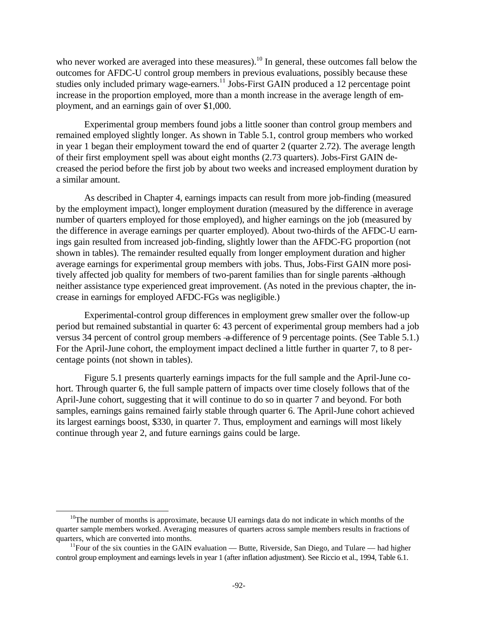who never worked are averaged into these measures).<sup>10</sup> In general, these outcomes fall below the outcomes for AFDC-U control group members in previous evaluations, possibly because these studies only included primary wage-earners.<sup>11</sup> Jobs-First GAIN produced a 12 percentage point increase in the proportion employed, more than a month increase in the average length of employment, and an earnings gain of over \$1,000.

Experimental group members found jobs a little sooner than control group members and remained employed slightly longer. As shown in Table 5.1, control group members who worked in year 1 began their employment toward the end of quarter 2 (quarter 2.72). The average length of their first employment spell was about eight months (2.73 quarters). Jobs-First GAIN decreased the period before the first job by about two weeks and increased employment duration by a similar amount.

As described in Chapter 4, earnings impacts can result from more job-finding (measured by the employment impact), longer employment duration (measured by the difference in average number of quarters employed for those employed), and higher earnings on the job (measured by the difference in average earnings per quarter employed). About two-thirds of the AFDC-U earnings gain resulted from increased job-finding, slightly lower than the AFDC-FG proportion (not shown in tables). The remainder resulted equally from longer employment duration and higher average earnings for experimental group members with jobs. Thus, Jobs-First GAIN more positively affected job quality for members of two-parent families than for single parents - although neither assistance type experienced great improvement. (As noted in the previous chapter, the increase in earnings for employed AFDC-FGs was negligible.)

Experimental-control group differences in employment grew smaller over the follow-up period but remained substantial in quarter 6: 43 percent of experimental group members had a job versus 34 percent of control group members  $\triangleleft$  difference of 9 percentage points. (See Table 5.1.) For the April-June cohort, the employment impact declined a little further in quarter 7, to 8 percentage points (not shown in tables).

Figure 5.1 presents quarterly earnings impacts for the full sample and the April-June cohort. Through quarter 6, the full sample pattern of impacts over time closely follows that of the April-June cohort, suggesting that it will continue to do so in quarter 7 and beyond. For both samples, earnings gains remained fairly stable through quarter 6. The April-June cohort achieved its largest earnings boost, \$330, in quarter 7. Thus, employment and earnings will most likely continue through year 2, and future earnings gains could be large.

 $\overline{a}$ 

<sup>&</sup>lt;sup>10</sup>The number of months is approximate, because UI earnings data do not indicate in which months of the quarter sample members worked. Averaging measures of quarters across sample members results in fractions of quarters, which are converted into months.

<sup>&</sup>lt;sup>11</sup>Four of the six counties in the GAIN evaluation — Butte, Riverside, San Diego, and Tulare — had higher control group employment and earnings levels in year 1 (after inflation adjustment). See Riccio et al., 1994, Table 6.1.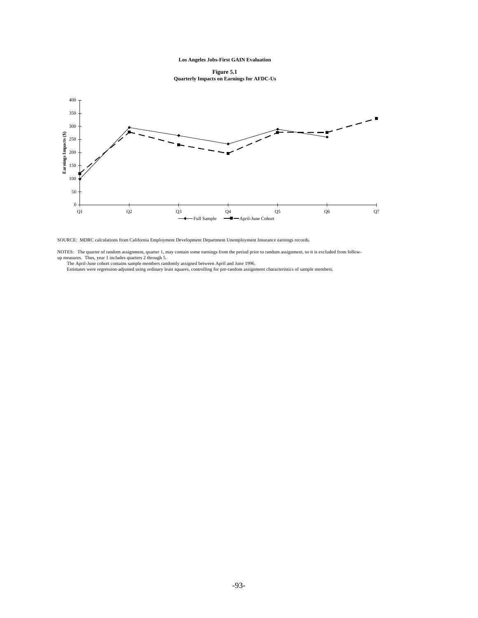**Figure 5.1 Quarterly Impacts on Earnings for AFDC-Us**



SOURCE: MDRC calculations from California Employment Development Department Unemployment Insurance earnings records.

NOTES: The quarter of random assignment, quarter 1, may contain some earnings from the period prior to random assignment, so it is excluded from follow-<br>up measures. Thus, year 1 includes quarters 2 through 5.<br>The April-Ju

Estimates were regression-adjusted using ordinary least squares, controlling for pre-random assignment characteristics of sample members.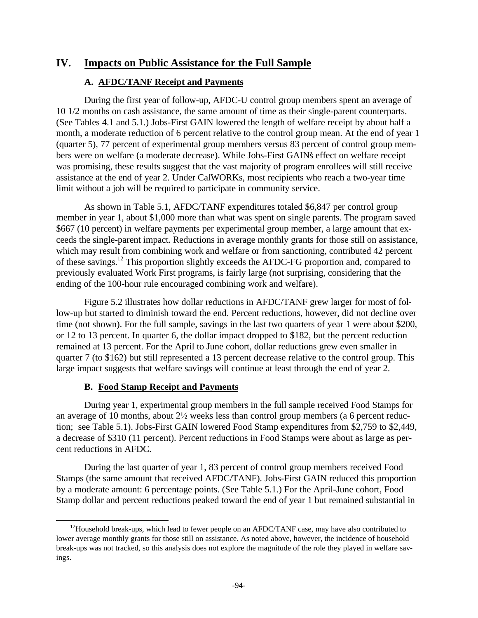## **IV. Impacts on Public Assistance for the Full Sample**

## **A. AFDC/TANF Receipt and Payments**

During the first year of follow-up, AFDC-U control group members spent an average of 10 1/2 months on cash assistance, the same amount of time as their single-parent counterparts. (See Tables 4.1 and 5.1.) Jobs-First GAIN lowered the length of welfare receipt by about half a month, a moderate reduction of 6 percent relative to the control group mean. At the end of year 1 (quarter 5), 77 percent of experimental group members versus 83 percent of control group members were on welfare (a moderate decrease). While Jobs-First GAIN's effect on welfare receipt was promising, these results suggest that the vast majority of program enrollees will still receive assistance at the end of year 2. Under CalWORKs, most recipients who reach a two-year time limit without a job will be required to participate in community service.

As shown in Table 5.1, AFDC/TANF expenditures totaled \$6,847 per control group member in year 1, about \$1,000 more than what was spent on single parents. The program saved \$667 (10 percent) in welfare payments per experimental group member, a large amount that exceeds the single-parent impact. Reductions in average monthly grants for those still on assistance, which may result from combining work and welfare or from sanctioning, contributed 42 percent of these savings.<sup>12</sup> This proportion slightly exceeds the AFDC-FG proportion and, compared to previously evaluated Work First programs, is fairly large (not surprising, considering that the ending of the 100-hour rule encouraged combining work and welfare).

Figure 5.2 illustrates how dollar reductions in AFDC/TANF grew larger for most of follow-up but started to diminish toward the end. Percent reductions, however, did not decline over time (not shown). For the full sample, savings in the last two quarters of year 1 were about \$200, or 12 to 13 percent. In quarter 6, the dollar impact dropped to \$182, but the percent reduction remained at 13 percent. For the April to June cohort, dollar reductions grew even smaller in quarter 7 (to \$162) but still represented a 13 percent decrease relative to the control group. This large impact suggests that welfare savings will continue at least through the end of year 2.

### **B. Food Stamp Receipt and Payments**

 $\overline{a}$ 

During year 1, experimental group members in the full sample received Food Stamps for an average of 10 months, about 2½ weeks less than control group members (a 6 percent reduction; see Table 5.1). Jobs-First GAIN lowered Food Stamp expenditures from \$2,759 to \$2,449, a decrease of \$310 (11 percent). Percent reductions in Food Stamps were about as large as percent reductions in AFDC.

During the last quarter of year 1, 83 percent of control group members received Food Stamps (the same amount that received AFDC/TANF). Jobs-First GAIN reduced this proportion by a moderate amount: 6 percentage points. (See Table 5.1.) For the April-June cohort, Food Stamp dollar and percent reductions peaked toward the end of year 1 but remained substantial in

<sup>&</sup>lt;sup>12</sup>Household break-ups, which lead to fewer people on an AFDC/TANF case, may have also contributed to lower average monthly grants for those still on assistance. As noted above, however, the incidence of household break-ups was not tracked, so this analysis does not explore the magnitude of the role they played in welfare savings.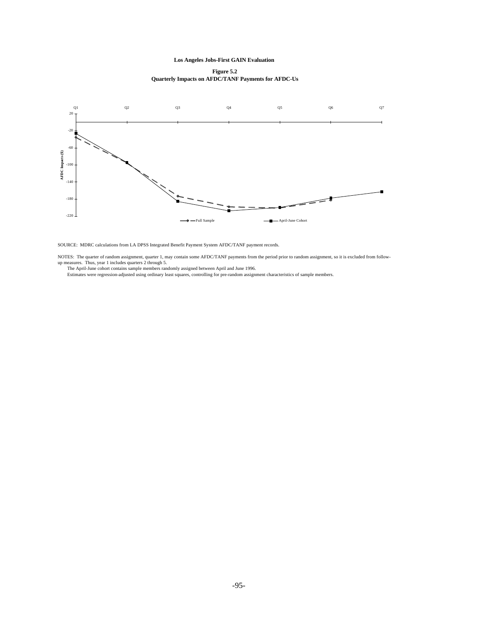**Figure 5.2 Quarterly Impacts on AFDC/TANF Payments for AFDC-Us**



SOURCE: MDRC calculations from LA DPSS Integrated Benefit Payment System AFDC/TANF payment records.

NOTES: The quarter of random assignment, quarter 1, may contain some AFDC/TANF payments from the period prior to random assignment, so it is excluded from follow-<br>up measures. Thus, year 1 includes quarters 2 through 5.<br>Th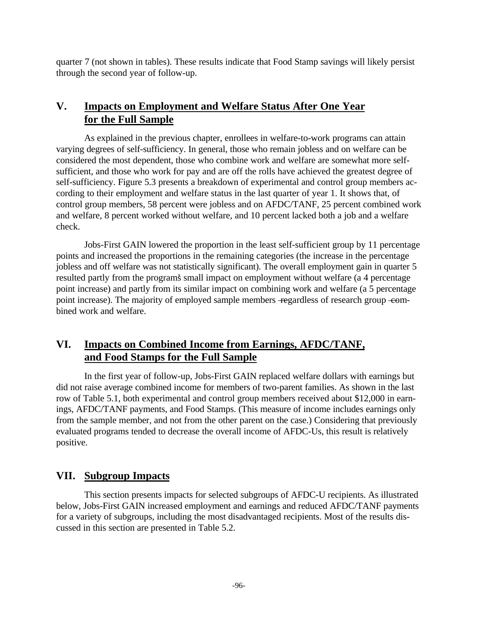quarter 7 (not shown in tables). These results indicate that Food Stamp savings will likely persist through the second year of follow-up.

## **V. Impacts on Employment and Welfare Status After One Year for the Full Sample**

As explained in the previous chapter, enrollees in welfare-to-work programs can attain varying degrees of self-sufficiency. In general, those who remain jobless and on welfare can be considered the most dependent, those who combine work and welfare are somewhat more selfsufficient, and those who work for pay and are off the rolls have achieved the greatest degree of self-sufficiency. Figure 5.3 presents a breakdown of experimental and control group members according to their employment and welfare status in the last quarter of year 1. It shows that, of control group members, 58 percent were jobless and on AFDC/TANF, 25 percent combined work and welfare, 8 percent worked without welfare, and 10 percent lacked both a job and a welfare check.

Jobs-First GAIN lowered the proportion in the least self-sufficient group by 11 percentage points and increased the proportions in the remaining categories (the increase in the percentage jobless and off welfare was not statistically significant). The overall employment gain in quarter 5 resulted partly from the program's small impact on employment without welfare (a 4 percentage point increase) and partly from its similar impact on combining work and welfare (a 5 percentage point increase). The majority of employed sample members -regardless of research group -combined work and welfare.

## **VI. Impacts on Combined Income from Earnings, AFDC/TANF, and Food Stamps for the Full Sample**

In the first year of follow-up, Jobs-First GAIN replaced welfare dollars with earnings but did not raise average combined income for members of two-parent families. As shown in the last row of Table 5.1, both experimental and control group members received about \$12,000 in earnings, AFDC/TANF payments, and Food Stamps. (This measure of income includes earnings only from the sample member, and not from the other parent on the case.) Considering that previously evaluated programs tended to decrease the overall income of AFDC-Us, this result is relatively positive.

## **VII. Subgroup Impacts**

This section presents impacts for selected subgroups of AFDC-U recipients. As illustrated below, Jobs-First GAIN increased employment and earnings and reduced AFDC/TANF payments for a variety of subgroups, including the most disadvantaged recipients. Most of the results discussed in this section are presented in Table 5.2.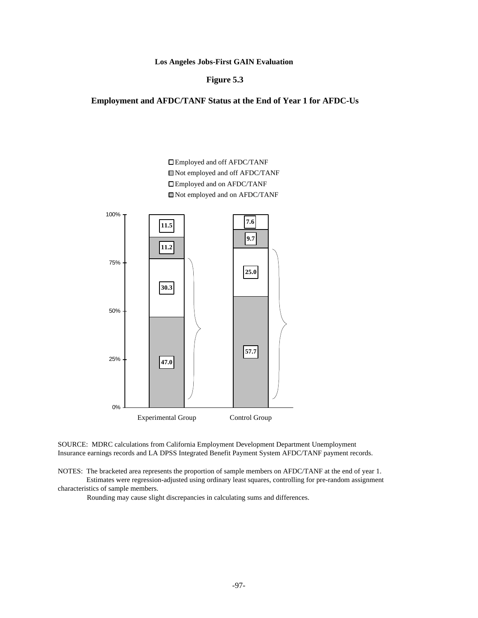**Figure 5.3**

**Employment and AFDC/TANF Status at the End of Year 1 for AFDC-Us**

**25.0 11.2 9.7 11.5 7.6** Employed and off AFDC/TANF Not employed and off AFDC/TANF Employed and on AFDC/TANF Not employed and on AFDC/TANF

100%



SOURCE: MDRC calculations from California Employment Development Department Unemployment Insurance earnings records and LA DPSS Integrated Benefit Payment System AFDC/TANF payment records.

NOTES: The bracketed area represents the proportion of sample members on AFDC/TANF at the end of year 1. Estimates were regression-adjusted using ordinary least squares, controlling for pre-random assignment characteristics of sample members.

Rounding may cause slight discrepancies in calculating sums and differences.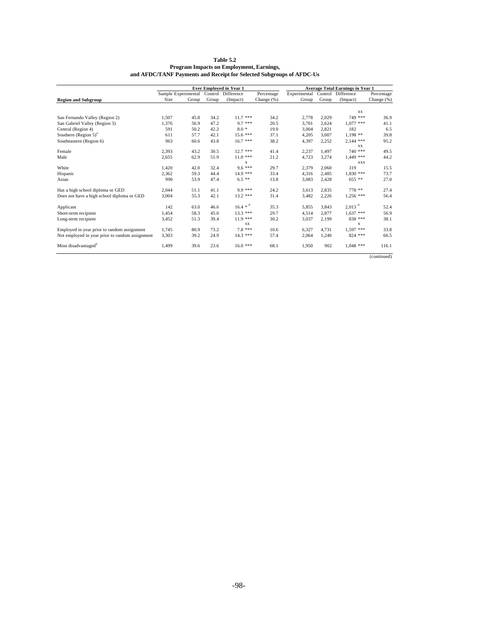|                                                 | <b>Ever Employed in Year 1</b> |       |       |                    | <b>Average Total Earnings in Year 1</b> |              |       |                      |             |
|-------------------------------------------------|--------------------------------|-------|-------|--------------------|-----------------------------------------|--------------|-------|----------------------|-------------|
|                                                 | Sample Experimental            |       |       | Control Difference | Percentage                              | Experimental |       | Control Difference   | Percentage  |
| <b>Region and Subgroup</b>                      | Size                           | Group | Group | (Impact)           | Change (%)                              | Group        | Group | (Impact)             | Change (%)  |
|                                                 |                                |       |       |                    |                                         |              |       |                      |             |
|                                                 |                                |       |       |                    |                                         |              |       | <b>XX</b>            |             |
| San Fernando Valley (Region 2)                  | 1,507                          | 45.8  | 34.2  | $11.7***$          | 34.2                                    | 2,778        | 2,029 | 749 ***              | 36.9        |
| San Gabriel Valley (Region 3)                   | 1,376                          | 56.9  | 47.2  | $9.7***$           | 20.5                                    | 3,701        | 2.624 | $1.077$ ***          | 41.1        |
| Central (Region 4)                              | 591                            | 50.2  | 42.2  | $8.0*$             | 19.0                                    | 3.004        | 2.821 | 182                  | 6.5         |
| Southern (Region $5^{\circ}$ ) <sup>a</sup>     | 611                            | 57.7  | 42.1  | $15.6***$          | 37.1                                    | 4,205        | 3.007 | $1.198**$            | 39.8        |
| Southeastern (Region 6)                         | 963                            | 60.6  | 43.8  | $16.7$ ***         | 38.2                                    | 4,397        | 2,252 | $2,144$ ***          | 95.2        |
|                                                 |                                |       |       |                    |                                         |              |       | XX.                  |             |
| Female                                          | 2,393                          | 43.2  | 30.5  | $12.7$ ***         | 41.4                                    | 2,237        | 1.497 | $740$ ***            | 49.5        |
| Male                                            | 2,655                          | 62.9  | 51.9  | $11.0***$          | 21.2                                    | 4,723        | 3,274 | $1,449$ ***          | 44.2        |
|                                                 |                                |       |       | X                  |                                         |              |       | <b>XXX</b>           |             |
| White                                           | 1.420                          | 42.0  | 32.4  | $9.6***$           | 29.7                                    | 2.379        | 2.060 | 319                  | 15.5        |
| Hispanic                                        | 2,362                          | 59.3  | 44.4  | 14.9 ***           | 33.4                                    | 4,316        | 2,485 | $1,830$ ***          | 73.7        |
| Asian                                           | 990                            | 53.9  | 47.4  | $6.5***$           | 13.8                                    | 3,083        | 2.428 | $655$ **             | 27.0        |
| Has a high school diploma or GED                | 2,044                          | 51.1  | 41.1  | $9.9***$           | 24.2                                    | 3,613        | 2.835 | 778 **               | 27.4        |
| Does not have a high school diploma or GED      | 3,004                          | 55.3  | 42.1  | $13.2$ ***         | 31.4                                    | 3,482        | 2,226 | $1,256$ ***          | 56.4        |
| Applicant                                       | 142                            | 63.0  | 46.6  | $16.4 * u$         | 35.3                                    | 5,855        | 3,843 | $2,013$ <sup>u</sup> | 52.4        |
| Short-term recipient                            | 1,454                          | 58.3  | 45.0  | $13.3***$          | 29.7                                    | 4,514        | 2.877 | $1,637$ ***          | 56.9        |
| Long-term recipient                             | 3,452                          | 51.3  | 39.4  | $11.9***$          | 30.2                                    | 3,037        | 2,199 | 838 ***              | 38.1        |
|                                                 |                                |       |       | <b>XX</b>          |                                         |              |       | X                    |             |
| Employed in year prior to random assignment     | 1,745                          | 80.9  | 73.2  | $7.8***$           | 10.6                                    | 6,327        | 4.731 | 1,597 ***            | 33.8        |
| Not employed in year prior to random assignment | 3,303                          | 39.2  | 24.9  | $14.3***$          | 57.4                                    | 2,064        | 1,240 | $824$ ***            | 66.5        |
| Most disadvantaged <sup>o</sup>                 | 1,499                          | 39.6  | 23.6  | $16.0***$          | 68.1                                    | 1,950        | 902   | $1,048$ ***          | 116.1       |
|                                                 |                                |       |       |                    |                                         |              |       |                      | (continued) |

**Table 5.2 Program Impacts on Employment, Earnings, and AFDC/TANF Payments and Receipt for Selected Subgroups of AFDC-Us**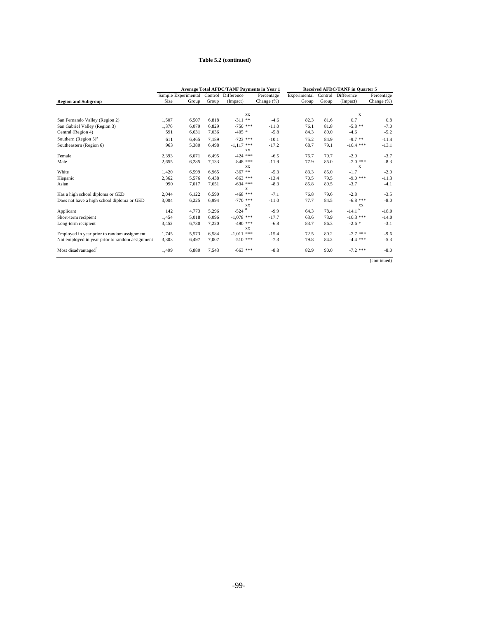#### **Table 5.2 (continued)**

|                                                 | <b>Average Total AFDC/TANF Payments in Year 1</b> |       |         |                         | <b>Received AFDC/TANF</b> in Quarter 5 |              |         |                         |             |
|-------------------------------------------------|---------------------------------------------------|-------|---------|-------------------------|----------------------------------------|--------------|---------|-------------------------|-------------|
|                                                 | Sample Experimental                               |       | Control | Difference              | Percentage                             | Experimental | Control | Difference              | Percentage  |
| <b>Region and Subgroup</b>                      | Size                                              | Group | Group   | (Impact)                | Change (%)                             | Group        | Group   | (Impact)                | Change (%)  |
|                                                 |                                                   |       |         |                         |                                        |              |         |                         |             |
|                                                 |                                                   |       |         | <b>XX</b>               |                                        |              |         | X                       |             |
| San Fernando Valley (Region 2)                  | 1,507                                             | 6,507 | 6.818   | $-311$ **               | $-4.6$                                 | 82.3         | 81.6    | 0.7                     | 0.8         |
| San Gabriel Valley (Region 3)                   | 1,376                                             | 6.079 | 6.829   | $-750$ ***              | $-11.0$                                | 76.1         | 81.8    | $-5.8$ **               | $-7.0$      |
| Central (Region 4)                              | 591                                               | 6,631 | 7,036   | $-405$ *                | $-5.8$                                 | 84.3         | 89.0    | $-4.6$                  | $-5.2$      |
| Southern (Region $5^{\circ}$ ) <sup>a</sup>     | 611                                               | 6,465 | 7.189   | $-723$ ***              | $-10.1$                                | 75.2         | 84.9    | $-9.7$ **               | $-11.4$     |
| Southeastern (Region 6)                         | 963                                               | 5,380 | 6,498   | $-1,117$ ***            | $-17.2$                                | 68.7         | 79.1    | $-10.4$ ***             | $-13.1$     |
|                                                 |                                                   |       |         | <b>XX</b>               |                                        |              |         |                         |             |
| Female                                          | 2,393                                             | 6.071 | 6.495   | $-424$ ***              | $-6.5$                                 | 76.7         | 79.7    | $-2.9$                  | $-3.7$      |
| Male                                            | 2,655                                             | 6,285 | 7,133   | $-848$ ***              | $-11.9$                                | 77.9         | 85.0    | $-7.0$ ***              | $-8.3$      |
|                                                 |                                                   |       |         | <b>XX</b>               |                                        |              |         | X                       |             |
| White                                           | 1,420                                             | 6,599 | 6,965   | $-367$ **               | $-5.3$                                 | 83.3         | 85.0    | $-1.7$                  | $-2.0$      |
| Hispanic                                        | 2,362                                             | 5,576 | 6,438   | $-863$ ***              | $-13.4$                                | 70.5         | 79.5    | $-9.0$ ***              | $-11.3$     |
| Asian                                           | 990                                               | 7,017 | 7,651   | $-634$ ***              | $-8.3$                                 | 85.8         | 89.5    | $-3.7$                  | $-4.1$      |
|                                                 |                                                   |       |         | X                       |                                        |              |         |                         |             |
| Has a high school diploma or GED                | 2,044                                             | 6.122 | 6.590   | $-468$ ***              | $-7.1$                                 | 76.8         | 79.6    | $-2.8$                  | $-3.5$      |
| Does not have a high school diploma or GED      | 3,004                                             | 6,225 | 6.994   | $-770$ ***<br><b>XX</b> | $-11.0$                                | 77.7         | 84.5    | $-6.8$ ***<br><b>XX</b> | $-8.0$      |
| Applicant                                       | 142                                               | 4,773 | 5,296   | $-524$                  | $-9.9$                                 | 64.3         | 78.4    | -14.1 $^{\prime\prime}$ | $-18.0$     |
|                                                 |                                                   |       |         |                         |                                        |              |         |                         |             |
| Short-term recipient                            | 1,454                                             | 5,018 | 6.096   | $-1.078$ ***            | $-17.7$                                | 63.6         | 73.9    | $-10.3$ ***             | $-14.0$     |
| Long-term recipient                             | 3,452                                             | 6,730 | 7,220   | $-490$ ***<br><b>XX</b> | $-6.8$                                 | 83.7         | 86.3    | $-2.6*$                 | $-3.1$      |
| Employed in year prior to random assignment     | 1.745                                             | 5,573 | 6.584   | $-1,011$ ***            | $-15.4$                                | 72.5         | 80.2    | $-7.7$ ***              | $-9.6$      |
|                                                 |                                                   |       |         | $-510$ ***              | $-7.3$                                 | 79.8         | 84.2    | $-4.4$ ***              | $-5.3$      |
| Not employed in year prior to random assignment | 3,303                                             | 6,497 | 7,007   |                         |                                        |              |         |                         |             |
| Most disadvantaged                              | 1,499                                             | 6,880 | 7,543   | $-663$ ***              | $-8.8$                                 | 82.9         | 90.0    | $-7.2$ ***              | $-8.0$      |
|                                                 |                                                   |       |         |                         |                                        |              |         |                         | (continued) |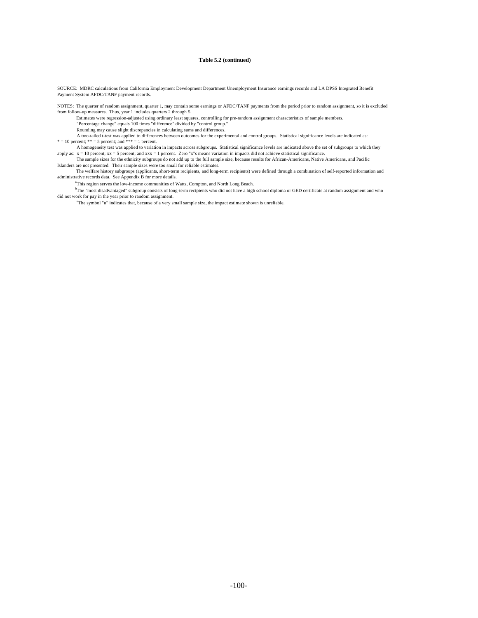#### **Table 5.2 (continued)**

SOURCE: MDRC calculations from California Employment Development Department Unemployment Insurance earnings records and LA DPSS Integrated Benefit Payment System AFDC/TANF payment records.

NOTES: The quarter of random assignment, quarter 1, may contain some earnings or AFDC/TANF payments from the period prior to random assignment, so it is excluded from follow-up measures. Thus, year 1 includes quarters 2 through 5.

Estimates were regression-adjusted using ordinary least squares, controlling for pre-random assignment characteristics of sample members.

"Percentage change" equals 100 times "difference" divided by "control group."

Rounding may cause slight discrepancies in calculating sums and differences.

 A two-tailed t-test was applied to differences between outcomes for the experimental and control groups. Statistical significance levels are indicated as:  $* = 10$  percent;  $** = 5$  percent; and  $*** = 1$  percent.

 A homogeneity test was applied to variation in impacts across subgroups. Statistical significance levels are indicated above the set of subgroups to which they apply as: x = 10 percent; xx = 5 percent; and xxx = 1 percent. Zero "x"s means variation in impacts did not achieve statistical significance.<br>The sample sizes for the ethnicity subgroups do not add up to the full sample si

Islanders are not presented. Their sample sizes were too small for reliable estimates.

The welfare history subgroups (applicants, short-term recipients, and long-term recipients) were defined through a combination of self-reported information and administrative records data. See Appendix B for more details.

<sup>a</sup>This region serves the low-income communities of Watts, Compton, and North Long Beach.

<sup>o</sup>The "most disadvantaged" subgroup consists of londid not work for pay in the year prior to random assignment. b The "most disadvantaged" subgroup consists of long-term recipients who did not have a high school diploma or GED certificate at random assignment and who

<sup>u</sup>The symbol "u" indicates that, because of a very small sample size, the impact estimate shown is unreliable.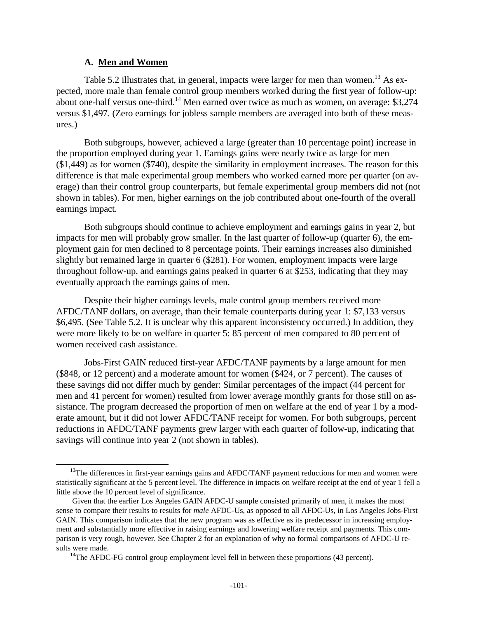#### **A. Men and Women**

 $\overline{a}$ 

Table 5.2 illustrates that, in general, impacts were larger for men than women.<sup>13</sup> As expected, more male than female control group members worked during the first year of follow-up: about one-half versus one-third.<sup>14</sup> Men earned over twice as much as women, on average:  $$3,274$ versus \$1,497. (Zero earnings for jobless sample members are averaged into both of these measures.)

Both subgroups, however, achieved a large (greater than 10 percentage point) increase in the proportion employed during year 1. Earnings gains were nearly twice as large for men (\$1,449) as for women (\$740), despite the similarity in employment increases. The reason for this difference is that male experimental group members who worked earned more per quarter (on average) than their control group counterparts, but female experimental group members did not (not shown in tables). For men, higher earnings on the job contributed about one-fourth of the overall earnings impact.

Both subgroups should continue to achieve employment and earnings gains in year 2, but impacts for men will probably grow smaller. In the last quarter of follow-up (quarter 6), the employment gain for men declined to 8 percentage points. Their earnings increases also diminished slightly but remained large in quarter 6 (\$281). For women, employment impacts were large throughout follow-up, and earnings gains peaked in quarter 6 at \$253, indicating that they may eventually approach the earnings gains of men.

Despite their higher earnings levels, male control group members received more AFDC/TANF dollars, on average, than their female counterparts during year 1: \$7,133 versus \$6,495. (See Table 5.2. It is unclear why this apparent inconsistency occurred.) In addition, they were more likely to be on welfare in quarter 5: 85 percent of men compared to 80 percent of women received cash assistance.

Jobs-First GAIN reduced first-year AFDC/TANF payments by a large amount for men (\$848, or 12 percent) and a moderate amount for women (\$424, or 7 percent). The causes of these savings did not differ much by gender: Similar percentages of the impact (44 percent for men and 41 percent for women) resulted from lower average monthly grants for those still on assistance. The program decreased the proportion of men on welfare at the end of year 1 by a moderate amount, but it did not lower AFDC/TANF receipt for women. For both subgroups, percent reductions in AFDC/TANF payments grew larger with each quarter of follow-up, indicating that savings will continue into year 2 (not shown in tables).

<sup>&</sup>lt;sup>13</sup>The differences in first-year earnings gains and AFDC/TANF payment reductions for men and women were statistically significant at the 5 percent level. The difference in impacts on welfare receipt at the end of year 1 fell a little above the 10 percent level of significance.

Given that the earlier Los Angeles GAIN AFDC-U sample consisted primarily of men, it makes the most sense to compare their results to results for *male* AFDC-Us, as opposed to all AFDC-Us, in Los Angeles Jobs-First GAIN. This comparison indicates that the new program was as effective as its predecessor in increasing employment and substantially more effective in raising earnings and lowering welfare receipt and payments. This comparison is very rough, however. See Chapter 2 for an explanation of why no formal comparisons of AFDC-U results were made.

 $14$ The AFDC-FG control group employment level fell in between these proportions (43 percent).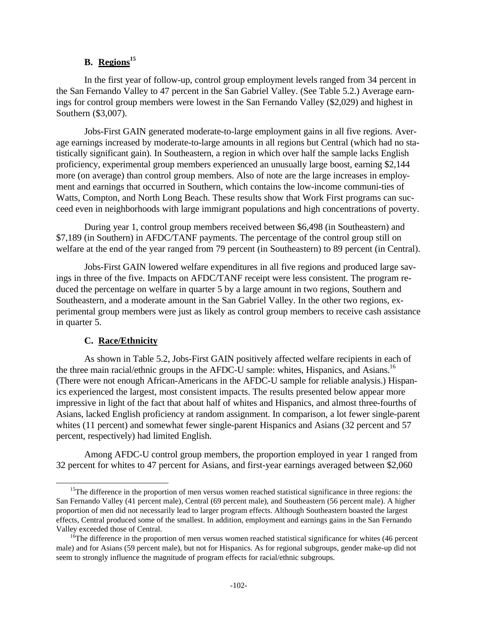## **B. Regions<sup>15</sup>**

In the first year of follow-up, control group employment levels ranged from 34 percent in the San Fernando Valley to 47 percent in the San Gabriel Valley. (See Table 5.2.) Average earnings for control group members were lowest in the San Fernando Valley (\$2,029) and highest in Southern (\$3,007).

Jobs-First GAIN generated moderate-to-large employment gains in all five regions. Average earnings increased by moderate-to-large amounts in all regions but Central (which had no statistically significant gain). In Southeastern, a region in which over half the sample lacks English proficiency, experimental group members experienced an unusually large boost, earning \$2,144 more (on average) than control group members. Also of note are the large increases in employment and earnings that occurred in Southern, which contains the low-income communi-ties of Watts, Compton, and North Long Beach. These results show that Work First programs can succeed even in neighborhoods with large immigrant populations and high concentrations of poverty.

During year 1, control group members received between \$6,498 (in Southeastern) and \$7,189 (in Southern) in AFDC/TANF payments. The percentage of the control group still on welfare at the end of the year ranged from 79 percent (in Southeastern) to 89 percent (in Central).

Jobs-First GAIN lowered welfare expenditures in all five regions and produced large savings in three of the five. Impacts on AFDC/TANF receipt were less consistent. The program reduced the percentage on welfare in quarter 5 by a large amount in two regions, Southern and Southeastern, and a moderate amount in the San Gabriel Valley. In the other two regions, experimental group members were just as likely as control group members to receive cash assistance in quarter 5.

## **C. Race/Ethnicity**

 $\overline{a}$ 

As shown in Table 5.2, Jobs-First GAIN positively affected welfare recipients in each of the three main racial/ethnic groups in the AFDC-U sample: whites, Hispanics, and Asians.<sup>16</sup> (There were not enough African-Americans in the AFDC-U sample for reliable analysis.) Hispanics experienced the largest, most consistent impacts. The results presented below appear more impressive in light of the fact that about half of whites and Hispanics, and almost three-fourths of Asians, lacked English proficiency at random assignment. In comparison, a lot fewer single-parent whites (11 percent) and somewhat fewer single-parent Hispanics and Asians (32 percent and 57 percent, respectively) had limited English.

Among AFDC-U control group members, the proportion employed in year 1 ranged from 32 percent for whites to 47 percent for Asians, and first-year earnings averaged between \$2,060

<sup>&</sup>lt;sup>15</sup>The difference in the proportion of men versus women reached statistical significance in three regions: the San Fernando Valley (41 percent male), Central (69 percent male), and Southeastern (56 percent male). A higher proportion of men did not necessarily lead to larger program effects. Although Southeastern boasted the largest effects, Central produced some of the smallest. In addition, employment and earnings gains in the San Fernando Valley exceeded those of Central.

<sup>&</sup>lt;sup>16</sup>The difference in the proportion of men versus women reached statistical significance for whites (46 percent male) and for Asians (59 percent male), but not for Hispanics. As for regional subgroups, gender make-up did not seem to strongly influence the magnitude of program effects for racial/ethnic subgroups.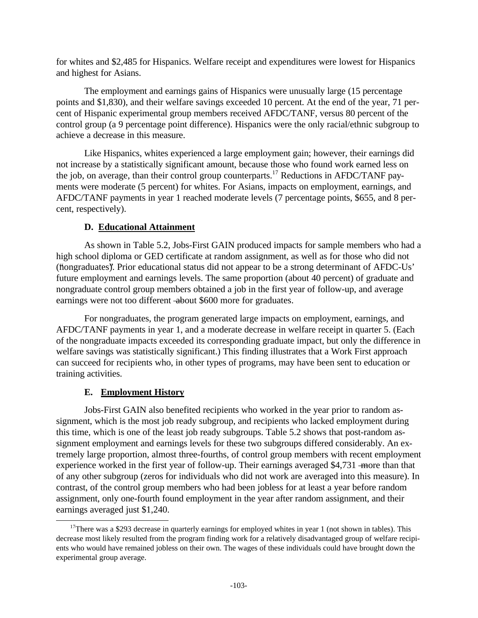for whites and \$2,485 for Hispanics. Welfare receipt and expenditures were lowest for Hispanics and highest for Asians.

The employment and earnings gains of Hispanics were unusually large (15 percentage points and \$1,830), and their welfare savings exceeded 10 percent. At the end of the year, 71 percent of Hispanic experimental group members received AFDC/TANF, versus 80 percent of the control group (a 9 percentage point difference). Hispanics were the only racial/ethnic subgroup to achieve a decrease in this measure.

Like Hispanics, whites experienced a large employment gain; however, their earnings did not increase by a statistically significant amount, because those who found work earned less on the job, on average, than their control group counterparts.<sup>17</sup> Reductions in AFDC/TANF payments were moderate (5 percent) for whites. For Asians, impacts on employment, earnings, and AFDC/TANF payments in year 1 reached moderate levels (7 percentage points, \$655, and 8 percent, respectively).

## **D. Educational Attainment**

As shown in Table 5.2, Jobs-First GAIN produced impacts for sample members who had a high school diploma or GED certificate at random assignment, as well as for those who did not ("mongraduates"). Prior educational status did not appear to be a strong determinant of AFDC-Us" future employment and earnings levels. The same proportion (about 40 percent) of graduate and nongraduate control group members obtained a job in the first year of follow-up, and average earnings were not too different -about \$600 more for graduates.

For nongraduates, the program generated large impacts on employment, earnings, and AFDC/TANF payments in year 1, and a moderate decrease in welfare receipt in quarter 5. (Each of the nongraduate impacts exceeded its corresponding graduate impact, but only the difference in welfare savings was statistically significant.) This finding illustrates that a Work First approach can succeed for recipients who, in other types of programs, may have been sent to education or training activities.

## **E. Employment History**

 $\overline{a}$ 

Jobs-First GAIN also benefited recipients who worked in the year prior to random assignment, which is the most job ready subgroup, and recipients who lacked employment during this time, which is one of the least job ready subgroups. Table 5.2 shows that post-random assignment employment and earnings levels for these two subgroups differed considerably. An extremely large proportion, almost three-fourths, of control group members with recent employment experience worked in the first year of follow-up. Their earnings averaged \$4,731 – more than that of any other subgroup (zeros for individuals who did not work are averaged into this measure). In contrast, of the control group members who had been jobless for at least a year before random assignment, only one-fourth found employment in the year after random assignment, and their earnings averaged just \$1,240.

<sup>&</sup>lt;sup>17</sup>There was a \$293 decrease in quarterly earnings for employed whites in year 1 (not shown in tables). This decrease most likely resulted from the program finding work for a relatively disadvantaged group of welfare recipients who would have remained jobless on their own. The wages of these individuals could have brought down the experimental group average.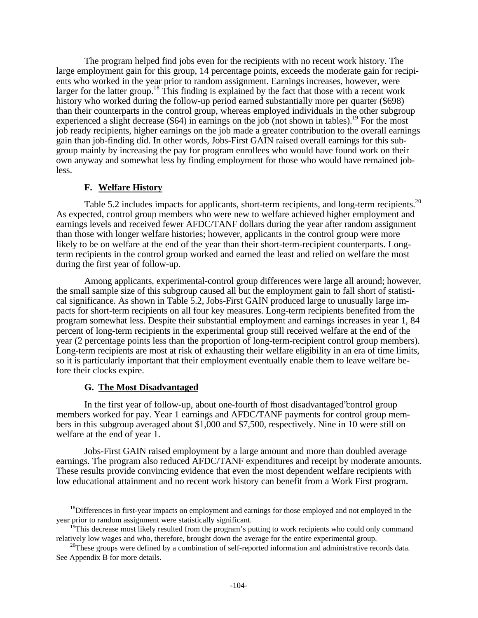The program helped find jobs even for the recipients with no recent work history. The large employment gain for this group, 14 percentage points, exceeds the moderate gain for recipients who worked in the year prior to random assignment. Earnings increases, however, were larger for the latter group.<sup>18</sup> This finding is explained by the fact that those with a recent work history who worked during the follow-up period earned substantially more per quarter (\$698) than their counterparts in the control group, whereas employed individuals in the other subgroup experienced a slight decrease (\$64) in earnings on the job (not shown in tables).<sup>19</sup> For the most job ready recipients, higher earnings on the job made a greater contribution to the overall earnings gain than job-finding did. In other words, Jobs-First GAIN raised overall earnings for this subgroup mainly by increasing the pay for program enrollees who would have found work on their own anyway and somewhat less by finding employment for those who would have remained jobless.

#### **F. Welfare History**

Table 5.2 includes impacts for applicants, short-term recipients, and long-term recipients.<sup>20</sup> As expected, control group members who were new to welfare achieved higher employment and earnings levels and received fewer AFDC/TANF dollars during the year after random assignment than those with longer welfare histories; however, applicants in the control group were more likely to be on welfare at the end of the year than their short-term-recipient counterparts. Longterm recipients in the control group worked and earned the least and relied on welfare the most during the first year of follow-up.

Among applicants, experimental-control group differences were large all around; however, the small sample size of this subgroup caused all but the employment gain to fall short of statistical significance. As shown in Table 5.2, Jobs-First GAIN produced large to unusually large impacts for short-term recipients on all four key measures. Long-term recipients benefited from the program somewhat less. Despite their substantial employment and earnings increases in year 1, 84 percent of long-term recipients in the experimental group still received welfare at the end of the year (2 percentage points less than the proportion of long-term-recipient control group members). Long-term recipients are most at risk of exhausting their welfare eligibility in an era of time limits, so it is particularly important that their employment eventually enable them to leave welfare before their clocks expire.

#### **G. The Most Disadvantaged**

 $\overline{a}$ 

In the first year of follow-up, about one-fourth of "most disadvantaged" control group members worked for pay. Year 1 earnings and AFDC/TANF payments for control group members in this subgroup averaged about \$1,000 and \$7,500, respectively. Nine in 10 were still on welfare at the end of year 1.

Jobs-First GAIN raised employment by a large amount and more than doubled average earnings. The program also reduced AFDC/TANF expenditures and receipt by moderate amounts. These results provide convincing evidence that even the most dependent welfare recipients with low educational attainment and no recent work history can benefit from a Work First program.

<sup>&</sup>lt;sup>18</sup>Differences in first-year impacts on employment and earnings for those employed and not employed in the year prior to random assignment were statistically significant.

<sup>&</sup>lt;sup>19</sup>This decrease most likely resulted from the program's putting to work recipients who could only command relatively low wages and who, therefore, brought down the average for the entire experimental group.

<sup>&</sup>lt;sup>20</sup>These groups were defined by a combination of self-reported information and administrative records data. See Appendix B for more details.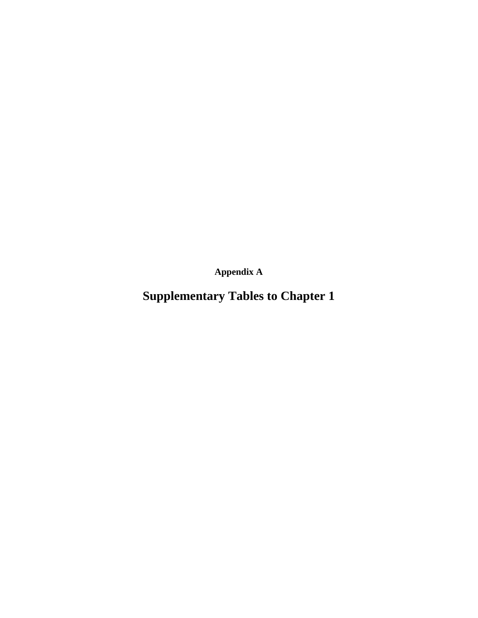**Appendix A**

**Supplementary Tables to Chapter 1**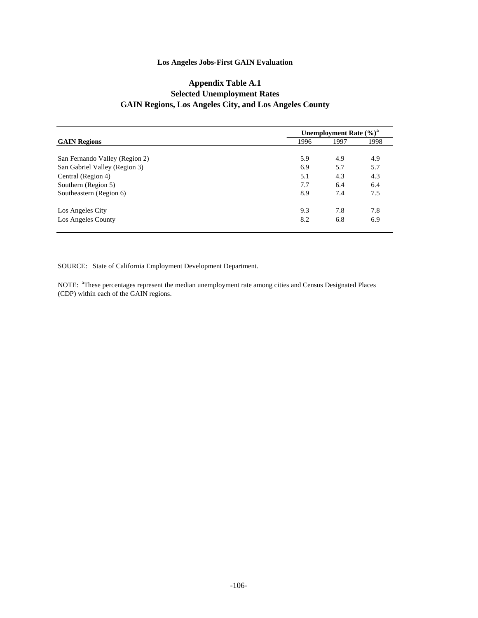### **Appendix Table A.1 Selected Unemployment Rates GAIN Regions, Los Angeles City, and Los Angeles County**

|                                | Unemployment Rate $(\%)^a$ |      |      |  |  |
|--------------------------------|----------------------------|------|------|--|--|
| <b>GAIN Regions</b>            | 1996                       | 1997 | 1998 |  |  |
|                                |                            |      |      |  |  |
| San Fernando Valley (Region 2) | 5.9                        | 4.9  | 4.9  |  |  |
| San Gabriel Valley (Region 3)  | 6.9                        | 5.7  | 5.7  |  |  |
| Central (Region 4)             | 5.1                        | 4.3  | 4.3  |  |  |
| Southern (Region 5)            | 7.7                        | 6.4  | 6.4  |  |  |
| Southeastern (Region 6)        | 8.9                        | 7.4  | 7.5  |  |  |
| Los Angeles City               | 9.3                        | 7.8  | 7.8  |  |  |
| Los Angeles County             | 8.2                        | 6.8  | 6.9  |  |  |

SOURCE: State of California Employment Development Department.

NOTE: <sup>a</sup>These percentages represent the median unemployment rate among cities and Census Designated Places (CDP) within each of the GAIN regions.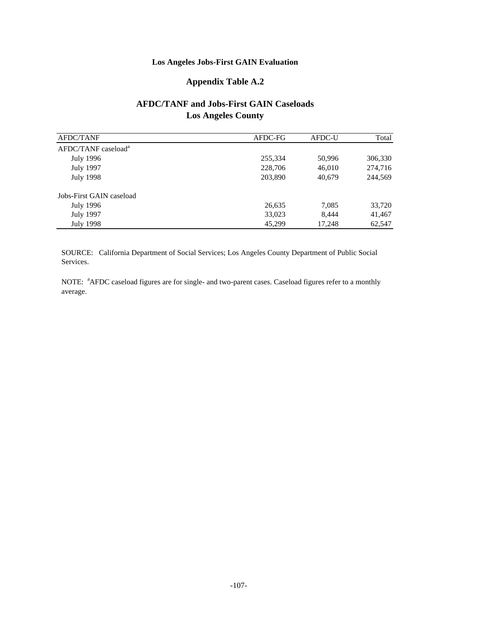## **Appendix Table A.2**

## **AFDC/TANF and Jobs-First GAIN Caseloads Los Angeles County**

| <b>AFDC/TANF</b>                | AFDC-FG | AFDC-U | Total   |
|---------------------------------|---------|--------|---------|
| AFDC/TANF caseload <sup>a</sup> |         |        |         |
| <b>July 1996</b>                | 255,334 | 50,996 | 306,330 |
| <b>July 1997</b>                | 228,706 | 46,010 | 274,716 |
| <b>July 1998</b>                | 203,890 | 40,679 | 244,569 |
| Jobs-First GAIN caseload        |         |        |         |
| <b>July 1996</b>                | 26,635  | 7,085  | 33,720  |
| <b>July 1997</b>                | 33,023  | 8.444  | 41,467  |
| July 1998                       | 45,299  | 17,248 | 62,547  |

SOURCE: California Department of Social Services; Los Angeles County Department of Public Social Services.

NOTE: <sup>a</sup>AFDC caseload figures are for single- and two-parent cases. Caseload figures refer to a monthly average.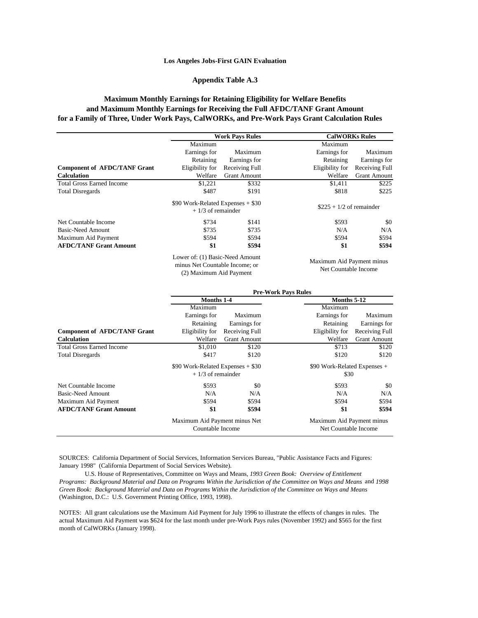#### **Appendix Table A.3**

#### **Maximum Monthly Earnings for Retaining Eligibility for Welfare Benefits and Maximum Monthly Earnings for Receiving the Full AFDC/TANF Grant Amount for a Family of Three, Under Work Pays, CalWORKs, and Pre-Work Pays Grant Calculation Rules**

|                                     | <b>Work Pays Rules</b>                                               |                     |                           | <b>CalWORKs Rules</b> |
|-------------------------------------|----------------------------------------------------------------------|---------------------|---------------------------|-----------------------|
|                                     | Maximum                                                              |                     | Maximum                   |                       |
|                                     | Earnings for                                                         | Maximum             | Earnings for              | Maximum               |
|                                     | Retaining                                                            | Earnings for        | Retaining                 | Earnings for          |
| <b>Component of AFDC/TANF Grant</b> | Eligibility for                                                      | Receiving Full      | Eligibility for           | Receiving Full        |
| <b>Calculation</b>                  | Welfare                                                              | <b>Grant Amount</b> | Welfare                   | <b>Grant Amount</b>   |
| <b>Total Gross Earned Income</b>    | \$1,221                                                              | \$332               | \$1.411                   | \$225                 |
| <b>Total Disregards</b>             | \$487                                                                | \$191               | \$818                     | \$225                 |
|                                     | \$90 Work-Related Expenses $+$ \$30<br>$+1/3$ of remainder           |                     | $$225 + 1/2$ of remainder |                       |
| Net Countable Income                | \$734                                                                | \$141               | \$593                     | \$0                   |
| Basic-Need Amount                   | \$735                                                                | \$735               | N/A                       | N/A                   |
| Maximum Aid Payment                 | \$594                                                                | \$594               | \$594                     | \$594                 |
| <b>AFDC/TANF Grant Amount</b>       | \$1                                                                  | \$594               | \$1                       | \$594                 |
|                                     | $\mathbf{r}$ c/1 $\mathbf{p}$ $\mathbf{r}$ $\mathbf{r}$ $\mathbf{r}$ |                     |                           |                       |

Lower of: (1) Basic-Need Amount minus Net Countable Income; or (2) Maximum Aid Payment

Maximum Aid Payment minus Net Countable Income

|                                     | <b>Pre-Work Pays Rules</b>          |                     |                 |                              |  |  |  |
|-------------------------------------|-------------------------------------|---------------------|-----------------|------------------------------|--|--|--|
|                                     | Months 1-4                          |                     |                 | Months 5-12                  |  |  |  |
|                                     | Maximum                             |                     | Maximum         |                              |  |  |  |
|                                     | Earnings for                        | Maximum             | Earnings for    | Maximum                      |  |  |  |
|                                     | Retaining                           | Earnings for        | Retaining       | Earnings for                 |  |  |  |
| <b>Component of AFDC/TANF Grant</b> | Eligibility for                     | Receiving Full      | Eligibility for | Receiving Full               |  |  |  |
| <b>Calculation</b>                  | Welfare                             | <b>Grant Amount</b> | Welfare         | <b>Grant Amount</b>          |  |  |  |
| <b>Total Gross Earned Income</b>    | \$1,010                             | \$120               | \$713           | \$120                        |  |  |  |
| <b>Total Disregards</b>             | \$417                               | \$120               | \$120           | \$120                        |  |  |  |
|                                     | \$90 Work-Related Expenses $+$ \$30 |                     |                 | \$90 Work-Related Expenses + |  |  |  |
|                                     | $+1/3$ of remainder                 |                     | \$30            |                              |  |  |  |
| Net Countable Income                | \$593                               | \$0                 | \$593           | \$0                          |  |  |  |
| Basic-Need Amount                   | N/A                                 | N/A                 | N/A             | N/A                          |  |  |  |
| Maximum Aid Payment                 | \$594                               | \$594               | \$594           | \$594                        |  |  |  |
| <b>AFDC/TANF Grant Amount</b>       | \$1                                 | \$594               | \$1             | \$594                        |  |  |  |
|                                     | Maximum Aid Payment minus Net       |                     |                 | Maximum Aid Payment minus    |  |  |  |
|                                     | Countable Income                    |                     |                 | Net Countable Income         |  |  |  |

SOURCES: California Department of Social Services, Information Services Bureau, "Public Assistance Facts and Figures: January 1998" (California Department of Social Services Website).

 U.S. House of Representatives, Committee on Ways and Means, *1993 Green Book: Overview of Entitlement Programs: Background Material and Data on Programs Within the Jurisdiction of the Committee on Ways and Means* and *1998 Green Book: Background Material and Data on Programs Within the Jurisdiction of the Committee on Ways and Means*  (Washington, D.C.: U.S. Government Printing Office, 1993, 1998).

NOTES: All grant calculations use the Maximum Aid Payment for July 1996 to illustrate the effects of changes in rules. The actual Maximum Aid Payment was \$624 for the last month under pre-Work Pays rules (November 1992) and \$565 for the first month of CalWORKs (January 1998).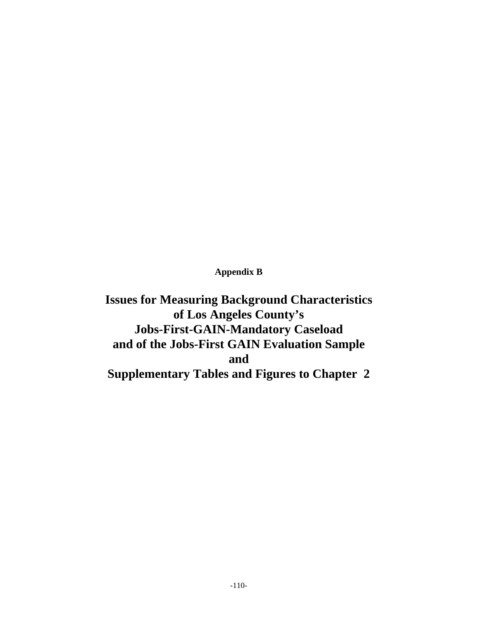**Appendix B**

**Issues for Measuring Background Characteristics of Los Angeles County's Jobs-First-GAIN-Mandatory Caseload and of the Jobs-First GAIN Evaluation Sample and Supplementary Tables and Figures to Chapter 2**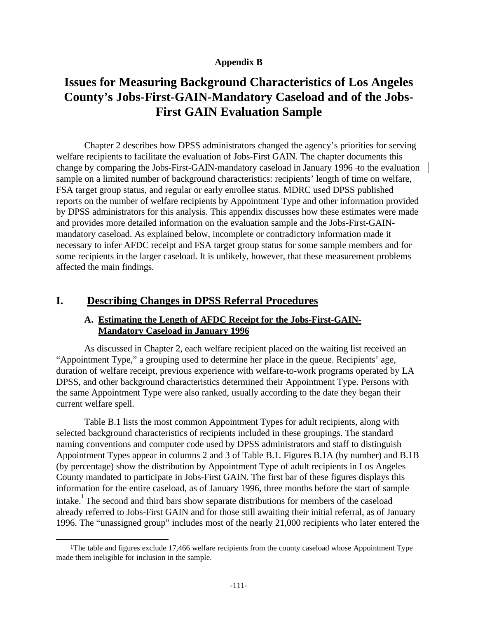### **Appendix B**

# **Issues for Measuring Background Characteristics of Los Angeles County's Jobs-First-GAIN-Mandatory Caseload and of the Jobs-First GAIN Evaluation Sample**

Chapter 2 describes how DPSS administrators changed the agency's priorities for serving welfare recipients to facilitate the evaluation of Jobs-First GAIN. The chapter documents this change by comparing the Jobs-First-GAIN-mandatory caseload in January 1996 -to the evaluation sample on a limited number of background characteristics: recipients' length of time on welfare, FSA target group status, and regular or early enrollee status. MDRC used DPSS published reports on the number of welfare recipients by Appointment Type and other information provided by DPSS administrators for this analysis. This appendix discusses how these estimates were made and provides more detailed information on the evaluation sample and the Jobs-First-GAINmandatory caseload. As explained below, incomplete or contradictory information made it necessary to infer AFDC receipt and FSA target group status for some sample members and for some recipients in the larger caseload. It is unlikely, however, that these measurement problems affected the main findings.

## **I. Describing Changes in DPSS Referral Procedures**

-

### **A. Estimating the Length of AFDC Receipt for the Jobs-First-GAIN-Mandatory Caseload in January 1996**

As discussed in Chapter 2, each welfare recipient placed on the waiting list received an "Appointment Type," a grouping used to determine her place in the queue. Recipients' age, duration of welfare receipt, previous experience with welfare-to-work programs operated by LA DPSS, and other background characteristics determined their Appointment Type. Persons with the same Appointment Type were also ranked, usually according to the date they began their current welfare spell.

Table B.1 lists the most common Appointment Types for adult recipients, along with selected background characteristics of recipients included in these groupings. The standard naming conventions and computer code used by DPSS administrators and staff to distinguish Appointment Types appear in columns 2 and 3 of Table B.1. Figures B.1A (by number) and B.1B (by percentage) show the distribution by Appointment Type of adult recipients in Los Angeles County mandated to participate in Jobs-First GAIN. The first bar of these figures displays this information for the entire caseload, as of January 1996, three months before the start of sample intake.<sup>1</sup> The second and third bars show separate distributions for members of the caseload already referred to Jobs-First GAIN and for those still awaiting their initial referral, as of January 1996. The "unassigned group" includes most of the nearly 21,000 recipients who later entered the

<sup>1</sup>The table and figures exclude 17,466 welfare recipients from the county caseload whose Appointment Type made them ineligible for inclusion in the sample.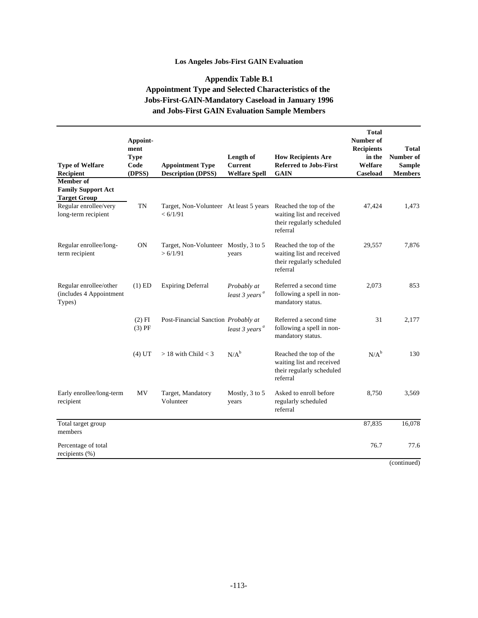## **Appendix Table B.1 Appointment Type and Selected Characteristics of the Jobs-First-GAIN-Mandatory Caseload in January 1996 and Jobs-First GAIN Evaluation Sample Members**

| <b>Type of Welfare</b><br>Recipient                                  | Appoint-<br>ment<br><b>Type</b><br>Code<br>(DPSS) | <b>Appointment Type</b><br><b>Description (DPSS)</b> | Length of<br><b>Current</b><br><b>Welfare Spell</b> | <b>How Recipients Are</b><br><b>Referred to Jobs-First</b><br><b>GAIN</b>                    | <b>Total</b><br>Number of<br><b>Recipients</b><br>in the<br>Welfare<br>Caseload | Total<br>Number of<br><b>Sample</b><br><b>Members</b> |
|----------------------------------------------------------------------|---------------------------------------------------|------------------------------------------------------|-----------------------------------------------------|----------------------------------------------------------------------------------------------|---------------------------------------------------------------------------------|-------------------------------------------------------|
| <b>Member</b> of<br><b>Family Support Act</b><br><b>Target Group</b> |                                                   |                                                      |                                                     |                                                                                              |                                                                                 |                                                       |
| Regular enrollee/very<br>long-term recipient                         | <b>TN</b>                                         | Target, Non-Volunteer At least 5 years<br>< 6/1/91   |                                                     | Reached the top of the<br>waiting list and received<br>their regularly scheduled<br>referral | 47,424                                                                          | 1,473                                                 |
| Regular enrollee/long-<br>term recipient                             | ON                                                | Target, Non-Volunteer Mostly, 3 to 5<br>> 6/1/91     | years                                               | Reached the top of the<br>waiting list and received<br>their regularly scheduled<br>referral | 29,557                                                                          | 7,876                                                 |
| Regular enrollee/other<br>(includes 4 Appointment<br>Types)          | $(1)$ ED                                          | <b>Expiring Deferral</b>                             | Probably at<br>$least\,3\,years^a$                  | Referred a second time<br>following a spell in non-<br>mandatory status.                     | 2,073                                                                           | 853                                                   |
|                                                                      | $(2)$ FI<br>$(3)$ PF                              | Post-Financial Sanction Probably at                  | $least\,3\,years^a$                                 | Referred a second time<br>following a spell in non-<br>mandatory status.                     | 31                                                                              | 2,177                                                 |
|                                                                      | (4) UT                                            | $> 18$ with Child $<$ 3                              | $N/A^b$                                             | Reached the top of the<br>waiting list and received<br>their regularly scheduled<br>referral | $N/A^b$                                                                         | 130                                                   |
| Early enrollee/long-term<br>recipient                                | MV                                                | Target, Mandatory<br>Volunteer                       | Mostly, 3 to 5<br>years                             | Asked to enroll before<br>regularly scheduled<br>referral                                    | 8,750                                                                           | 3,569                                                 |
| Total target group<br>members                                        |                                                   |                                                      |                                                     |                                                                                              | 87,835                                                                          | 16,078                                                |
| Percentage of total<br>recipients (%)                                |                                                   |                                                      |                                                     |                                                                                              | 76.7                                                                            | 77.6<br>$($ continuad $)$                             |

(continued)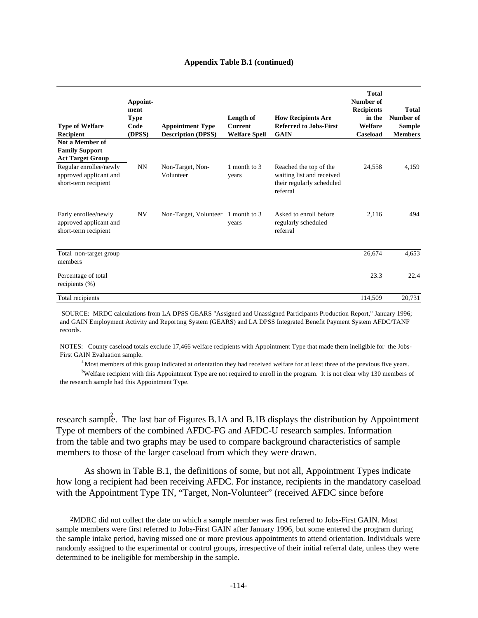#### **Appendix Table B.1 (continued)**

| <b>Type of Welfare</b><br>Recipient                                      | Appoint-<br>ment<br><b>Type</b><br>Code<br>(DPSS) | <b>Appointment Type</b><br><b>Description (DPSS)</b> | Length of<br><b>Current</b><br><b>Welfare Spell</b> | <b>How Recipients Are</b><br><b>Referred to Jobs-First</b><br><b>GAIN</b>                    | <b>Total</b><br>Number of<br><b>Recipients</b><br>in the<br>Welfare<br>Caseload | Total<br>Number of<br><b>Sample</b><br><b>Members</b> |
|--------------------------------------------------------------------------|---------------------------------------------------|------------------------------------------------------|-----------------------------------------------------|----------------------------------------------------------------------------------------------|---------------------------------------------------------------------------------|-------------------------------------------------------|
| Not a Member of<br><b>Family Support</b><br><b>Act Target Group</b>      |                                                   |                                                      |                                                     |                                                                                              |                                                                                 |                                                       |
| Regular enrollee/newly<br>approved applicant and<br>short-term recipient | <b>NN</b>                                         | Non-Target, Non-<br>Volunteer                        | 1 month to 3<br>years                               | Reached the top of the<br>waiting list and received<br>their regularly scheduled<br>referral | 24,558                                                                          | 4,159                                                 |
| Early enrollee/newly<br>approved applicant and<br>short-term recipient   | <b>NV</b>                                         | Non-Target, Volunteer 1 month to 3                   | years                                               | Asked to enroll before<br>regularly scheduled<br>referral                                    | 2,116                                                                           | 494                                                   |
| Total non-target group<br>members                                        |                                                   |                                                      |                                                     |                                                                                              | 26,674                                                                          | 4,653                                                 |
| Percentage of total<br>recipients $(\% )$                                |                                                   |                                                      |                                                     |                                                                                              | 23.3                                                                            | 22.4                                                  |
| Total recipients                                                         |                                                   |                                                      |                                                     |                                                                                              | 114,509                                                                         | 20,731                                                |

 SOURCE: MRDC calculations from LA DPSS GEARS "Assigned and Unassigned Participants Production Report," January 1996; and GAIN Employment Activity and Reporting System (GEARS) and LA DPSS Integrated Benefit Payment System AFDC/TANF records.

NOTES: County caseload totals exclude 17,466 welfare recipients with Appointment Type that made them ineligible for the Jobs-First GAIN Evaluation sample.

<sup>a</sup> Most members of this group indicated at orientation they had received welfare for at least three of the previous five years.

<sup>b</sup>Welfare recipient with this Appointment Type are not required to enroll in the program. It is not clear why 130 members of the research sample had this Appointment Type.

research sample. The last bar of Figures B.1A and B.1B displays the distribution by Appointment Type of members of the combined AFDC-FG and AFDC-U research samples. Information from the table and two graphs may be used to compare background characteristics of sample members to those of the larger caseload from which they were drawn.

As shown in Table B.1, the definitions of some, but not all, Appointment Types indicate how long a recipient had been receiving AFDC. For instance, recipients in the mandatory caseload with the Appointment Type TN, "Target, Non-Volunteer" (received AFDC since before

 <sup>2</sup>MDRC did not collect the date on which a sample member was first referred to Jobs-First GAIN. Most sample members were first referred to Jobs-First GAIN after January 1996, but some entered the program during the sample intake period, having missed one or more previous appointments to attend orientation. Individuals were randomly assigned to the experimental or control groups, irrespective of their initial referral date, unless they were determined to be ineligible for membership in the sample.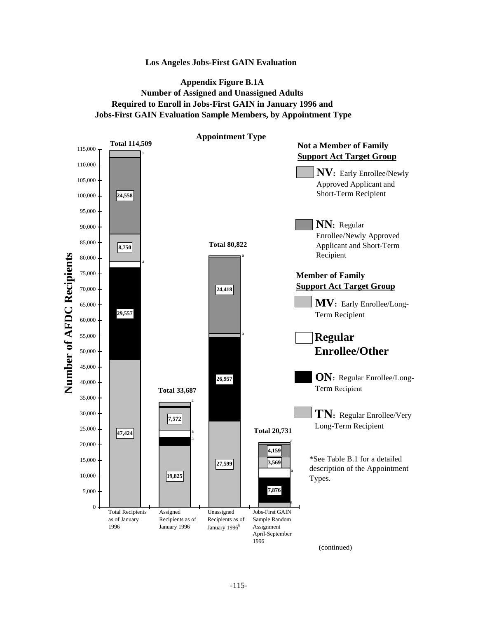## **Appendix Figure B.1A Number of Assigned and Unassigned Adults Required to Enroll in Jobs-First GAIN in January 1996 and Jobs-First GAIN Evaluation Sample Members, by Appointment Type**

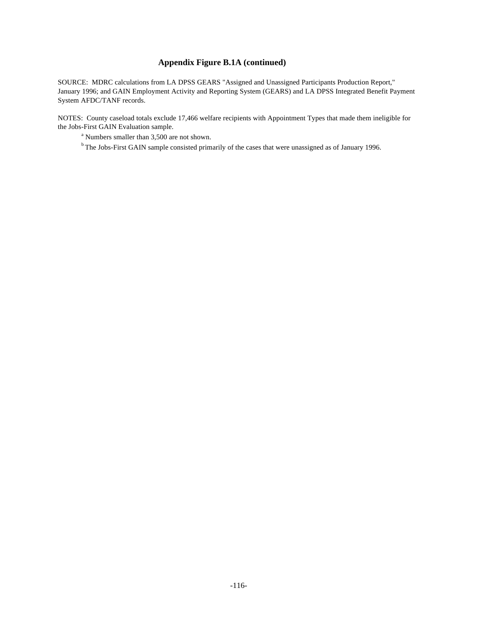## **Appendix Figure B.1A (continued)**

SOURCE: MDRC calculations from LA DPSS GEARS "Assigned and Unassigned Participants Production Report," January 1996; and GAIN Employment Activity and Reporting System (GEARS) and LA DPSS Integrated Benefit Payment System AFDC/TANF records.

NOTES: County caseload totals exclude 17,466 welfare recipients with Appointment Types that made them ineligible for the Jobs-First GAIN Evaluation sample.

<sup>a</sup> Numbers smaller than 3,500 are not shown.

<sup>b</sup> The Jobs-First GAIN sample consisted primarily of the cases that were unassigned as of January 1996.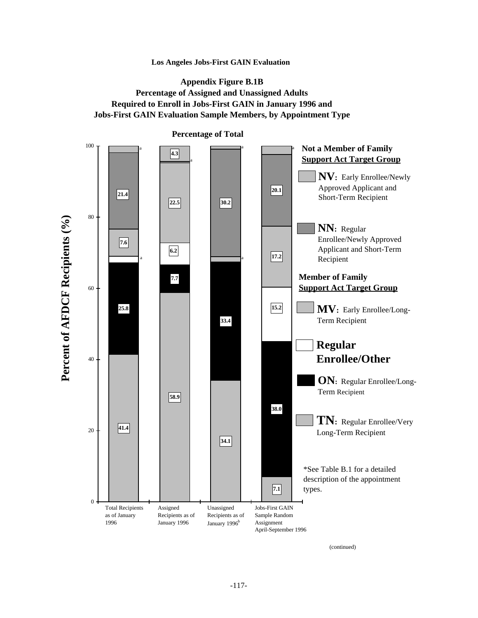## **Appendix Figure B.1B Percentage of Assigned and Unassigned Adults Required to Enroll in Jobs-First GAIN in January 1996 and Jobs-First GAIN Evaluation Sample Members, by Appointment Type**



**Percentage of Total**

(continued)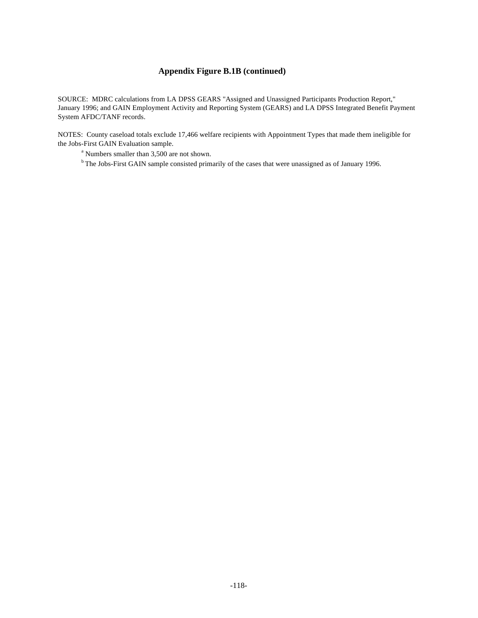## **Appendix Figure B.1B (continued)**

SOURCE: MDRC calculations from LA DPSS GEARS "Assigned and Unassigned Participants Production Report," January 1996; and GAIN Employment Activity and Reporting System (GEARS) and LA DPSS Integrated Benefit Payment System AFDC/TANF records.

NOTES: County caseload totals exclude 17,466 welfare recipients with Appointment Types that made them ineligible for the Jobs-First GAIN Evaluation sample.

<sup>a</sup> Numbers smaller than 3,500 are not shown.

<sup>b</sup> The Jobs-First GAIN sample consisted primarily of the cases that were unassigned as of January 1996.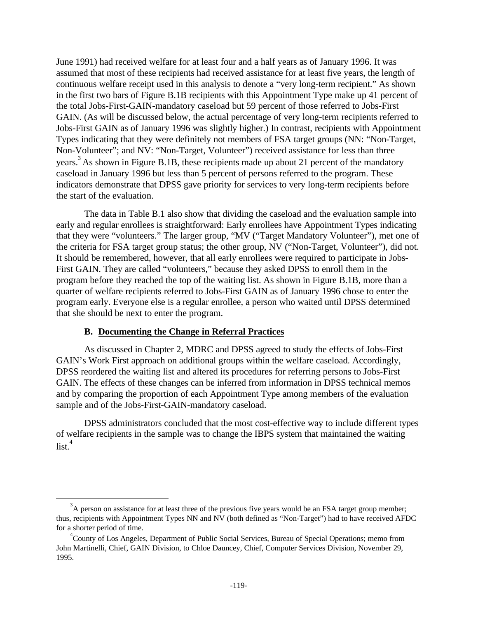June 1991) had received welfare for at least four and a half years as of January 1996. It was assumed that most of these recipients had received assistance for at least five years, the length of continuous welfare receipt used in this analysis to denote a "very long-term recipient." As shown in the first two bars of Figure B.1B recipients with this Appointment Type make up 41 percent of the total Jobs-First-GAIN-mandatory caseload but 59 percent of those referred to Jobs-First GAIN. (As will be discussed below, the actual percentage of very long-term recipients referred to Jobs-First GAIN as of January 1996 was slightly higher.) In contrast, recipients with Appointment Types indicating that they were definitely not members of FSA target groups (NN: "Non-Target, Non-Volunteer"; and NV: "Non-Target, Volunteer") received assistance for less than three years.<sup>3</sup> As shown in Figure B.1B, these recipients made up about 21 percent of the mandatory caseload in January 1996 but less than 5 percent of persons referred to the program. These indicators demonstrate that DPSS gave priority for services to very long-term recipients before the start of the evaluation.

The data in Table B.1 also show that dividing the caseload and the evaluation sample into early and regular enrollees is straightforward: Early enrollees have Appointment Types indicating that they were "volunteers." The larger group, "MV ("Target Mandatory Volunteer"), met one of the criteria for FSA target group status; the other group, NV ("Non-Target, Volunteer"), did not. It should be remembered, however, that all early enrollees were required to participate in Jobs-First GAIN. They are called "volunteers," because they asked DPSS to enroll them in the program before they reached the top of the waiting list. As shown in Figure B.1B, more than a quarter of welfare recipients referred to Jobs-First GAIN as of January 1996 chose to enter the program early. Everyone else is a regular enrollee, a person who waited until DPSS determined that she should be next to enter the program.

### **B. Documenting the Change in Referral Practices**

 $\overline{a}$ 

As discussed in Chapter 2, MDRC and DPSS agreed to study the effects of Jobs-First GAIN's Work First approach on additional groups within the welfare caseload. Accordingly, DPSS reordered the waiting list and altered its procedures for referring persons to Jobs-First GAIN. The effects of these changes can be inferred from information in DPSS technical memos and by comparing the proportion of each Appointment Type among members of the evaluation sample and of the Jobs-First-GAIN-mandatory caseload.

DPSS administrators concluded that the most cost-effective way to include different types of welfare recipients in the sample was to change the IBPS system that maintained the waiting  $\operatorname{list}^4$ 

 $3A$  person on assistance for at least three of the previous five years would be an FSA target group member; thus, recipients with Appointment Types NN and NV (both defined as "Non-Target") had to have received AFDC for a shorter period of time.

<sup>4</sup> County of Los Angeles, Department of Public Social Services, Bureau of Special Operations; memo from John Martinelli, Chief, GAIN Division, to Chloe Dauncey, Chief, Computer Services Division, November 29, 1995.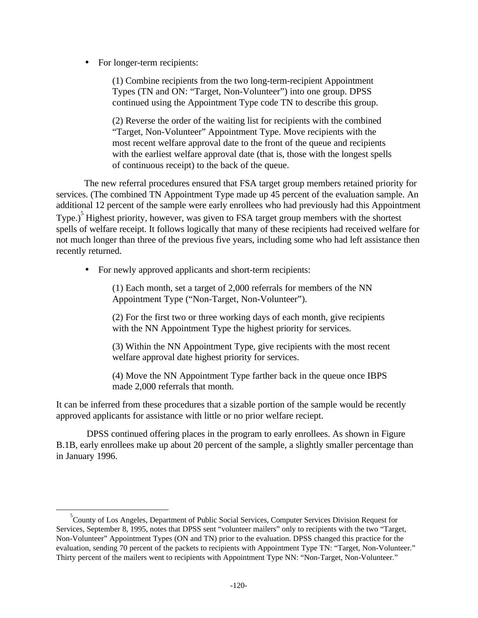• For longer-term recipients:

 $\overline{a}$ 

(1) Combine recipients from the two long-term-recipient Appointment Types (TN and ON: "Target, Non-Volunteer") into one group. DPSS continued using the Appointment Type code TN to describe this group.

(2) Reverse the order of the waiting list for recipients with the combined "Target, Non-Volunteer" Appointment Type. Move recipients with the most recent welfare approval date to the front of the queue and recipients with the earliest welfare approval date (that is, those with the longest spells of continuous receipt) to the back of the queue.

The new referral procedures ensured that FSA target group members retained priority for services. (The combined TN Appointment Type made up 45 percent of the evaluation sample. An additional 12 percent of the sample were early enrollees who had previously had this Appointment Type.)<sup>5</sup> Highest priority, however, was given to FSA target group members with the shortest spells of welfare receipt. It follows logically that many of these recipients had received welfare for not much longer than three of the previous five years, including some who had left assistance then recently returned.

• For newly approved applicants and short-term recipients:

(1) Each month, set a target of 2,000 referrals for members of the NN Appointment Type ("Non-Target, Non-Volunteer").

(2) For the first two or three working days of each month, give recipients with the NN Appointment Type the highest priority for services.

(3) Within the NN Appointment Type, give recipients with the most recent welfare approval date highest priority for services.

(4) Move the NN Appointment Type farther back in the queue once IBPS made 2,000 referrals that month.

It can be inferred from these procedures that a sizable portion of the sample would be recently approved applicants for assistance with little or no prior welfare reciept.

 DPSS continued offering places in the program to early enrollees. As shown in Figure B.1B, early enrollees make up about 20 percent of the sample, a slightly smaller percentage than in January 1996.

<sup>&</sup>lt;sup>5</sup> County of Los Angeles, Department of Public Social Services, Computer Services Division Request for Services, September 8, 1995, notes that DPSS sent "volunteer mailers" only to recipients with the two "Target, Non-Volunteer" Appointment Types (ON and TN) prior to the evaluation. DPSS changed this practice for the evaluation, sending 70 percent of the packets to recipients with Appointment Type TN: "Target, Non-Volunteer." Thirty percent of the mailers went to recipients with Appointment Type NN: "Non-Target, Non-Volunteer."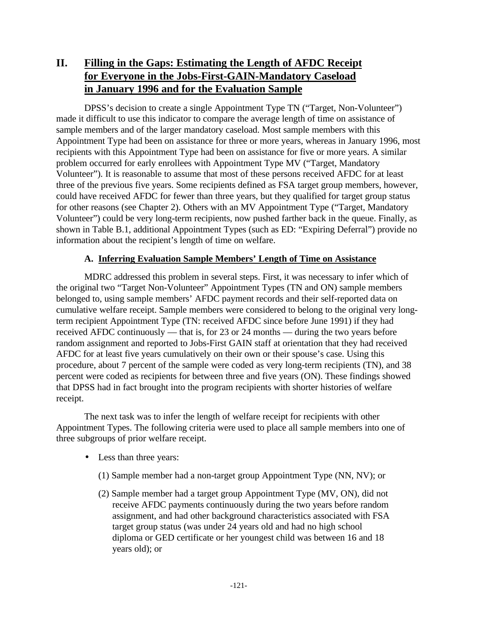## **II. Filling in the Gaps: Estimating the Length of AFDC Receipt for Everyone in the Jobs-First-GAIN-Mandatory Caseload in January 1996 and for the Evaluation Sample**

DPSS's decision to create a single Appointment Type TN ("Target, Non-Volunteer") made it difficult to use this indicator to compare the average length of time on assistance of sample members and of the larger mandatory caseload. Most sample members with this Appointment Type had been on assistance for three or more years, whereas in January 1996, most recipients with this Appointment Type had been on assistance for five or more years. A similar problem occurred for early enrollees with Appointment Type MV ("Target, Mandatory Volunteer"). It is reasonable to assume that most of these persons received AFDC for at least three of the previous five years. Some recipients defined as FSA target group members, however, could have received AFDC for fewer than three years, but they qualified for target group status for other reasons (see Chapter 2). Others with an MV Appointment Type ("Target, Mandatory Volunteer") could be very long-term recipients, now pushed farther back in the queue. Finally, as shown in Table B.1, additional Appointment Types (such as ED: "Expiring Deferral") provide no information about the recipient's length of time on welfare.

## **A. Inferring Evaluation Sample Members' Length of Time on Assistance**

MDRC addressed this problem in several steps. First, it was necessary to infer which of the original two "Target Non-Volunteer" Appointment Types (TN and ON) sample members belonged to, using sample members' AFDC payment records and their self-reported data on cumulative welfare receipt. Sample members were considered to belong to the original very longterm recipient Appointment Type (TN: received AFDC since before June 1991) if they had received AFDC continuously — that is, for 23 or 24 months — during the two years before random assignment and reported to Jobs-First GAIN staff at orientation that they had received AFDC for at least five years cumulatively on their own or their spouse's case. Using this procedure, about 7 percent of the sample were coded as very long-term recipients (TN), and 38 percent were coded as recipients for between three and five years (ON). These findings showed that DPSS had in fact brought into the program recipients with shorter histories of welfare receipt.

The next task was to infer the length of welfare receipt for recipients with other Appointment Types. The following criteria were used to place all sample members into one of three subgroups of prior welfare receipt.

- Less than three years:
	- (1) Sample member had a non-target group Appointment Type (NN, NV); or
	- (2) Sample member had a target group Appointment Type (MV, ON), did not receive AFDC payments continuously during the two years before random assignment, and had other background characteristics associated with FSA target group status (was under 24 years old and had no high school diploma or GED certificate or her youngest child was between 16 and 18 years old); or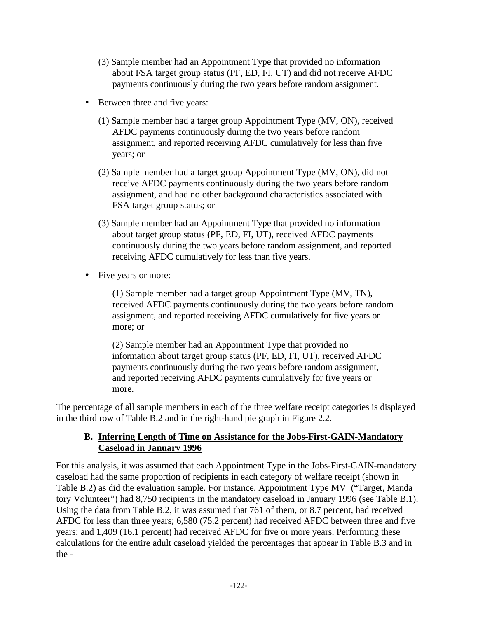- (3) Sample member had an Appointment Type that provided no information about FSA target group status (PF, ED, FI, UT) and did not receive AFDC payments continuously during the two years before random assignment.
- Between three and five years:
	- (1) Sample member had a target group Appointment Type (MV, ON), received AFDC payments continuously during the two years before random assignment, and reported receiving AFDC cumulatively for less than five years; or
	- (2) Sample member had a target group Appointment Type (MV, ON), did not receive AFDC payments continuously during the two years before random assignment, and had no other background characteristics associated with FSA target group status; or
	- (3) Sample member had an Appointment Type that provided no information about target group status (PF, ED, FI, UT), received AFDC payments continuously during the two years before random assignment, and reported receiving AFDC cumulatively for less than five years.
- Five years or more:

(1) Sample member had a target group Appointment Type (MV, TN), received AFDC payments continuously during the two years before random assignment, and reported receiving AFDC cumulatively for five years or more; or

(2) Sample member had an Appointment Type that provided no information about target group status (PF, ED, FI, UT), received AFDC payments continuously during the two years before random assignment, and reported receiving AFDC payments cumulatively for five years or more.

The percentage of all sample members in each of the three welfare receipt categories is displayed in the third row of Table B.2 and in the right-hand pie graph in Figure 2.2.

## **B. Inferring Length of Time on Assistance for the Jobs-First-GAIN-Mandatory Caseload in January 1996**

For this analysis, it was assumed that each Appointment Type in the Jobs-First-GAIN-mandatory caseload had the same proportion of recipients in each category of welfare receipt (shown in Table B.2) as did the evaluation sample. For instance, Appointment Type MV ("Target, Manda tory Volunteer") had 8,750 recipients in the mandatory caseload in January 1996 (see Table B.1). Using the data from Table B.2, it was assumed that 761 of them, or 8.7 percent, had received AFDC for less than three years; 6,580 (75.2 percent) had received AFDC between three and five years; and 1,409 (16.1 percent) had received AFDC for five or more years. Performing these calculations for the entire adult caseload yielded the percentages that appear in Table B.3 and in the -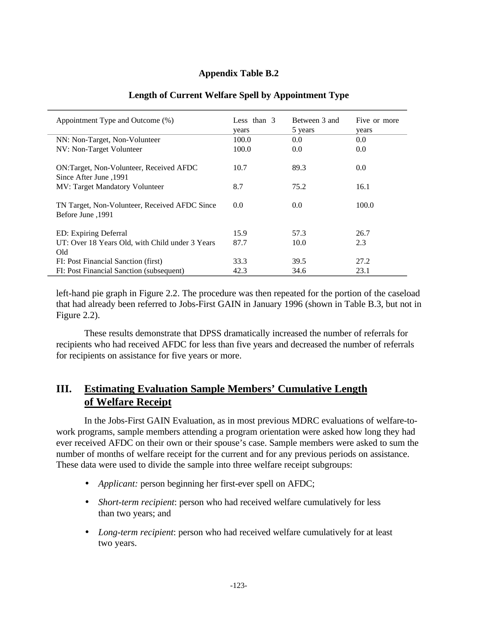## **Appendix Table B.2**

| Appointment Type and Outcome (%)                                   | Less than $3$<br>years | Between 3 and<br>5 years | Five or more<br>years |
|--------------------------------------------------------------------|------------------------|--------------------------|-----------------------|
| NN: Non-Target, Non-Volunteer                                      | 100.0                  | 0.0                      | 0.0                   |
| NV: Non-Target Volunteer                                           | 100.0                  | 0.0                      | 0.0                   |
| ON:Target, Non-Volunteer, Received AFDC<br>1991, Since After June  | 10.7                   | 89.3                     | 0.0                   |
| <b>MV: Target Mandatory Volunteer</b>                              | 8.7                    | 75.2                     | 16.1                  |
| TN Target, Non-Volunteer, Received AFDC Since<br>1991, Before June | 0.0                    | 0.0                      | 100.0                 |
| ED: Expiring Deferral                                              | 15.9                   | 57.3                     | 26.7                  |
| UT: Over 18 Years Old, with Child under 3 Years                    | 87.7                   | 10.0                     | 2.3                   |
| Old                                                                |                        |                          |                       |
| FI: Post Financial Sanction (first)                                | 33.3                   | 39.5                     | 27.2                  |
| FI: Post Financial Sanction (subsequent)                           | 42.3                   | 34.6                     | 23.1                  |

### **Length of Current Welfare Spell by Appointment Type**

left-hand pie graph in Figure 2.2. The procedure was then repeated for the portion of the caseload that had already been referred to Jobs-First GAIN in January 1996 (shown in Table B.3, but not in Figure 2.2).

These results demonstrate that DPSS dramatically increased the number of referrals for recipients who had received AFDC for less than five years and decreased the number of referrals for recipients on assistance for five years or more.

## **III. Estimating Evaluation Sample Members' Cumulative Length of Welfare Receipt**

In the Jobs-First GAIN Evaluation, as in most previous MDRC evaluations of welfare-towork programs, sample members attending a program orientation were asked how long they had ever received AFDC on their own or their spouse's case. Sample members were asked to sum the number of months of welfare receipt for the current and for any previous periods on assistance. These data were used to divide the sample into three welfare receipt subgroups:

- *Applicant:* person beginning her first-ever spell on AFDC;
- *Short-term recipient*: person who had received welfare cumulatively for less than two years; and
- *Long-term recipient*: person who had received welfare cumulatively for at least two years.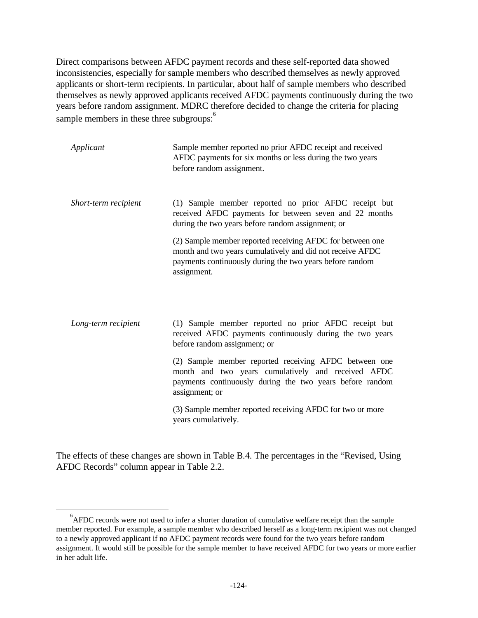Direct comparisons between AFDC payment records and these self-reported data showed inconsistencies, especially for sample members who described themselves as newly approved applicants or short-term recipients. In particular, about half of sample members who described themselves as newly approved applicants received AFDC payments continuously during the two years before random assignment. MDRC therefore decided to change the criteria for placing sample members in these three subgroups:<sup>6</sup>

| Applicant            | Sample member reported no prior AFDC receipt and received<br>AFDC payments for six months or less during the two years<br>before random assignment.                                               |
|----------------------|---------------------------------------------------------------------------------------------------------------------------------------------------------------------------------------------------|
| Short-term recipient | (1) Sample member reported no prior AFDC receipt but<br>received AFDC payments for between seven and 22 months<br>during the two years before random assignment; or                               |
|                      | (2) Sample member reported receiving AFDC for between one<br>month and two years cumulatively and did not receive AFDC<br>payments continuously during the two years before random<br>assignment. |
| Long-term recipient  | (1) Sample member reported no prior AFDC receipt but<br>received AFDC payments continuously during the two years<br>before random assignment; or                                                  |
|                      | (2) Sample member reported receiving AFDC between one<br>month and two years cumulatively and received AFDC<br>payments continuously during the two years before random<br>assignment; or         |
|                      | (3) Sample member reported receiving AFDC for two or more<br>years cumulatively.                                                                                                                  |

The effects of these changes are shown in Table B.4. The percentages in the "Revised, Using AFDC Records" column appear in Table 2.2.

 $\overline{a}$ 

<sup>&</sup>lt;sup>6</sup>AFDC records were not used to infer a shorter duration of cumulative welfare receipt than the sample member reported. For example, a sample member who described herself as a long-term recipient was not changed to a newly approved applicant if no AFDC payment records were found for the two years before random assignment. It would still be possible for the sample member to have received AFDC for two years or more earlier in her adult life.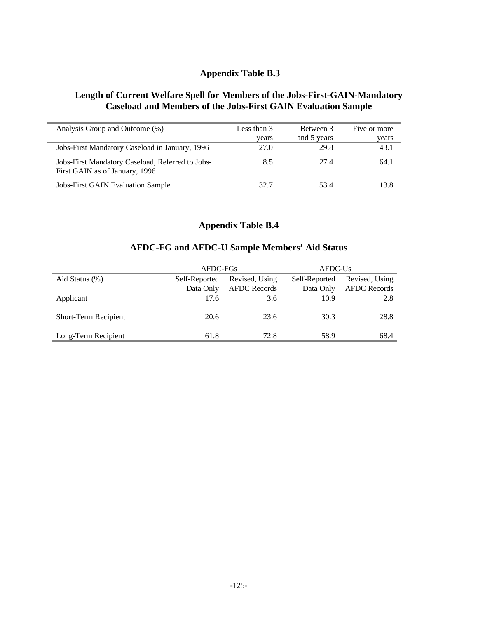## **Appendix Table B.3**

## **Length of Current Welfare Spell for Members of the Jobs-First-GAIN-Mandatory Caseload and Members of the Jobs-First GAIN Evaluation Sample**

| Analysis Group and Outcome (%)                                                     | Less than $3$<br>years | Between 3<br>and 5 years | Five or more<br>years |
|------------------------------------------------------------------------------------|------------------------|--------------------------|-----------------------|
| Jobs-First Mandatory Caseload in January, 1996                                     | 27.0                   | 29.8                     | 43.1                  |
| Jobs-First Mandatory Caseload, Referred to Jobs-<br>First GAIN as of January, 1996 | 8.5                    | 27.4                     | 64.1                  |
| <b>Jobs-First GAIN Evaluation Sample</b>                                           | 32.7                   | 53.4                     | 13.8                  |

## **Appendix Table B.4**

## **AFDC-FG and AFDC-U Sample Members' Aid Status**

|                      | AFDC-FGs                        |                     | AFDC-Us       |                     |  |
|----------------------|---------------------------------|---------------------|---------------|---------------------|--|
| Aid Status (%)       | Revised, Using<br>Self-Reported |                     | Self-Reported | Revised, Using      |  |
|                      | Data Only                       | <b>AFDC</b> Records | Data Only     | <b>AFDC</b> Records |  |
| Applicant            | 17.6                            | 3.6                 | 10.9          | 2.8                 |  |
| Short-Term Recipient | 20.6                            | 23.6                | 30.3          | 28.8                |  |
| Long-Term Recipient  | 61.8                            | 72.8                | 58.9          | 68.4                |  |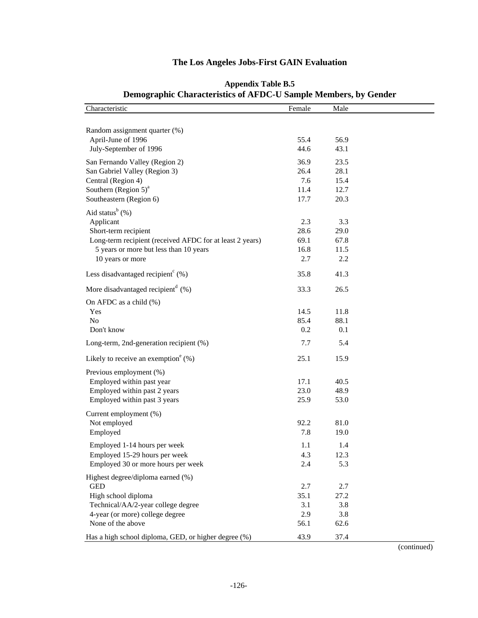### **Demographic Characteristics of AFDC-U Sample Members, by Gender** Characteristic Male Male Random assignment quarter (%) April-June of 1996 55.4 56.9 July-September of 1996 44.6 43.1 San Fernando Valley (Region 2) 36.9 23.5 San Gabriel Valley (Region 3) 26.4 28.1 Central (Region 4) 7.6 15.4 Southern (Region  $5)^a$ 11.4 12.7 Southeastern (Region 6) 17.7 20.3 Aid status $<sup>b</sup>(%)$ </sup> Applicant 2.3 3.3 Short-term recipient 28.6 29.0 Long-term recipient (received AFDC for at least 2 years) 69.1 67.8 5 years or more but less than 10 years 16.8 11.5 10 years or more 2.7 2.2 Less disadvantaged recipient<sup>c</sup>  $(\%)$  (%) 35.8 41.3 More disadvantaged recipient<sup>d</sup>  $(\%)$  33.3 26.5 On AFDC as a child (%) Yes 14.5 11.8 No 85.4 88.1 Don't know 0.2 0.1 Long-term, 2nd-generation recipient (%) 7.7 5.4 Likely to receive an exemption  $(\%)$  (%) 25.1 15.9 Previous employment (%) Employed within past year 17.1 40.5 Employed within past 2 years 23.0 48.9 Employed within past 3 years 25.9 53.0 Current employment (%) Not employed 92.2 81.0 Employed 7.8 19.0 Employed 1-14 hours per week 1.1 1.4 Employed 15-29 hours per week 4.3 12.3 Employed 30 or more hours per week 2.4 5.3 Highest degree/diploma earned (%) GED 2.7 2.7 2.7 High school diploma 35.1 27.2 Technical/AA/2-year college degree 3.1 3.8 4-year (or more) college degree 2.9 3.8 None of the above 56.1 62.6 Has a high school diploma, GED, or higher degree (%) 43.9 37.4

# **The Los Angeles Jobs-First GAIN Evaluation Appendix Table B.5**

(continued)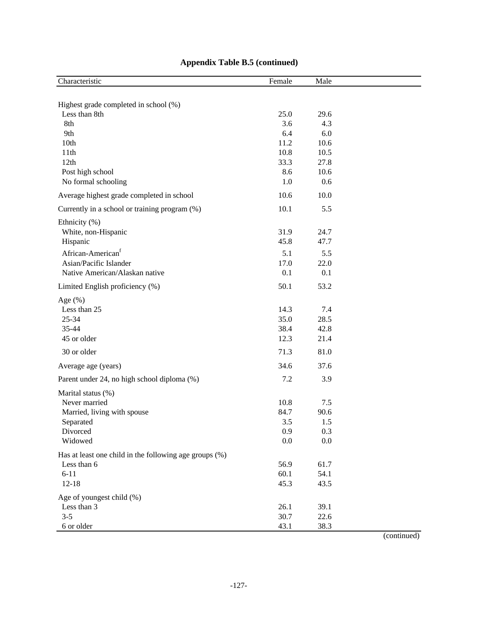| Characteristic                                         | Female | Male |  |
|--------------------------------------------------------|--------|------|--|
|                                                        |        |      |  |
| Highest grade completed in school (%)                  |        |      |  |
| Less than 8th                                          | 25.0   | 29.6 |  |
| 8th                                                    | 3.6    | 4.3  |  |
| 9th                                                    | 6.4    | 6.0  |  |
| 10th                                                   | 11.2   | 10.6 |  |
| 11th                                                   | 10.8   | 10.5 |  |
| 12th                                                   | 33.3   | 27.8 |  |
| Post high school                                       | 8.6    | 10.6 |  |
| No formal schooling                                    | 1.0    | 0.6  |  |
| Average highest grade completed in school              | 10.6   | 10.0 |  |
| Currently in a school or training program (%)          | 10.1   | 5.5  |  |
| Ethnicity (%)                                          |        |      |  |
| White, non-Hispanic                                    | 31.9   | 24.7 |  |
| Hispanic                                               | 45.8   | 47.7 |  |
| African-American <sup>f</sup>                          | 5.1    | 5.5  |  |
| Asian/Pacific Islander                                 | 17.0   | 22.0 |  |
| Native American/Alaskan native                         | 0.1    | 0.1  |  |
| Limited English proficiency (%)                        | 50.1   | 53.2 |  |
| Age $(\% )$                                            |        |      |  |
| Less than 25                                           | 14.3   | 7.4  |  |
| $25 - 34$                                              | 35.0   | 28.5 |  |
| 35-44                                                  | 38.4   | 42.8 |  |
| 45 or older                                            | 12.3   | 21.4 |  |
| 30 or older                                            | 71.3   | 81.0 |  |
| Average age (years)                                    | 34.6   | 37.6 |  |
| Parent under 24, no high school diploma (%)            | 7.2    | 3.9  |  |
| Marital status (%)                                     |        |      |  |
| Never married                                          | 10.8   | 7.5  |  |
| Married, living with spouse                            | 84.7   | 90.6 |  |
| Separated                                              | 3.5    | 1.5  |  |
| Divorced                                               | 0.9    | 0.3  |  |
| Widowed                                                | 0.0    | 0.0  |  |
| Has at least one child in the following age groups (%) |        |      |  |
| Less than 6                                            | 56.9   | 61.7 |  |
| $6 - 11$                                               | 60.1   | 54.1 |  |
| $12 - 18$                                              | 45.3   | 43.5 |  |
| Age of youngest child (%)                              |        |      |  |
| Less than 3                                            | 26.1   | 39.1 |  |
| $3 - 5$                                                | 30.7   | 22.6 |  |
| 6 or older                                             | 43.1   | 38.3 |  |

## **Appendix Table B.5 (continued)**

(continued)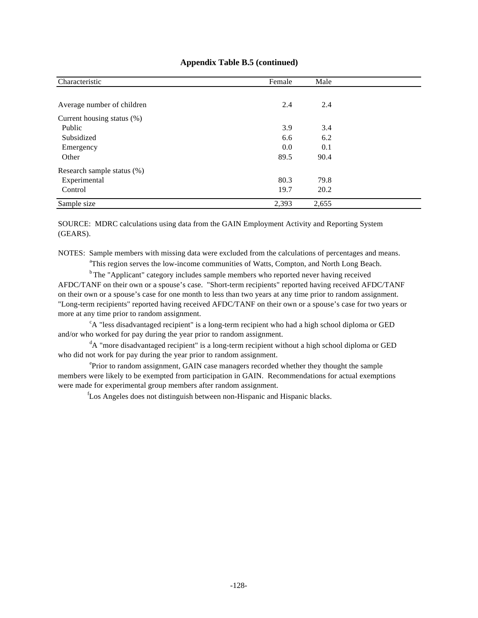| Characteristic             | Female | Male  |  |
|----------------------------|--------|-------|--|
|                            |        |       |  |
| Average number of children | 2.4    | 2.4   |  |
| Current housing status (%) |        |       |  |
| Public                     | 3.9    | 3.4   |  |
| Subsidized                 | 6.6    | 6.2   |  |
| Emergency                  | 0.0    | 0.1   |  |
| Other                      | 89.5   | 90.4  |  |
| Research sample status (%) |        |       |  |
| Experimental               | 80.3   | 79.8  |  |
| Control                    | 19.7   | 20.2  |  |
| Sample size                | 2,393  | 2,655 |  |

### **Appendix Table B.5 (continued)**

SOURCE: MDRC calculations using data from the GAIN Employment Activity and Reporting System (GEARS).

NOTES: Sample members with missing data were excluded from the calculations of percentages and means.

<sup>a</sup>This region serves the low-income communities of Watts, Compton, and North Long Beach.

<sup>b</sup>The "Applicant" category includes sample members who reported never having received AFDC/TANF on their own or a spouse's case. "Short-term recipients" reported having received AFDC/TANF on their own or a spouse's case for one month to less than two years at any time prior to random assignment. "Long-term recipients" reported having received AFDC/TANF on their own or a spouse's case for two years or more at any time prior to random assignment.

<sup>c</sup>A "less disadvantaged recipient" is a long-term recipient who had a high school diploma or GED and/or who worked for pay during the year prior to random assignment.

 ${}^{d}$ A "more disadvantaged recipient" is a long-term recipient without a high school diploma or GED who did not work for pay during the year prior to random assignment.

<sup>e</sup>Prior to random assignment, GAIN case managers recorded whether they thought the sample members were likely to be exempted from participation in GAIN. Recommendations for actual exemptions were made for experimental group members after random assignment.

f Los Angeles does not distinguish between non-Hispanic and Hispanic blacks.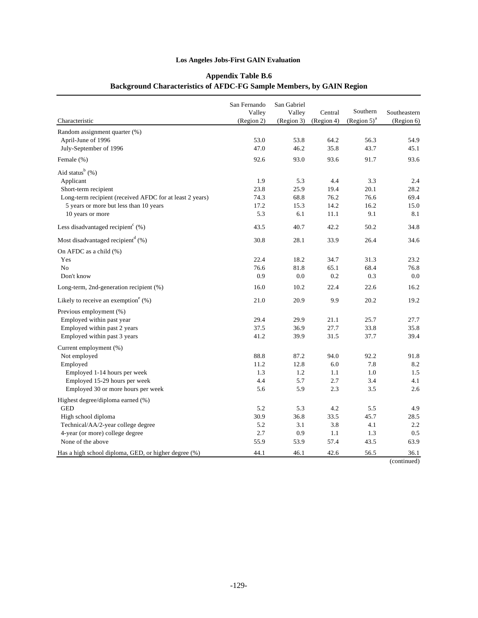# **Appendix Table B.6 Background Characteristics of AFDC-FG Sample Members, by GAIN Region**

| Characteristic                                           | San Fernando<br>Valley<br>(Region 2) | San Gabriel<br>Valley<br>(Region 3) | Central<br>(Region 4) | Southern<br>$(Region 5)^a$ | Southeastern<br>(Region 6) |
|----------------------------------------------------------|--------------------------------------|-------------------------------------|-----------------------|----------------------------|----------------------------|
| Random assignment quarter (%)                            |                                      |                                     |                       |                            |                            |
| April-June of 1996                                       | 53.0                                 | 53.8                                | 64.2                  | 56.3                       | 54.9                       |
| July-September of 1996                                   | 47.0                                 | 46.2                                | 35.8                  | 43.7                       | 45.1                       |
| Female (%)                                               | 92.6                                 | 93.0                                | 93.6                  | 91.7                       | 93.6                       |
| Aid status <sup>b</sup> (%)                              |                                      |                                     |                       |                            |                            |
| Applicant                                                | 1.9                                  | 5.3                                 | 4.4                   | 3.3                        | 2.4                        |
| Short-term recipient                                     | 23.8                                 | 25.9                                | 19.4                  | 20.1                       | 28.2                       |
| Long-term recipient (received AFDC for at least 2 years) | 74.3                                 | 68.8                                | 76.2                  | 76.6                       | 69.4                       |
| 5 years or more but less than 10 years                   | 17.2                                 | 15.3                                | 14.2                  | 16.2                       | 15.0                       |
| 10 years or more                                         | 5.3                                  | 6.1                                 | 11.1                  | 9.1                        | 8.1                        |
| Less disadvantaged recipient <sup>c</sup> $(\%)$         | 43.5                                 | 40.7                                | 42.2                  | 50.2                       | 34.8                       |
| Most disadvantaged recipient <sup>d</sup> $(\%)$         | 30.8                                 | 28.1                                | 33.9                  | 26.4                       | 34.6                       |
| On AFDC as a child $(\%)$                                |                                      |                                     |                       |                            |                            |
| Yes                                                      | 22.4                                 | 18.2                                | 34.7                  | 31.3                       | 23.2                       |
| N <sub>0</sub>                                           | 76.6                                 | 81.8                                | 65.1                  | 68.4                       | 76.8                       |
| Don't know                                               | 0.9                                  | 0.0                                 | 0.2                   | 0.3                        | 0.0                        |
| Long-term, 2nd-generation recipient (%)                  | 16.0                                 | 10.2                                | 22.4                  | 22.6                       | 16.2                       |
| Likely to receive an exemption <sup>e</sup> $(\%)$       | 21.0                                 | 20.9                                | 9.9                   | 20.2                       | 19.2                       |
| Previous employment (%)                                  |                                      |                                     |                       |                            |                            |
| Employed within past year                                | 29.4                                 | 29.9                                | 21.1                  | 25.7                       | 27.7                       |
| Employed within past 2 years                             | 37.5                                 | 36.9                                | 27.7                  | 33.8                       | 35.8                       |
| Employed within past 3 years                             | 41.2                                 | 39.9                                | 31.5                  | 37.7                       | 39.4                       |
| Current employment (%)                                   |                                      |                                     |                       |                            |                            |
| Not employed                                             | 88.8                                 | 87.2                                | 94.0                  | 92.2                       | 91.8                       |
| Employed                                                 | 11.2                                 | 12.8                                | 6.0                   | 7.8                        | 8.2                        |
| Employed 1-14 hours per week                             | 1.3                                  | 1.2                                 | 1.1                   | 1.0                        | 1.5                        |
| Employed 15-29 hours per week                            | 4.4                                  | 5.7                                 | 2.7                   | 3.4                        | 4.1                        |
| Employed 30 or more hours per week                       | 5.6                                  | 5.9                                 | 2.3                   | 3.5                        | 2.6                        |
| Highest degree/diploma earned (%)                        |                                      |                                     |                       |                            |                            |
| <b>GED</b>                                               | 5.2                                  | 5.3                                 | 4.2                   | 5.5                        | 4.9                        |
| High school diploma                                      | 30.9                                 | 36.8                                | 33.5                  | 45.7                       | 28.5                       |
| Technical/AA/2-year college degree                       | 5.2                                  | 3.1                                 | 3.8                   | 4.1                        | 2.2                        |
| 4-year (or more) college degree                          | 2.7                                  | 0.9                                 | 1.1                   | 1.3                        | 0.5                        |
| None of the above                                        | 55.9                                 | 53.9                                | 57.4                  | 43.5                       | 63.9                       |
| Has a high school diploma, GED, or higher degree (%)     | 44.1                                 | 46.1                                | 42.6                  | 56.5                       | 36.1                       |
|                                                          |                                      |                                     |                       |                            | (continued)                |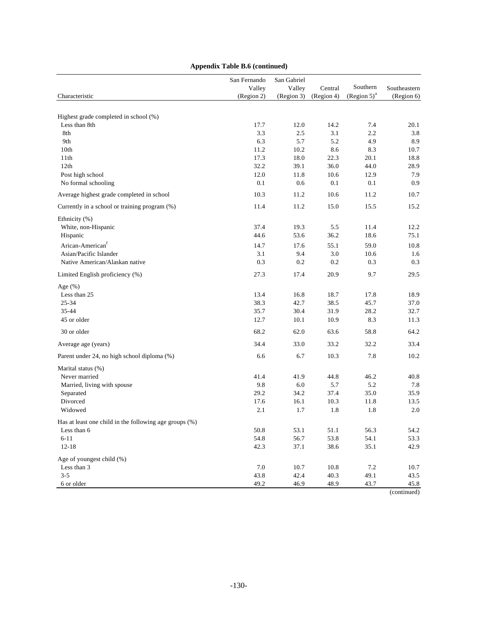|                                                        | San Fernando         | San Gabriel          |                       | Southern         |                            |
|--------------------------------------------------------|----------------------|----------------------|-----------------------|------------------|----------------------------|
| Characteristic                                         | Valley<br>(Region 2) | Valley<br>(Region 3) | Central<br>(Region 4) | $(Region 5)^{a}$ | Southeastern<br>(Region 6) |
|                                                        |                      |                      |                       |                  |                            |
| Highest grade completed in school (%)                  |                      |                      |                       |                  |                            |
| Less than 8th                                          | 17.7                 | 12.0                 | 14.2                  | 7.4              | 20.1                       |
| 8th                                                    | 3.3                  | 2.5                  | 3.1                   | 2.2              | 3.8                        |
| 9th                                                    | 6.3                  | 5.7                  | 5.2                   | 4.9              | 8.9                        |
| 10th                                                   | 11.2                 | 10.2                 | 8.6                   | 8.3              | 10.7                       |
| 11th                                                   | 17.3                 | 18.0                 | 22.3                  | 20.1             | 18.8                       |
| 12th                                                   | 32.2                 | 39.1                 | 36.0                  | 44.0             | 28.9                       |
| Post high school                                       | 12.0                 | 11.8                 | 10.6                  | 12.9             | 7.9                        |
| No formal schooling                                    | 0.1                  | 0.6                  | 0.1                   | 0.1              | 0.9                        |
| Average highest grade completed in school              | 10.3                 | 11.2                 | 10.6                  | 11.2             | 10.7                       |
| Currently in a school or training program (%)          | 11.4                 | 11.2                 | 15.0                  | 15.5             | 15.2                       |
| Ethnicity (%)                                          |                      |                      |                       |                  |                            |
| White, non-Hispanic                                    | 37.4                 | 19.3                 | 5.5                   | 11.4             | 12.2                       |
| Hispanic                                               | 44.6                 | 53.6                 | 36.2                  | 18.6             | 75.1                       |
| Arican-American <sup>f</sup>                           | 14.7                 | 17.6                 | 55.1                  | 59.0             | 10.8                       |
| Asian/Pacific Islander                                 | 3.1                  | 9.4                  | 3.0                   | 10.6             | 1.6                        |
| Native American/Alaskan native                         | 0.3                  | 0.2                  | 0.2                   | 0.3              | 0.3                        |
| Limited English proficiency (%)                        | 27.3                 | 17.4                 | 20.9                  | 9.7              | 29.5                       |
| Age $(\%)$                                             |                      |                      |                       |                  |                            |
| Less than 25                                           | 13.4                 | 16.8                 | 18.7                  | 17.8             | 18.9                       |
| 25-34                                                  | 38.3                 | 42.7                 | 38.5                  | 45.7             | 37.0                       |
| 35-44                                                  | 35.7                 | 30.4                 | 31.9                  | 28.2             | 32.7                       |
| 45 or older                                            | 12.7                 | 10.1                 | 10.9                  | 8.3              | 11.3                       |
| 30 or older                                            | 68.2                 | 62.0                 | 63.6                  | 58.8             | 64.2                       |
| Average age (years)                                    | 34.4                 | 33.0                 | 33.2                  | 32.2             | 33.4                       |
| Parent under 24, no high school diploma (%)            | 6.6                  | 6.7                  | 10.3                  | 7.8              | 10.2                       |
| Marital status (%)                                     |                      |                      |                       |                  |                            |
| Never married                                          | 41.4                 | 41.9                 | 44.8                  | 46.2             | 40.8                       |
| Married, living with spouse                            | 9.8                  | 6.0                  | 5.7                   | 5.2              | 7.8                        |
| Separated                                              | 29.2                 | 34.2                 | 37.4                  | 35.0             | 35.9                       |
| Divorced                                               | 17.6                 | 16.1                 | 10.3                  | 11.8             | 13.5                       |
| Widowed                                                | 2.1                  | 1.7                  | 1.8                   | 1.8              | 2.0                        |
| Has at least one child in the following age groups (%) |                      |                      |                       |                  |                            |
| Less than 6                                            | $50.8\,$             | 53.1                 | 51.1                  | 56.3             | 54.2                       |
| $6 - 11$                                               | 54.8                 | 56.7                 | 53.8                  | 54.1             | 53.3                       |
| $12 - 18$                                              | 42.3                 | 37.1                 | 38.6                  | 35.1             | 42.9                       |
| Age of youngest child (%)                              |                      |                      |                       |                  |                            |
| Less than 3                                            | $7.0\,$              | 10.7                 | 10.8                  | 7.2              | 10.7                       |
| $3 - 5$                                                | 43.8                 | 42.4                 | 40.3                  | 49.1             | 43.5                       |
| 6 or older                                             | 49.2                 | 46.9                 | 48.9                  | 43.7             | 45.8                       |

# **Appendix Table B.6 (continued)**

(continued)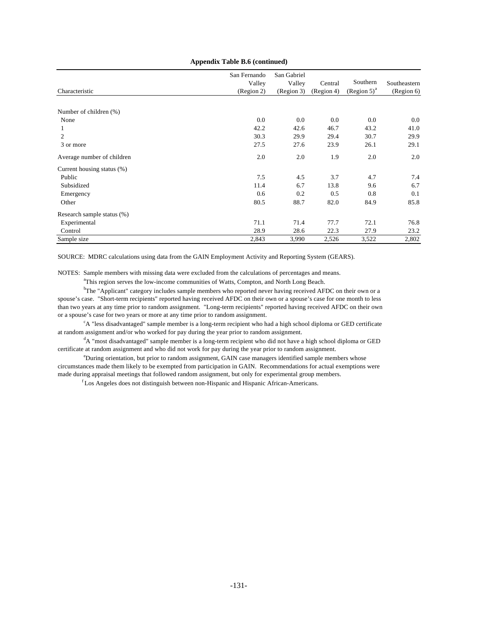| Characteristic             | San Fernando<br>Valley<br>(Region 2) | San Gabriel<br>Valley<br>(Region 3) | Central<br>(Region 4) | Southern<br>$(Region 5)^{a}$ | Southeastern<br>(Region 6) |
|----------------------------|--------------------------------------|-------------------------------------|-----------------------|------------------------------|----------------------------|
|                            |                                      |                                     |                       |                              |                            |
| Number of children (%)     |                                      |                                     |                       |                              |                            |
| None                       | 0.0                                  | 0.0                                 | 0.0                   | 0.0                          | 0.0                        |
| 1                          | 42.2                                 | 42.6                                | 46.7                  | 43.2                         | 41.0                       |
| $\overline{c}$             | 30.3                                 | 29.9                                | 29.4                  | 30.7                         | 29.9                       |
| 3 or more                  | 27.5                                 | 27.6                                | 23.9                  | 26.1                         | 29.1                       |
| Average number of children | 2.0                                  | 2.0                                 | 1.9                   | 2.0                          | 2.0                        |
| Current housing status (%) |                                      |                                     |                       |                              |                            |
| Public                     | 7.5                                  | 4.5                                 | 3.7                   | 4.7                          | 7.4                        |
| Subsidized                 | 11.4                                 | 6.7                                 | 13.8                  | 9.6                          | 6.7                        |
| Emergency                  | 0.6                                  | 0.2                                 | 0.5                   | 0.8                          | 0.1                        |
| Other                      | 80.5                                 | 88.7                                | 82.0                  | 84.9                         | 85.8                       |
| Research sample status (%) |                                      |                                     |                       |                              |                            |
| Experimental               | 71.1                                 | 71.4                                | 77.7                  | 72.1                         | 76.8                       |
| Control                    | 28.9                                 | 28.6                                | 22.3                  | 27.9                         | 23.2                       |
| Sample size                | 2,843                                | 3,990                               | 2,526                 | 3,522                        | 2,802                      |

#### **Appendix Table B.6 (continued)**

SOURCE: MDRC calculations using data from the GAIN Employment Activity and Reporting System (GEARS).

NOTES: Sample members with missing data were excluded from the calculations of percentages and means.

<sup>a</sup>This region serves the low-income communities of Watts, Compton, and North Long Beach.

<sup>b</sup>The "Applicant" category includes sample members who reported never having received AFDC on their own or a spouse's case. "Short-term recipients" reported having received AFDC on their own or a spouse's case for one month to less than two years at any time prior to random assignment. "Long-term recipients" reported having received AFDC on their own or a spouse's case for two years or more at any time prior to random assignment.

 $c_A$  "less disadvantaged" sample member is a long-term recipient who had a high school diploma or GED certificate at random assignment and/or who worked for pay during the year prior to random assignment.

<sup>d</sup>A "most disadvantaged" sample member is a long-term recipient who did not have a high school diploma or GED certificate at random assignment and who did not work for pay during the year prior to random assignment.

<sup>e</sup>During orientation, but prior to random assignment, GAIN case managers identified sample members whose circumstances made them likely to be exempted from participation in GAIN. Recommendations for actual exemptions were made during appraisal meetings that followed random assignment, but only for experimental group members.

<sup>f</sup>Los Angeles does not distinguish between non-Hispanic and Hispanic African-Americans.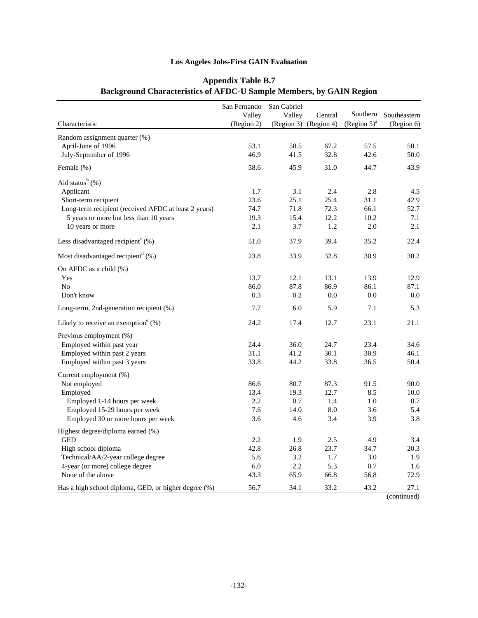| Characteristic                                             | San Fernando<br>Valley<br>(Region 2) | San Gabriel<br>Valley | Central<br>(Region 3) (Region 4) | Southern<br>$(Region 5)^{a}$ | Southeastern<br>(Region 6) |
|------------------------------------------------------------|--------------------------------------|-----------------------|----------------------------------|------------------------------|----------------------------|
| Random assignment quarter (%)                              |                                      |                       |                                  |                              |                            |
| April-June of 1996                                         | 53.1                                 | 58.5                  | 67.2                             | 57.5                         | 50.1                       |
| July-September of 1996                                     | 46.9                                 | 41.5                  | 32.8                             | 42.6                         | 50.0                       |
|                                                            |                                      |                       |                                  |                              |                            |
| Female (%)                                                 | 58.6                                 | 45.9                  | 31.0                             | 44.7                         | 43.9                       |
| Aid status $b(%)$                                          |                                      |                       |                                  |                              |                            |
| Applicant                                                  | 1.7                                  | 3.1                   | 2.4                              | 2.8                          | 4.5                        |
| Short-term recipient                                       | 23.6                                 | 25.1                  | 25.4                             | 31.1                         | 42.9                       |
| Long-term recipient (received AFDC at least 2 years)       | 74.7                                 | 71.8                  | 72.3                             | 66.1                         | 52.7                       |
| 5 years or more but less than 10 years                     | 19.3                                 | 15.4                  | 12.2                             | 10.2                         | 7.1                        |
| 10 years or more                                           | 2.1                                  | 3.7                   | 1.2                              | 2.0                          | 2.1                        |
| Less disadvantaged recipient <sup><math>c</math></sup> (%) | 51.0                                 | 37.9                  | 39.4                             | 35.2                         | 22.4                       |
| Most disadvantaged recipient <sup>d</sup> $(\%)$           | 23.8                                 | 33.9                  | 32.8                             | 30.9                         | 30.2                       |
| On AFDC as a child $(\%)$                                  |                                      |                       |                                  |                              |                            |
| Yes                                                        | 13.7                                 | 12.1                  | 13.1                             | 13.9                         | 12.9                       |
| N <sub>o</sub>                                             | 86.0                                 | 87.8                  | 86.9                             | 86.1                         | 87.1                       |
| Don't know                                                 | 0.3                                  | 0.2                   | 0.0                              | 0.0                          | 0.0                        |
| Long-term, 2nd-generation recipient (%)                    | 7.7                                  | 6.0                   | 5.9                              | 7.1                          | 5.3                        |
| Likely to receive an exemption <sup>e</sup> $(\%)$         | 24.2                                 | 17.4                  | 12.7                             | 23.1                         | 21.1                       |
| Previous employment (%)                                    |                                      |                       |                                  |                              |                            |
| Employed within past year                                  | 24.4                                 | 36.0                  | 24.7                             | 23.4                         | 34.6                       |
| Employed within past 2 years                               | 31.1                                 | 41.2                  | 30.1                             | 30.9                         | 46.1                       |
| Employed within past 3 years                               | 33.8                                 | 44.2                  | 33.8                             | 36.5                         | 50.4                       |
| Current employment (%)                                     |                                      |                       |                                  |                              |                            |
| Not employed                                               | 86.6                                 | 80.7                  | 87.3                             | 91.5                         | 90.0                       |
| Employed                                                   | 13.4                                 | 19.3                  | 12.7                             | 8.5                          | 10.0                       |
| Employed 1-14 hours per week                               | 2.2                                  | 0.7                   | 1.4                              | 1.0                          | 0.7                        |
| Employed 15-29 hours per week                              | 7.6                                  | 14.0                  | 8.0                              | 3.6                          | 5.4                        |
| Employed 30 or more hours per week                         | 3.6                                  | 4.6                   | 3.4                              | 3.9                          | 3.8                        |
| Highest degree/diploma earned (%)                          |                                      |                       |                                  |                              |                            |
| <b>GED</b>                                                 | 2.2                                  | 1.9                   | 2.5                              | 4.9                          | 3.4                        |
| High school diploma                                        | 42.8                                 | 26.8                  | 23.7                             | 34.7                         | 20.3                       |
| Technical/AA/2-year college degree                         | 5.6                                  | 3.2                   | 1.7                              | 3.0                          | 1.9                        |
| 4-year (or more) college degree                            | 6.0                                  | 2.2                   | 5.3                              | 0.7                          | 1.6                        |
| None of the above                                          | 43.3                                 | 65.9                  | 66.8                             | 56.8                         | 72.9                       |
| Has a high school diploma, GED, or higher degree (%)       | 56.7                                 | 34.1                  | 33.2                             | 43.2                         | 27.1                       |

# **Appendix Table B.7 Background Characteristics of AFDC-U Sample Members, by GAIN Region**

(continued)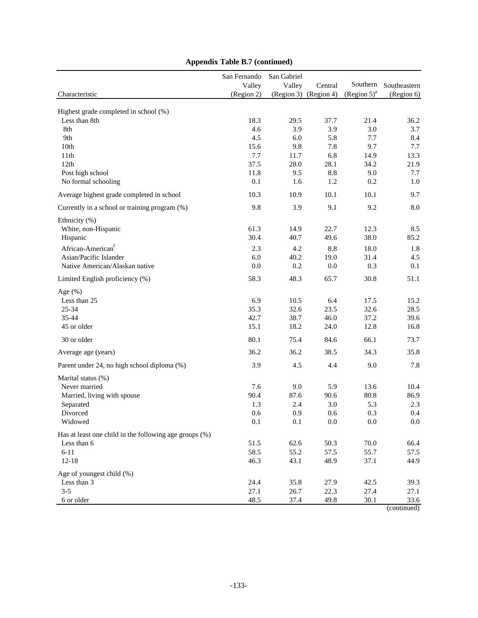|                                                        | San Fernando         | San Gabriel  |                                  |                            |                            |
|--------------------------------------------------------|----------------------|--------------|----------------------------------|----------------------------|----------------------------|
| Characteristic                                         | Valley<br>(Region 2) | Valley       | Central<br>(Region 3) (Region 4) | Southern<br>$(Region 5)^a$ | Southeastern<br>(Region 6) |
|                                                        |                      |              |                                  |                            |                            |
| Highest grade completed in school (%)                  |                      |              |                                  |                            |                            |
| Less than 8th                                          | 18.3                 | 29.5         | 37.7                             | 21.4                       | 36.2                       |
| 8th<br>9th                                             | 4.6<br>4.5           | 3.9<br>6.0   | 3.9<br>5.8                       | 3.0<br>7.7                 | 3.7<br>8.4                 |
| 10th                                                   | 15.6                 | 9.8          | 7.8                              | 9.7                        | 7.7                        |
| 11th                                                   | 7.7                  | 11.7         | 6.8                              | 14.9                       | 13.3                       |
| 12 <sub>th</sub>                                       | 37.5                 | 28.0         | 28.1                             | 34.2                       | 21.9                       |
| Post high school                                       | 11.8                 | 9.5          | 8.8                              | 9.0                        | 7.7                        |
| No formal schooling                                    | 0.1                  | 1.6          | 1.2                              | 0.2                        | 1.0                        |
| Average highest grade completed in school              | 10.3                 | 10.9         | 10.1                             | 10.1                       | 9.7                        |
| Currently in a school or training program (%)          | 9.8                  | 3.9          | 9.1                              | 9.2                        | 8.0                        |
| Ethnicity (%)                                          |                      |              |                                  |                            |                            |
| White, non-Hispanic                                    | 61.3                 | 14.9         | 22.7                             | 12.3                       | 8.5                        |
| Hispanic                                               | 30.4                 | 40.7         | 49.6                             | 38.0                       | 85.2                       |
| African-American <sup>f</sup>                          | 2.3                  | 4.2          | 8.8                              | 18.0                       | 1.8                        |
| Asian/Pacific Islander                                 | 6.0                  | 40.2         | 19.0                             | 31.4                       | 4.5                        |
| Native American/Alaskan native                         | 0.0                  | $0.2\,$      | 0.0                              | 0.3                        | 0.1                        |
| Limited English proficiency (%)                        | 58.3                 | 48.3         | 65.7                             | 30.8                       | 51.1                       |
| Age $(\%)$                                             |                      |              |                                  |                            |                            |
| Less than 25                                           | 6.9                  | 10.5         | 6.4                              | 17.5                       | 15.2                       |
| $25 - 34$                                              | 35.3                 | 32.6         | 23.5                             | 32.6                       | 28.5                       |
| 35-44                                                  | 42.7                 | 38.7         | 46.0                             | 37.2                       | 39.6                       |
| 45 or older                                            | 15.1                 | 18.2         | 24.0                             | 12.8                       | 16.8                       |
| 30 or older                                            | 80.1                 | 75.4         | 84.6                             | 66.1                       | 73.7                       |
| Average age (years)                                    | 36.2                 | 36.2         | 38.5                             | 34.3                       | 35.8                       |
| Parent under 24, no high school diploma (%)            | 3.9                  | 4.5          | 4.4                              | 9.0                        | 7.8                        |
| Marital status (%)                                     |                      |              |                                  |                            |                            |
| Never married                                          | 7.6                  | 9.0          | 5.9                              | 13.6                       | 10.4                       |
| Married, living with spouse                            | 90.4                 | 87.6         | 90.6                             | 80.8                       | 86.9                       |
| Separated                                              | 1.3                  | 2.4          | 3.0                              | 5.3                        | 2.3                        |
| Divorced<br>Widowed                                    | 0.6<br>0.1           | 0.9<br>0.1   | 0.6<br>0.0                       | 0.3<br>0.0                 | 0.4<br>0.0                 |
|                                                        |                      |              |                                  |                            |                            |
| Has at least one child in the following age groups (%) |                      |              |                                  |                            |                            |
| Less than 6<br>$6 - 11$                                | 51.5<br>58.5         | 62.6<br>55.2 | 50.3<br>57.5                     | 70.0<br>55.7               | 66.4<br>57.5               |
| $12 - 18$                                              | 46.3                 | 43.1         | 48.9                             | 37.1                       | 44.9                       |
| Age of youngest child (%)                              |                      |              |                                  |                            |                            |
| Less than 3                                            | 24.4                 | 35.8         | 27.9                             | 42.5                       | 39.3                       |
| $3 - 5$                                                | 27.1                 | 26.7         | 22.3                             | 27.4                       | 27.1                       |
| 6 or older                                             | 48.5                 | 37.4         | 49.8                             | 30.1                       | 33.6                       |
|                                                        |                      |              |                                  |                            | (continued)                |

# **Appendix Table B.7 (continued)**

-133-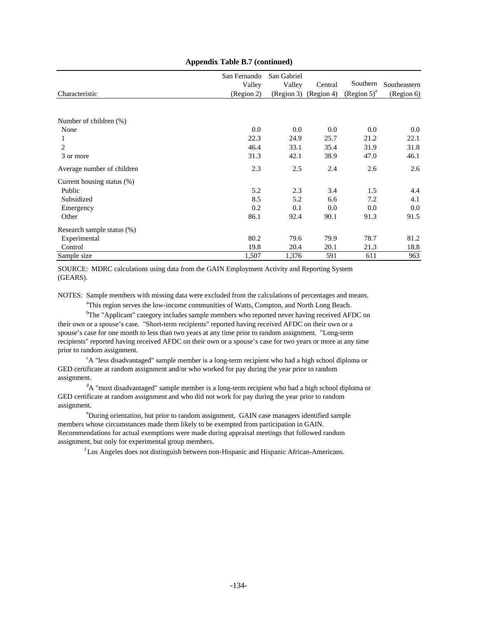|                            | San Fernando<br>Valley | San Gabriel<br>Valley | Central               | Southern       | Southeastern |
|----------------------------|------------------------|-----------------------|-----------------------|----------------|--------------|
| Characteristic             | (Region 2)             |                       | (Region 3) (Region 4) | $(Region 5)^a$ | (Region 6)   |
|                            |                        |                       |                       |                |              |
| Number of children (%)     |                        |                       |                       |                |              |
| None                       | 0.0                    | 0.0                   | 0.0                   | 0.0            | $0.0\,$      |
|                            | 22.3                   | 24.9                  | 25.7                  | 21.2           | 22.1         |
| 2                          | 46.4                   | 33.1                  | 35.4                  | 31.9           | 31.8         |
| 3 or more                  | 31.3                   | 42.1                  | 38.9                  | 47.0           | 46.1         |
| Average number of children | 2.3                    | 2.5                   | 2.4                   | 2.6            | 2.6          |
| Current housing status (%) |                        |                       |                       |                |              |
| Public                     | 5.2                    | 2.3                   | 3.4                   | 1.5            | 4.4          |
| Subsidized                 | 8.5                    | 5.2                   | 6.6                   | 7.2            | 4.1          |
| Emergency                  | 0.2                    | 0.1                   | 0.0                   | 0.0            | 0.0          |
| Other                      | 86.1                   | 92.4                  | 90.1                  | 91.3           | 91.5         |
| Research sample status (%) |                        |                       |                       |                |              |
| Experimental               | 80.2                   | 79.6                  | 79.9                  | 78.7           | 81.2         |
| Control                    | 19.8                   | 20.4                  | 20.1                  | 21.3           | 18.8         |
| Sample size                | 1,507                  | 1,376                 | 591                   | 611            | 963          |

#### **Appendix Table B.7 (continued)**

SOURCE: MDRC calculations using data from the GAIN Employment Activity and Reporting System (GEARS).

NOTES: Sample members with missing data were excluded from the calculations of percentages and means. <sup>a</sup>This region serves the low-income communities of Watts, Compton, and North Long Beach.

<sup>b</sup>The "Applicant" category includes sample members who reported never having received AFDC on their own or a spouse's case. "Short-term recipients" reported having received AFDC on their own or a spouse's case for one month to less than two years at any time prior to random assignment. "Long-term recipients" reported having received AFDC on their own or a spouse's case for two years or more at any time prior to random assignment.

<sup>c</sup>A "less disadvantaged" sample member is a long-term recipient who had a high school diploma or GED certificate at random assignment and/or who worked for pay during the year prior to random assignment.

<sup>d</sup>A "most disadvantaged" sample member is a long-term recipient who had a high school diploma or GED certificate at random assignment and who did not work for pay during the year prior to random assignment.

<sup>e</sup>During orientation, but prior to random assignment, GAIN case managers identified sample members whose circumstances made them likely to be exempted from participation in GAIN. Recommendations for actual exemptions were made during appraisal meetings that followed random assignment, but only for experimental group members.

<sup>f</sup>Los Angeles does not distinguish between non-Hispanic and Hispanic African-Americans.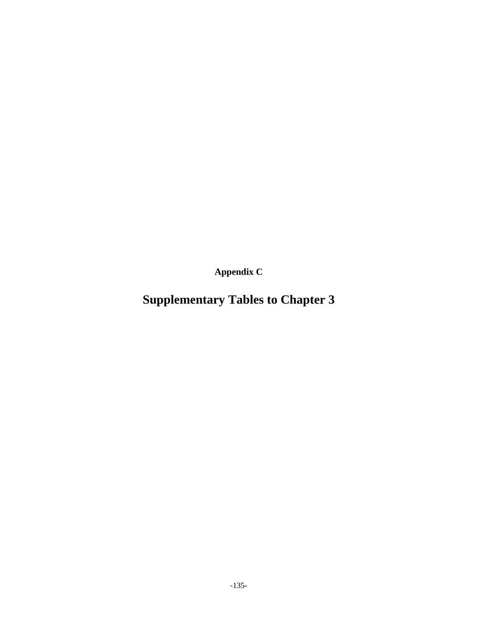**Appendix C**

# **Supplementary Tables to Chapter 3**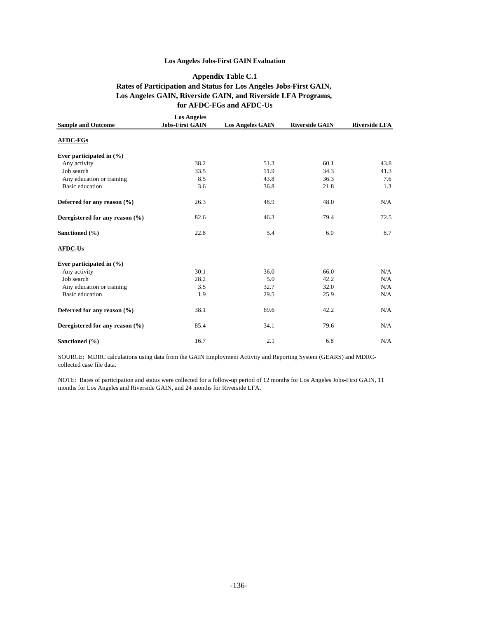#### **Appendix Table C.1 Rates of Participation and Status for Los Angeles Jobs-First GAIN, Los Angeles GAIN, Riverside GAIN, and Riverside LFA Programs, for AFDC-FGs and AFDC-Us**

|                                 | <b>Los Angeles</b>     |                         |                       |                      |
|---------------------------------|------------------------|-------------------------|-----------------------|----------------------|
| <b>Sample and Outcome</b>       | <b>Jobs-First GAIN</b> | <b>Los Angeles GAIN</b> | <b>Riverside GAIN</b> | <b>Riverside LFA</b> |
| <b>AFDC-FGs</b>                 |                        |                         |                       |                      |
| Ever participated in $(\% )$    |                        |                         |                       |                      |
| Any activity                    | 38.2                   | 51.3                    | 60.1                  | 43.8                 |
| Job search                      | 33.5                   | 11.9                    | 34.3                  | 41.3                 |
| Any education or training       | 8.5                    | 43.8                    | 36.3                  | 7.6                  |
| <b>Basic</b> education          | 3.6                    | 36.8                    | 21.8                  | 1.3                  |
| Deferred for any reason $(\% )$ | 26.3                   | 48.9                    | 48.0                  | N/A                  |
| Deregistered for any reason (%) | 82.6                   | 46.3                    | 79.4                  | 72.5                 |
| Sanctioned (%)                  | 22.8                   | 5.4                     | 6.0                   | 8.7                  |
| <b>AFDC-Us</b>                  |                        |                         |                       |                      |
| Ever participated in $(\% )$    |                        |                         |                       |                      |
| Any activity                    | 30.1                   | 36.0                    | 66.0                  | N/A                  |
| Job search                      | 28.2                   | 5.0                     | 42.2                  | N/A                  |
| Any education or training       | 3.5                    | 32.7                    | 32.0                  | N/A                  |
| <b>Basic</b> education          | 1.9                    | 29.5                    | 25.9                  | N/A                  |
| Deferred for any reason $(\% )$ | 38.1                   | 69.6                    | 42.2                  | N/A                  |
| Deregistered for any reason (%) | 85.4                   | 34.1                    | 79.6                  | N/A                  |
| Sanctioned (%)                  | 16.7                   | 2.1                     | 6.8                   | N/A                  |

SOURCE: MDRC calculations using data from the GAIN Employment Activity and Reporting System (GEARS) and MDRCcollected case file data.

NOTE: Rates of participation and status were collected for a follow-up period of 12 months for Los Angeles Jobs-First GAIN, 11 months for Los Angeles and Riverside GAIN, and 24 months for Riverside LFA.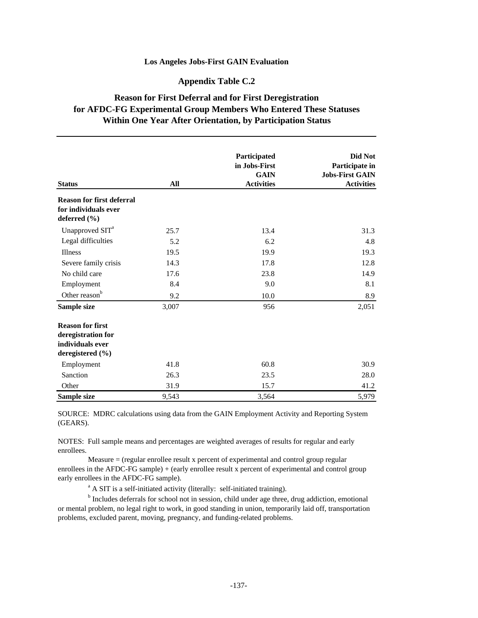## **Appendix Table C.2**

# **Reason for First Deferral and for First Deregistration for AFDC-FG Experimental Group Members Who Entered These Statuses Within One Year After Orientation, by Participation Status**

|                                                                              |       | Participated<br>in Jobs-First<br><b>GAIN</b> | Did Not<br>Participate in<br><b>Jobs-First GAIN</b> |
|------------------------------------------------------------------------------|-------|----------------------------------------------|-----------------------------------------------------|
| <b>Status</b>                                                                | All   | <b>Activities</b>                            | <b>Activities</b>                                   |
| <b>Reason for first deferral</b><br>for individuals ever<br>deferred $(\% )$ |       |                                              |                                                     |
| Unapproved SIT <sup>a</sup>                                                  | 25.7  | 13.4                                         | 31.3                                                |
| Legal difficulties                                                           | 5.2   | 6.2                                          | 4.8                                                 |
| Illness                                                                      | 19.5  | 19.9                                         | 19.3                                                |
| Severe family crisis                                                         | 14.3  | 17.8                                         | 12.8                                                |
| No child care                                                                | 17.6  | 23.8                                         | 14.9                                                |
|                                                                              |       |                                              |                                                     |
| Employment                                                                   | 8.4   | 9.0                                          | 8.1                                                 |
| Other reason <sup>b</sup>                                                    | 9.2   | 10.0                                         | 8.9                                                 |
| Sample size                                                                  | 3,007 | 956                                          | 2,051                                               |
| <b>Reason for first</b>                                                      |       |                                              |                                                     |
| deregistration for                                                           |       |                                              |                                                     |
| individuals ever                                                             |       |                                              |                                                     |
| deregistered (%)                                                             |       |                                              |                                                     |
| Employment                                                                   | 41.8  | 60.8                                         | 30.9                                                |
| Sanction                                                                     | 26.3  | 23.5                                         | 28.0                                                |
| Other                                                                        | 31.9  | 15.7                                         | 41.2                                                |
| Sample size                                                                  | 9,543 | 3,564                                        | 5,979                                               |

SOURCE: MDRC calculations using data from the GAIN Employment Activity and Reporting System (GEARS).

NOTES: Full sample means and percentages are weighted averages of results for regular and early enrollees.

 Measure = (regular enrollee result x percent of experimental and control group regular enrollees in the AFDC-FG sample) + (early enrollee result x percent of experimental and control group early enrollees in the AFDC-FG sample).

<sup>a</sup> A SIT is a self-initiated activity (literally: self-initiated training).

<sup>b</sup> Includes deferrals for school not in session, child under age three, drug addiction, emotional or mental problem, no legal right to work, in good standing in union, temporarily laid off, transportation problems, excluded parent, moving, pregnancy, and funding-related problems.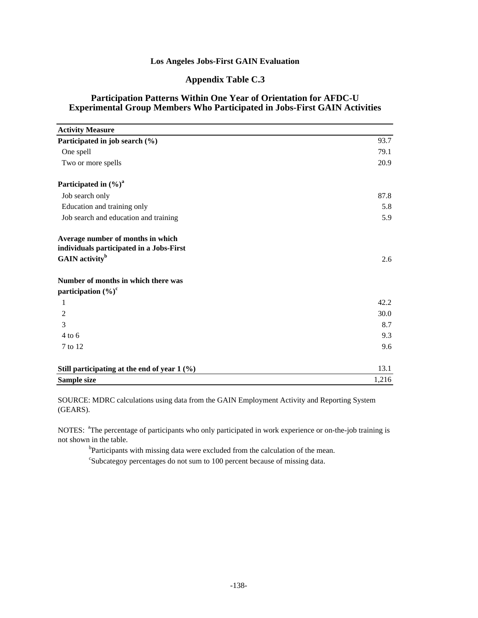# **Appendix Table C.3**

## **Participation Patterns Within One Year of Orientation for AFDC-U Experimental Group Members Who Participated in Jobs-First GAIN Activities**

| <b>Activity Measure</b>                                                                                     |       |
|-------------------------------------------------------------------------------------------------------------|-------|
| Participated in job search (%)                                                                              | 93.7  |
| One spell                                                                                                   | 79.1  |
| Two or more spells                                                                                          | 20.9  |
| Participated in $(\%)^a$                                                                                    |       |
| Job search only                                                                                             | 87.8  |
| Education and training only                                                                                 | 5.8   |
| Job search and education and training                                                                       | 5.9   |
| Average number of months in which<br>individuals participated in a Jobs-First<br>GAIN activity <sup>b</sup> | 2.6   |
| Number of months in which there was<br>participation $(\%)^c$                                               |       |
| 1                                                                                                           | 42.2  |
| 2                                                                                                           | 30.0  |
| 3                                                                                                           | 8.7   |
| $4$ to 6                                                                                                    | 9.3   |
| 7 to 12                                                                                                     | 9.6   |
| Still participating at the end of year $1\,(%)$                                                             | 13.1  |
| Sample size                                                                                                 | 1,216 |

SOURCE: MDRC calculations using data from the GAIN Employment Activity and Reporting System (GEARS).

NOTES: <sup>a</sup>The percentage of participants who only participated in work experience or on-the-job training is not shown in the table.

<sup>b</sup>Participants with missing data were excluded from the calculation of the mean.

<sup>c</sup>Subcategoy percentages do not sum to 100 percent because of missing data.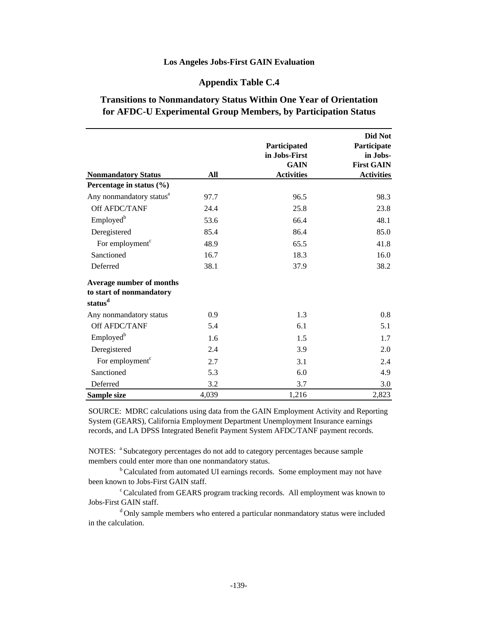## **Appendix Table C.4**

# **Transitions to Nonmandatory Status Within One Year of Orientation for AFDC-U Experimental Group Members, by Participation Status**

|                                                                             | All   | Participated<br>in Jobs-First<br><b>GAIN</b> | Did Not<br>Participate<br>in Jobs-<br><b>First GAIN</b> |
|-----------------------------------------------------------------------------|-------|----------------------------------------------|---------------------------------------------------------|
| <b>Nonmandatory Status</b><br>Percentage in status (%)                      |       | <b>Activities</b>                            | <b>Activities</b>                                       |
| Any nonmandatory status <sup>a</sup>                                        | 97.7  | 96.5                                         | 98.3                                                    |
| Off AFDC/TANF                                                               | 24.4  | 25.8                                         | 23.8                                                    |
| Employed <sup>b</sup>                                                       | 53.6  | 66.4                                         | 48.1                                                    |
| Deregistered                                                                | 85.4  | 86.4                                         | 85.0                                                    |
| For employment <sup>c</sup>                                                 | 48.9  | 65.5                                         | 41.8                                                    |
| Sanctioned                                                                  | 16.7  | 18.3                                         | 16.0                                                    |
| Deferred                                                                    | 38.1  | 37.9                                         | 38.2                                                    |
| Average number of months<br>to start of nonmandatory<br>status <sup>d</sup> |       |                                              |                                                         |
| Any nonmandatory status                                                     | 0.9   | 1.3                                          | 0.8                                                     |
| Off AFDC/TANF                                                               | 5.4   | 6.1                                          | 5.1                                                     |
| Employed <sup>b</sup>                                                       | 1.6   | 1.5                                          | 1.7                                                     |
| Deregistered                                                                | 2.4   | 3.9                                          | 2.0                                                     |
| For employment <sup>c</sup>                                                 | 2.7   | 3.1                                          | 2.4                                                     |
| Sanctioned                                                                  | 5.3   | 6.0                                          | 4.9                                                     |
| Deferred                                                                    | 3.2   | 3.7                                          | 3.0                                                     |
| Sample size                                                                 | 4,039 | 1,216                                        | 2,823                                                   |

SOURCE: MDRC calculations using data from the GAIN Employment Activity and Reporting System (GEARS), California Employment Department Unemployment Insurance earnings records, and LA DPSS Integrated Benefit Payment System AFDC/TANF payment records.

NOTES: <sup>a</sup> Subcategory percentages do not add to category percentages because sample members could enter more than one nonmandatory status.

<sup>b</sup> Calculated from automated UI earnings records. Some employment may not have been known to Jobs-First GAIN staff.

 $\textdegree$ Calculated from GEARS program tracking records. All employment was known to Jobs-First GAIN staff.

<sup>d</sup>Only sample members who entered a particular nonmandatory status were included in the calculation.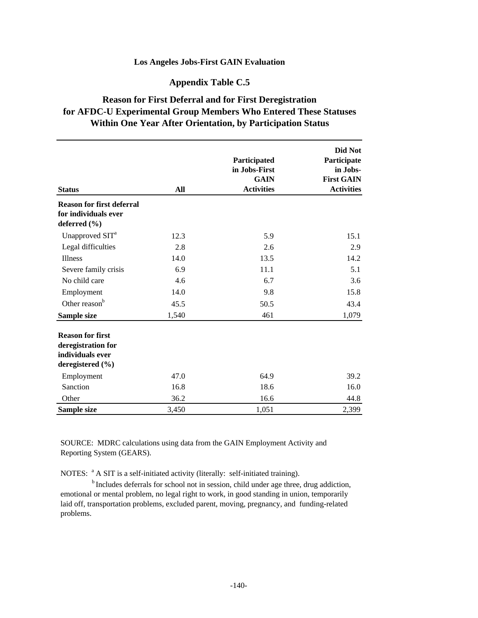# **Appendix Table C.5**

# **Reason for First Deferral and for First Deregistration for AFDC-U Experimental Group Members Who Entered These Statuses Within One Year After Orientation, by Participation Status**

| <b>Status</b>                                                                         | All   | Participated<br>in Jobs-First<br><b>GAIN</b><br><b>Activities</b> | Did Not<br>Participate<br>in Jobs-<br><b>First GAIN</b><br><b>Activities</b> |
|---------------------------------------------------------------------------------------|-------|-------------------------------------------------------------------|------------------------------------------------------------------------------|
| <b>Reason for first deferral</b><br>for individuals ever<br>deferred $(\% )$          |       |                                                                   |                                                                              |
| Unapproved SIT <sup>a</sup>                                                           | 12.3  | 5.9                                                               | 15.1                                                                         |
| Legal difficulties                                                                    | 2.8   | 2.6                                                               | 2.9                                                                          |
| <b>Illness</b>                                                                        | 14.0  | 13.5                                                              | 14.2                                                                         |
| Severe family crisis                                                                  | 6.9   | 11.1                                                              | 5.1                                                                          |
| No child care                                                                         | 4.6   | 6.7                                                               | 3.6                                                                          |
| Employment                                                                            | 14.0  | 9.8                                                               | 15.8                                                                         |
| Other reason <sup>b</sup>                                                             | 45.5  | 50.5                                                              | 43.4                                                                         |
| Sample size                                                                           | 1,540 | 461                                                               | 1,079                                                                        |
| <b>Reason for first</b><br>deregistration for<br>individuals ever<br>deregistered (%) |       |                                                                   |                                                                              |
| Employment                                                                            | 47.0  | 64.9                                                              | 39.2                                                                         |
| Sanction                                                                              | 16.8  | 18.6                                                              | 16.0                                                                         |
| Other                                                                                 | 36.2  | 16.6                                                              | 44.8                                                                         |
| Sample size                                                                           | 3,450 | 1,051                                                             | 2,399                                                                        |

SOURCE: MDRC calculations using data from the GAIN Employment Activity and Reporting System (GEARS).

NOTES: <sup>a</sup> A SIT is a self-initiated activity (literally: self-initiated training).

 $<sup>b</sup>$  Includes deferrals for school not in session, child under age three, drug addiction,</sup> emotional or mental problem, no legal right to work, in good standing in union, temporarily laid off, transportation problems, excluded parent, moving, pregnancy, and funding-related problems.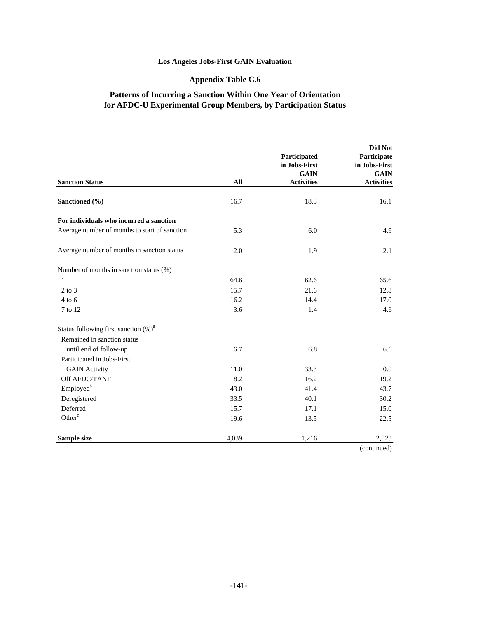# **Appendix Table C.6**

# **Patterns of Incurring a Sanction Within One Year of Orientation for AFDC-U Experimental Group Members, by Participation Status**

| <b>Sanction Status</b>                        | All   | Participated<br>in Jobs-First<br><b>GAIN</b><br><b>Activities</b> | Did Not<br>Participate<br>in Jobs-First<br><b>GAIN</b><br><b>Activities</b> |
|-----------------------------------------------|-------|-------------------------------------------------------------------|-----------------------------------------------------------------------------|
| Sanctioned (%)                                | 16.7  | 18.3                                                              | 16.1                                                                        |
| For individuals who incurred a sanction       |       |                                                                   |                                                                             |
| Average number of months to start of sanction | 5.3   | 6.0                                                               | 4.9                                                                         |
| Average number of months in sanction status   | 2.0   | 1.9                                                               | 2.1                                                                         |
| Number of months in sanction status (%)       |       |                                                                   |                                                                             |
| 1                                             | 64.6  | 62.6                                                              | 65.6                                                                        |
| $2$ to $3$                                    | 15.7  | 21.6                                                              | 12.8                                                                        |
| $4$ to 6                                      | 16.2  | 14.4                                                              | 17.0                                                                        |
| 7 to 12                                       | 3.6   | 1.4                                                               | 4.6                                                                         |
| Status following first sanction $(\%)^a$      |       |                                                                   |                                                                             |
| Remained in sanction status                   |       |                                                                   |                                                                             |
| until end of follow-up                        | 6.7   | 6.8                                                               | 6.6                                                                         |
| Participated in Jobs-First                    |       |                                                                   |                                                                             |
| <b>GAIN Activity</b>                          | 11.0  | 33.3                                                              | 0.0                                                                         |
| Off AFDC/TANF                                 | 18.2  | 16.2                                                              | 19.2                                                                        |
| Employed <sup>b</sup>                         | 43.0  | 41.4                                                              | 43.7                                                                        |
| Deregistered                                  | 33.5  | 40.1                                                              | 30.2                                                                        |
| Deferred                                      | 15.7  | 17.1                                                              | 15.0                                                                        |
| Other <sup>c</sup>                            | 19.6  | 13.5                                                              | 22.5                                                                        |
| Sample size                                   | 4,039 | 1,216                                                             | 2,823                                                                       |
|                                               |       |                                                                   | (continued)                                                                 |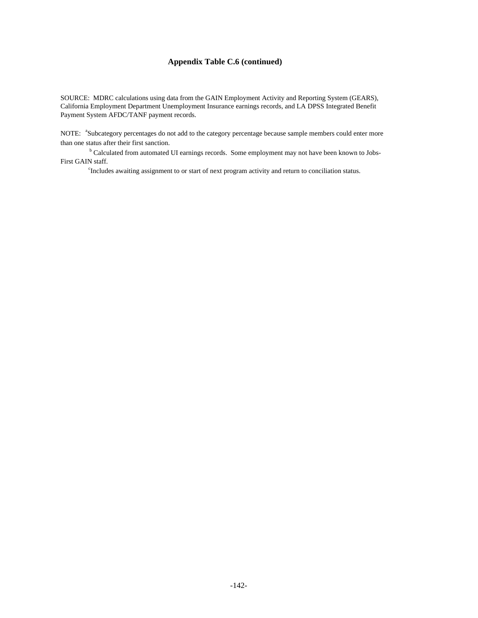#### **Appendix Table C.6 (continued)**

SOURCE: MDRC calculations using data from the GAIN Employment Activity and Reporting System (GEARS), California Employment Department Unemployment Insurance earnings records, and LA DPSS Integrated Benefit Payment System AFDC/TANF payment records.

NOTE: <sup>a</sup>Subcategory percentages do not add to the category percentage because sample members could enter more than one status after their first sanction.

<sup>b</sup> Calculated from automated UI earnings records. Some employment may not have been known to Jobs-First GAIN staff.

c Includes awaiting assignment to or start of next program activity and return to conciliation status.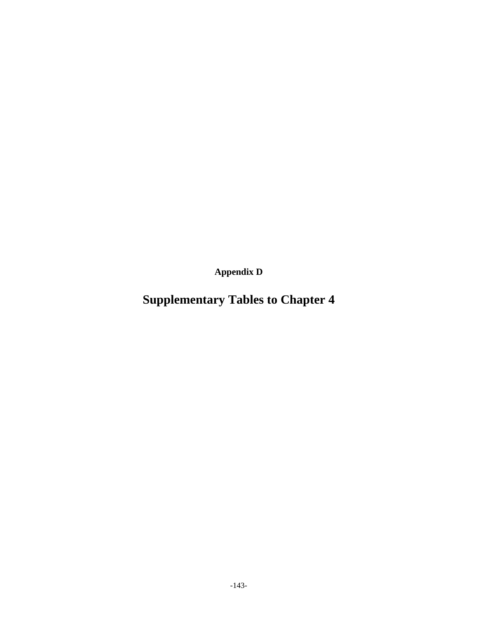**Appendix D**

# **Supplementary Tables to Chapter 4**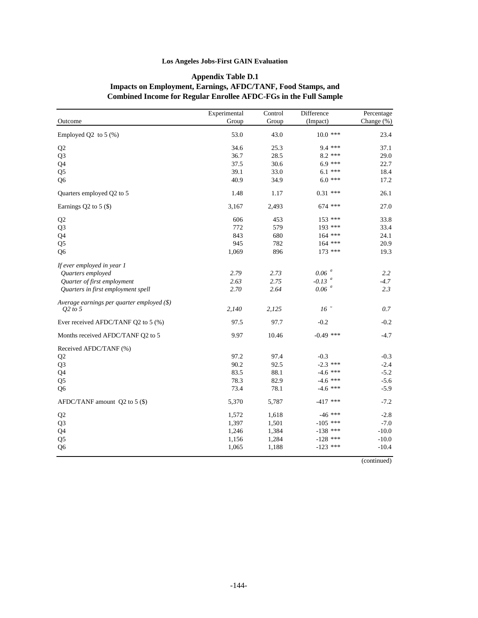## **Appendix Table D.1 Impacts on Employment, Earnings, AFDC/TANF, Food Stamps, and Combined Income for Regular Enrollee AFDC-FGs in the Full Sample**

|                                              | Experimental | Control | Difference           | Percentage |
|----------------------------------------------|--------------|---------|----------------------|------------|
| Outcome                                      | Group        | Group   | (Impact)             | Change (%) |
| Employed Q2 to $5\,(%)$                      | 53.0         | 43.0    | $10.0$ ***           | 23.4       |
| Q2                                           | 34.6         | 25.3    | $9.4***$             | 37.1       |
| Q <sub>3</sub>                               | 36.7         | 28.5    | $8.2$ ***            | 29.0       |
| Q4                                           | 37.5         | 30.6    | $6.9***$             | 22.7       |
| Q <sub>5</sub>                               | 39.1         | 33.0    | $6.1***$             | 18.4       |
| Q <sub>6</sub>                               | 40.9         | 34.9    | $6.0***$             | 17.2       |
| Quarters employed Q2 to 5                    | 1.48         | 1.17    | $0.31$ ***           | 26.1       |
| Earnings $Q2$ to 5 $(\$)$                    | 3,167        | 2,493   | $674$ ***            | 27.0       |
| Q2                                           | 606          | 453     | $153$ ***            | 33.8       |
| Q <sub>3</sub>                               | 772          | 579     | 193 ***              | 33.4       |
| Q4                                           | 843          | 680     | $164$ ***            | 24.1       |
| Q <sub>5</sub>                               | 945          | 782     | $164$ ***            | 20.9       |
| Q <sub>6</sub>                               | 1,069        | 896     | $173$ ***            | 19.3       |
| If ever employed in year 1                   |              |         |                      |            |
| Quarters employed                            | 2.79         | 2.73    | $0.06$ <sup>a</sup>  | 2.2        |
| Quarter of first employment                  | 2.63         | 2.75    | $-0.13$ <sup>a</sup> | $-4.7$     |
| Quarters in first employment spell           | 2.70         | 2.64    | $0.06$ <sup>a</sup>  | 2.3        |
| Average earnings per quarter employed $(\$)$ |              |         |                      |            |
| $Q2$ to 5                                    | 2,140        | 2,125   | 16 <sup>u</sup>      | 0.7        |
| Ever received AFDC/TANF Q2 to 5 (%)          | 97.5         | 97.7    | $-0.2$               | $-0.2$     |
| Months received AFDC/TANF Q2 to 5            | 9.97         | 10.46   | $-0.49$ ***          | $-4.7$     |
| Received AFDC/TANF (%)                       |              |         |                      |            |
| Q2                                           | 97.2         | 97.4    | $-0.3$               | $-0.3$     |
| Q <sub>3</sub>                               | 90.2         | 92.5    | $-2.3$ ***           | $-2.4$     |
| Q4                                           | 83.5         | 88.1    | $-4.6$ ***           | $-5.2$     |
| Q <sub>5</sub>                               | 78.3         | 82.9    | $-4.6$ ***           | $-5.6$     |
| Q <sub>6</sub>                               | 73.4         | 78.1    | $-4.6$ ***           | $-5.9$     |
| AFDC/TANF amount Q2 to 5 (\$)                | 5,370        | 5,787   | $-417$ ***           | $-7.2$     |
| Q2                                           | 1,572        | 1,618   | $-46$ ***            | $-2.8$     |
| Q <sub>3</sub>                               | 1,397        | 1,501   | $-105$ ***           | $-7.0$     |
| Q4                                           | 1,246        | 1,384   | $-138$ ***           | $-10.0$    |
| Q <sub>5</sub>                               | 1,156        | 1,284   | $-128$ ***           | $-10.0$    |
| Q <sub>6</sub>                               | 1,065        | 1,188   | $-123$ ***           | $-10.4$    |

(continued)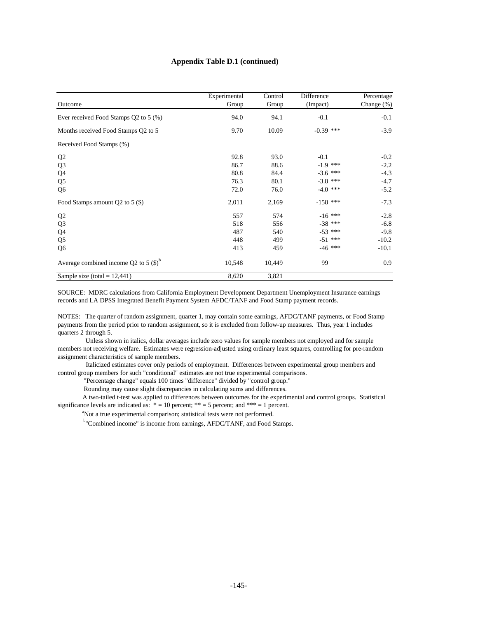#### **Appendix Table D.1 (continued)**

| Outcome                                   | Experimental<br>Group | Control<br>Group | Difference<br>(Impact) | Percentage<br>Change $(\%)$ |
|-------------------------------------------|-----------------------|------------------|------------------------|-----------------------------|
| Ever received Food Stamps Q2 to 5 (%)     | 94.0                  | 94.1             | $-0.1$                 | $-0.1$                      |
| Months received Food Stamps Q2 to 5       | 9.70                  | 10.09            | $-0.39$ ***            | $-3.9$                      |
| Received Food Stamps (%)                  |                       |                  |                        |                             |
| Q <sub>2</sub>                            | 92.8                  | 93.0             | $-0.1$                 | $-0.2$                      |
| Q <sub>3</sub>                            | 86.7                  | 88.6             | $-1.9$ ***             | $-2.2$                      |
| Q4                                        | 80.8                  | 84.4             | $-3.6$ ***             | $-4.3$                      |
| Q <sub>5</sub>                            | 76.3                  | 80.1             | $-3.8$ ***             | $-4.7$                      |
| Q <sub>6</sub>                            | 72.0                  | 76.0             | $-4.0$ ***             | $-5.2$                      |
| Food Stamps amount Q2 to 5 (\$)           | 2,011                 | 2,169            | $-158$ ***             | $-7.3$                      |
| Q <sub>2</sub>                            | 557                   | 574              | $-16$ ***              | $-2.8$                      |
| Q <sub>3</sub>                            | 518                   | 556              | $-38$ ***              | $-6.8$                      |
| Q <sub>4</sub>                            | 487                   | 540              | $-53$ ***              | $-9.8$                      |
| Q <sub>5</sub>                            | 448                   | 499              | $-51$ ***              | $-10.2$                     |
| Q <sub>6</sub>                            | 413                   | 459              | $-46$ ***              | $-10.1$                     |
| Average combined income Q2 to 5 $(S)^{b}$ | 10,548                | 10,449           | 99                     | 0.9                         |
| Sample size (total = $12,441$ )           | 8,620                 | 3,821            |                        |                             |

SOURCE: MDRC calculations from California Employment Development Department Unemployment Insurance earnings records and LA DPSS Integrated Benefit Payment System AFDC/TANF and Food Stamp payment records.

NOTES: The quarter of random assignment, quarter 1, may contain some earnings, AFDC/TANF payments, or Food Stamp payments from the period prior to random assignment, so it is excluded from follow-up measures. Thus, year 1 includes quarters 2 through 5.

 Unless shown in italics, dollar averages include zero values for sample members not employed and for sample members not receiving welfare. Estimates were regression-adjusted using ordinary least squares, controlling for pre-random assignment characteristics of sample members.

 Italicized estimates cover only periods of employment. Differences between experimental group members and control group members for such "conditional" estimates are not true experimental comparisons.

"Percentage change" equals 100 times "difference" divided by "control group."

Rounding may cause slight discrepancies in calculating sums and differences.

 A two-tailed t-test was applied to differences between outcomes for the experimental and control groups. Statistical significance levels are indicated as:  $* = 10$  percent;  $** = 5$  percent; and  $*** = 1$  percent.

<sup>a</sup>Not a true experimental comparison; statistical tests were not performed.

<sup>b</sup>"Combined income" is income from earnings, AFDC/TANF, and Food Stamps.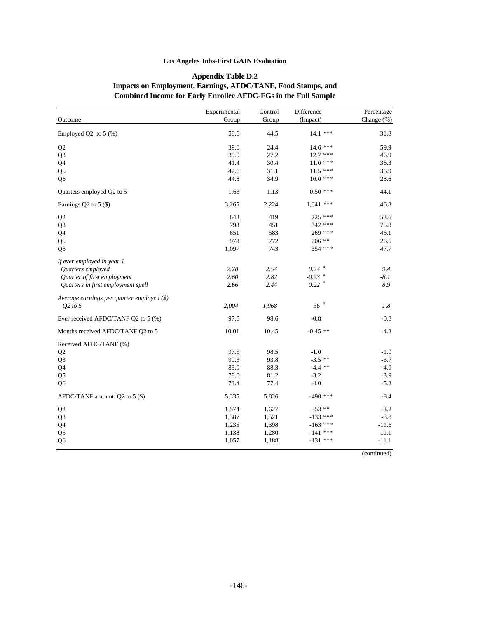#### **Appendix Table D.2 Impacts on Employment, Earnings, AFDC/TANF, Food Stamps, and Combined Income for Early Enrollee AFDC-FGs in the Full Sample**

|                                            | Experimental | Control | Difference           | Percentage |
|--------------------------------------------|--------------|---------|----------------------|------------|
| Outcome                                    | Group        | Group   | (Impact)             | Change (%) |
| Employed Q2 to $5$ (%)                     | 58.6         | 44.5    | 14.1 ***             | 31.8       |
| Q <sub>2</sub>                             | 39.0         | 24.4    | $14.6***$            | 59.9       |
| Q <sub>3</sub>                             | 39.9         | 27.2    | $12.7$ ***           | 46.9       |
| Q <sub>4</sub>                             | 41.4         | 30.4    | $11.0***$            | 36.3       |
| Q <sub>5</sub>                             | 42.6         | 31.1    | $11.5$ ***           | 36.9       |
| Q <sub>6</sub>                             | 44.8         | 34.9    | $10.0$ ***           | 28.6       |
| Quarters employed Q2 to 5                  | 1.63         | 1.13    | $0.50$ ***           | 44.1       |
| Earnings Q2 to 5 (\$)                      | 3,265        | 2,224   | $1,041$ ***          | 46.8       |
| Q2                                         | 643          | 419     | $225$ ***            | 53.6       |
| Q <sub>3</sub>                             | 793          | 451     | 342 ***              | 75.8       |
| Q4                                         | 851          | 583     | 269 ***              | 46.1       |
| Q <sub>5</sub>                             | 978          | 772     | $206$ **             | 26.6       |
| Q <sub>6</sub>                             | 1,097        | 743     | 354 ***              | 47.7       |
| If ever employed in year 1                 |              |         |                      |            |
| Quarters employed                          | 2.78         | 2.54    | $0.24$ <sup>a</sup>  | 9.4        |
| Quarter of first employment                | 2.60         | 2.82    | $-0.23$ <sup>a</sup> | $-8.1$     |
| Quarters in first employment spell         | 2.66         | 2.44    | $0.22$ <sup>a</sup>  | 8.9        |
| Average earnings per quarter employed (\$) |              |         |                      |            |
| O2 to 5                                    | 2,004        | 1,968   | 36 <sup>a</sup>      | 1.8        |
| Ever received AFDC/TANF Q2 to 5 (%)        | 97.8         | 98.6    | $-0.8$               | $-0.8$     |
| Months received AFDC/TANF Q2 to 5          | 10.01        | 10.45   | $-0.45$ **           | $-4.3$     |
| Received AFDC/TANF (%)                     |              |         |                      |            |
| Q2                                         | 97.5         | 98.5    | $-1.0$               | $-1.0$     |
| Q <sub>3</sub>                             | 90.3         | 93.8    | $-3.5$ **            | $-3.7$     |
| Q4                                         | 83.9         | 88.3    | $-4.4$ **            | $-4.9$     |
| Q <sub>5</sub>                             | 78.0         | 81.2    | $-3.2$               | $-3.9$     |
| Q <sub>6</sub>                             | 73.4         | 77.4    | $-4.0$               | $-5.2$     |
| AFDC/TANF amount $Q2$ to 5 (\$)            | 5,335        | 5,826   | $-490$ ***           | $-8.4$     |
| Q <sub>2</sub>                             | 1,574        | 1,627   | $-53$ **             | $-3.2$     |
| Q <sub>3</sub>                             | 1,387        | 1,521   | $-133$ ***           | $-8.8$     |
| Q4                                         | 1,235        | 1,398   | $-163$ ***           | $-11.6$    |
| Q <sub>5</sub>                             | 1,138        | 1,280   | $-141$ ***           | $-11.1$    |
| Q <sub>6</sub>                             | 1,057        | 1,188   | $-131$ ***           | $-11.1$    |

(continued)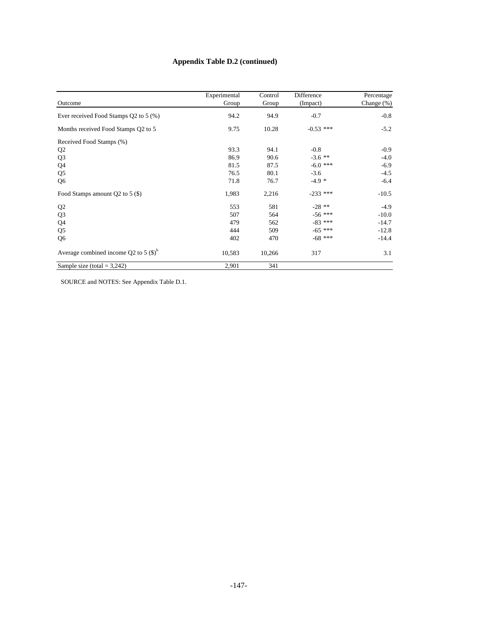# **Appendix Table D.2 (continued)**

|                                                 | Experimental | Control | Difference  | Percentage    |
|-------------------------------------------------|--------------|---------|-------------|---------------|
| Outcome                                         | Group        | Group   | (Impact)    | Change $(\%)$ |
| Ever received Food Stamps Q2 to 5 (%)           | 94.2         | 94.9    | $-0.7$      | $-0.8$        |
| Months received Food Stamps Q2 to 5             | 9.75         | 10.28   | $-0.53$ *** | $-5.2$        |
| Received Food Stamps (%)                        |              |         |             |               |
| Q <sub>2</sub>                                  | 93.3         | 94.1    | $-0.8$      | $-0.9$        |
| Q <sub>3</sub>                                  | 86.9         | 90.6    | $-3.6$ **   | $-4.0$        |
| Q4                                              | 81.5         | 87.5    | $-6.0$ ***  | $-6.9$        |
| Q <sub>5</sub>                                  | 76.5         | 80.1    | $-3.6$      | $-4.5$        |
| Q <sub>6</sub>                                  | 71.8         | 76.7    | $-4.9*$     | $-6.4$        |
| Food Stamps amount $Q2$ to 5 (\$)               | 1,983        | 2,216   | $-233$ ***  | $-10.5$       |
| Q <sub>2</sub>                                  | 553          | 581     | $-28$ **    | $-4.9$        |
| Q <sub>3</sub>                                  | 507          | 564     | $-56$ ***   | $-10.0$       |
| Q4                                              | 479          | 562     | $-83$ ***   | $-14.7$       |
| Q <sub>5</sub>                                  | 444          | 509     | $-65$ ***   | $-12.8$       |
| Q <sub>6</sub>                                  | 402          | 470     | $-68$ ***   | $-14.4$       |
| Average combined income Q2 to 5 $(\text{\$})^6$ | 10,583       | 10,266  | 317         | 3.1           |
| Sample size (total $= 3,242$ )                  | 2,901        | 341     |             |               |

SOURCE and NOTES: See Appendix Table D.1.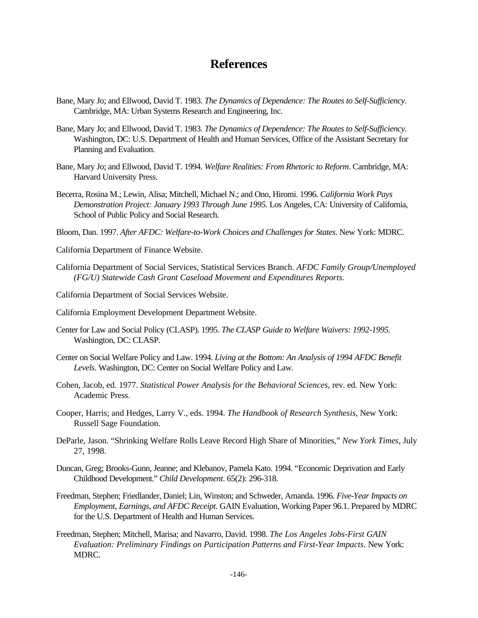# **References**

- Bane, Mary Jo; and Ellwood, David T. 1983. *The Dynamics of Dependence: The Routes to Self-Sufficiency.* Cambridge, MA: Urban Systems Research and Engineering, Inc.
- Bane, Mary Jo; and Ellwood, David T. 1983. *The Dynamics of Dependence: The Routes to Self-Sufficiency.* Washington, DC: U.S. Department of Health and Human Services, Office of the Assistant Secretary for Planning and Evaluation.
- Bane, Mary Jo; and Ellwood, David T. 1994. *Welfare Realities: From Rhetoric to Reform*. Cambridge, MA: Harvard University Press.
- Becerra, Rosina M.; Lewin, Alisa; Mitchell, Michael N.; and Ono, Hiromi. 1996*. California Work Pays Demonstration Project: January 1993 Through June 1995.* Los Angeles, CA: University of California, School of Public Policy and Social Research.
- Bloom, Dan. 1997. *After AFDC: Welfare-to-Work Choices and Challenges for States*. New York: MDRC.
- California Department of Finance Website.
- California Department of Social Services, Statistical Services Branch. *AFDC Family Group/Unemployed (FG/U) Statewide Cash Grant Caseload Movement and Expenditures Reports.*
- California Department of Social Services Website.
- California Employment Development Department Website.
- Center for Law and Social Policy (CLASP). 1995. *The CLASP Guide to Welfare Waivers: 1992-1995.* Washington, DC: CLASP.
- Center on Social Welfare Policy and Law. 1994. *Living at the Bottom: An Analysis of 1994 AFDC Benefit Levels*. Washington, DC: Center on Social Welfare Policy and Law.
- Cohen, Jacob, ed. 1977. *Statistical Power Analysis for the Behavioral Sciences,* rev. ed. New York: Academic Press.
- Cooper, Harris; and Hedges, Larry V., eds. 1994. *The Handbook of Research Synthesis*, New York: Russell Sage Foundation.
- DeParle, Jason. "Shrinking Welfare Rolls Leave Record High Share of Minorities," *New York Times*, July 27, 1998.
- Duncan, Greg; Brooks-Gunn, Jeanne; and Klebanov, Pamela Kato. 1994. "Economic Deprivation and Early Childhood Development." *Child Development*. 65(2): 296-318.
- Freedman, Stephen; Friedlander, Daniel; Lin, Winston; and Schweder, Amanda. 1996. *Five-Year Impacts on Employment, Earnings, and AFDC Receipt.* GAIN Evaluation, Working Paper 96.1. Prepared by MDRC for the U.S. Department of Health and Human Services.
- Freedman, Stephen; Mitchell, Marisa; and Navarro, David. 1998. *The Los Angeles Jobs-First GAIN Evaluation: Preliminary Findings on Participation Patterns and First-Year Impacts.* New York: MDRC.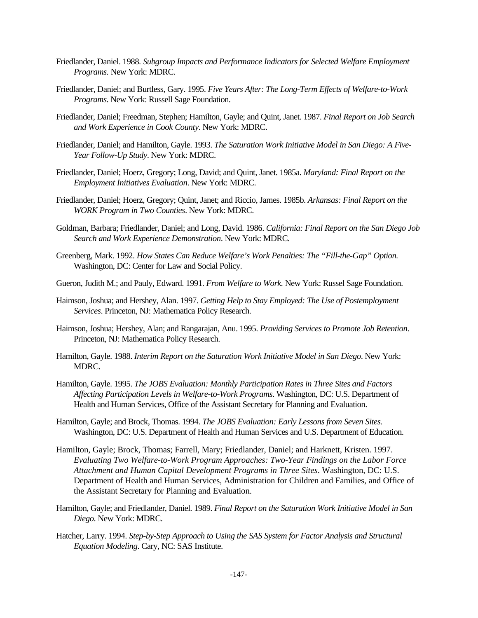- Friedlander, Daniel. 1988. *Subgroup Impacts and Performance Indicators for Selected Welfare Employment Programs.* New York: MDRC.
- Friedlander, Daniel; and Burtless, Gary. 1995. *Five Years After: The Long-Term Effects of Welfare-to-Work Programs*. New York: Russell Sage Foundation.
- Friedlander, Daniel; Freedman, Stephen; Hamilton, Gayle; and Quint, Janet. 1987. *Final Report on Job Search and Work Experience in Cook County*. New York: MDRC.
- Friedlander, Daniel; and Hamilton, Gayle. 1993. *The Saturation Work Initiative Model in San Diego: A Five-Year Follow-Up Study*. New York: MDRC.
- Friedlander, Daniel; Hoerz, Gregory; Long, David; and Quint, Janet. 1985a. *Maryland: Final Report on the Employment Initiatives Evaluation*. New York: MDRC.
- Friedlander, Daniel; Hoerz, Gregory; Quint, Janet; and Riccio, James. 1985b. *Arkansas: Final Report on the WORK Program in Two Counties*. New York: MDRC.
- Goldman, Barbara; Friedlander, Daniel; and Long, David. 1986. *California: Final Report on the San Diego Job Search and Work Experience Demonstration*. New York: MDRC.
- Greenberg, Mark. 1992. *How States Can Reduce Welfare's Work Penalties: The "Fill-the-Gap" Option.* Washington, DC: Center for Law and Social Policy.
- Gueron, Judith M.; and Pauly, Edward. 1991. *From Welfare to Work.* New York: Russel Sage Foundation.
- Haimson, Joshua; and Hershey, Alan. 1997. *Getting Help to Stay Employed: The Use of Postemployment Services*. Princeton, NJ: Mathematica Policy Research.
- Haimson, Joshua; Hershey, Alan; and Rangarajan, Anu. 1995. *Providing Services to Promote Job Retention*. Princeton, NJ: Mathematica Policy Research.
- Hamilton, Gayle. 1988. *Interim Report on the Saturation Work Initiative Model in San Diego*. New York: MDRC.
- Hamilton, Gayle. 1995. *The JOBS Evaluation: Monthly Participation Rates in Three Sites and Factors Affecting Participation Levels in Welfare-to-Work Programs*. Washington, DC: U.S. Department of Health and Human Services, Office of the Assistant Secretary for Planning and Evaluation.
- Hamilton, Gayle; and Brock, Thomas. 1994. *The JOBS Evaluation: Early Lessons from Seven Sites.* Washington, DC: U.S. Department of Health and Human Services and U.S. Department of Education.
- Hamilton, Gayle; Brock, Thomas; Farrell, Mary; Friedlander, Daniel; and Harknett, Kristen. 1997. *Evaluating Two Welfare-to-Work Program Approaches: Two-Year Findings on the Labor Force Attachment and Human Capital Development Programs in Three Sites*. Washington, DC: U.S. Department of Health and Human Services, Administration for Children and Families, and Office of the Assistant Secretary for Planning and Evaluation.
- Hamilton, Gayle; and Friedlander, Daniel. 1989. *Final Report on the Saturation Work Initiative Model in San Diego*. New York: MDRC.
- Hatcher, Larry. 1994. *Step-by-Step Approach to Using the SAS System for Factor Analysis and Structural Equation Modeling*. Cary, NC: SAS Institute.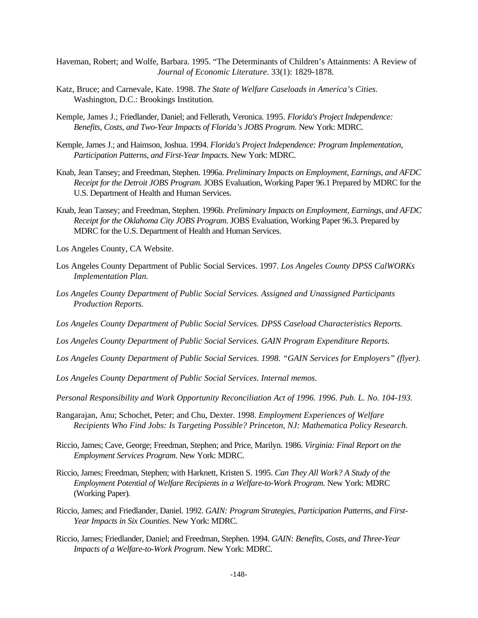- Haveman, Robert; and Wolfe, Barbara. 1995. "The Determinants of Children's Attainments: A Review of *Journal of Economic Literature*. 33(1): 1829-1878.
- Katz, Bruce; and Carnevale, Kate. 1998. *The State of Welfare Caseloads in America's Cities.* Washington, D.C.: Brookings Institution.
- Kemple, James J.; Friedlander, Daniel; and Fellerath, Veronica. 1995. *Florida's Project Independence: Benefits, Costs, and Two-Year Impacts of Florida's JOBS Program.* New York: MDRC.
- Kemple, James J.; and Haimson, Joshua. 1994. *Florida's Project Independence: Program Implementation, Participation Patterns, and First-Year Impacts*. New York: MDRC.
- Knab, Jean Tansey; and Freedman, Stephen. 1996a. *Preliminary Impacts on Employment, Earnings, and AFDC Receipt for the Detroit JOBS Program.* JOBS Evaluation, Working Paper 96.1 Prepared by MDRC for the U.S. Department of Health and Human Services.
- Knab, Jean Tansey; and Freedman, Stephen. 1996b. *Preliminary Impacts on Employment, Earnings, and AFDC Receipt for the Oklahoma City JOBS Program.* JOBS Evaluation, Working Paper 96.3. Prepared by MDRC for the U.S. Department of Health and Human Services.
- Los Angeles County, CA Website.
- Los Angeles County Department of Public Social Services. 1997. *Los Angeles County DPSS CalWORKs Implementation Plan.*
- *Los Angeles County Department of Public Social Services. Assigned and Unassigned Participants Production Reports.*
- *Los Angeles County Department of Public Social Services. DPSS Caseload Characteristics Reports.*
- *Los Angeles County Department of Public Social Services. GAIN Program Expenditure Reports.*
- *Los Angeles County Department of Public Social Services. 1998. "GAIN Services for Employers" (flyer).*

*Los Angeles County Department of Public Social Services. Internal memos.*

*Personal Responsibility and Work Opportunity Reconciliation Act of 1996. 1996. Pub. L. No. 104-193.*

- Rangarajan, Anu; Schochet, Peter; and Chu, Dexter. 1998. *Employment Experiences of Welfare Recipients Who Find Jobs: Is Targeting Possible? Princeton, NJ: Mathematica Policy Research.*
- Riccio, James; Cave, George; Freedman, Stephen; and Price, Marilyn. 1986. *Virginia: Final Report on the Employment Services Program*. New York: MDRC.
- Riccio, James; Freedman, Stephen; with Harknett, Kristen S. 1995. *Can They All Work? A Study of the Employment Potential of Welfare Recipients in a Welfare-to-Work Program.* New York: MDRC (Working Paper)*.*
- Riccio, James; and Friedlander, Daniel. 1992. *GAIN: Program Strategies, Participation Patterns, and First-Year Impacts in Six Counties*. New York: MDRC.
- Riccio, James; Friedlander, Daniel; and Freedman, Stephen. 1994. *GAIN: Benefits, Costs, and Three-Year Impacts of a Welfare-to-Work Program*. New York: MDRC.